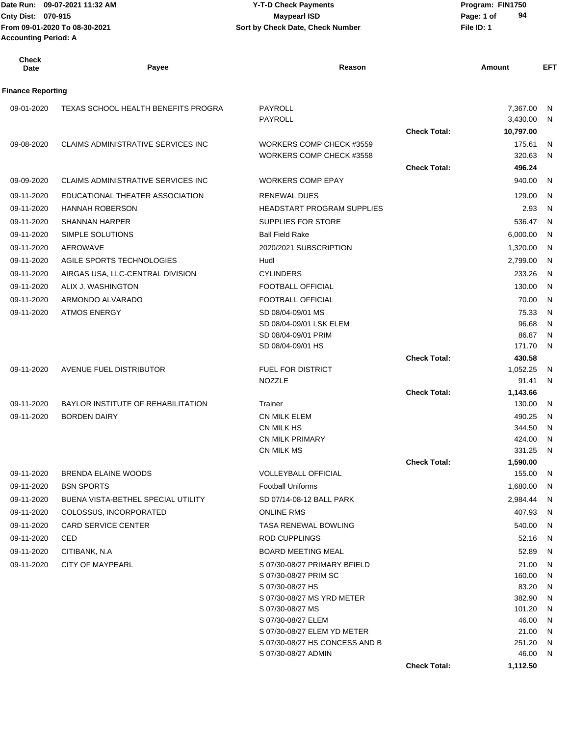| <b>Check</b><br>Date     | Payee                                     | Reason                                               |                     | Amount                            | EFT       |
|--------------------------|-------------------------------------------|------------------------------------------------------|---------------------|-----------------------------------|-----------|
| <b>Finance Reporting</b> |                                           |                                                      |                     |                                   |           |
| 09-01-2020               | TEXAS SCHOOL HEALTH BENEFITS PROGRA       | PAYROLL<br>PAYROLL                                   | <b>Check Total:</b> | 7,367.00<br>3,430.00<br>10,797.00 | - N<br>N, |
| 09-08-2020               | CLAIMS ADMINISTRATIVE SERVICES INC        | WORKERS COMP CHECK #3559<br>WORKERS COMP CHECK #3558 |                     | 175.61<br>320.63                  | -N<br>N,  |
| 09-09-2020               | <b>CLAIMS ADMINISTRATIVE SERVICES INC</b> | <b>WORKERS COMP EPAY</b>                             | <b>Check Total:</b> | 496.24<br>940.00                  | - N       |
| 09-11-2020               | EDUCATIONAL THEATER ASSOCIATION           | RENEWAL DUES                                         |                     | 129.00                            | N.        |
| 09-11-2020               | <b>HANNAH ROBERSON</b>                    | <b>HEADSTART PROGRAM SUPPLIES</b>                    |                     | 2.93                              | N.        |
| 09-11-2020               | <b>SHANNAN HARPER</b>                     | SUPPLIES FOR STORE                                   |                     | 536.47                            | N         |
| 09-11-2020               | SIMPLE SOLUTIONS                          | <b>Ball Field Rake</b>                               |                     | 6,000.00                          | - N       |
| 09-11-2020               | AEROWAVE                                  | 2020/2021 SUBSCRIPTION                               |                     | 1,320.00                          | - N       |
| 09-11-2020               | AGILE SPORTS TECHNOLOGIES                 | Hudl                                                 |                     | 2,799.00                          | - N       |
| 09-11-2020               | AIRGAS USA, LLC-CENTRAL DIVISION          | <b>CYLINDERS</b>                                     |                     | 233.26                            | - N       |
| 09-11-2020               | ALIX J. WASHINGTON                        | FOOTBALL OFFICIAL                                    |                     | 130.00                            | N.        |
| 09-11-2020               | ARMONDO ALVARADO                          | FOOTBALL OFFICIAL                                    |                     | 70.00                             | - N       |
| 09-11-2020               | <b>ATMOS ENERGY</b>                       | SD 08/04-09/01 MS                                    |                     | 75.33                             | N         |
|                          |                                           | SD 08/04-09/01 LSK ELEM                              |                     | 96.68                             | N         |
|                          |                                           | SD 08/04-09/01 PRIM                                  |                     | 86.87                             | N         |
|                          |                                           | SD 08/04-09/01 HS                                    |                     | 171.70                            | N.        |
|                          |                                           |                                                      | <b>Check Total:</b> | 430.58                            |           |
| 09-11-2020               | AVENUE FUEL DISTRIBUTOR                   | FUEL FOR DISTRICT                                    |                     | 1,052.25                          | N,        |
|                          |                                           | NOZZLE                                               |                     | 91.41                             | N         |
|                          |                                           |                                                      | <b>Check Total:</b> | 1,143.66                          |           |
| 09-11-2020               | BAYLOR INSTITUTE OF REHABILITATION        | Trainer                                              |                     | 130.00                            | N,        |
| 09-11-2020               | <b>BORDEN DAIRY</b>                       | CN MILK ELEM                                         |                     | 490.25                            | - N       |
|                          |                                           | CN MILK HS<br><b>CN MILK PRIMARY</b>                 |                     | 344.50<br>424.00                  | N<br>N,   |
|                          |                                           | CN MILK MS                                           |                     | 331.25                            | - N       |
|                          |                                           |                                                      | <b>Check Total:</b> | 1,590.00                          |           |
| 09-11-2020               | BRENDA ELAINE WOODS                       | VOLLEYBALL OFFICIAL                                  |                     | 155.00 N                          |           |
| 09-11-2020               | <b>BSN SPORTS</b>                         | <b>Football Uniforms</b>                             |                     | 1,680.00                          | - N       |
| 09-11-2020               | BUENA VISTA-BETHEL SPECIAL UTILITY        | SD 07/14-08-12 BALL PARK                             |                     | 2,984.44 N                        |           |
| 09-11-2020               | COLOSSUS, INCORPORATED                    | ONLINE RMS                                           |                     | 407.93 N                          |           |
| 09-11-2020               | CARD SERVICE CENTER                       | TASA RENEWAL BOWLING                                 |                     | 540.00 N                          |           |
| 09-11-2020               | CED                                       | <b>ROD CUPPLINGS</b>                                 |                     | 52.16 N                           |           |
| 09-11-2020               | CITIBANK, N.A.                            | <b>BOARD MEETING MEAL</b>                            |                     | 52.89 N                           |           |
| 09-11-2020               | <b>CITY OF MAYPEARL</b>                   | S 07/30-08/27 PRIMARY BFIELD                         |                     | 21.00 N                           |           |
|                          |                                           | S 07/30-08/27 PRIM SC                                |                     | 160.00 N                          |           |
|                          |                                           | S 07/30-08/27 HS                                     |                     | 83.20 N                           |           |
|                          |                                           | S 07/30-08/27 MS YRD METER                           |                     | 382.90 N                          |           |
|                          |                                           | S 07/30-08/27 MS                                     |                     | 101.20 N                          |           |
|                          |                                           | S 07/30-08/27 ELEM<br>S 07/30-08/27 ELEM YD METER    |                     | 46.00 N<br>21.00 N                |           |
|                          |                                           | S 07/30-08/27 HS CONCESS AND B                       |                     | 251.20 N                          |           |
|                          |                                           | S 07/30-08/27 ADMIN                                  |                     | 46.00 N                           |           |

**Check Total: 1,112.50**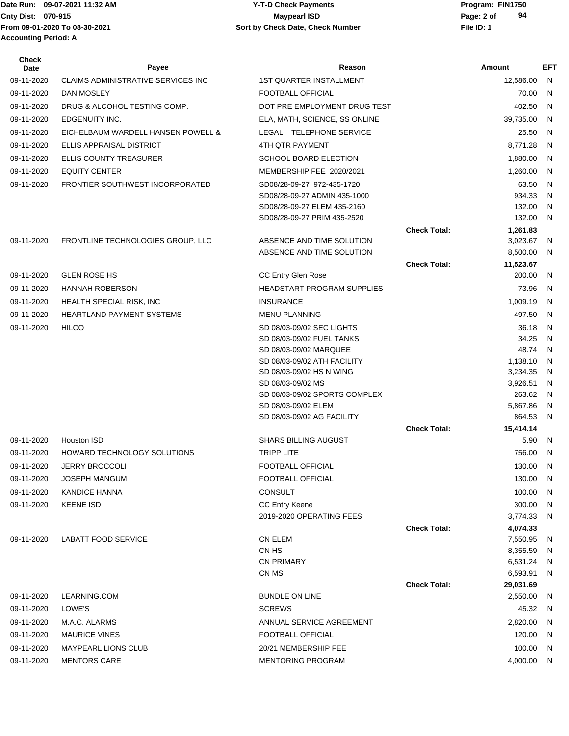# **Cnty Dist:** 070-915 **Page: 2 of MaypearI ISD MaypearI ISD 09-07-2021 11:32 AM Y-T-D Check Payments 070-915 Maypearl ISD**

| Check<br>Date | Payee                                     | Reason                                        |                     | Amount               | <b>EFT</b>   |
|---------------|-------------------------------------------|-----------------------------------------------|---------------------|----------------------|--------------|
| 09-11-2020    | <b>CLAIMS ADMINISTRATIVE SERVICES INC</b> | <b>1ST QUARTER INSTALLMENT</b>                |                     | 12,586.00            | N            |
| 09-11-2020    | DAN MOSLEY                                | FOOTBALL OFFICIAL                             |                     | 70.00                | N            |
| 09-11-2020    | DRUG & ALCOHOL TESTING COMP.              | DOT PRE EMPLOYMENT DRUG TEST                  |                     | 402.50               | N            |
| 09-11-2020    | EDGENUITY INC.                            | ELA, MATH, SCIENCE, SS ONLINE                 |                     | 39,735.00            | N            |
| 09-11-2020    | EICHELBAUM WARDELL HANSEN POWELL &        | LEGAL TELEPHONE SERVICE                       |                     | 25.50                | N            |
| 09-11-2020    | ELLIS APPRAISAL DISTRICT                  | 4TH QTR PAYMENT                               |                     | 8,771.28             | N            |
| 09-11-2020    | <b>ELLIS COUNTY TREASURER</b>             | <b>SCHOOL BOARD ELECTION</b>                  |                     | 1,880.00             | N            |
| 09-11-2020    | <b>EQUITY CENTER</b>                      | MEMBERSHIP FEE 2020/2021                      |                     | 1,260.00             | N            |
| 09-11-2020    | FRONTIER SOUTHWEST INCORPORATED           | SD08/28-09-27 972-435-1720                    |                     | 63.50                | N            |
|               |                                           | SD08/28-09-27 ADMIN 435-1000                  |                     | 934.33               | N            |
|               |                                           | SD08/28-09-27 ELEM 435-2160                   |                     | 132.00               | N            |
|               |                                           | SD08/28-09-27 PRIM 435-2520                   |                     | 132.00               | N            |
| 09-11-2020    | FRONTLINE TECHNOLOGIES GROUP, LLC         | ABSENCE AND TIME SOLUTION                     | <b>Check Total:</b> | 1,261.83<br>3,023.67 | N            |
|               |                                           | ABSENCE AND TIME SOLUTION                     |                     | 8,500.00             | N            |
|               |                                           |                                               | <b>Check Total:</b> | 11,523.67            |              |
| 09-11-2020    | <b>GLEN ROSE HS</b>                       | CC Entry Glen Rose                            |                     | 200.00               | N            |
| 09-11-2020    | <b>HANNAH ROBERSON</b>                    | HEADSTART PROGRAM SUPPLIES                    |                     | 73.96                | N            |
| 09-11-2020    | HEALTH SPECIAL RISK, INC                  | <b>INSURANCE</b>                              |                     | 1,009.19             | N            |
| 09-11-2020    | <b>HEARTLAND PAYMENT SYSTEMS</b>          | <b>MENU PLANNING</b>                          |                     | 497.50               | N            |
| 09-11-2020    | <b>HILCO</b>                              | SD 08/03-09/02 SEC LIGHTS                     |                     | 36.18                | N            |
|               |                                           | SD 08/03-09/02 FUEL TANKS                     |                     | 34.25                | N            |
|               |                                           | SD 08/03-09/02 MARQUEE                        |                     | 48.74                | $\mathsf{N}$ |
|               |                                           | SD 08/03-09/02 ATH FACILITY                   |                     | 1,138.10             | N            |
|               |                                           | SD 08/03-09/02 HS N WING<br>SD 08/03-09/02 MS |                     | 3,234.35<br>3,926.51 | N<br>N       |
|               |                                           | SD 08/03-09/02 SPORTS COMPLEX                 |                     | 263.62               | N            |
|               |                                           | SD 08/03-09/02 ELEM                           |                     | 5,867.86             | N            |
|               |                                           | SD 08/03-09/02 AG FACILITY                    |                     | 864.53               | N            |
|               |                                           |                                               | <b>Check Total:</b> | 15,414.14            |              |
| 09-11-2020    | Houston ISD                               | <b>SHARS BILLING AUGUST</b>                   |                     | 5.90                 | N            |
| 09-11-2020    | HOWARD TECHNOLOGY SOLUTIONS               | <b>TRIPP LITE</b>                             |                     | 756.00               | N            |
| 09-11-2020    | <b>JERRY BROCCOLI</b>                     | FOOTBALL OFFICIAL                             |                     | 130.00               | N            |
| 09-11-2020    | JOSEPH MANGUM                             | <b>FOOTBALL OFFICIAL</b>                      |                     | 130.00               | N            |
| 09-11-2020    | <b>KANDICE HANNA</b>                      | <b>CONSULT</b>                                |                     | 100.00               | N            |
| 09-11-2020    | <b>KEENE ISD</b>                          | <b>CC Entry Keene</b>                         |                     | 300.00               | N            |
|               |                                           | 2019-2020 OPERATING FEES                      |                     | 3,774.33             | N            |
|               | <b>LABATT FOOD SERVICE</b>                | <b>CN ELEM</b>                                | <b>Check Total:</b> | 4,074.33<br>7,550.95 |              |
| 09-11-2020    |                                           | CN HS                                         |                     | 8,355.59             | N<br>N       |
|               |                                           | <b>CN PRIMARY</b>                             |                     | 6,531.24             | N            |
|               |                                           | CN MS                                         |                     | 6,593.91             | N            |
|               |                                           |                                               | <b>Check Total:</b> | 29,031.69            |              |
| 09-11-2020    | LEARNING.COM                              | <b>BUNDLE ON LINE</b>                         |                     | 2,550.00             | N            |
| 09-11-2020    | LOWE'S                                    | <b>SCREWS</b>                                 |                     | 45.32                | N            |
| 09-11-2020    | M.A.C. ALARMS                             | ANNUAL SERVICE AGREEMENT                      |                     | 2,820.00             | N            |
| 09-11-2020    | <b>MAURICE VINES</b>                      | FOOTBALL OFFICIAL                             |                     | 120.00               | N.           |
| 09-11-2020    | <b>MAYPEARL LIONS CLUB</b>                | 20/21 MEMBERSHIP FEE                          |                     | 100.00               | N.           |
| 09-11-2020    | <b>MENTORS CARE</b>                       | <b>MENTORING PROGRAM</b>                      |                     | 4,000.00             | N.           |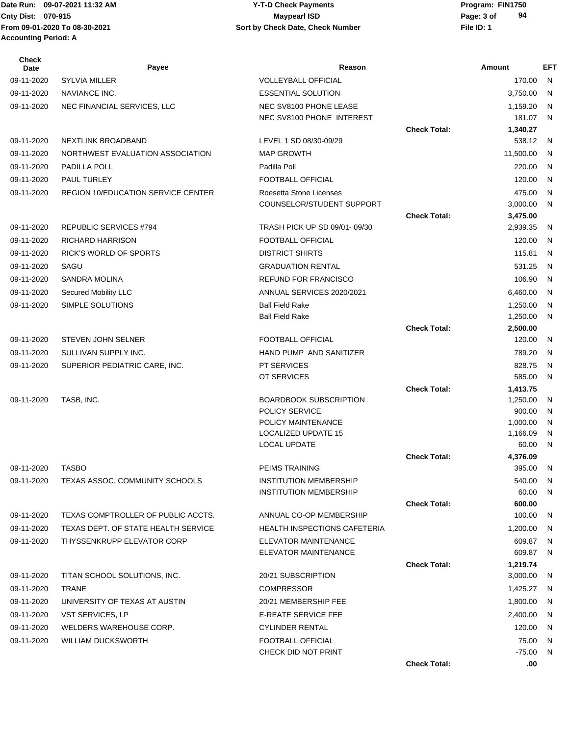#### Date Run: 09-07-2021 11:32 AM **Program: FIN1750** Y-T-D Check Payments **Cnty Dist:** 070-915 **Page: 3 of Page: 3 of MaypearI ISD 09-07-2021 11:32 AM Y-T-D Check Payments 070-915 Maypearl ISD**

**94**

| <b>Check</b><br>Date | Payee                                     | Reason                                                         |                     | <b>Amount</b>      | <b>EFT</b>   |
|----------------------|-------------------------------------------|----------------------------------------------------------------|---------------------|--------------------|--------------|
| 09-11-2020           | <b>SYLVIA MILLER</b>                      | <b>VOLLEYBALL OFFICIAL</b>                                     |                     | 170.00             | N            |
| 09-11-2020           | NAVIANCE INC.                             | <b>ESSENTIAL SOLUTION</b>                                      |                     | 3,750.00           | N            |
| 09-11-2020           | NEC FINANCIAL SERVICES, LLC               | NEC SV8100 PHONE LEASE                                         |                     | 1,159.20           | N            |
|                      |                                           | NEC SV8100 PHONE INTEREST                                      |                     | 181.07             | N            |
|                      |                                           |                                                                | <b>Check Total:</b> | 1,340.27           |              |
| 09-11-2020           | NEXTLINK BROADBAND                        | LEVEL 1 SD 08/30-09/29                                         |                     | 538.12             | - N          |
| 09-11-2020           | NORTHWEST EVALUATION ASSOCIATION          | <b>MAP GROWTH</b>                                              |                     | 11,500.00          | N            |
| 09-11-2020           | PADILLA POLL                              | Padilla Poll                                                   |                     | 220.00             | N            |
| 09-11-2020           | PAUL TURLEY                               | FOOTBALL OFFICIAL                                              |                     | 120.00             | N            |
| 09-11-2020           | <b>REGION 10/EDUCATION SERVICE CENTER</b> | Roesetta Stone Licenses                                        |                     | 475.00             | N            |
|                      |                                           | COUNSELOR/STUDENT SUPPORT                                      |                     | 3,000.00           | N            |
|                      |                                           |                                                                | <b>Check Total:</b> | 3,475.00           |              |
| 09-11-2020           | REPUBLIC SERVICES #794                    | TRASH PICK UP SD 09/01-09/30                                   |                     | 2,939.35           | N            |
| 09-11-2020           | <b>RICHARD HARRISON</b>                   | FOOTBALL OFFICIAL                                              |                     | 120.00             | $\mathsf{N}$ |
| 09-11-2020           | <b>RICK'S WORLD OF SPORTS</b>             | <b>DISTRICT SHIRTS</b>                                         |                     | 115.81             | N            |
| 09-11-2020           | SAGU                                      | <b>GRADUATION RENTAL</b>                                       |                     | 531.25             | N            |
| 09-11-2020           | SANDRA MOLINA                             | <b>REFUND FOR FRANCISCO</b>                                    |                     | 106.90             | N            |
| 09-11-2020           | Secured Mobility LLC                      | ANNUAL SERVICES 2020/2021                                      |                     | 6,460.00           | N            |
| 09-11-2020           | SIMPLE SOLUTIONS                          | <b>Ball Field Rake</b>                                         |                     | 1,250.00           | N            |
|                      |                                           | <b>Ball Field Rake</b>                                         |                     | 1,250.00           | N            |
| 09-11-2020           | <b>STEVEN JOHN SELNER</b>                 | FOOTBALL OFFICIAL                                              | <b>Check Total:</b> | 2,500.00<br>120.00 | N            |
| 09-11-2020           | SULLIVAN SUPPLY INC.                      | HAND PUMP AND SANITIZER                                        |                     | 789.20             | N            |
| 09-11-2020           | SUPERIOR PEDIATRIC CARE, INC.             | <b>PT SERVICES</b>                                             |                     | 828.75             | N            |
|                      |                                           | OT SERVICES                                                    |                     | 585.00             | N            |
|                      |                                           |                                                                | <b>Check Total:</b> | 1,413.75           |              |
| 09-11-2020           | TASB, INC.                                | <b>BOARDBOOK SUBSCRIPTION</b>                                  |                     | 1,250.00           | N            |
|                      |                                           | POLICY SERVICE                                                 |                     | 900.00             | N            |
|                      |                                           | POLICY MAINTENANCE                                             |                     | 1,000.00           | N            |
|                      |                                           | LOCALIZED UPDATE 15                                            |                     | 1,166.09           | N            |
|                      |                                           | LOCAL UPDATE                                                   |                     | 60.00              | N            |
|                      |                                           |                                                                | <b>Check Total:</b> | 4,376.09           |              |
| 09-11-2020           | <b>TASBO</b>                              | <b>PEIMS TRAINING</b>                                          |                     | 395.00             | N            |
| 09-11-2020           | TEXAS ASSOC. COMMUNITY SCHOOLS            | <b>INSTITUTION MEMBERSHIP</b><br><b>INSTITUTION MEMBERSHIP</b> |                     | 540.00<br>60.00    | N,<br>N      |
|                      |                                           |                                                                | <b>Check Total:</b> | 600.00             |              |
| 09-11-2020           | TEXAS COMPTROLLER OF PUBLIC ACCTS.        | ANNUAL CO-OP MEMBERSHIP                                        |                     | 100.00             | N            |
| 09-11-2020           | TEXAS DEPT. OF STATE HEALTH SERVICE       | <b>HEALTH INSPECTIONS CAFETERIA</b>                            |                     | 1,200.00           | N            |
| 09-11-2020           | THYSSENKRUPP ELEVATOR CORP                | <b>ELEVATOR MAINTENANCE</b>                                    |                     | 609.87             | - N          |
|                      |                                           | <b>ELEVATOR MAINTENANCE</b>                                    |                     | 609.87             | - N          |
|                      |                                           |                                                                | <b>Check Total:</b> | 1,219.74           |              |
| 09-11-2020           | TITAN SCHOOL SOLUTIONS, INC.              | 20/21 SUBSCRIPTION                                             |                     | 3,000.00           | N            |
| 09-11-2020           | <b>TRANE</b>                              | <b>COMPRESSOR</b>                                              |                     | 1,425.27           | - N          |
| 09-11-2020           | UNIVERSITY OF TEXAS AT AUSTIN             | 20/21 MEMBERSHIP FEE                                           |                     | 1,800.00           | - N          |
| 09-11-2020           | VST SERVICES, LP                          | <b>E-REATE SERVICE FEE</b>                                     |                     | 2,400.00           | N            |
| 09-11-2020           | WELDERS WAREHOUSE CORP.                   | <b>CYLINDER RENTAL</b>                                         |                     | 120.00             | N            |
| 09-11-2020           | <b>WILLIAM DUCKSWORTH</b>                 | FOOTBALL OFFICIAL                                              |                     | 75.00              | N            |
|                      |                                           | CHECK DID NOT PRINT                                            |                     | $-75.00$           | N            |

**Check Total: .00**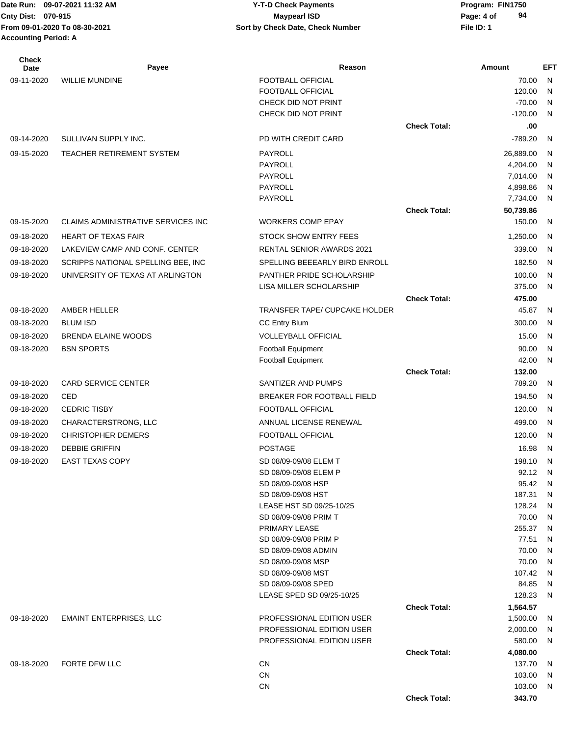# **Cnty Dist:** 070-915 **Page: 4 of Page: 4 of MaypearI ISD 09-07-2021 11:32 AM Y-T-D Check Payments 070-915 Maypearl ISD**

| <b>Check</b><br>Date | Payee                                     | Reason                                           |                     | Amount               | <b>EFT</b> |
|----------------------|-------------------------------------------|--------------------------------------------------|---------------------|----------------------|------------|
| 09-11-2020           | <b>WILLIE MUNDINE</b>                     | <b>FOOTBALL OFFICIAL</b>                         |                     | 70.00                | N          |
|                      |                                           | FOOTBALL OFFICIAL                                |                     | 120.00               | N          |
|                      |                                           | CHECK DID NOT PRINT                              |                     | $-70.00$             | N          |
|                      |                                           | CHECK DID NOT PRINT                              |                     | $-120.00$            | N          |
|                      |                                           |                                                  | <b>Check Total:</b> | .00                  |            |
| 09-14-2020           | SULLIVAN SUPPLY INC.                      | PD WITH CREDIT CARD                              |                     | $-789.20$            | N          |
| 09-15-2020           | TEACHER RETIREMENT SYSTEM                 | PAYROLL                                          |                     | 26,889.00            | N          |
|                      |                                           | PAYROLL                                          |                     | 4,204.00             | N          |
|                      |                                           | PAYROLL<br>PAYROLL                               |                     | 7,014.00<br>4,898.86 | N<br>N     |
|                      |                                           | PAYROLL                                          |                     | 7,734.00             | N          |
|                      |                                           |                                                  | <b>Check Total:</b> | 50,739.86            |            |
| 09-15-2020           | <b>CLAIMS ADMINISTRATIVE SERVICES INC</b> | <b>WORKERS COMP EPAY</b>                         |                     | 150.00               | N          |
| 09-18-2020           | <b>HEART OF TEXAS FAIR</b>                | <b>STOCK SHOW ENTRY FEES</b>                     |                     | 1,250.00             | N          |
| 09-18-2020           | LAKEVIEW CAMP AND CONF. CENTER            | <b>RENTAL SENIOR AWARDS 2021</b>                 |                     | 339.00               | N          |
| 09-18-2020           | SCRIPPS NATIONAL SPELLING BEE, INC        | SPELLING BEEEARLY BIRD ENROLL                    |                     | 182.50               | N          |
| 09-18-2020           | UNIVERSITY OF TEXAS AT ARLINGTON          | PANTHER PRIDE SCHOLARSHIP                        |                     | 100.00               | N          |
|                      |                                           | LISA MILLER SCHOLARSHIP                          |                     | 375.00               | N          |
|                      |                                           |                                                  | <b>Check Total:</b> | 475.00               |            |
| 09-18-2020           | AMBER HELLER                              | TRANSFER TAPE/ CUPCAKE HOLDER                    |                     | 45.87                | N          |
| 09-18-2020           | <b>BLUM ISD</b>                           | <b>CC Entry Blum</b>                             |                     | 300.00               | N          |
| 09-18-2020           | <b>BRENDA ELAINE WOODS</b>                | <b>VOLLEYBALL OFFICIAL</b>                       |                     | 15.00                | N          |
| 09-18-2020           | <b>BSN SPORTS</b>                         | <b>Football Equipment</b>                        |                     | 90.00                | N          |
|                      |                                           | Football Equipment                               |                     | 42.00                | N          |
|                      |                                           |                                                  | <b>Check Total:</b> | 132.00               |            |
| 09-18-2020           | <b>CARD SERVICE CENTER</b>                | SANTIZER AND PUMPS                               |                     | 789.20               | N          |
| 09-18-2020           | CED                                       | BREAKER FOR FOOTBALL FIELD                       |                     | 194.50               | N          |
| 09-18-2020           | <b>CEDRIC TISBY</b>                       | FOOTBALL OFFICIAL                                |                     | 120.00               | N          |
| 09-18-2020           | CHARACTERSTRONG, LLC                      | ANNUAL LICENSE RENEWAL                           |                     | 499.00               | N          |
| 09-18-2020           | <b>CHRISTOPHER DEMERS</b>                 | FOOTBALL OFFICIAL                                |                     | 120.00               | N          |
| 09-18-2020           | <b>DEBBIE GRIFFIN</b>                     | <b>POSTAGE</b>                                   |                     | 16.98                | N          |
| 09-18-2020           | <b>EAST TEXAS COPY</b>                    | SD 08/09-09/08 ELEM T                            |                     | 198.10               | N          |
|                      |                                           | SD 08/09-09/08 ELEM P                            |                     | 92.12 N              |            |
|                      |                                           | SD 08/09-09/08 HSP<br>SD 08/09-09/08 HST         |                     | 95.42 N<br>187.31    | N          |
|                      |                                           | LEASE HST SD 09/25-10/25                         |                     | 128.24               | N          |
|                      |                                           | SD 08/09-09/08 PRIM T                            |                     | 70.00                | N          |
|                      |                                           | PRIMARY LEASE                                    |                     | 255.37               | N          |
|                      |                                           | SD 08/09-09/08 PRIM P                            |                     | 77.51                | N          |
|                      |                                           | SD 08/09-09/08 ADMIN                             |                     | 70.00                | N          |
|                      |                                           | SD 08/09-09/08 MSP                               |                     | 70.00                | N          |
|                      |                                           | SD 08/09-09/08 MST                               |                     | 107.42               | N          |
|                      |                                           | SD 08/09-09/08 SPED<br>LEASE SPED SD 09/25-10/25 |                     | 84.85<br>128.23      | N<br>N     |
|                      |                                           |                                                  | <b>Check Total:</b> | 1,564.57             |            |
| 09-18-2020           | <b>EMAINT ENTERPRISES, LLC</b>            | PROFESSIONAL EDITION USER                        |                     | 1,500.00             | N          |
|                      |                                           | PROFESSIONAL EDITION USER                        |                     | 2,000.00             | N          |
|                      |                                           | PROFESSIONAL EDITION USER                        |                     | 580.00               | N          |
|                      |                                           |                                                  | <b>Check Total:</b> | 4,080.00             |            |
| 09-18-2020           | FORTE DFW LLC                             | CN                                               |                     | 137.70               | N          |
|                      |                                           | CN                                               |                     | 103.00               | N          |
|                      |                                           | CN                                               |                     | 103.00               | N          |
|                      |                                           |                                                  | <b>Check Total:</b> | 343.70               |            |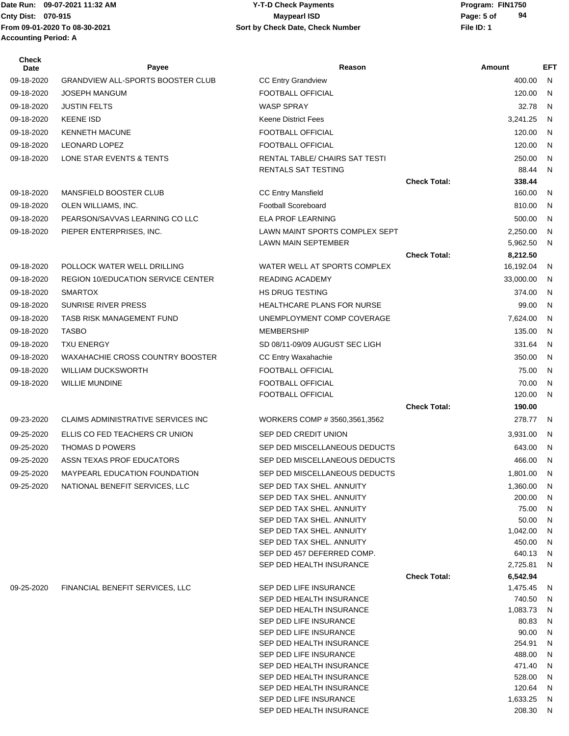Date Run: 09-07-2021 11:32 AM **Program: FIN1750** Y-T-D Check Payments **Accounting Period: A**

#### **Cnty Dist:** 070-915 **Page:** 5 of **From 09-01-2020 To 08-30-2021 File ID: 1 Sort by Check Date, Check Number 09-07-2021 11:32 AM Y-T-D Check Payments 070-915 Maypearl ISD**

| <b>Check</b><br>Date | Payee                                     | Reason                                                 |                     | Amount             | <b>EFT</b>   |
|----------------------|-------------------------------------------|--------------------------------------------------------|---------------------|--------------------|--------------|
| 09-18-2020           | <b>GRANDVIEW ALL-SPORTS BOOSTER CLUB</b>  | <b>CC Entry Grandview</b>                              |                     | 400.00             | -N           |
| 09-18-2020           | <b>JOSEPH MANGUM</b>                      | FOOTBALL OFFICIAL                                      |                     | 120.00             | N            |
| 09-18-2020           | <b>JUSTIN FELTS</b>                       | <b>WASP SPRAY</b>                                      |                     | 32.78              | N            |
| 09-18-2020           | <b>KEENE ISD</b>                          | <b>Keene District Fees</b>                             |                     | 3,241.25           | N            |
| 09-18-2020           | <b>KENNETH MACUNE</b>                     | FOOTBALL OFFICIAL                                      |                     | 120.00             | $\mathsf{N}$ |
| 09-18-2020           | <b>LEONARD LOPEZ</b>                      | FOOTBALL OFFICIAL                                      |                     | 120.00             | $\mathsf{N}$ |
| 09-18-2020           | LONE STAR EVENTS & TENTS                  | RENTAL TABLE/ CHAIRS SAT TESTI                         |                     | 250.00             | N            |
|                      |                                           | <b>RENTALS SAT TESTING</b>                             |                     | 88.44              | N            |
|                      |                                           |                                                        | <b>Check Total:</b> | 338.44             |              |
| 09-18-2020           | MANSFIELD BOOSTER CLUB                    | <b>CC Entry Mansfield</b>                              |                     | 160.00             | N            |
| 09-18-2020           | OLEN WILLIAMS, INC.                       | <b>Football Scoreboard</b>                             |                     | 810.00             | N            |
| 09-18-2020           | PEARSON/SAVVAS LEARNING CO LLC            | <b>ELA PROF LEARNING</b>                               |                     | 500.00             | $\mathsf{N}$ |
| 09-18-2020           | PIEPER ENTERPRISES, INC.                  | LAWN MAINT SPORTS COMPLEX SEPT                         |                     | 2,250.00           | $\mathsf{N}$ |
|                      |                                           | <b>LAWN MAIN SEPTEMBER</b>                             |                     | 5,962.50           | N            |
|                      |                                           |                                                        | <b>Check Total:</b> | 8,212.50           |              |
| 09-18-2020           | POLLOCK WATER WELL DRILLING               | WATER WELL AT SPORTS COMPLEX                           |                     | 16,192.04          | N            |
| 09-18-2020           | <b>REGION 10/EDUCATION SERVICE CENTER</b> | <b>READING ACADEMY</b>                                 |                     | 33,000.00          | $\mathsf{N}$ |
| 09-18-2020           | <b>SMARTOX</b>                            | <b>HS DRUG TESTING</b>                                 |                     | 374.00             | $\mathsf{N}$ |
| 09-18-2020           | <b>SUNRISE RIVER PRESS</b>                | HEALTHCARE PLANS FOR NURSE                             |                     | 99.00              | N            |
| 09-18-2020           | <b>TASB RISK MANAGEMENT FUND</b>          | UNEMPLOYMENT COMP COVERAGE                             |                     | 7,624.00           | <b>N</b>     |
| 09-18-2020           | <b>TASBO</b>                              | <b>MEMBERSHIP</b>                                      |                     | 135.00             | $\mathsf{N}$ |
| 09-18-2020           | <b>TXU ENERGY</b>                         | SD 08/11-09/09 AUGUST SEC LIGH                         |                     | 331.64             | $\mathsf{N}$ |
| 09-18-2020           | WAXAHACHIE CROSS COUNTRY BOOSTER          | CC Entry Waxahachie                                    |                     | 350.00             | <b>N</b>     |
| 09-18-2020           | <b>WILLIAM DUCKSWORTH</b>                 | FOOTBALL OFFICIAL                                      |                     | 75.00              | $\mathsf{N}$ |
| 09-18-2020           | <b>WILLIE MUNDINE</b>                     | FOOTBALL OFFICIAL                                      |                     | 70.00              | N            |
|                      |                                           | FOOTBALL OFFICIAL                                      | <b>Check Total:</b> | 120.00<br>190.00   | N            |
| 09-23-2020           | <b>CLAIMS ADMINISTRATIVE SERVICES INC</b> |                                                        |                     | 278.77             | - N          |
|                      |                                           | WORKERS COMP # 3560,3561,3562                          |                     |                    |              |
| 09-25-2020           | ELLIS CO FED TEACHERS CR UNION            | SEP DED CREDIT UNION                                   |                     | 3,931.00           | N            |
| 09-25-2020           | <b>THOMAS D POWERS</b>                    | SEP DED MISCELLANEOUS DEDUCTS                          |                     | 643.00             | $\mathsf{N}$ |
| 09-25-2020           | ASSN TEXAS PROF EDUCATORS                 | SEP DED MISCELLANEOUS DEDUCTS                          |                     | 466.00             | - N          |
| 09-25-2020           | MAYPEARL EDUCATION FOUNDATION             | SEP DED MISCELLANEOUS DEDUCTS                          |                     | 1,801.00 N         |              |
| 09-25-2020           | NATIONAL BENEFIT SERVICES, LLC            | SEP DED TAX SHEL. ANNUITY                              |                     | 1,360.00           | N            |
|                      |                                           | SEP DED TAX SHEL. ANNUITY                              |                     | 200.00             | N            |
|                      |                                           | SEP DED TAX SHEL. ANNUITY<br>SEP DED TAX SHEL. ANNUITY |                     | 75.00<br>50.00     | N<br>N       |
|                      |                                           | SEP DED TAX SHEL. ANNUITY                              |                     | 1,042.00           | N            |
|                      |                                           | SEP DED TAX SHEL. ANNUITY                              |                     | 450.00             | N            |
|                      |                                           | SEP DED 457 DEFERRED COMP.                             |                     | 640.13             | N            |
|                      |                                           | SEP DED HEALTH INSURANCE                               |                     | 2,725.81           | N            |
|                      |                                           |                                                        | <b>Check Total:</b> | 6,542.94           |              |
| 09-25-2020           | FINANCIAL BENEFIT SERVICES, LLC           | SEP DED LIFE INSURANCE                                 |                     | 1,475.45           | N            |
|                      |                                           | SEP DED HEALTH INSURANCE<br>SEP DED HEALTH INSURANCE   |                     | 740.50             | N<br>N       |
|                      |                                           | SEP DED LIFE INSURANCE                                 |                     | 1,083.73<br>80.83  | N            |
|                      |                                           | SEP DED LIFE INSURANCE                                 |                     | 90.00              | N            |
|                      |                                           | SEP DED HEALTH INSURANCE                               |                     | 254.91             | N            |
|                      |                                           | SEP DED LIFE INSURANCE                                 |                     | 488.00             | N            |
|                      |                                           | SEP DED HEALTH INSURANCE                               |                     | 471.40             | N            |
|                      |                                           | SEP DED HEALTH INSURANCE                               |                     | 528.00             | N            |
|                      |                                           | SEP DED HEALTH INSURANCE                               |                     | 120.64             | N            |
|                      |                                           | SEP DED LIFE INSURANCE<br>SEP DED HEALTH INSURANCE     |                     | 1,633.25<br>208.30 | N<br>N       |
|                      |                                           |                                                        |                     |                    |              |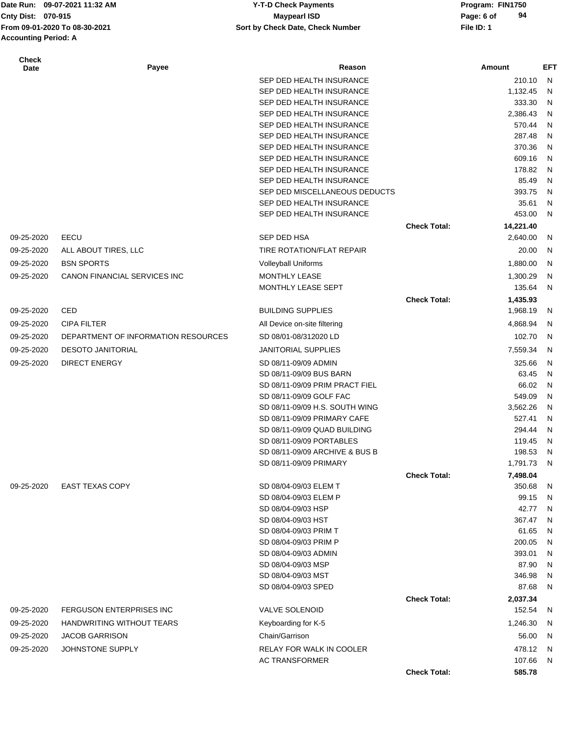Date Run: 09-07-2021 11:32 AM **Program: FIN1750** Y-T-D Check Payments **Accounting Period: A**

#### **Cnty Dist:** 070-915 **Page: 6 of Page: 6 of MaypearI ISD Page: 6 of Page: 6 of From 09-01-2020 To 08-30-2021 File ID: 1 Sort by Check Date, Check Number 09-07-2021 11:32 AM Y-T-D Check Payments 070-915 Maypearl ISD**

| <b>Check</b><br>Date | Payee                               | Reason                                    |                     | Amount          | EFT    |
|----------------------|-------------------------------------|-------------------------------------------|---------------------|-----------------|--------|
|                      |                                     | SEP DED HEALTH INSURANCE                  |                     | 210.10          | N      |
|                      |                                     | SEP DED HEALTH INSURANCE                  |                     | 1,132.45        | N      |
|                      |                                     | SEP DED HEALTH INSURANCE                  |                     | 333.30          | N      |
|                      |                                     | SEP DED HEALTH INSURANCE                  |                     | 2,386.43        | N      |
|                      |                                     | SEP DED HEALTH INSURANCE                  |                     | 570.44          | N      |
|                      |                                     | SEP DED HEALTH INSURANCE                  |                     | 287.48          | N      |
|                      |                                     | SEP DED HEALTH INSURANCE                  |                     | 370.36          | N      |
|                      |                                     | SEP DED HEALTH INSURANCE                  |                     | 609.16          | N      |
|                      |                                     | SEP DED HEALTH INSURANCE                  |                     | 178.82          | N      |
|                      |                                     | SEP DED HEALTH INSURANCE                  |                     | 85.49           | N      |
|                      |                                     | SEP DED MISCELLANEOUS DEDUCTS             |                     | 393.75          | N      |
|                      |                                     | SEP DED HEALTH INSURANCE                  |                     | 35.61           | N      |
|                      |                                     | SEP DED HEALTH INSURANCE                  |                     | 453.00          | N      |
|                      |                                     |                                           | <b>Check Total:</b> | 14,221.40       |        |
| 09-25-2020           | EECU                                | SEP DED HSA                               |                     | 2,640.00        | N      |
| 09-25-2020           | ALL ABOUT TIRES, LLC                | TIRE ROTATION/FLAT REPAIR                 |                     | 20.00           | N      |
| 09-25-2020           | <b>BSN SPORTS</b>                   | <b>Volleyball Uniforms</b>                |                     | 1,880.00        | N      |
| 09-25-2020           | CANON FINANCIAL SERVICES INC        | MONTHLY LEASE                             |                     | 1,300.29        | N      |
|                      |                                     | <b>MONTHLY LEASE SEPT</b>                 |                     | 135.64          | N      |
|                      |                                     |                                           | <b>Check Total:</b> | 1,435.93        |        |
| 09-25-2020           | CED                                 | <b>BUILDING SUPPLIES</b>                  |                     | 1,968.19        | N      |
| 09-25-2020           | <b>CIPA FILTER</b>                  | All Device on-site filtering              |                     | 4,868.94        | N      |
| 09-25-2020           | DEPARTMENT OF INFORMATION RESOURCES | SD 08/01-08/312020 LD                     |                     | 102.70          | N      |
| 09-25-2020           | <b>DESOTO JANITORIAL</b>            | <b>JANITORIAL SUPPLIES</b>                |                     | 7,559.34        | N      |
| 09-25-2020           | <b>DIRECT ENERGY</b>                | SD 08/11-09/09 ADMIN                      |                     | 325.66          | N      |
|                      |                                     | SD 08/11-09/09 BUS BARN                   |                     | 63.45           | N      |
|                      |                                     | SD 08/11-09/09 PRIM PRACT FIEL            |                     | 66.02           | N      |
|                      |                                     | SD 08/11-09/09 GOLF FAC                   |                     | 549.09          | N      |
|                      |                                     | SD 08/11-09/09 H.S. SOUTH WING            |                     | 3,562.26        | N      |
|                      |                                     | SD 08/11-09/09 PRIMARY CAFE               |                     | 527.41          | N      |
|                      |                                     | SD 08/11-09/09 QUAD BUILDING              |                     | 294.44          | N      |
|                      |                                     | SD 08/11-09/09 PORTABLES                  |                     | 119.45          | N      |
|                      |                                     | SD 08/11-09/09 ARCHIVE & BUS B            |                     | 198.53          | N      |
|                      |                                     | SD 08/11-09/09 PRIMARY                    |                     | 1,791.73        | N      |
|                      |                                     |                                           | <b>Check Total:</b> | 7,498.04        |        |
| 09-25-2020           | <b>EAST TEXAS COPY</b>              | SD 08/04-09/03 ELEM T                     |                     | 350.68          | N      |
|                      |                                     | SD 08/04-09/03 ELEM P                     |                     | 99.15           | N      |
|                      |                                     | SD 08/04-09/03 HSP                        |                     | 42.77           | N      |
|                      |                                     | SD 08/04-09/03 HST                        |                     | 367.47          | N      |
|                      |                                     | SD 08/04-09/03 PRIM T                     |                     | 61.65           | N      |
|                      |                                     | SD 08/04-09/03 PRIM P                     |                     | 200.05          | N      |
|                      |                                     | SD 08/04-09/03 ADMIN                      |                     | 393.01          | N      |
|                      |                                     | SD 08/04-09/03 MSP                        |                     | 87.90           | N      |
|                      |                                     | SD 08/04-09/03 MST<br>SD 08/04-09/03 SPED |                     | 346.98<br>87.68 | N<br>N |
|                      |                                     |                                           | <b>Check Total:</b> | 2,037.34        |        |
| 09-25-2020           | <b>FERGUSON ENTERPRISES INC</b>     | VALVE SOLENOID                            |                     | 152.54          | N      |
| 09-25-2020           | HANDWRITING WITHOUT TEARS           | Keyboarding for K-5                       |                     | 1,246.30        | N      |
| 09-25-2020           | <b>JACOB GARRISON</b>               | Chain/Garrison                            |                     | 56.00           | N      |
| 09-25-2020           | JOHNSTONE SUPPLY                    | RELAY FOR WALK IN COOLER                  |                     | 478.12          | N      |
|                      |                                     | <b>AC TRANSFORMER</b>                     |                     | 107.66          | N      |
|                      |                                     |                                           | <b>Check Total:</b> | 585.78          |        |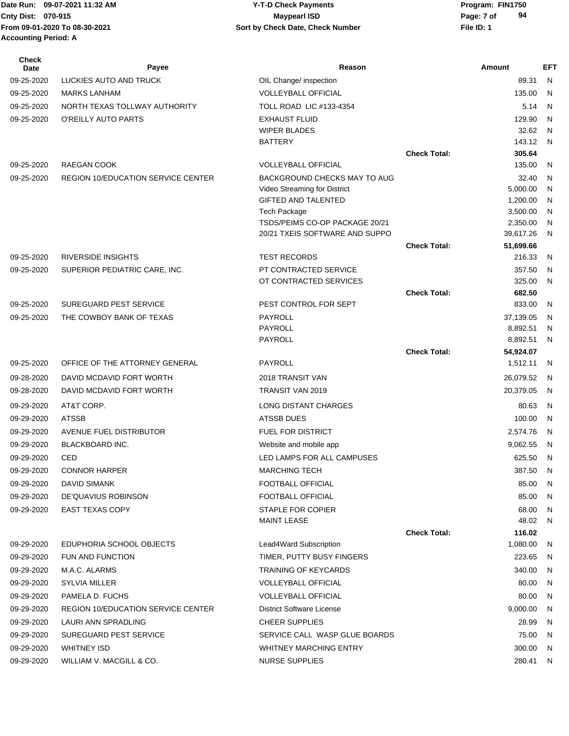Date Run: 09-07-2021 11:32 AM **Program: FIN1750** Y-T-D Check Payments **Cnty Dist:** 070-915 **Page: 7 of Page: 7 of MaypearI ISD From 09-01-2020 To 08-30-2021 File ID: 1 Sort by Check Date, Check Number 09-07-2021 11:32 AM Y-T-D Check Payments 070-915 Maypearl ISD Accounting Period: A**

| <b>Check</b><br>Date | Payee                                     | Reason                                                |                     | Amount               | <b>EFT</b> |
|----------------------|-------------------------------------------|-------------------------------------------------------|---------------------|----------------------|------------|
| 09-25-2020           | LUCKIES AUTO AND TRUCK                    | OIL Change/ inspection                                |                     | 89.31                | N          |
| 09-25-2020           | <b>MARKS LANHAM</b>                       | <b>VOLLEYBALL OFFICIAL</b>                            |                     | 135.00               | N          |
| 09-25-2020           | NORTH TEXAS TOLLWAY AUTHORITY             | <b>TOLL ROAD LIC #133-4354</b>                        |                     | 5.14                 | N          |
| 09-25-2020           | O'REILLY AUTO PARTS                       | <b>EXHAUST FLUID</b>                                  |                     | 129.90               | N          |
|                      |                                           | <b>WIPER BLADES</b>                                   |                     | 32.62                | N          |
|                      |                                           | <b>BATTERY</b>                                        |                     | 143.12               | N          |
|                      |                                           |                                                       | <b>Check Total:</b> | 305.64               |            |
| 09-25-2020           | <b>RAEGAN COOK</b>                        | <b>VOLLEYBALL OFFICIAL</b>                            |                     | 135.00               | N          |
| 09-25-2020           | <b>REGION 10/EDUCATION SERVICE CENTER</b> | BACKGROUND CHECKS MAY TO AUG                          |                     | 32.40                | N          |
|                      |                                           | Video Streaming for District                          |                     | 5,000.00             | N          |
|                      |                                           | <b>GIFTED AND TALENTED</b>                            |                     | 1,200.00             | N          |
|                      |                                           | <b>Tech Package</b><br>TSDS/PEIMS CO-OP PACKAGE 20/21 |                     | 3,500.00<br>2,350.00 | N<br>N     |
|                      |                                           | 20/21 TXEIS SOFTWARE AND SUPPO                        |                     | 39,617.26            | N          |
|                      |                                           |                                                       | <b>Check Total:</b> | 51,699.66            |            |
| 09-25-2020           | <b>RIVERSIDE INSIGHTS</b>                 | <b>TEST RECORDS</b>                                   |                     | 216.33               | N          |
| 09-25-2020           | SUPERIOR PEDIATRIC CARE, INC.             | PT CONTRACTED SERVICE                                 |                     | 357.50               | N          |
|                      |                                           | OT CONTRACTED SERVICES                                |                     | 325.00               | N          |
|                      |                                           |                                                       | <b>Check Total:</b> | 682.50               |            |
| 09-25-2020           | SUREGUARD PEST SERVICE                    | PEST CONTROL FOR SEPT                                 |                     | 833.00               | N          |
| 09-25-2020           | THE COWBOY BANK OF TEXAS                  | <b>PAYROLL</b>                                        |                     | 37,139.05            | N          |
|                      |                                           | PAYROLL                                               |                     | 8,892.51             | N          |
|                      |                                           | PAYROLL                                               |                     | 8,892.51             | N          |
|                      |                                           |                                                       | <b>Check Total:</b> | 54,924.07            |            |
| 09-25-2020           | OFFICE OF THE ATTORNEY GENERAL            | PAYROLL                                               |                     | 1,512.11             | N          |
| 09-28-2020           | DAVID MCDAVID FORT WORTH                  | 2018 TRANSIT VAN                                      |                     | 26,079.52            | N.         |
| 09-28-2020           | DAVID MCDAVID FORT WORTH                  | TRANSIT VAN 2019                                      |                     | 20,379.05            | N          |
| 09-29-2020           | AT&T CORP.                                | LONG DISTANT CHARGES                                  |                     | 80.63                | N          |
| 09-29-2020           | <b>ATSSB</b>                              | ATSSB DUES                                            |                     | 100.00               | N          |
| 09-29-2020           | AVENUE FUEL DISTRIBUTOR                   | <b>FUEL FOR DISTRICT</b>                              |                     | 2,574.76             | N          |
| 09-29-2020           | BLACKBOARD INC.                           | Website and mobile app                                |                     | 9,062.55             | N          |
| 09-29-2020           | CED                                       | LED LAMPS FOR ALL CAMPUSES                            |                     | 625.50               | N.         |
| 09-29-2020           | <b>CONNOR HARPER</b>                      | MARCHING TECH                                         |                     | 387.50               | N          |
| 09-29-2020           | DAVID SIMANK                              | FOOTBALL OFFICIAL                                     |                     | 85.00                | - N        |
| 09-29-2020           | DE'QUAVIUS ROBINSON                       | FOOTBALL OFFICIAL                                     |                     | 85.00                | N          |
| 09-29-2020           | <b>EAST TEXAS COPY</b>                    | <b>STAPLE FOR COPIER</b>                              |                     | 68.00                | N          |
|                      |                                           | MAINT LEASE                                           |                     | 48.02                | - N        |
|                      |                                           |                                                       | <b>Check Total:</b> | 116.02               |            |
| 09-29-2020           | EDUPHORIA SCHOOL OBJECTS                  | Lead4Ward Subscription                                |                     | 1,080.00             | N,         |
| 09-29-2020           | FUN AND FUNCTION                          | TIMER, PUTTY BUSY FINGERS                             |                     | 223.65               | N.         |
| 09-29-2020           | M.A.C. ALARMS                             | <b>TRAINING OF KEYCARDS</b>                           |                     | 340.00               | N          |
| 09-29-2020           | <b>SYLVIA MILLER</b>                      | <b>VOLLEYBALL OFFICIAL</b>                            |                     | 80.00                | N          |
| 09-29-2020           | PAMELA D. FUCHS                           | <b>VOLLEYBALL OFFICIAL</b>                            |                     | 80.00                | N          |
| 09-29-2020           | <b>REGION 10/EDUCATION SERVICE CENTER</b> | District Software License                             |                     | 9,000.00             | N          |
| 09-29-2020           | LAURI ANN SPRADLING                       | <b>CHEER SUPPLIES</b>                                 |                     | 28.99                | N,         |
| 09-29-2020           | SUREGUARD PEST SERVICE                    | SERVICE CALL WASP GLUE BOARDS                         |                     | 75.00                | N          |
| 09-29-2020           | <b>WHITNEY ISD</b>                        | WHITNEY MARCHING ENTRY                                |                     | 300.00               | N          |
| 09-29-2020           | WILLIAM V. MACGILL & CO.                  | <b>NURSE SUPPLIES</b>                                 |                     | 280.41               | N          |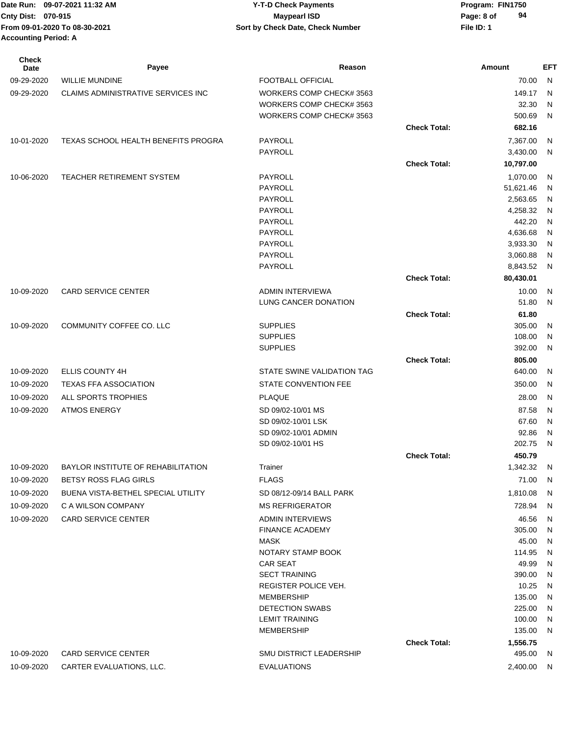| <b>Check</b><br><b>Date</b> | Payee                                     | Reason                                       |                     | Amount           | EFT            |
|-----------------------------|-------------------------------------------|----------------------------------------------|---------------------|------------------|----------------|
| 09-29-2020                  | <b>WILLIE MUNDINE</b>                     | <b>FOOTBALL OFFICIAL</b>                     |                     | 70.00            | N              |
| 09-29-2020                  | <b>CLAIMS ADMINISTRATIVE SERVICES INC</b> | WORKERS COMP CHECK# 3563                     |                     | 149.17           | N.             |
|                             |                                           | WORKERS COMP CHECK# 3563                     |                     | 32.30            | N              |
|                             |                                           | WORKERS COMP CHECK# 3563                     |                     | 500.69           | N              |
|                             |                                           |                                              | <b>Check Total:</b> | 682.16           |                |
| 10-01-2020                  | TEXAS SCHOOL HEALTH BENEFITS PROGRA       | PAYROLL                                      |                     | 7,367.00         | N              |
|                             |                                           | PAYROLL                                      |                     | 3,430.00         | $\overline{N}$ |
|                             |                                           |                                              | <b>Check Total:</b> | 10,797.00        |                |
| 10-06-2020                  | <b>TEACHER RETIREMENT SYSTEM</b>          | PAYROLL                                      |                     | 1,070.00         | -N             |
|                             |                                           | PAYROLL                                      |                     | 51,621.46        | N              |
|                             |                                           | PAYROLL                                      |                     | 2,563.65         | N              |
|                             |                                           | PAYROLL                                      |                     | 4,258.32         | N              |
|                             |                                           | PAYROLL                                      |                     | 442.20           | N              |
|                             |                                           | PAYROLL                                      |                     | 4,636.68         | N              |
|                             |                                           | <b>PAYROLL</b>                               |                     | 3,933.30         | N              |
|                             |                                           | PAYROLL                                      |                     | 3,060.88         | N              |
|                             |                                           | PAYROLL                                      |                     | 8,843.52         | N              |
|                             |                                           |                                              | <b>Check Total:</b> | 80,430.01        |                |
| 10-09-2020                  | <b>CARD SERVICE CENTER</b>                | <b>ADMIN INTERVIEWA</b>                      |                     | 10.00            | N              |
|                             |                                           | LUNG CANCER DONATION                         |                     | 51.80            | N.             |
|                             |                                           |                                              | <b>Check Total:</b> | 61.80            |                |
| 10-09-2020                  | COMMUNITY COFFEE CO. LLC                  | <b>SUPPLIES</b>                              |                     | 305.00           | N              |
|                             |                                           | <b>SUPPLIES</b>                              |                     | 108.00           | N.             |
|                             |                                           | <b>SUPPLIES</b>                              |                     | 392.00           | N.             |
|                             | ELLIS COUNTY 4H                           | STATE SWINE VALIDATION TAG                   | <b>Check Total:</b> | 805.00<br>640.00 |                |
| 10-09-2020                  |                                           |                                              |                     |                  | -N             |
| 10-09-2020                  | <b>TEXAS FFA ASSOCIATION</b>              | STATE CONVENTION FEE                         |                     | 350.00           | N              |
| 10-09-2020                  | ALL SPORTS TROPHIES                       | <b>PLAQUE</b>                                |                     | 28.00            | N              |
| 10-09-2020                  | <b>ATMOS ENERGY</b>                       | SD 09/02-10/01 MS                            |                     | 87.58            | N              |
|                             |                                           | SD 09/02-10/01 LSK                           |                     | 67.60            | N              |
|                             |                                           | SD 09/02-10/01 ADMIN                         |                     | 92.86            | N              |
|                             |                                           | SD 09/02-10/01 HS                            |                     | 202.75           | N              |
|                             |                                           |                                              | <b>Check Total:</b> | 450.79           |                |
| 10-09-2020                  | BAYLOR INSTITUTE OF REHABILITATION        | Trainer                                      |                     | 1,342.32         | N              |
| 10-09-2020                  | BETSY ROSS FLAG GIRLS                     | <b>FLAGS</b>                                 |                     | 71.00            | N              |
| 10-09-2020                  | BUENA VISTA-BETHEL SPECIAL UTILITY        | SD 08/12-09/14 BALL PARK                     |                     | 1,810.08         | - N            |
| 10-09-2020                  | C A WILSON COMPANY                        | <b>MS REFRIGERATOR</b>                       |                     | 728.94           | - N            |
| 10-09-2020                  | <b>CARD SERVICE CENTER</b>                | <b>ADMIN INTERVIEWS</b>                      |                     | 46.56            | N,             |
|                             |                                           | <b>FINANCE ACADEMY</b>                       |                     | 305.00           | N.             |
|                             |                                           | MASK                                         |                     | 45.00            | - N            |
|                             |                                           | NOTARY STAMP BOOK                            |                     | 114.95           | - N            |
|                             |                                           | <b>CAR SEAT</b>                              |                     | 49.99            | N,             |
|                             |                                           | <b>SECT TRAINING</b><br>REGISTER POLICE VEH. |                     | 390.00           | N,             |
|                             |                                           | <b>MEMBERSHIP</b>                            |                     | 10.25<br>135.00  | N,<br>N        |
|                             |                                           | <b>DETECTION SWABS</b>                       |                     | 225.00           | - N            |
|                             |                                           | <b>LEMIT TRAINING</b>                        |                     | 100.00           | N,             |
|                             |                                           | <b>MEMBERSHIP</b>                            |                     | 135.00           | N,             |
|                             |                                           |                                              | <b>Check Total:</b> | 1,556.75         |                |
| 10-09-2020                  | <b>CARD SERVICE CENTER</b>                | <b>SMU DISTRICT LEADERSHIP</b>               |                     | 495.00           | - N            |
| 10-09-2020                  | CARTER EVALUATIONS, LLC.                  | <b>EVALUATIONS</b>                           |                     | 2,400.00 N       |                |
|                             |                                           |                                              |                     |                  |                |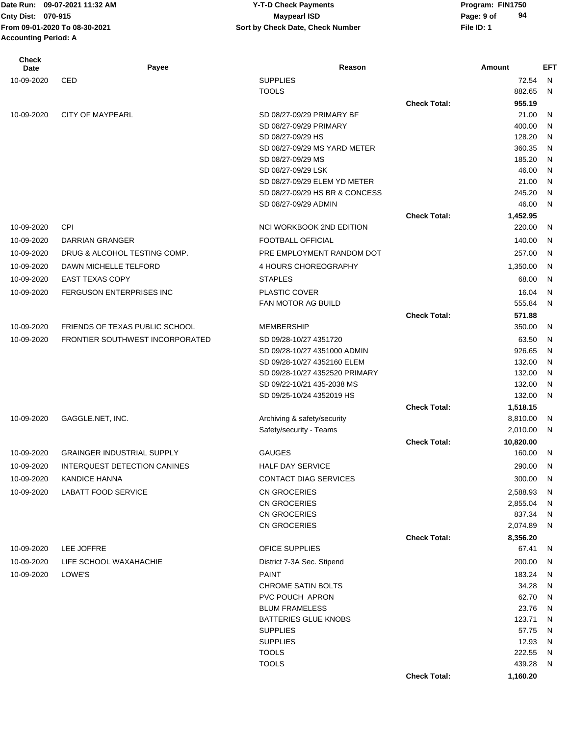# **Cnty Dist:** 070-915 **Page: 9 of Page: 9 of Page: 9 of Page: 9 of Page: 9 of Page: 9 of 09-07-2021 11:32 AM Y-T-D Check Payments 070-915 Maypearl ISD**

| <b>Check</b><br>Date | Payee                                 | Reason                                  |                     | Amount             | <b>EFT</b>   |
|----------------------|---------------------------------------|-----------------------------------------|---------------------|--------------------|--------------|
| 10-09-2020           | <b>CED</b>                            | <b>SUPPLIES</b>                         |                     | 72.54              | $\mathsf{N}$ |
|                      |                                       | <b>TOOLS</b>                            |                     | 882.65             | N            |
|                      |                                       |                                         | <b>Check Total:</b> | 955.19             |              |
| 10-09-2020           | <b>CITY OF MAYPEARL</b>               | SD 08/27-09/29 PRIMARY BF               |                     | 21.00              | N            |
|                      |                                       | SD 08/27-09/29 PRIMARY                  |                     | 400.00             | N            |
|                      |                                       | SD 08/27-09/29 HS                       |                     | 128.20             | N            |
|                      |                                       | SD 08/27-09/29 MS YARD METER            |                     | 360.35             | N            |
|                      |                                       | SD 08/27-09/29 MS<br>SD 08/27-09/29 LSK |                     | 185.20             | N            |
|                      |                                       | SD 08/27-09/29 ELEM YD METER            |                     | 46.00<br>21.00     | N<br>N       |
|                      |                                       | SD 08/27-09/29 HS BR & CONCESS          |                     | 245.20             | N            |
|                      |                                       | SD 08/27-09/29 ADMIN                    |                     | 46.00              | N            |
|                      |                                       |                                         | <b>Check Total:</b> | 1,452.95           |              |
| 10-09-2020           | <b>CPI</b>                            | NCI WORKBOOK 2ND EDITION                |                     | 220.00             | N            |
| 10-09-2020           | DARRIAN GRANGER                       | <b>FOOTBALL OFFICIAL</b>                |                     | 140.00             | N            |
| 10-09-2020           | DRUG & ALCOHOL TESTING COMP.          | PRE EMPLOYMENT RANDOM DOT               |                     | 257.00             | N            |
| 10-09-2020           | DAWN MICHELLE TELFORD                 | 4 HOURS CHOREOGRAPHY                    |                     | 1,350.00           | N            |
| 10-09-2020           | <b>EAST TEXAS COPY</b>                | <b>STAPLES</b>                          |                     | 68.00              | N            |
| 10-09-2020           | <b>FERGUSON ENTERPRISES INC</b>       | PLASTIC COVER                           |                     | 16.04              | N            |
|                      |                                       | FAN MOTOR AG BUILD                      |                     | 555.84             | N            |
|                      |                                       |                                         | <b>Check Total:</b> | 571.88             |              |
| 10-09-2020           | <b>FRIENDS OF TEXAS PUBLIC SCHOOL</b> | <b>MEMBERSHIP</b>                       |                     | 350.00             | N            |
| 10-09-2020           | FRONTIER SOUTHWEST INCORPORATED       | SD 09/28-10/27 4351720                  |                     | 63.50              | N            |
|                      |                                       | SD 09/28-10/27 4351000 ADMIN            |                     | 926.65             | N            |
|                      |                                       | SD 09/28-10/27 4352160 ELEM             |                     | 132.00             | N            |
|                      |                                       | SD 09/28-10/27 4352520 PRIMARY          |                     | 132.00             | N            |
|                      |                                       | SD 09/22-10/21 435-2038 MS              |                     | 132.00             | N            |
|                      |                                       | SD 09/25-10/24 4352019 HS               |                     | 132.00             | N            |
|                      |                                       |                                         | <b>Check Total:</b> | 1,518.15           |              |
| 10-09-2020           | GAGGLE.NET, INC.                      | Archiving & safety/security             |                     | 8,810.00           | N            |
|                      |                                       | Safety/security - Teams                 |                     | 2,010.00           | N            |
|                      |                                       |                                         | <b>Check Total:</b> | 10,820.00          |              |
| 10-09-2020           | <b>GRAINGER INDUSTRIAL SUPPLY</b>     | GAUGES                                  |                     | 160.00             | N            |
| 10-09-2020           | INTERQUEST DETECTION CANINES          | <b>HALF DAY SERVICE</b>                 |                     | 290.00             | N            |
| 10-09-2020           | <b>KANDICE HANNA</b>                  | CONTACT DIAG SERVICES                   |                     | 300.00             | N            |
| 10-09-2020           | <b>LABATT FOOD SERVICE</b>            | <b>CN GROCERIES</b>                     |                     | 2,588.93           | N            |
|                      |                                       | <b>CN GROCERIES</b>                     |                     | 2,855.04           | N            |
|                      |                                       | <b>CN GROCERIES</b><br>CN GROCERIES     |                     | 837.34<br>2,074.89 | N<br>N       |
|                      |                                       |                                         | <b>Check Total:</b> | 8,356.20           |              |
| 10-09-2020           | LEE JOFFRE                            | OFICE SUPPLIES                          |                     | 67.41              | N            |
| 10-09-2020           | LIFE SCHOOL WAXAHACHIE                | District 7-3A Sec. Stipend              |                     | 200.00             | N            |
| 10-09-2020           | LOWE'S                                | <b>PAINT</b>                            |                     | 183.24             | N            |
|                      |                                       | <b>CHROME SATIN BOLTS</b>               |                     | 34.28              | N            |
|                      |                                       | PVC POUCH APRON                         |                     | 62.70              | N            |
|                      |                                       | <b>BLUM FRAMELESS</b>                   |                     | 23.76              | N            |
|                      |                                       | <b>BATTERIES GLUE KNOBS</b>             |                     | 123.71             | N            |
|                      |                                       | <b>SUPPLIES</b>                         |                     | 57.75              | N            |
|                      |                                       | <b>SUPPLIES</b>                         |                     | 12.93              | N            |
|                      |                                       | <b>TOOLS</b>                            |                     | 222.55             | N            |
|                      |                                       | <b>TOOLS</b>                            |                     | 439.28             | N            |
|                      |                                       |                                         | <b>Check Total:</b> | 1,160.20           |              |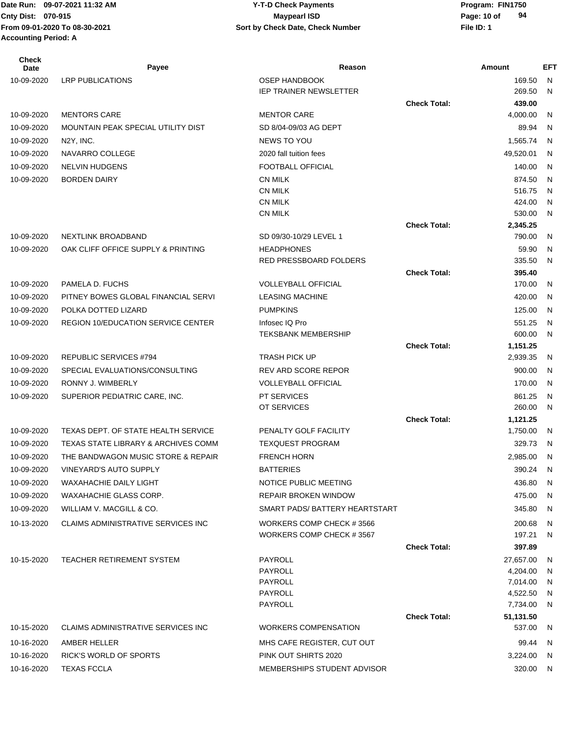| Check<br>Date | Payee                                          | Reason                        |                     | Amount                   | <b>EFT</b>   |
|---------------|------------------------------------------------|-------------------------------|---------------------|--------------------------|--------------|
| 10-09-2020    | <b>LRP PUBLICATIONS</b>                        | <b>OSEP HANDBOOK</b>          |                     | 169.50                   | N            |
|               |                                                | <b>IEP TRAINER NEWSLETTER</b> |                     | 269.50                   | N            |
|               |                                                |                               | <b>Check Total:</b> | 439.00                   |              |
| 10-09-2020    | <b>MENTORS CARE</b>                            | <b>MENTOR CARE</b>            |                     | 4,000.00                 | N            |
| 10-09-2020    | MOUNTAIN PEAK SPECIAL UTILITY DIST             | SD 8/04-09/03 AG DEPT         |                     | 89.94                    | N            |
| 10-09-2020    | N <sub>2</sub> Y, INC.                         | NEWS TO YOU                   |                     | 1,565.74                 | N            |
| 10-09-2020    | NAVARRO COLLEGE                                | 2020 fall tuition fees        |                     | 49,520.01                | N            |
| 10-09-2020    | <b>NELVIN HUDGENS</b>                          | FOOTBALL OFFICIAL             |                     | 140.00                   | $\mathsf{N}$ |
| 10-09-2020    | <b>BORDEN DAIRY</b>                            | <b>CN MILK</b>                |                     | 874.50                   | N            |
|               |                                                | <b>CN MILK</b>                |                     | 516.75                   | N            |
|               |                                                | <b>CN MILK</b>                |                     | 424.00                   | N            |
|               |                                                | <b>CN MILK</b>                |                     | 530.00                   | N            |
| 10-09-2020    | <b>NEXTLINK BROADBAND</b>                      | SD 09/30-10/29 LEVEL 1        | <b>Check Total:</b> | 2,345.25<br>790.00       | N            |
|               | OAK CLIFF OFFICE SUPPLY & PRINTING             | <b>HEADPHONES</b>             |                     | 59.90                    | N            |
| 10-09-2020    |                                                | <b>RED PRESSBOARD FOLDERS</b> |                     | 335.50                   | N            |
|               |                                                |                               | <b>Check Total:</b> | 395.40                   |              |
| 10-09-2020    | PAMELA D. FUCHS                                | <b>VOLLEYBALL OFFICIAL</b>    |                     | 170.00                   | N            |
| 10-09-2020    | PITNEY BOWES GLOBAL FINANCIAL SERVI            | <b>LEASING MACHINE</b>        |                     | 420.00                   | N            |
| 10-09-2020    | POLKA DOTTED LIZARD                            | <b>PUMPKINS</b>               |                     | 125.00                   | $\mathsf{N}$ |
| 10-09-2020    | REGION 10/EDUCATION SERVICE CENTER             | Infosec IQ Pro                |                     | 551.25                   | N            |
|               |                                                | <b>TEKSBANK MEMBERSHIP</b>    |                     | 600.00                   | $\mathsf{N}$ |
|               |                                                |                               | <b>Check Total:</b> | 1,151.25                 |              |
| 10-09-2020    | REPUBLIC SERVICES #794                         | <b>TRASH PICK UP</b>          |                     | 2,939.35                 | N            |
| 10-09-2020    | SPECIAL EVALUATIONS/CONSULTING                 | REV ARD SCORE REPOR           |                     | 900.00                   | N            |
| 10-09-2020    | RONNY J. WIMBERLY                              | <b>VOLLEYBALL OFFICIAL</b>    |                     | 170.00                   | $\mathsf{N}$ |
| 10-09-2020    | SUPERIOR PEDIATRIC CARE, INC.                  | PT SERVICES                   |                     | 861.25                   | $\mathsf{N}$ |
|               |                                                | OT SERVICES                   |                     | 260.00                   | $\mathsf{N}$ |
|               |                                                |                               | <b>Check Total:</b> | 1,121.25                 |              |
| 10-09-2020    | <b>TEXAS DEPT. OF STATE HEALTH SERVICE</b>     | PENALTY GOLF FACILITY         |                     | 1,750.00                 | -N           |
| 10-09-2020    | <b>TEXAS STATE LIBRARY &amp; ARCHIVES COMM</b> | <b>TEXQUEST PROGRAM</b>       |                     | 329.73                   | N            |
| 10-09-2020    | THE BANDWAGON MUSIC STORE & REPAIR             | <b>FRENCH HORN</b>            |                     | 2,985.00                 | N            |
| 10-09-2020    | VINEYARD'S AUTO SUPPLY                         | <b>BATTERIES</b>              |                     | 390.24                   | N.           |
| 10-09-2020    | WAXAHACHIE DAILY LIGHT                         | NOTICE PUBLIC MEETING         |                     | 436.80 N                 |              |
| 10-09-2020    | WAXAHACHIE GLASS CORP.                         | <b>REPAIR BROKEN WINDOW</b>   |                     | 475.00                   | - N          |
| 10-09-2020    | WILLIAM V. MACGILL & CO.                       | SMART PADS/BATTERY HEARTSTART |                     | 345.80 N                 |              |
| 10-13-2020    | CLAIMS ADMINISTRATIVE SERVICES INC             | WORKERS COMP CHECK #3566      |                     | 200.68                   | - N          |
|               |                                                | WORKERS COMP CHECK #3567      |                     | 197.21                   | - N          |
|               |                                                |                               | <b>Check Total:</b> | 397.89                   |              |
| 10-15-2020    | TEACHER RETIREMENT SYSTEM                      | PAYROLL                       |                     | 27,657.00                | - N          |
|               |                                                | PAYROLL                       |                     | 4,204.00                 | - N          |
|               |                                                | PAYROLL                       |                     | 7,014.00 N               |              |
|               |                                                | PAYROLL<br>PAYROLL            |                     | 4,522.50 N<br>7,734.00 N |              |
|               |                                                |                               | <b>Check Total:</b> | 51,131.50                |              |
| 10-15-2020    | CLAIMS ADMINISTRATIVE SERVICES INC             | <b>WORKERS COMPENSATION</b>   |                     | 537.00                   | - N          |
| 10-16-2020    | AMBER HELLER                                   | MHS CAFE REGISTER, CUT OUT    |                     | 99.44 N                  |              |
| 10-16-2020    | RICK'S WORLD OF SPORTS                         | PINK OUT SHIRTS 2020          |                     | 3,224.00                 | - N          |
| 10-16-2020    | <b>TEXAS FCCLA</b>                             | MEMBERSHIPS STUDENT ADVISOR   |                     | 320.00 N                 |              |
|               |                                                |                               |                     |                          |              |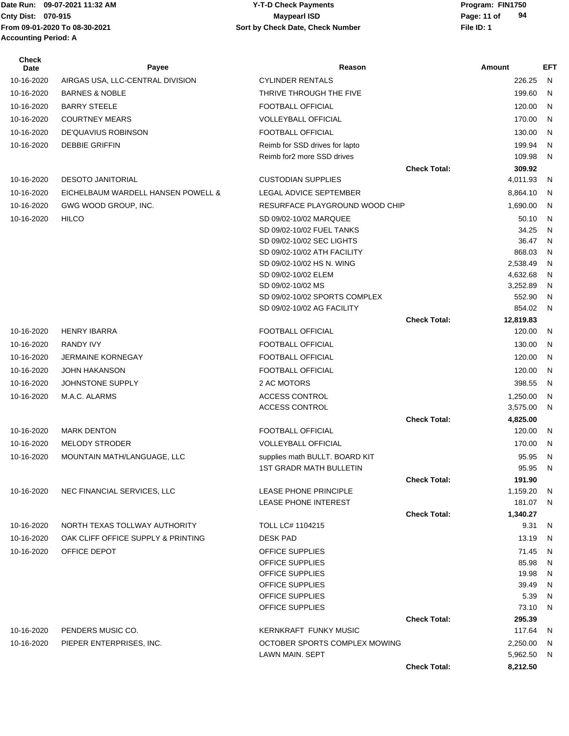**Accounting Period: A**

#### Date Run: 09-07-2021 11:32 AM **Program: FIN1750** Y-T-D Check Payments **Cnty Dist:** 070-915 **Page: 11 of** Maypearl ISD **Page: 11 of From 09-01-2020 To 08-30-2021 File ID: 1 Sort by Check Date, Check Number 09-07-2021 11:32 AM Y-T-D Check Payments 070-915 Maypearl ISD**

| Check<br>Date | Payee                              | Reason                                   |                     | Amount               | EFT    |
|---------------|------------------------------------|------------------------------------------|---------------------|----------------------|--------|
| 10-16-2020    | AIRGAS USA, LLC-CENTRAL DIVISION   | <b>CYLINDER RENTALS</b>                  |                     | 226.25               | N      |
| 10-16-2020    | <b>BARNES &amp; NOBLE</b>          | THRIVE THROUGH THE FIVE                  |                     | 199.60               | N      |
| 10-16-2020    | <b>BARRY STEELE</b>                | FOOTBALL OFFICIAL                        |                     | 120.00               | N      |
| 10-16-2020    | <b>COURTNEY MEARS</b>              | <b>VOLLEYBALL OFFICIAL</b>               |                     | 170.00               | N      |
| 10-16-2020    | DE'QUAVIUS ROBINSON                | FOOTBALL OFFICIAL                        |                     | 130.00               | N      |
| 10-16-2020    | <b>DEBBIE GRIFFIN</b>              | Reimb for SSD drives for lapto           |                     | 199.94               | N      |
|               |                                    | Reimb for2 more SSD drives               |                     | 109.98               | N      |
|               |                                    |                                          | <b>Check Total:</b> | 309.92               |        |
| 10-16-2020    | <b>DESOTO JANITORIAL</b>           | <b>CUSTODIAN SUPPLIES</b>                |                     | 4,011.93             | N      |
| 10-16-2020    | EICHELBAUM WARDELL HANSEN POWELL & | LEGAL ADVICE SEPTEMBER                   |                     | 8,864.10             | N      |
| 10-16-2020    | GWG WOOD GROUP, INC.               | RESURFACE PLAYGROUND WOOD CHIP           |                     | 1,690.00             | N      |
| 10-16-2020    | <b>HILCO</b>                       | SD 09/02-10/02 MARQUEE                   |                     | 50.10                | N      |
|               |                                    | SD 09/02-10/02 FUEL TANKS                |                     | 34.25                | N      |
|               |                                    | SD 09/02-10/02 SEC LIGHTS                |                     | 36.47                | N      |
|               |                                    | SD 09/02-10/02 ATH FACILITY              |                     | 868.03               | N      |
|               |                                    | SD 09/02-10/02 HS N. WING                |                     | 2,538.49             | N      |
|               |                                    | SD 09/02-10/02 ELEM<br>SD 09/02-10/02 MS |                     | 4,632.68<br>3,252.89 | N      |
|               |                                    | SD 09/02-10/02 SPORTS COMPLEX            |                     | 552.90               | N<br>N |
|               |                                    | SD 09/02-10/02 AG FACILITY               |                     | 854.02               | N      |
|               |                                    |                                          | <b>Check Total:</b> | 12,819.83            |        |
| 10-16-2020    | <b>HENRY IBARRA</b>                | <b>FOOTBALL OFFICIAL</b>                 |                     | 120.00               | N      |
| 10-16-2020    | <b>RANDY IVY</b>                   | <b>FOOTBALL OFFICIAL</b>                 |                     | 130.00               | N      |
| 10-16-2020    | <b>JERMAINE KORNEGAY</b>           | FOOTBALL OFFICIAL                        |                     | 120.00               | N      |
| 10-16-2020    | <b>JOHN HAKANSON</b>               | <b>FOOTBALL OFFICIAL</b>                 |                     | 120.00               | N      |
| 10-16-2020    | JOHNSTONE SUPPLY                   | 2 AC MOTORS                              |                     | 398.55               | N      |
| 10-16-2020    | M.A.C. ALARMS                      | ACCESS CONTROL                           |                     | 1,250.00             | N      |
|               |                                    | ACCESS CONTROL                           |                     | 3,575.00             | N      |
|               |                                    |                                          | <b>Check Total:</b> | 4,825.00             |        |
| 10-16-2020    | <b>MARK DENTON</b>                 | <b>FOOTBALL OFFICIAL</b>                 |                     | 120.00               | N      |
| 10-16-2020    | <b>MELODY STRODER</b>              | <b>VOLLEYBALL OFFICIAL</b>               |                     | 170.00               | N      |
| 10-16-2020    | MOUNTAIN MATH/LANGUAGE, LLC        | supplies math BULLT. BOARD KIT           |                     | 95.95                | N      |
|               |                                    | <b>1ST GRADR MATH BULLETIN</b>           |                     | 95.95                | N      |
|               |                                    |                                          | <b>Check Total:</b> | 191.90               |        |
| 10-16-2020    | NEC FINANCIAL SERVICES, LLC        | LEASE PHONE PRINCIPLE                    |                     | 1,159.20             | N      |
|               |                                    | <b>LEASE PHONE INTEREST</b>              | <b>Check Total:</b> | 181.07               | N      |
| 10-16-2020    | NORTH TEXAS TOLLWAY AUTHORITY      | <b>TOLL LC# 1104215</b>                  |                     | 1,340.27<br>9.31     | N      |
| 10-16-2020    | OAK CLIFF OFFICE SUPPLY & PRINTING | <b>DESK PAD</b>                          |                     | 13.19                | N      |
| 10-16-2020    | OFFICE DEPOT                       | OFFICE SUPPLIES                          |                     | 71.45                | N      |
|               |                                    | OFFICE SUPPLIES                          |                     | 85.98                | N      |
|               |                                    | OFFICE SUPPLIES                          |                     | 19.98                | N      |
|               |                                    | OFFICE SUPPLIES                          |                     | 39.49                | N      |
|               |                                    | OFFICE SUPPLIES                          |                     | 5.39                 | N      |
|               |                                    | OFFICE SUPPLIES                          |                     | 73.10                | N      |
|               |                                    |                                          | <b>Check Total:</b> | 295.39               |        |
| 10-16-2020    | PENDERS MUSIC CO.                  | <b>KERNKRAFT FUNKY MUSIC</b>             |                     | 117.64               | N      |
| 10-16-2020    | PIEPER ENTERPRISES, INC.           | OCTOBER SPORTS COMPLEX MOWING            |                     | 2,250.00             | N      |
|               |                                    | LAWN MAIN. SEPT                          |                     | 5,962.50             | N      |
|               |                                    |                                          | <b>Check Total:</b> | 8,212.50             |        |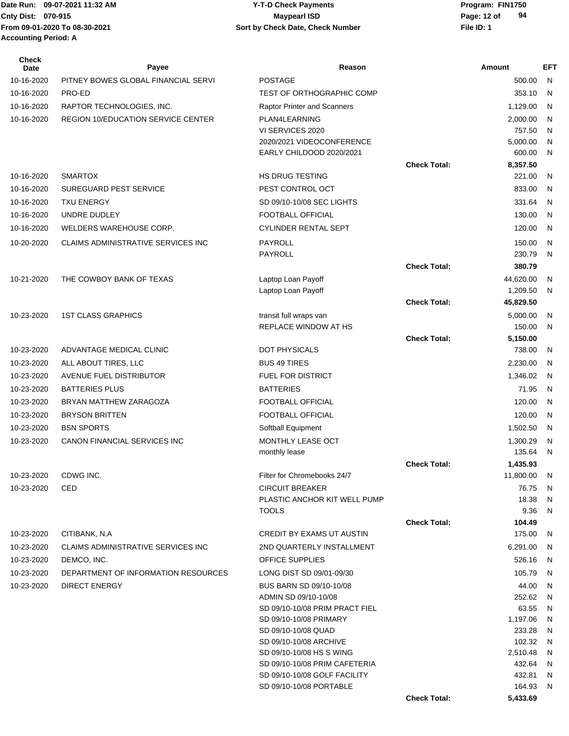# **Cnty Dist:** 070-915 **Page: 12 of** Maypearl ISD **Page: 12 of 09-07-2021 11:32 AM Y-T-D Check Payments 070-915 Maypearl ISD**

| <b>Check</b><br>Date | Payee                                      | Reason                                                 |                     | Amount             | EFT               |
|----------------------|--------------------------------------------|--------------------------------------------------------|---------------------|--------------------|-------------------|
| 10-16-2020           | PITNEY BOWES GLOBAL FINANCIAL SERVI        | POSTAGE                                                |                     | 500.00             | N                 |
| 10-16-2020           | PRO-ED                                     | <b>TEST OF ORTHOGRAPHIC COMP</b>                       |                     | 353.10             | N                 |
| 10-16-2020           | RAPTOR TECHNOLOGIES, INC.                  | Raptor Printer and Scanners                            |                     | 1,129.00           | N                 |
| 10-16-2020           | <b>REGION 10/EDUCATION SERVICE CENTER</b>  | PLAN4LEARNING                                          |                     | 2,000.00           | N                 |
|                      |                                            | VI SERVICES 2020                                       |                     | 757.50             | N                 |
|                      |                                            | 2020/2021 VIDEOCONFERENCE                              |                     | 5,000.00           | N                 |
|                      |                                            | EARLY CHILDOOD 2020/2021                               |                     | 600.00             | $\mathsf{N}$      |
| 10-16-2020           |                                            | <b>HS DRUG TESTING</b>                                 | <b>Check Total:</b> | 8,357.50           |                   |
|                      | <b>SMARTOX</b>                             | PEST CONTROL OCT                                       |                     | 221.00<br>833.00   | N                 |
| 10-16-2020           | SUREGUARD PEST SERVICE                     |                                                        |                     |                    | N                 |
| 10-16-2020           | <b>TXU ENERGY</b>                          | SD 09/10-10/08 SEC LIGHTS                              |                     | 331.64             | N                 |
| 10-16-2020           | UNDRE DUDLEY                               | FOOTBALL OFFICIAL<br>CYLINDER RENTAL SEPT              |                     | 130.00<br>120.00   | N                 |
| 10-16-2020           | WELDERS WAREHOUSE CORP.                    |                                                        |                     |                    | N                 |
| 10-20-2020           | CLAIMS ADMINISTRATIVE SERVICES INC         | PAYROLL<br><b>PAYROLL</b>                              |                     | 150.00             | $\mathsf{N}$      |
|                      |                                            |                                                        | <b>Check Total:</b> | 230.79<br>380.79   | N                 |
| 10-21-2020           | THE COWBOY BANK OF TEXAS                   |                                                        |                     | 44,620.00          |                   |
|                      |                                            | Laptop Loan Payoff<br>Laptop Loan Payoff               |                     | 1,209.50           | N<br>N            |
|                      |                                            |                                                        | <b>Check Total:</b> | 45,829.50          |                   |
| 10-23-2020           | <b>1ST CLASS GRAPHICS</b>                  | transit full wraps van                                 |                     | 5,000.00           | N                 |
|                      |                                            | REPLACE WINDOW AT HS                                   |                     | 150.00             | $\mathsf{N}$      |
|                      |                                            |                                                        | <b>Check Total:</b> | 5,150.00           |                   |
| 10-23-2020           | ADVANTAGE MEDICAL CLINIC                   | <b>DOT PHYSICALS</b>                                   |                     | 738.00             | N                 |
| 10-23-2020           | ALL ABOUT TIRES, LLC                       | <b>BUS 49 TIRES</b>                                    |                     | 2,230.00           | N.                |
| 10-23-2020           | AVENUE FUEL DISTRIBUTOR                    | FUEL FOR DISTRICT                                      |                     | 1,346.02           | N                 |
| 10-23-2020           | <b>BATTERIES PLUS</b>                      | <b>BATTERIES</b>                                       |                     | 71.95              | N                 |
| 10-23-2020           | BRYAN MATTHEW ZARAGOZA                     | FOOTBALL OFFICIAL                                      |                     | 120.00             | N                 |
| 10-23-2020           | <b>BRYSON BRITTEN</b>                      | FOOTBALL OFFICIAL                                      |                     | 120.00             | N                 |
| 10-23-2020           | <b>BSN SPORTS</b>                          | Softball Equipment                                     |                     | 1,502.50           | N                 |
| 10-23-2020           | <b>CANON FINANCIAL SERVICES INC</b>        | MONTHLY LEASE OCT                                      |                     | 1,300.29           | N                 |
|                      |                                            | monthly lease                                          |                     | 135.64             | $\mathsf{N}$      |
|                      |                                            |                                                        | <b>Check Total:</b> | 1,435.93           |                   |
| 10-23-2020           | CDWG INC.                                  | Filter for Chromebooks 24/7                            |                     | 11,800.00 N        |                   |
| 10-23-2020           | CED                                        | <b>CIRCUIT BREAKER</b><br>PLASTIC ANCHOR KIT WELL PUMP |                     | 76.75<br>18.38     | <sub>N</sub><br>N |
|                      |                                            | <b>TOOLS</b>                                           |                     | 9.36               | N                 |
|                      |                                            |                                                        | <b>Check Total:</b> | 104.49             |                   |
| 10-23-2020           | CITIBANK, N.A                              | <b>CREDIT BY EXAMS UT AUSTIN</b>                       |                     | 175.00             | N                 |
| 10-23-2020           | <b>CLAIMS ADMINISTRATIVE SERVICES INC.</b> | 2ND QUARTERLY INSTALLMENT                              |                     | 6,291.00           | -N                |
| 10-23-2020           | DEMCO, INC.                                | OFFICE SUPPLIES                                        |                     | 526.16             | N                 |
| 10-23-2020           | DEPARTMENT OF INFORMATION RESOURCES        | LONG DIST SD 09/01-09/30                               |                     | 105.79             | N                 |
| 10-23-2020           | <b>DIRECT ENERGY</b>                       | BUS BARN SD 09/10-10/08                                |                     | 44.00              | N                 |
|                      |                                            | ADMIN SD 09/10-10/08                                   |                     | 252.62             | - N               |
|                      |                                            | SD 09/10-10/08 PRIM PRACT FIEL                         |                     | 63.55              | N                 |
|                      |                                            | SD 09/10-10/08 PRIMARY                                 |                     | 1,197.06<br>233.28 | N                 |
|                      |                                            | SD 09/10-10/08 QUAD<br>SD 09/10-10/08 ARCHIVE          |                     | 102.32             | <sub>N</sub><br>N |
|                      |                                            | SD 09/10-10/08 HS S WING                               |                     | 2,510.48           | N                 |
|                      |                                            | SD 09/10-10/08 PRIM CAFETERIA                          |                     | 432.64             | N                 |
|                      |                                            | SD 09/10-10/08 GOLF FACILITY                           |                     | 432.81             | -N                |
|                      |                                            | SD 09/10-10/08 PORTABLE                                |                     | 164.93             | -N                |
|                      |                                            |                                                        | <b>Check Total:</b> | 5,433.69           |                   |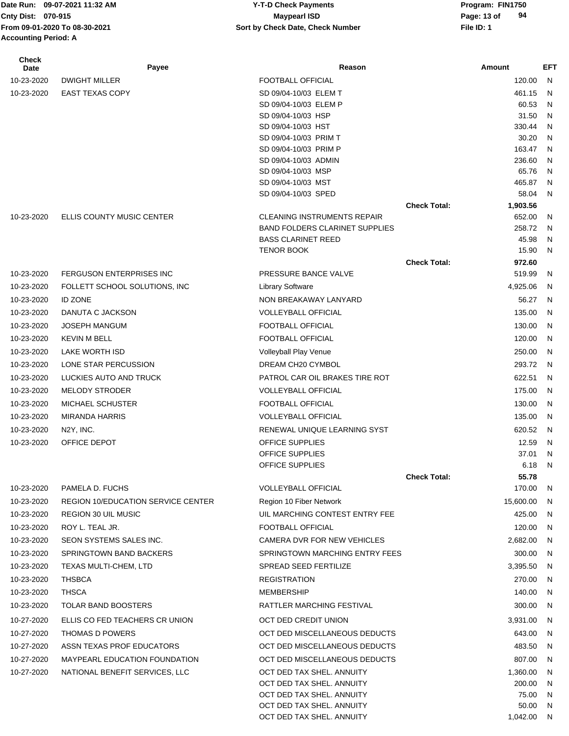**Accounting Period: A**

#### Date Run: 09-07-2021 11:32 AM **Program: FIN1750** Y-T-D Check Payments **Cnty Dist:** 070-915 **Page: 13 of Maypearl ISD Page: 13 of From 09-01-2020 To 08-30-2021 File ID: 1 Sort by Check Date, Check Number 09-07-2021 11:32 AM Y-T-D Check Payments 070-915 Maypearl ISD**

| Check<br><b>Date</b> | Payee                                     | Reason                                                 |                     | Amount             | <b>EFT</b>   |
|----------------------|-------------------------------------------|--------------------------------------------------------|---------------------|--------------------|--------------|
| 10-23-2020           | <b>DWIGHT MILLER</b>                      | FOOTBALL OFFICIAL                                      |                     | 120.00             | N.           |
| 10-23-2020           | <b>EAST TEXAS COPY</b>                    | SD 09/04-10/03 ELEM T                                  |                     | 461.15             | N            |
|                      |                                           | SD 09/04-10/03 ELEM P                                  |                     | 60.53              | N            |
|                      |                                           | SD 09/04-10/03 HSP                                     |                     | 31.50              | $\mathsf{N}$ |
|                      |                                           | SD 09/04-10/03 HST                                     |                     | 330.44             | N            |
|                      |                                           | SD 09/04-10/03 PRIM T<br>SD 09/04-10/03 PRIM P         |                     | 30.20<br>163.47    | N<br>N       |
|                      |                                           | SD 09/04-10/03 ADMIN                                   |                     | 236.60             | N            |
|                      |                                           | SD 09/04-10/03 MSP                                     |                     | 65.76              | N            |
|                      |                                           | SD 09/04-10/03 MST                                     |                     | 465.87             | N            |
|                      |                                           | SD 09/04-10/03 SPED                                    |                     | 58.04              | N            |
|                      |                                           |                                                        | <b>Check Total:</b> | 1,903.56           |              |
| 10-23-2020           | ELLIS COUNTY MUSIC CENTER                 | <b>CLEANING INSTRUMENTS REPAIR</b>                     |                     | 652.00             | N            |
|                      |                                           | <b>BAND FOLDERS CLARINET SUPPLIES</b>                  |                     | 258.72             | N            |
|                      |                                           | <b>BASS CLARINET REED</b><br>TENOR BOOK                |                     | 45.98<br>15.90     | N<br>N       |
|                      |                                           |                                                        | <b>Check Total:</b> | 972.60             |              |
| 10-23-2020           | <b>FERGUSON ENTERPRISES INC</b>           | PRESSURE BANCE VALVE                                   |                     | 519.99             | N.           |
| 10-23-2020           | FOLLETT SCHOOL SOLUTIONS, INC             | <b>Library Software</b>                                |                     | 4,925.06           | N            |
| 10-23-2020           | <b>ID ZONE</b>                            | NON BREAKAWAY LANYARD                                  |                     | 56.27              | N            |
| 10-23-2020           | DANUTA C JACKSON                          | <b>VOLLEYBALL OFFICIAL</b>                             |                     | 135.00             | N            |
| 10-23-2020           | <b>JOSEPH MANGUM</b>                      | FOOTBALL OFFICIAL                                      |                     | 130.00             | N            |
| 10-23-2020           | <b>KEVIN M BELL</b>                       | FOOTBALL OFFICIAL                                      |                     | 120.00             | N            |
| 10-23-2020           | LAKE WORTH ISD                            | Volleyball Play Venue                                  |                     | 250.00             | N            |
|                      | LONE STAR PERCUSSION                      | DREAM CH20 CYMBOL                                      |                     | 293.72             | N            |
| 10-23-2020           |                                           |                                                        |                     |                    |              |
| 10-23-2020           | LUCKIES AUTO AND TRUCK                    | PATROL CAR OIL BRAKES TIRE ROT                         |                     | 622.51             | N            |
| 10-23-2020           | <b>MELODY STRODER</b>                     | <b>VOLLEYBALL OFFICIAL</b>                             |                     | 175.00             | N            |
| 10-23-2020           | <b>MICHAEL SCHUSTER</b>                   | <b>FOOTBALL OFFICIAL</b>                               |                     | 130.00             | N            |
| 10-23-2020           | <b>MIRANDA HARRIS</b>                     | <b>VOLLEYBALL OFFICIAL</b>                             |                     | 135.00             | N            |
| 10-23-2020           | N <sub>2</sub> Y, INC.                    | RENEWAL UNIQUE LEARNING SYST                           |                     | 620.52             | N            |
| 10-23-2020           | OFFICE DEPOT                              | OFFICE SUPPLIES<br>OFFICE SUPPLIES                     |                     | 12.59<br>37.01     | N<br>N       |
|                      |                                           | <b>OFFICE SUPPLIES</b>                                 |                     | 6.18               | N            |
|                      |                                           |                                                        | <b>Check Total:</b> | 55.78              |              |
| 10-23-2020           | PAMELA D. FUCHS                           | <b>VOLLEYBALL OFFICIAL</b>                             |                     | 170.00             | N            |
| 10-23-2020           | <b>REGION 10/EDUCATION SERVICE CENTER</b> | Region 10 Fiber Network                                |                     | 15,600.00          | N            |
| 10-23-2020           | <b>REGION 30 UIL MUSIC</b>                | UIL MARCHING CONTEST ENTRY FEE                         |                     | 425.00             | N            |
| 10-23-2020           | ROY L. TEAL JR.                           | FOOTBALL OFFICIAL                                      |                     | 120.00             | N            |
| 10-23-2020           | SEON SYSTEMS SALES INC.                   | CAMERA DVR FOR NEW VEHICLES                            |                     | 2,682.00           | N            |
| 10-23-2020           | SPRINGTOWN BAND BACKERS                   | SPRINGTOWN MARCHING ENTRY FEES                         |                     | 300.00             | N            |
| 10-23-2020           | TEXAS MULTI-CHEM, LTD                     | SPREAD SEED FERTILIZE                                  |                     | 3,395.50           | N            |
| 10-23-2020           | <b>THSBCA</b>                             | <b>REGISTRATION</b>                                    |                     | 270.00             | N            |
| 10-23-2020           | <b>THSCA</b>                              | <b>MEMBERSHIP</b>                                      |                     | 140.00             | N            |
| 10-23-2020           | TOLAR BAND BOOSTERS                       | RATTLER MARCHING FESTIVAL                              |                     | 300.00             | N            |
|                      |                                           |                                                        |                     |                    |              |
| 10-27-2020           | ELLIS CO FED TEACHERS CR UNION            | OCT DED CREDIT UNION                                   |                     | 3,931.00           | N            |
| 10-27-2020           | THOMAS D POWERS                           | OCT DED MISCELLANEOUS DEDUCTS                          |                     | 643.00             | N            |
| 10-27-2020           | ASSN TEXAS PROF EDUCATORS                 | OCT DED MISCELLANEOUS DEDUCTS                          |                     | 483.50             | N            |
| 10-27-2020           | MAYPEARL EDUCATION FOUNDATION             | OCT DED MISCELLANEOUS DEDUCTS                          |                     | 807.00             | N            |
| 10-27-2020           | NATIONAL BENEFIT SERVICES, LLC            | OCT DED TAX SHEL. ANNUITY<br>OCT DED TAX SHEL. ANNUITY |                     | 1,360.00<br>200.00 | N<br>N       |
|                      |                                           | OCT DED TAX SHEL. ANNUITY                              |                     | 75.00              | N            |
|                      |                                           | OCT DED TAX SHEL. ANNUITY                              |                     | 50.00              | N            |
|                      |                                           | OCT DED TAX SHEL. ANNUITY                              |                     | 1,042.00 N         |              |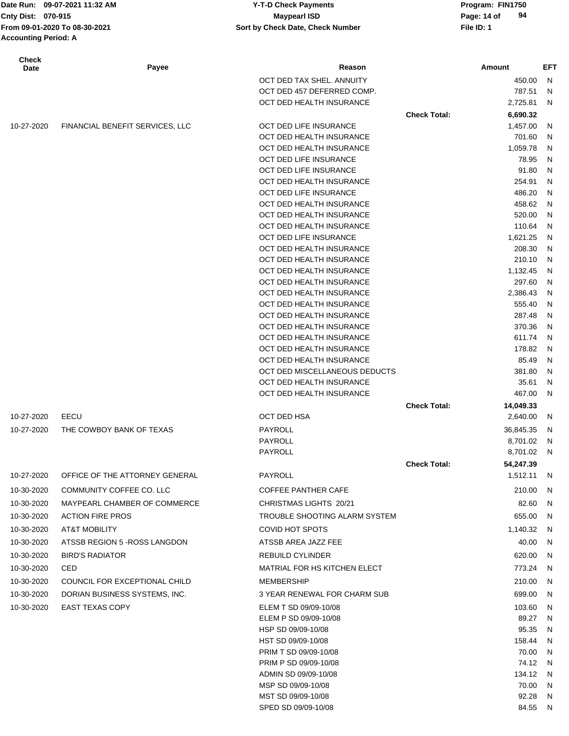Date Run: 09-07-2021 11:32 AM **Program: FIN1750** Y-T-D Check Payments **Accounting Period: A**

#### **Cnty Dist:** 070-915 **Page: 14 of** Maypearl ISD **Page: 14 of** Maypearl ISD **From 09-01-2020 To 08-30-2021 File ID: 1 Sort by Check Date, Check Number 09-07-2021 11:32 AM Y-T-D Check Payments 070-915 Maypearl ISD**

| <b>Check</b><br>Date | Payee                           | Reason                                               |                     | Amount               | <b>EFT</b> |
|----------------------|---------------------------------|------------------------------------------------------|---------------------|----------------------|------------|
|                      |                                 | OCT DED TAX SHEL. ANNUITY                            |                     | 450.00               | N          |
|                      |                                 | OCT DED 457 DEFERRED COMP.                           |                     | 787.51               | N          |
|                      |                                 | OCT DED HEALTH INSURANCE                             |                     | 2,725.81             | N          |
|                      |                                 |                                                      | <b>Check Total:</b> | 6,690.32             |            |
| 10-27-2020           | FINANCIAL BENEFIT SERVICES, LLC | OCT DED LIFE INSURANCE                               |                     | 1,457.00             | N          |
|                      |                                 | OCT DED HEALTH INSURANCE                             |                     | 701.60               | N          |
|                      |                                 | OCT DED HEALTH INSURANCE                             |                     | 1,059.78             | N          |
|                      |                                 | OCT DED LIFE INSURANCE                               |                     | 78.95                | N          |
|                      |                                 | OCT DED LIFE INSURANCE                               |                     | 91.80                | N          |
|                      |                                 | OCT DED HEALTH INSURANCE                             |                     | 254.91               | N          |
|                      |                                 | OCT DED LIFE INSURANCE                               |                     | 486.20               | N          |
|                      |                                 | OCT DED HEALTH INSURANCE                             |                     | 458.62               | N<br>N     |
|                      |                                 | OCT DED HEALTH INSURANCE<br>OCT DED HEALTH INSURANCE |                     | 520.00<br>110.64     | N          |
|                      |                                 | OCT DED LIFE INSURANCE                               |                     | 1,621.25             | N          |
|                      |                                 | OCT DED HEALTH INSURANCE                             |                     | 208.30               | N          |
|                      |                                 | OCT DED HEALTH INSURANCE                             |                     | 210.10               | N          |
|                      |                                 | OCT DED HEALTH INSURANCE                             |                     | 1,132.45             | N          |
|                      |                                 | OCT DED HEALTH INSURANCE                             |                     | 297.60               | N          |
|                      |                                 | OCT DED HEALTH INSURANCE                             |                     | 2,386.43             | N          |
|                      |                                 | OCT DED HEALTH INSURANCE                             |                     | 555.40               | N          |
|                      |                                 | OCT DED HEALTH INSURANCE                             |                     | 287.48               | N          |
|                      |                                 | OCT DED HEALTH INSURANCE                             |                     | 370.36               | N          |
|                      |                                 | OCT DED HEALTH INSURANCE                             |                     | 611.74               | N          |
|                      |                                 | OCT DED HEALTH INSURANCE                             |                     | 178.82               | N          |
|                      |                                 | OCT DED HEALTH INSURANCE                             |                     | 85.49                | N          |
|                      |                                 | OCT DED MISCELLANEOUS DEDUCTS                        |                     | 381.80               | N          |
|                      |                                 | OCT DED HEALTH INSURANCE                             |                     | 35.61                | N          |
|                      |                                 | OCT DED HEALTH INSURANCE                             |                     | 467.00               | N          |
|                      | EECU                            | OCT DED HSA                                          | <b>Check Total:</b> | 14,049.33            |            |
| 10-27-2020           |                                 |                                                      |                     | 2,640.00             | N          |
| 10-27-2020           | THE COWBOY BANK OF TEXAS        | PAYROLL                                              |                     | 36,845.35            | N          |
|                      |                                 | PAYROLL<br>PAYROLL                                   |                     | 8,701.02<br>8,701.02 | N<br>N     |
|                      |                                 |                                                      | <b>Check Total:</b> | 54,247.39            |            |
| 10-27-2020           | OFFICE OF THE ATTORNEY GENERAL  | PAYROLL                                              |                     | 1,512.11             | N,         |
| 10-30-2020           | COMMUNITY COFFEE CO. LLC        | <b>COFFEE PANTHER CAFE</b>                           |                     | 210.00               | N          |
| 10-30-2020           | MAYPEARL CHAMBER OF COMMERCE    | CHRISTMAS LIGHTS 20/21                               |                     | 82.60                | N          |
| 10-30-2020           | <b>ACTION FIRE PROS</b>         | TROUBLE SHOOTING ALARM SYSTEM                        |                     | 655.00               | N          |
| 10-30-2020           | AT&T MOBILITY                   | COVID HOT SPOTS                                      |                     | 1,140.32             | N          |
| 10-30-2020           | ATSSB REGION 5 - ROSS LANGDON   | ATSSB AREA JAZZ FEE                                  |                     | 40.00                | N          |
| 10-30-2020           | <b>BIRD'S RADIATOR</b>          | REBUILD CYLINDER                                     |                     | 620.00               | N          |
| 10-30-2020           | CED                             | <b>MATRIAL FOR HS KITCHEN ELECT</b>                  |                     | 773.24               | N          |
| 10-30-2020           | COUNCIL FOR EXCEPTIONAL CHILD   | <b>MEMBERSHIP</b>                                    |                     | 210.00               | N          |
|                      |                                 |                                                      |                     |                      |            |
| 10-30-2020           | DORIAN BUSINESS SYSTEMS, INC.   | 3 YEAR RENEWAL FOR CHARM SUB                         |                     | 699.00               | N          |
| 10-30-2020           | <b>EAST TEXAS COPY</b>          | ELEM T SD 09/09-10/08                                |                     | 103.60               | N          |
|                      |                                 | ELEM P SD 09/09-10/08<br>HSP SD 09/09-10/08          |                     | 89.27<br>95.35       | N<br>N     |
|                      |                                 | HST SD 09/09-10/08                                   |                     | 158.44               | N          |
|                      |                                 | PRIM T SD 09/09-10/08                                |                     | 70.00                | N          |
|                      |                                 | PRIM P SD 09/09-10/08                                |                     | 74.12                | N          |
|                      |                                 | ADMIN SD 09/09-10/08                                 |                     | 134.12               | N          |
|                      |                                 | MSP SD 09/09-10/08                                   |                     | 70.00                | N          |
|                      |                                 | MST SD 09/09-10/08                                   |                     | 92.28                | N          |
|                      |                                 | SPED SD 09/09-10/08                                  |                     | 84.55 N              |            |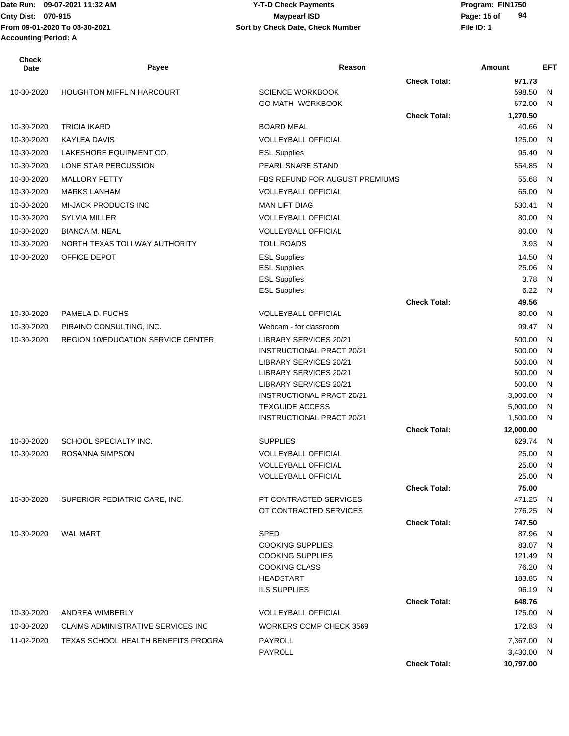| <b>Check</b><br>Date | Payee                                     | Reason                                             |                     | <b>Amount</b>   | <b>EFT</b>   |
|----------------------|-------------------------------------------|----------------------------------------------------|---------------------|-----------------|--------------|
|                      |                                           |                                                    | <b>Check Total:</b> | 971.73          |              |
| 10-30-2020           | <b>HOUGHTON MIFFLIN HARCOURT</b>          | <b>SCIENCE WORKBOOK</b>                            |                     | 598.50          | N            |
|                      |                                           | <b>GO MATH WORKBOOK</b>                            |                     | 672.00          | N            |
|                      |                                           |                                                    | <b>Check Total:</b> | 1,270.50        |              |
| 10-30-2020           | <b>TRICIA IKARD</b>                       | <b>BOARD MEAL</b>                                  |                     | 40.66           | N            |
| 10-30-2020           | <b>KAYLEA DAVIS</b>                       | <b>VOLLEYBALL OFFICIAL</b>                         |                     | 125.00          | $\mathsf{N}$ |
| 10-30-2020           | LAKESHORE EQUIPMENT CO.                   | <b>ESL Supplies</b>                                |                     | 95.40           | N            |
| 10-30-2020           | LONE STAR PERCUSSION                      | PEARL SNARE STAND                                  |                     | 554.85          | $\mathsf{N}$ |
| 10-30-2020           | <b>MALLORY PETTY</b>                      | FBS REFUND FOR AUGUST PREMIUMS                     |                     | 55.68           | $\mathsf{N}$ |
| 10-30-2020           | <b>MARKS LANHAM</b>                       | <b>VOLLEYBALL OFFICIAL</b>                         |                     | 65.00           | N            |
| 10-30-2020           | <b>MI-JACK PRODUCTS INC</b>               | <b>MAN LIFT DIAG</b>                               |                     | 530.41          | N            |
| 10-30-2020           | <b>SYLVIA MILLER</b>                      | <b>VOLLEYBALL OFFICIAL</b>                         |                     | 80.00           | N            |
| 10-30-2020           |                                           | <b>VOLLEYBALL OFFICIAL</b>                         |                     | 80.00           |              |
|                      | <b>BIANCA M. NEAL</b>                     |                                                    |                     |                 | N            |
| 10-30-2020           | NORTH TEXAS TOLLWAY AUTHORITY             | <b>TOLL ROADS</b>                                  |                     | 3.93            | $\mathsf{N}$ |
| 10-30-2020           | OFFICE DEPOT                              | <b>ESL Supplies</b>                                |                     | 14.50           | N            |
|                      |                                           | <b>ESL Supplies</b>                                |                     | 25.06<br>3.78   | N            |
|                      |                                           | <b>ESL Supplies</b><br><b>ESL Supplies</b>         |                     | 6.22            | N<br>N       |
|                      |                                           |                                                    | <b>Check Total:</b> | 49.56           |              |
| 10-30-2020           | PAMELA D. FUCHS                           | <b>VOLLEYBALL OFFICIAL</b>                         |                     | 80.00           | N            |
| 10-30-2020           | PIRAINO CONSULTING, INC.                  | Webcam - for classroom                             |                     | 99.47           | $\mathsf{N}$ |
| 10-30-2020           | <b>REGION 10/EDUCATION SERVICE CENTER</b> | LIBRARY SERVICES 20/21                             |                     | 500.00          | $\mathsf{N}$ |
|                      |                                           | <b>INSTRUCTIONAL PRACT 20/21</b>                   |                     | 500.00          | N            |
|                      |                                           | <b>LIBRARY SERVICES 20/21</b>                      |                     | 500.00          | N            |
|                      |                                           | <b>LIBRARY SERVICES 20/21</b>                      |                     | 500.00          | N            |
|                      |                                           | <b>LIBRARY SERVICES 20/21</b>                      |                     | 500.00          | N            |
|                      |                                           | <b>INSTRUCTIONAL PRACT 20/21</b>                   |                     | 3,000.00        | N            |
|                      |                                           | <b>TEXGUIDE ACCESS</b>                             |                     | 5,000.00        | N            |
|                      |                                           | <b>INSTRUCTIONAL PRACT 20/21</b>                   |                     | 1,500.00        | N            |
|                      |                                           |                                                    | <b>Check Total:</b> | 12,000.00       |              |
| 10-30-2020           | SCHOOL SPECIALTY INC.                     | <b>SUPPLIES</b>                                    |                     | 629.74          | N            |
| 10-30-2020           | <b>ROSANNA SIMPSON</b>                    | <b>VOLLEYBALL OFFICIAL</b>                         |                     | 25.00           | N            |
|                      |                                           | <b>VOLLEYBALL OFFICIAL</b>                         |                     | 25.00           | N            |
|                      |                                           | <b>VOLLEYBALL OFFICIAL</b>                         |                     | 25.00           | N            |
|                      |                                           |                                                    | <b>Check Total:</b> | 75.00           |              |
| 10-30-2020           | SUPERIOR PEDIATRIC CARE, INC.             | PT CONTRACTED SERVICES                             |                     | 471.25          | N            |
|                      |                                           | OT CONTRACTED SERVICES                             |                     | 276.25          | N            |
|                      |                                           |                                                    | <b>Check Total:</b> | 747.50          |              |
| 10-30-2020           | <b>WAL MART</b>                           | <b>SPED</b>                                        |                     | 87.96           | N            |
|                      |                                           | <b>COOKING SUPPLIES</b><br><b>COOKING SUPPLIES</b> |                     | 83.07           | N            |
|                      |                                           | <b>COOKING CLASS</b>                               |                     | 121.49<br>76.20 | N<br>N       |
|                      |                                           | <b>HEADSTART</b>                                   |                     | 183.85          | N            |
|                      |                                           | <b>ILS SUPPLIES</b>                                |                     | 96.19           | N.           |
|                      |                                           |                                                    | <b>Check Total:</b> | 648.76          |              |
| 10-30-2020           | ANDREA WIMBERLY                           | <b>VOLLEYBALL OFFICIAL</b>                         |                     | 125.00          | N            |
| 10-30-2020           | <b>CLAIMS ADMINISTRATIVE SERVICES INC</b> | <b>WORKERS COMP CHECK 3569</b>                     |                     | 172.83          | N            |
| 11-02-2020           | TEXAS SCHOOL HEALTH BENEFITS PROGRA       | PAYROLL                                            |                     | 7,367.00        | N            |
|                      |                                           | PAYROLL                                            |                     | 3,430.00        | N,           |
|                      |                                           |                                                    | <b>Check Total:</b> | 10,797.00       |              |
|                      |                                           |                                                    |                     |                 |              |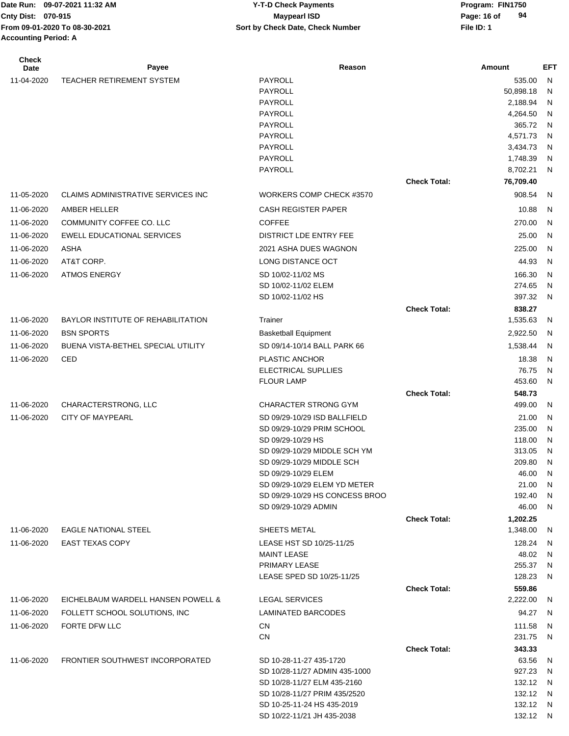# **Cnty Dist:** 070-915 **Page: 16 of** Maypearl ISD **Page: 16 of 09-07-2021 11:32 AM Y-T-D Check Payments 070-915 Maypearl ISD**

| <b>Check</b><br>Date | Payee                                     | Reason                                           |                     | Amount               | EFT          |
|----------------------|-------------------------------------------|--------------------------------------------------|---------------------|----------------------|--------------|
| 11-04-2020           | <b>TEACHER RETIREMENT SYSTEM</b>          | PAYROLL                                          |                     | 535.00               | N            |
|                      |                                           | PAYROLL                                          |                     | 50,898.18            | N            |
|                      |                                           | PAYROLL                                          |                     | 2,188.94             | N            |
|                      |                                           | PAYROLL                                          |                     | 4,264.50             | N            |
|                      |                                           | PAYROLL                                          |                     | 365.72               | $\mathsf{N}$ |
|                      |                                           | PAYROLL                                          |                     | 4,571.73             | N            |
|                      |                                           | PAYROLL<br>PAYROLL                               |                     | 3,434.73<br>1,748.39 | N<br>N       |
|                      |                                           | <b>PAYROLL</b>                                   |                     | 8,702.21             | N            |
|                      |                                           |                                                  | <b>Check Total:</b> | 76,709.40            |              |
| 11-05-2020           | <b>CLAIMS ADMINISTRATIVE SERVICES INC</b> | WORKERS COMP CHECK #3570                         |                     | 908.54               | N            |
| 11-06-2020           | AMBER HELLER                              | <b>CASH REGISTER PAPER</b>                       |                     | 10.88                | N            |
| 11-06-2020           | COMMUNITY COFFEE CO. LLC                  | <b>COFFEE</b>                                    |                     | 270.00               | $\mathsf{N}$ |
| 11-06-2020           | <b>EWELL EDUCATIONAL SERVICES</b>         | DISTRICT LDE ENTRY FEE                           |                     | 25.00                | N            |
| 11-06-2020           | ASHA                                      | 2021 ASHA DUES WAGNON                            |                     | 225.00               | N            |
| 11-06-2020           | AT&T CORP.                                | LONG DISTANCE OCT                                |                     | 44.93                | $\mathsf{N}$ |
|                      |                                           |                                                  |                     |                      |              |
| 11-06-2020           | <b>ATMOS ENERGY</b>                       | SD 10/02-11/02 MS<br>SD 10/02-11/02 ELEM         |                     | 166.30<br>274.65     | N<br>N       |
|                      |                                           | SD 10/02-11/02 HS                                |                     | 397.32               | $\mathsf{N}$ |
|                      |                                           |                                                  | <b>Check Total:</b> | 838.27               |              |
| 11-06-2020           | <b>BAYLOR INSTITUTE OF REHABILITATION</b> | Trainer                                          |                     | 1,535.63             | -N           |
| 11-06-2020           | <b>BSN SPORTS</b>                         | <b>Basketball Equipment</b>                      |                     | 2,922.50             | N            |
| 11-06-2020           | BUENA VISTA-BETHEL SPECIAL UTILITY        | SD 09/14-10/14 BALL PARK 66                      |                     | 1,538.44             | N            |
| 11-06-2020           | CED                                       | <b>PLASTIC ANCHOR</b>                            |                     | 18.38                | N            |
|                      |                                           | ELECTRICAL SUPLLIES                              |                     | 76.75                | N            |
|                      |                                           | <b>FLOUR LAMP</b>                                |                     | 453.60               | N            |
|                      |                                           |                                                  | <b>Check Total:</b> | 548.73               |              |
| 11-06-2020           | CHARACTERSTRONG, LLC                      | <b>CHARACTER STRONG GYM</b>                      |                     | 499.00               | N            |
| 11-06-2020           | <b>CITY OF MAYPEARL</b>                   | SD 09/29-10/29 ISD BALLFIELD                     |                     | 21.00                | N            |
|                      |                                           | SD 09/29-10/29 PRIM SCHOOL                       |                     | 235.00               | N            |
|                      |                                           | SD 09/29-10/29 HS                                |                     | 118.00               | N            |
|                      |                                           | SD 09/29-10/29 MIDDLE SCH YM                     |                     | 313.05               | N            |
|                      |                                           | SD 09/29-10/29 MIDDLE SCH<br>SD 09/29-10/29 ELEM |                     | 209.80<br>46.00 N    | -N           |
|                      |                                           | SD 09/29-10/29 ELEM YD METER                     |                     | 21.00                | -N           |
|                      |                                           | SD 09/29-10/29 HS CONCESS BROO                   |                     | 192.40               | -N           |
|                      |                                           | SD 09/29-10/29 ADMIN                             |                     | 46.00                | N.           |
|                      |                                           |                                                  | <b>Check Total:</b> | 1,202.25             |              |
| 11-06-2020           | <b>EAGLE NATIONAL STEEL</b>               | SHEETS METAL                                     |                     | 1,348.00             | -N           |
| 11-06-2020           | <b>EAST TEXAS COPY</b>                    | LEASE HST SD 10/25-11/25                         |                     | 128.24               | N,           |
|                      |                                           | <b>MAINT LEASE</b>                               |                     | 48.02                | - N          |
|                      |                                           | PRIMARY LEASE                                    |                     | 255.37               | - N          |
|                      |                                           | LEASE SPED SD 10/25-11/25                        |                     | 128.23               | -N           |
|                      |                                           |                                                  | <b>Check Total:</b> | 559.86               |              |
| 11-06-2020           | EICHELBAUM WARDELL HANSEN POWELL &        | <b>LEGAL SERVICES</b>                            |                     | 2,222.00             | N,           |
| 11-06-2020           | FOLLETT SCHOOL SOLUTIONS, INC             | LAMINATED BARCODES                               |                     | 94.27                | - N          |
| 11-06-2020           | FORTE DFW LLC                             | CN                                               |                     | 111.58               | - N          |
|                      |                                           | <b>CN</b>                                        |                     | 231.75               | - N          |
| 11-06-2020           | FRONTIER SOUTHWEST INCORPORATED           | SD 10-28-11-27 435-1720                          | <b>Check Total:</b> | 343.33<br>63.56      | -N           |
|                      |                                           | SD 10/28-11/27 ADMIN 435-1000                    |                     | 927.23               | - N          |
|                      |                                           | SD 10/28-11/27 ELM 435-2160                      |                     | 132.12 N             |              |
|                      |                                           | SD 10/28-11/27 PRIM 435/2520                     |                     | 132.12 N             |              |
|                      |                                           | SD 10-25-11-24 HS 435-2019                       |                     | 132.12 N             |              |
|                      |                                           | SD 10/22-11/21 JH 435-2038                       |                     | 132.12 N             |              |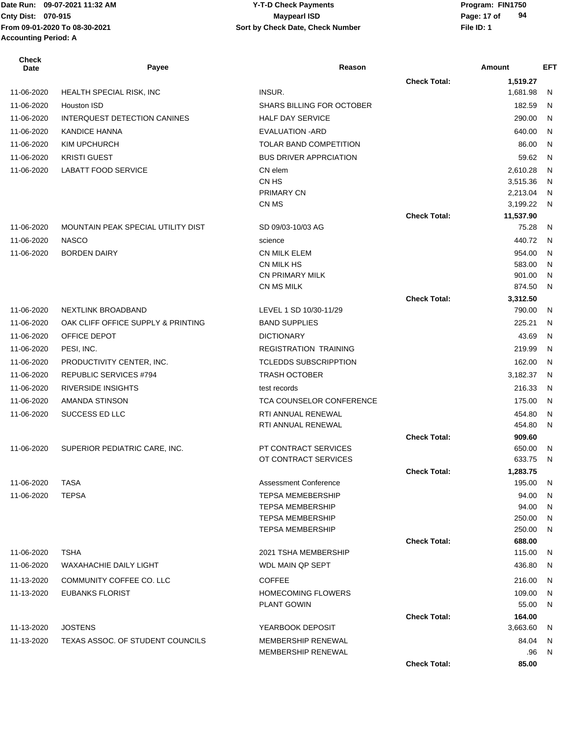Date Run: 09-07-2021 11:32 AM **Program: FIN1750** Y-T-D Check Payments **Accounting Period: A**

#### **Cnty Dist:** 070-915 **Page: 17 of** Maypearl ISD **Page: 17 of From 09-01-2020 To 08-30-2021 File ID: 1 Sort by Check Date, Check Number 09-07-2021 11:32 AM Y-T-D Check Payments 070-915 Maypearl ISD**

| <b>Check</b><br><b>Date</b> | Payee                               | Reason                                       |                     | Amount             | <b>EFT</b> |
|-----------------------------|-------------------------------------|----------------------------------------------|---------------------|--------------------|------------|
|                             |                                     |                                              | <b>Check Total:</b> | 1,519.27           |            |
| 11-06-2020                  | HEALTH SPECIAL RISK, INC            | INSUR.                                       |                     | 1,681.98           | N          |
| 11-06-2020                  | <b>Houston ISD</b>                  | <b>SHARS BILLING FOR OCTOBER</b>             |                     | 182.59             | N          |
| 11-06-2020                  | <b>INTERQUEST DETECTION CANINES</b> | <b>HALF DAY SERVICE</b>                      |                     | 290.00             | N          |
| 11-06-2020                  | <b>KANDICE HANNA</b>                | <b>EVALUATION - ARD</b>                      |                     | 640.00             | N          |
| 11-06-2020                  | KIM UPCHURCH                        | <b>TOLAR BAND COMPETITION</b>                |                     | 86.00              | N          |
| 11-06-2020                  | <b>KRISTI GUEST</b>                 | <b>BUS DRIVER APPRCIATION</b>                |                     | 59.62              | N          |
| 11-06-2020                  | <b>LABATT FOOD SERVICE</b>          | CN elem                                      |                     | 2,610.28           | N          |
|                             |                                     | CN HS                                        |                     | 3,515.36           | N          |
|                             |                                     | PRIMARY CN                                   |                     | 2,213.04           | N          |
|                             |                                     | CN MS                                        |                     | 3,199.22           | N.         |
| 11-06-2020                  | MOUNTAIN PEAK SPECIAL UTILITY DIST  | SD 09/03-10/03 AG                            | <b>Check Total:</b> | 11,537.90<br>75.28 | N          |
| 11-06-2020                  | <b>NASCO</b>                        | science                                      |                     | 440.72             | <b>N</b>   |
| 11-06-2020                  | <b>BORDEN DAIRY</b>                 | <b>CN MILK ELEM</b>                          |                     | 954.00             | N          |
|                             |                                     | CN MILK HS                                   |                     | 583.00             | N          |
|                             |                                     | <b>CN PRIMARY MILK</b>                       |                     | 901.00             | N          |
|                             |                                     | CN MS MILK                                   |                     | 874.50             | N          |
|                             |                                     |                                              | <b>Check Total:</b> | 3,312.50           |            |
| 11-06-2020                  | NEXTLINK BROADBAND                  | LEVEL 1 SD 10/30-11/29                       |                     | 790.00             | N          |
| 11-06-2020                  | OAK CLIFF OFFICE SUPPLY & PRINTING  | <b>BAND SUPPLIES</b>                         |                     | 225.21             | N          |
| 11-06-2020                  | OFFICE DEPOT                        | <b>DICTIONARY</b>                            |                     | 43.69              | N          |
| 11-06-2020                  | PESI, INC.                          | <b>REGISTRATION TRAINING</b>                 |                     | 219.99             | N          |
| 11-06-2020                  | PRODUCTIVITY CENTER, INC.           | <b>TCLEDDS SUBSCRIPPTION</b>                 |                     | 162.00             | N          |
| 11-06-2020                  | <b>REPUBLIC SERVICES #794</b>       | <b>TRASH OCTOBER</b>                         |                     | 3,182.37           | N          |
| 11-06-2020                  | <b>RIVERSIDE INSIGHTS</b>           | test records                                 |                     | 216.33             | <b>N</b>   |
| 11-06-2020                  | AMANDA STINSON                      | <b>TCA COUNSELOR CONFERENCE</b>              |                     | 175.00             | N          |
| 11-06-2020                  | SUCCESS ED LLC                      | RTI ANNUAL RENEWAL                           |                     | 454.80             | N          |
|                             |                                     | RTI ANNUAL RENEWAL                           |                     | 454.80             | N          |
|                             |                                     |                                              | <b>Check Total:</b> | 909.60             |            |
| 11-06-2020                  | SUPERIOR PEDIATRIC CARE, INC.       | PT CONTRACT SERVICES<br>OT CONTRACT SERVICES |                     | 650.00<br>633.75   | N<br>N     |
|                             |                                     |                                              | <b>Check Total:</b> | 1,283.75           |            |
| 11-06-2020                  | TASA                                | <b>Assessment Conference</b>                 |                     | 195.00             | -N         |
| 11-06-2020                  | <b>TEPSA</b>                        | <b>TEPSA MEMEBERSHIP</b>                     |                     | 94.00              | N          |
|                             |                                     | <b>TEPSA MEMBERSHIP</b>                      |                     | 94.00              | N          |
|                             |                                     | <b>TEPSA MEMBERSHIP</b>                      |                     | 250.00             | N          |
|                             |                                     | <b>TEPSA MEMBERSHIP</b>                      |                     | 250.00             | N          |
|                             |                                     |                                              | <b>Check Total:</b> | 688.00             |            |
| 11-06-2020                  | <b>TSHA</b>                         | 2021 TSHA MEMBERSHIP                         |                     | 115.00             | N          |
| 11-06-2020                  | <b>WAXAHACHIE DAILY LIGHT</b>       | WDL MAIN QP SEPT                             |                     | 436.80             | N          |
| 11-13-2020                  | COMMUNITY COFFEE CO. LLC            | <b>COFFEE</b>                                |                     | 216.00             | N          |
| 11-13-2020                  | EUBANKS FLORIST                     | <b>HOMECOMING FLOWERS</b>                    |                     | 109.00             | N          |
|                             |                                     | <b>PLANT GOWIN</b>                           |                     | 55.00              | N          |
| 11-13-2020                  | <b>JOSTENS</b>                      | YEARBOOK DEPOSIT                             | <b>Check Total:</b> | 164.00<br>3,663.60 | N          |
| 11-13-2020                  | TEXAS ASSOC. OF STUDENT COUNCILS    | MEMBERSHIP RENEWAL                           |                     | 84.04              | N          |
|                             |                                     | MEMBERSHIP RENEWAL                           |                     | .96                | N          |
|                             |                                     |                                              | <b>Check Total:</b> | 85.00              |            |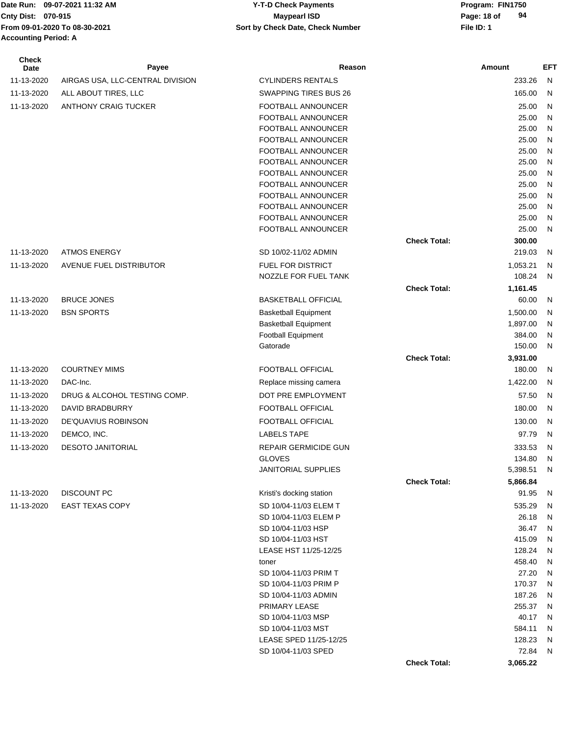#### Date Run: 09-07-2021 11:32 AM **Program: FIN1750** Y-T-D Check Payments **Cnty Dist:** 070-915 **Page: 18 of** Maypearl ISD **Page: 18 of 09-07-2021 11:32 AM Y-T-D Check Payments 070-915 Maypearl ISD**

| <b>Check</b><br>Date | Payee                            | Reason                       |                     | Amount   | <b>EFT</b> |
|----------------------|----------------------------------|------------------------------|---------------------|----------|------------|
| 11-13-2020           | AIRGAS USA, LLC-CENTRAL DIVISION | <b>CYLINDERS RENTALS</b>     |                     | 233.26   | N          |
| 11-13-2020           | ALL ABOUT TIRES, LLC             | <b>SWAPPING TIRES BUS 26</b> |                     | 165.00   | N          |
| 11-13-2020           | <b>ANTHONY CRAIG TUCKER</b>      | FOOTBALL ANNOUNCER           |                     | 25.00    | N          |
|                      |                                  | FOOTBALL ANNOUNCER           |                     | 25.00    | N          |
|                      |                                  | FOOTBALL ANNOUNCER           |                     | 25.00    | N          |
|                      |                                  | FOOTBALL ANNOUNCER           |                     | 25.00    | N          |
|                      |                                  | FOOTBALL ANNOUNCER           |                     | 25.00    | N          |
|                      |                                  | FOOTBALL ANNOUNCER           |                     | 25.00    | N          |
|                      |                                  | FOOTBALL ANNOUNCER           |                     | 25.00    | N          |
|                      |                                  | FOOTBALL ANNOUNCER           |                     | 25.00    | N          |
|                      |                                  | FOOTBALL ANNOUNCER           |                     | 25.00    | N          |
|                      |                                  | FOOTBALL ANNOUNCER           |                     | 25.00    | N          |
|                      |                                  | FOOTBALL ANNOUNCER           |                     | 25.00    | N          |
|                      |                                  | FOOTBALL ANNOUNCER           |                     | 25.00    | N          |
|                      |                                  |                              | <b>Check Total:</b> | 300.00   |            |
| 11-13-2020           | <b>ATMOS ENERGY</b>              | SD 10/02-11/02 ADMIN         |                     | 219.03   | N          |
| 11-13-2020           | AVENUE FUEL DISTRIBUTOR          | <b>FUEL FOR DISTRICT</b>     |                     | 1,053.21 | N          |
|                      |                                  | NOZZLE FOR FUEL TANK         |                     | 108.24   | N          |
|                      |                                  |                              | <b>Check Total:</b> | 1,161.45 |            |
| 11-13-2020           | <b>BRUCE JONES</b>               | <b>BASKETBALL OFFICIAL</b>   |                     | 60.00    | N          |
| 11-13-2020           | <b>BSN SPORTS</b>                | <b>Basketball Equipment</b>  |                     | 1,500.00 | N          |
|                      |                                  | <b>Basketball Equipment</b>  |                     | 1,897.00 | N          |
|                      |                                  | <b>Football Equipment</b>    |                     | 384.00   | N          |
|                      |                                  | Gatorade                     |                     | 150.00   | N          |
|                      |                                  |                              | <b>Check Total:</b> | 3,931.00 |            |
| 11-13-2020           | <b>COURTNEY MIMS</b>             | FOOTBALL OFFICIAL            |                     | 180.00   | N          |
| 11-13-2020           | DAC-Inc.                         | Replace missing camera       |                     | 1,422.00 | N          |
| 11-13-2020           | DRUG & ALCOHOL TESTING COMP.     | DOT PRE EMPLOYMENT           |                     | 57.50    | N          |
| 11-13-2020           | DAVID BRADBURRY                  | FOOTBALL OFFICIAL            |                     | 180.00   | N          |
| 11-13-2020           | DE'QUAVIUS ROBINSON              | FOOTBALL OFFICIAL            |                     | 130.00   | N          |
| 11-13-2020           | DEMCO, INC.                      | <b>LABELS TAPE</b>           |                     | 97.79    | N          |
| 11-13-2020           | <b>DESOTO JANITORIAL</b>         | <b>REPAIR GERMICIDE GUN</b>  |                     | 333.53   | N          |
|                      |                                  | <b>GLOVES</b>                |                     | 134.80   | N          |
|                      |                                  | JANITORIAL SUPPLIES          |                     | 5,398.51 | N          |
|                      |                                  |                              | <b>Check Total:</b> | 5,866.84 |            |
| 11-13-2020           | DISCOUNT PC                      | Kristi's docking station     |                     | 91.95    | N          |
| 11-13-2020           | <b>EAST TEXAS COPY</b>           | SD 10/04-11/03 ELEM T        |                     | 535.29   | N          |
|                      |                                  | SD 10/04-11/03 ELEM P        |                     | 26.18    | N          |
|                      |                                  | SD 10/04-11/03 HSP           |                     | 36.47    | N          |
|                      |                                  | SD 10/04-11/03 HST           |                     | 415.09   | N          |
|                      |                                  | LEASE HST 11/25-12/25        |                     | 128.24   | N          |
|                      |                                  | toner                        |                     | 458.40   | N          |
|                      |                                  | SD 10/04-11/03 PRIM T        |                     | 27.20    | N          |
|                      |                                  | SD 10/04-11/03 PRIM P        |                     | 170.37   | N          |
|                      |                                  | SD 10/04-11/03 ADMIN         |                     | 187.26   | N          |
|                      |                                  | PRIMARY LEASE                |                     | 255.37   | N          |
|                      |                                  | SD 10/04-11/03 MSP           |                     | 40.17    | N          |
|                      |                                  | SD 10/04-11/03 MST           |                     | 584.11   | N          |
|                      |                                  | LEASE SPED 11/25-12/25       |                     | 128.23   | N          |
|                      |                                  | SD 10/04-11/03 SPED          |                     | 72.84    | N          |
|                      |                                  |                              | <b>Check Total:</b> | 3,065.22 |            |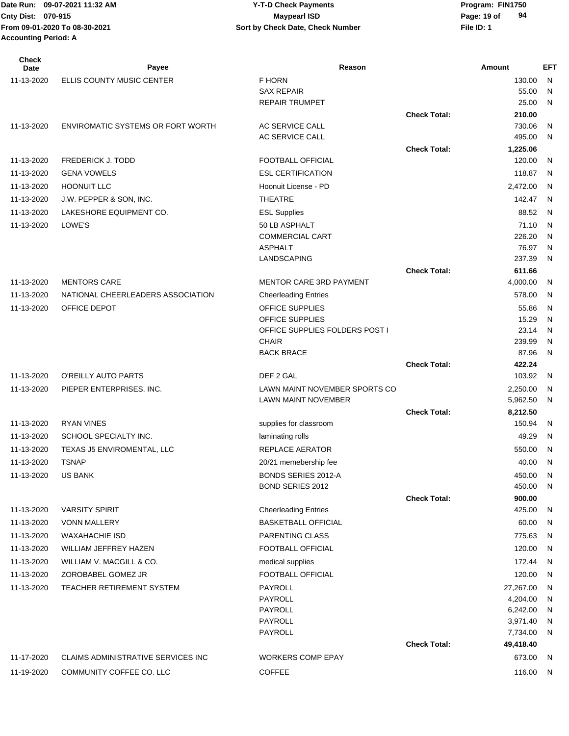| <b>Check</b><br>Date | Payee                              | Reason                                         |                     | <b>Amount</b>        | <b>EFT</b>     |
|----------------------|------------------------------------|------------------------------------------------|---------------------|----------------------|----------------|
| 11-13-2020           | ELLIS COUNTY MUSIC CENTER          | F HORN                                         |                     | 130.00               | N              |
|                      |                                    | <b>SAX REPAIR</b>                              |                     | 55.00                | N              |
|                      |                                    | <b>REPAIR TRUMPET</b>                          |                     | 25.00                | N              |
|                      |                                    |                                                | <b>Check Total:</b> | 210.00               |                |
| 11-13-2020           | ENVIROMATIC SYSTEMS OR FORT WORTH  | AC SERVICE CALL                                |                     | 730.06               | N              |
|                      |                                    | AC SERVICE CALL                                | <b>Check Total:</b> | 495.00               | N              |
| 11-13-2020           | <b>FREDERICK J. TODD</b>           | <b>FOOTBALL OFFICIAL</b>                       |                     | 1,225.06<br>120.00   | N              |
| 11-13-2020           | <b>GENA VOWELS</b>                 | <b>ESL CERTIFICATION</b>                       |                     | 118.87               | N              |
| 11-13-2020           | <b>HOONUIT LLC</b>                 | Hoonuit License - PD                           |                     | 2,472.00             | N              |
| 11-13-2020           |                                    | <b>THEATRE</b>                                 |                     | 142.47               | $\mathsf{N}$   |
|                      | J.W. PEPPER & SON, INC.            |                                                |                     |                      |                |
| 11-13-2020           | LAKESHORE EQUIPMENT CO.            | <b>ESL Supplies</b>                            |                     | 88.52                | $\overline{N}$ |
| 11-13-2020           | LOWE'S                             | 50 LB ASPHALT<br><b>COMMERCIAL CART</b>        |                     | 71.10<br>226.20      | N<br>N         |
|                      |                                    | <b>ASPHALT</b>                                 |                     | 76.97                | N              |
|                      |                                    | <b>LANDSCAPING</b>                             |                     | 237.39               | N              |
|                      |                                    |                                                | <b>Check Total:</b> | 611.66               |                |
| 11-13-2020           | <b>MENTORS CARE</b>                | <b>MENTOR CARE 3RD PAYMENT</b>                 |                     | 4,000.00             | N              |
| 11-13-2020           | NATIONAL CHEERLEADERS ASSOCIATION  | <b>Cheerleading Entries</b>                    |                     | 578.00               | N              |
| 11-13-2020           | OFFICE DEPOT                       | OFFICE SUPPLIES                                |                     | 55.86                | N              |
|                      |                                    | OFFICE SUPPLIES                                |                     | 15.29                | N              |
|                      |                                    | OFFICE SUPPLIES FOLDERS POST I                 |                     | 23.14                | N              |
|                      |                                    | <b>CHAIR</b>                                   |                     | 239.99               | N              |
|                      |                                    | <b>BACK BRACE</b>                              |                     | 87.96                | N              |
|                      |                                    |                                                | <b>Check Total:</b> | 422.24               |                |
| 11-13-2020           | O'REILLY AUTO PARTS                | DEF 2 GAL                                      |                     | 103.92               | N,             |
| 11-13-2020           | PIEPER ENTERPRISES, INC.           | LAWN MAINT NOVEMBER SPORTS CO                  |                     | 2,250.00             | N              |
|                      |                                    | <b>LAWN MAINT NOVEMBER</b>                     | <b>Check Total:</b> | 5,962.50<br>8,212.50 | N              |
| 11-13-2020           | <b>RYAN VINES</b>                  | supplies for classroom                         |                     | 150.94               | N              |
| 11-13-2020           | SCHOOL SPECIALTY INC.              | laminating rolls                               |                     | 49.29                | N              |
| 11-13-2020           | TEXAS J5 ENVIROMENTAL, LLC         | REPLACE AERATOR                                |                     | 550.00               | $\mathsf{N}$   |
| 11-13-2020           | <b>TSNAP</b>                       | 20/21 memebership fee                          |                     | 40.00                | N              |
|                      |                                    |                                                |                     |                      |                |
| 11-13-2020           | <b>US BANK</b>                     | BONDS SERIES 2012-A<br><b>BOND SERIES 2012</b> |                     | 450.00<br>450.00     | N<br>N         |
|                      |                                    |                                                | <b>Check Total:</b> | 900.00               |                |
| 11-13-2020           | <b>VARSITY SPIRIT</b>              | <b>Cheerleading Entries</b>                    |                     | 425.00               | N              |
| 11-13-2020           | <b>VONN MALLERY</b>                | <b>BASKETBALL OFFICIAL</b>                     |                     | 60.00                | N              |
| 11-13-2020           | <b>WAXAHACHIE ISD</b>              | <b>PARENTING CLASS</b>                         |                     | 775.63               | N              |
| 11-13-2020           | WILLIAM JEFFREY HAZEN              | FOOTBALL OFFICIAL                              |                     | 120.00               | N              |
| 11-13-2020           | WILLIAM V. MACGILL & CO.           | medical supplies                               |                     | 172.44               | N              |
| 11-13-2020           | ZOROBABEL GOMEZ JR                 | <b>FOOTBALL OFFICIAL</b>                       |                     | 120.00               | N              |
| 11-13-2020           | TEACHER RETIREMENT SYSTEM          | PAYROLL                                        |                     | 27,267.00            | N              |
|                      |                                    | PAYROLL                                        |                     | 4,204.00             | N              |
|                      |                                    | PAYROLL                                        |                     | 6,242.00             | N              |
|                      |                                    | PAYROLL                                        |                     | 3,971.40             | N              |
|                      |                                    | PAYROLL                                        |                     | 7,734.00             | N              |
|                      |                                    |                                                | <b>Check Total:</b> | 49,418.40            |                |
| 11-17-2020           | CLAIMS ADMINISTRATIVE SERVICES INC | <b>WORKERS COMP EPAY</b>                       |                     | 673.00               | N,             |
| 11-19-2020           | COMMUNITY COFFEE CO. LLC           | <b>COFFEE</b>                                  |                     | 116.00               | - N            |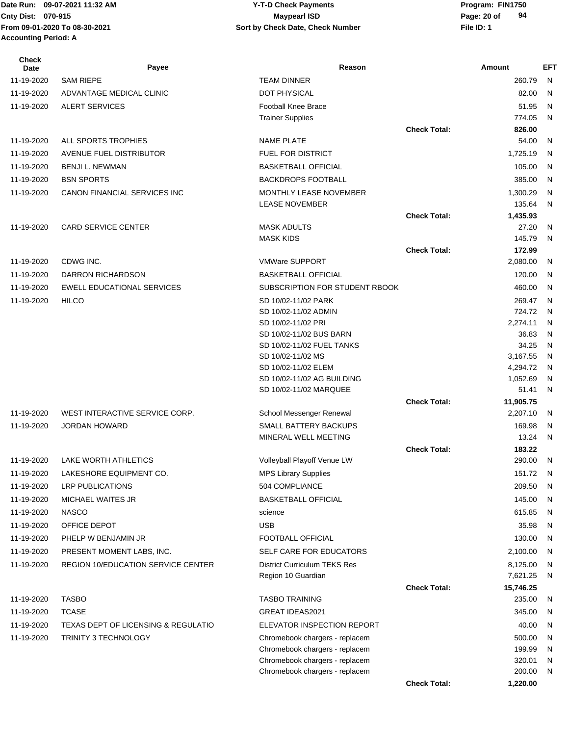#### Date Run: 09-07-2021 11:32 AM **Program: FIN1750** Y-T-D Check Payments **Cnty Dist:** 070-915 **Page: 20 of** Maypearl ISD **Page: 20 of 09-07-2021 11:32 AM Y-T-D Check Payments 070-915 Maypearl ISD**

**94**

**Check Total: 1,220.00**

| <b>Check</b><br>Date     | Payee                                     | Reason                                                |                     | Amount              | <b>EFT</b>   |
|--------------------------|-------------------------------------------|-------------------------------------------------------|---------------------|---------------------|--------------|
| 11-19-2020               | <b>SAM RIEPE</b>                          | <b>TEAM DINNER</b>                                    |                     | 260.79              | $\mathsf{N}$ |
| 11-19-2020               | ADVANTAGE MEDICAL CLINIC                  | <b>DOT PHYSICAL</b>                                   |                     | 82.00               | N            |
| 11-19-2020               | <b>ALERT SERVICES</b>                     | <b>Football Knee Brace</b>                            |                     | 51.95               | N            |
|                          |                                           | <b>Trainer Supplies</b>                               |                     | 774.05              | N            |
|                          |                                           |                                                       | <b>Check Total:</b> | 826.00              |              |
| 11-19-2020               | ALL SPORTS TROPHIES                       | <b>NAME PLATE</b>                                     |                     | 54.00               | N            |
| 11-19-2020               | <b>AVENUE FUEL DISTRIBUTOR</b>            | <b>FUEL FOR DISTRICT</b>                              |                     | 1,725.19            | N            |
| 11-19-2020               | <b>BENJI L. NEWMAN</b>                    | <b>BASKETBALL OFFICIAL</b>                            |                     | 105.00              | N            |
| 11-19-2020               | <b>BSN SPORTS</b>                         | <b>BACKDROPS FOOTBALL</b>                             |                     | 385.00              | N            |
| 11-19-2020               | CANON FINANCIAL SERVICES INC              | MONTHLY LEASE NOVEMBER<br><b>LEASE NOVEMBER</b>       |                     | 1,300.29<br>135.64  | N<br>N       |
|                          |                                           |                                                       | <b>Check Total:</b> | 1,435.93            |              |
| 11-19-2020               | <b>CARD SERVICE CENTER</b>                | <b>MASK ADULTS</b>                                    |                     | 27.20               | N            |
|                          |                                           | <b>MASK KIDS</b>                                      |                     | 145.79              | N            |
| 11-19-2020               | CDWG INC.                                 | <b>VMWare SUPPORT</b>                                 | <b>Check Total:</b> | 172.99<br>2,080.00  | N            |
|                          | <b>DARRON RICHARDSON</b>                  |                                                       |                     |                     | N            |
| 11-19-2020               | <b>EWELL EDUCATIONAL SERVICES</b>         | <b>BASKETBALL OFFICIAL</b>                            |                     | 120.00              | N            |
| 11-19-2020<br>11-19-2020 |                                           | SUBSCRIPTION FOR STUDENT RBOOK<br>SD 10/02-11/02 PARK |                     | 460.00              |              |
|                          | <b>HILCO</b>                              | SD 10/02-11/02 ADMIN                                  |                     | 269.47<br>724.72    | N<br>N       |
|                          |                                           | SD 10/02-11/02 PRI                                    |                     | 2,274.11            | N            |
|                          |                                           | SD 10/02-11/02 BUS BARN                               |                     | 36.83               | N            |
|                          |                                           | SD 10/02-11/02 FUEL TANKS                             |                     | 34.25               | N            |
|                          |                                           | SD 10/02-11/02 MS                                     |                     | 3,167.55            | N            |
|                          |                                           | SD 10/02-11/02 ELEM                                   |                     | 4,294.72            | N            |
|                          |                                           | SD 10/02-11/02 AG BUILDING<br>SD 10/02-11/02 MARQUEE  |                     | 1,052.69<br>51.41   | N<br>N       |
|                          |                                           |                                                       | <b>Check Total:</b> | 11,905.75           |              |
| 11-19-2020               | WEST INTERACTIVE SERVICE CORP.            | School Messenger Renewal                              |                     | 2,207.10            | N            |
| 11-19-2020               | <b>JORDAN HOWARD</b>                      | <b>SMALL BATTERY BACKUPS</b>                          |                     | 169.98              | N            |
|                          |                                           | MINERAL WELL MEETING                                  |                     | 13.24               | N            |
|                          |                                           |                                                       | <b>Check Total:</b> | 183.22              |              |
| 11-19-2020               | LAKE WORTH ATHLETICS                      | Volleyball Playoff Venue LW                           |                     | 290.00              | N            |
| 11-19-2020               | LAKESHORE EQUIPMENT CO.                   | <b>MPS Library Supplies</b>                           |                     | 151.72              | - N          |
| 11-19-2020               | <b>LRP PUBLICATIONS</b>                   | 504 COMPLIANCE                                        |                     | 209.50              | N            |
| 11-19-2020               | MICHAEL WAITES JR                         | <b>BASKETBALL OFFICIAL</b>                            |                     | 145.00              | N.           |
| 11-19-2020               | <b>NASCO</b>                              | science                                               |                     | 615.85              | N            |
| 11-19-2020               | OFFICE DEPOT                              | <b>USB</b>                                            |                     | 35.98               | N            |
| 11-19-2020               | PHELP W BENJAMIN JR                       | FOOTBALL OFFICIAL                                     |                     | 130.00              | N            |
| 11-19-2020               | PRESENT MOMENT LABS, INC.                 | SELF CARE FOR EDUCATORS                               |                     | 2,100.00            | N            |
| 11-19-2020               | <b>REGION 10/EDUCATION SERVICE CENTER</b> | <b>District Curriculum TEKS Res</b>                   |                     | 8,125.00            | N            |
|                          |                                           | Region 10 Guardian                                    |                     | 7,621.25            | N            |
| 11-19-2020               | <b>TASBO</b>                              | <b>TASBO TRAINING</b>                                 | <b>Check Total:</b> | 15,746.25<br>235.00 | N            |
| 11-19-2020               | <b>TCASE</b>                              | GREAT IDEAS2021                                       |                     | 345.00              | N            |
| 11-19-2020               | TEXAS DEPT OF LICENSING & REGULATIO       | ELEVATOR INSPECTION REPORT                            |                     | 40.00               | N            |
| 11-19-2020               | <b>TRINITY 3 TECHNOLOGY</b>               | Chromebook chargers - replacem                        |                     | 500.00              | N            |
|                          |                                           | Chromebook chargers - replacem                        |                     | 199.99              | N            |
|                          |                                           | Chromebook chargers - replacem                        |                     | 320.01              | N            |
|                          |                                           | Chromebook chargers - replacem                        |                     | 200.00              | N            |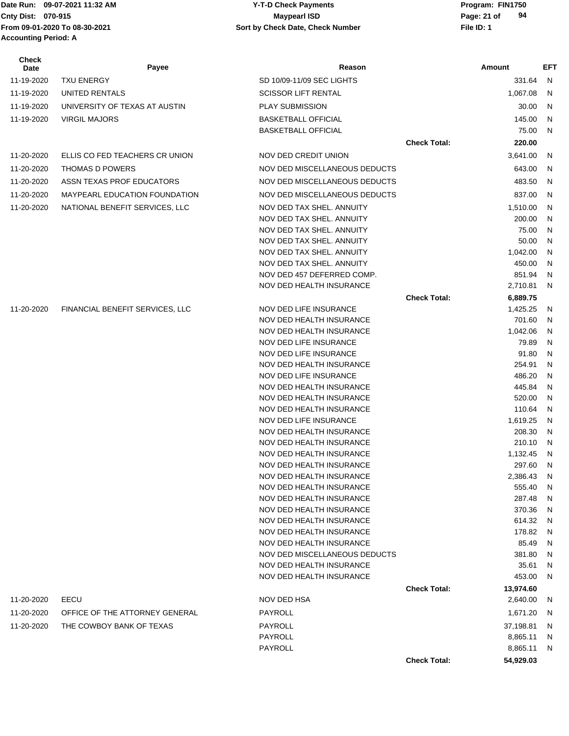#### Date Run: 09-07-2021 11:32 AM **Program: FIN1750** Y-T-D Check Payments **Cnty Dist:** 070-915 **Page: 21 of** Maypearl ISD **Page: 21 of 09-07-2021 11:32 AM Y-T-D Check Payments 070-915 Maypearl ISD**

| <b>Check</b><br>Date | Payee                                | Reason                                               |                     | Amount           | EFT    |
|----------------------|--------------------------------------|------------------------------------------------------|---------------------|------------------|--------|
| 11-19-2020           | <b>TXU ENERGY</b>                    | SD 10/09-11/09 SEC LIGHTS                            |                     | 331.64           | N      |
| 11-19-2020           | UNITED RENTALS                       | <b>SCISSOR LIFT RENTAL</b>                           |                     | 1,067.08         | N      |
| 11-19-2020           | UNIVERSITY OF TEXAS AT AUSTIN        | <b>PLAY SUBMISSION</b>                               |                     | 30.00            | N      |
| 11-19-2020           | <b>VIRGIL MAJORS</b>                 | <b>BASKETBALL OFFICIAL</b>                           |                     | 145.00           | N      |
|                      |                                      | <b>BASKETBALL OFFICIAL</b>                           |                     | 75.00            | N      |
|                      |                                      |                                                      | <b>Check Total:</b> | 220.00           |        |
|                      |                                      |                                                      |                     |                  |        |
| 11-20-2020           | ELLIS CO FED TEACHERS CR UNION       | NOV DED CREDIT UNION                                 |                     | 3,641.00         | N      |
| 11-20-2020           | <b>THOMAS D POWERS</b>               | NOV DED MISCELLANEOUS DEDUCTS                        |                     | 643.00           | N      |
| 11-20-2020           | ASSN TEXAS PROF EDUCATORS            | NOV DED MISCELLANEOUS DEDUCTS                        |                     | 483.50           | N      |
| 11-20-2020           | <b>MAYPEARL EDUCATION FOUNDATION</b> | NOV DED MISCELLANEOUS DEDUCTS                        |                     | 837.00           | N      |
| 11-20-2020           | NATIONAL BENEFIT SERVICES, LLC       | NOV DED TAX SHEL. ANNUITY                            |                     | 1,510.00         | N      |
|                      |                                      | NOV DED TAX SHEL. ANNUITY                            |                     | 200.00           | N      |
|                      |                                      | NOV DED TAX SHEL. ANNUITY                            |                     | 75.00            | N      |
|                      |                                      | NOV DED TAX SHEL, ANNUITY                            |                     | 50.00            | N      |
|                      |                                      | NOV DED TAX SHEL, ANNUITY                            |                     | 1,042.00         | N      |
|                      |                                      | NOV DED TAX SHEL. ANNUITY                            |                     | 450.00           | N      |
|                      |                                      | NOV DED 457 DEFERRED COMP.                           |                     | 851.94           | N      |
|                      |                                      | NOV DED HEALTH INSURANCE                             |                     | 2,710.81         | N      |
|                      |                                      |                                                      | <b>Check Total:</b> | 6,889.75         |        |
| 11-20-2020           | FINANCIAL BENEFIT SERVICES, LLC      | NOV DED LIFE INSURANCE                               |                     | 1,425.25         | N      |
|                      |                                      | NOV DED HEALTH INSURANCE                             |                     | 701.60           | N      |
|                      |                                      | NOV DED HEALTH INSURANCE                             |                     | 1,042.06         | N      |
|                      |                                      | NOV DED LIFE INSURANCE                               |                     | 79.89            | N      |
|                      |                                      | NOV DED LIFE INSURANCE                               |                     | 91.80            | N      |
|                      |                                      | NOV DED HEALTH INSURANCE                             |                     | 254.91           | N      |
|                      |                                      | NOV DED LIFE INSURANCE                               |                     | 486.20           | N      |
|                      |                                      | NOV DED HEALTH INSURANCE<br>NOV DED HEALTH INSURANCE |                     | 445.84<br>520.00 | N<br>N |
|                      |                                      | NOV DED HEALTH INSURANCE                             |                     | 110.64           | N      |
|                      |                                      | NOV DED LIFE INSURANCE                               |                     | 1,619.25         | N      |
|                      |                                      | NOV DED HEALTH INSURANCE                             |                     | 208.30           | N      |
|                      |                                      | NOV DED HEALTH INSURANCE                             |                     | 210.10           | N      |
|                      |                                      | NOV DED HEALTH INSURANCE                             |                     | 1,132.45         | N      |
|                      |                                      | NOV DED HEALTH INSURANCE                             |                     | 297.60           | N      |
|                      |                                      | NOV DED HEALTH INSURANCE                             |                     | 2,386.43         | N      |
|                      |                                      | NOV DED HEALTH INSURANCE                             |                     | 555.40           | N      |
|                      |                                      | NOV DED HEALTH INSURANCE                             |                     | 287.48           | N      |
|                      |                                      | NOV DED HEALTH INSURANCE                             |                     | 370.36           | N      |
|                      |                                      | NOV DED HEALTH INSURANCE                             |                     | 614.32           | N      |
|                      |                                      | NOV DED HEALTH INSURANCE                             |                     | 178.82           | N      |
|                      |                                      | NOV DED HEALTH INSURANCE                             |                     | 85.49            | N      |
|                      |                                      | NOV DED MISCELLANEOUS DEDUCTS                        |                     | 381.80           | N      |
|                      |                                      | NOV DED HEALTH INSURANCE                             |                     | 35.61            | N      |
|                      |                                      | NOV DED HEALTH INSURANCE                             |                     | 453.00           | N      |
|                      |                                      |                                                      | <b>Check Total:</b> | 13,974.60        |        |
| 11-20-2020           | EECU                                 | NOV DED HSA                                          |                     | 2,640.00         | N      |
| 11-20-2020           | OFFICE OF THE ATTORNEY GENERAL       | PAYROLL                                              |                     | 1,671.20         | N      |
| 11-20-2020           | THE COWBOY BANK OF TEXAS             | PAYROLL                                              |                     | 37,198.81        | N      |
|                      |                                      | PAYROLL                                              |                     | 8,865.11         | N      |
|                      |                                      | PAYROLL                                              |                     | 8,865.11         | N      |
|                      |                                      |                                                      | <b>Check Total:</b> | 54,929.03        |        |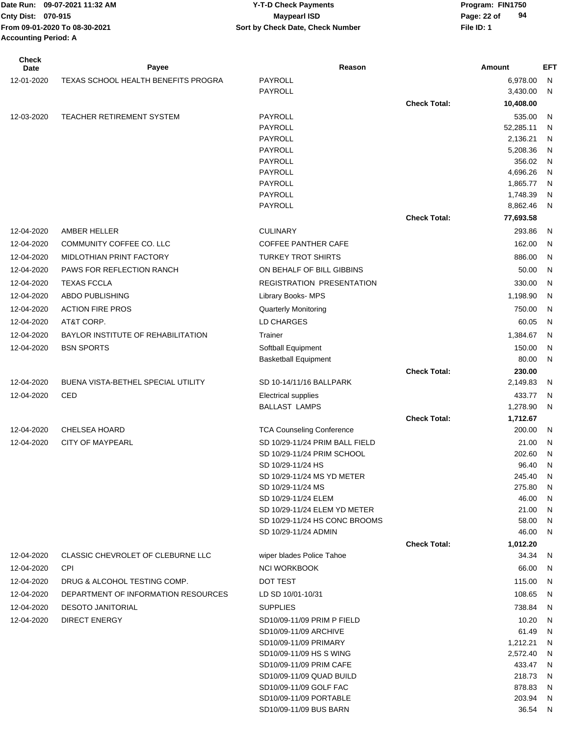| <b>Check</b><br><b>Date</b> | Payee                               | Reason                                           |                     | Amount              | EFT               |
|-----------------------------|-------------------------------------|--------------------------------------------------|---------------------|---------------------|-------------------|
| 12-01-2020                  | TEXAS SCHOOL HEALTH BENEFITS PROGRA | PAYROLL                                          |                     | 6,978.00            | N.                |
|                             |                                     | PAYROLL                                          |                     | 3,430.00            | N                 |
|                             |                                     |                                                  | <b>Check Total:</b> | 10,408.00           |                   |
| 12-03-2020                  | TEACHER RETIREMENT SYSTEM           | PAYROLL                                          |                     | 535.00              | N                 |
|                             |                                     | PAYROLL                                          |                     | 52,285.11           | N                 |
|                             |                                     | PAYROLL                                          |                     | 2,136.21            | N                 |
|                             |                                     | <b>PAYROLL</b>                                   |                     | 5,208.36            | N                 |
|                             |                                     | PAYROLL                                          |                     | 356.02              | N                 |
|                             |                                     | PAYROLL                                          |                     | 4,696.26            | N                 |
|                             |                                     | PAYROLL                                          |                     | 1,865.77            | N                 |
|                             |                                     | PAYROLL                                          |                     | 1,748.39            | N                 |
|                             |                                     | PAYROLL                                          |                     | 8,862.46            | N                 |
|                             |                                     |                                                  | <b>Check Total:</b> | 77,693.58           |                   |
| 12-04-2020                  | AMBER HELLER                        | <b>CULINARY</b>                                  |                     | 293.86              | N,                |
| 12-04-2020                  | <b>COMMUNITY COFFEE CO. LLC</b>     | COFFEE PANTHER CAFE                              |                     | 162.00              | N.                |
| 12-04-2020                  | MIDLOTHIAN PRINT FACTORY            | <b>TURKEY TROT SHIRTS</b>                        |                     | 886.00              | N                 |
| 12-04-2020                  | PAWS FOR REFLECTION RANCH           | ON BEHALF OF BILL GIBBINS                        |                     | 50.00               | N.                |
| 12-04-2020                  | <b>TEXAS FCCLA</b>                  | REGISTRATION PRESENTATION                        |                     | 330.00              | N                 |
| 12-04-2020                  | ABDO PUBLISHING                     | Library Books- MPS                               |                     | 1,198.90            | - N               |
| 12-04-2020                  | <b>ACTION FIRE PROS</b>             | <b>Quarterly Monitoring</b>                      |                     | 750.00              | N.                |
| 12-04-2020                  | AT&T CORP.                          | LD CHARGES                                       |                     | 60.05               | N                 |
| 12-04-2020                  | BAYLOR INSTITUTE OF REHABILITATION  | Trainer                                          |                     | 1,384.67            | N,                |
| 12-04-2020                  | <b>BSN SPORTS</b>                   | Softball Equipment                               |                     | 150.00              | N                 |
|                             |                                     | <b>Basketball Equipment</b>                      |                     | 80.00               | N                 |
|                             |                                     |                                                  | <b>Check Total:</b> | 230.00              |                   |
| 12-04-2020                  | BUENA VISTA-BETHEL SPECIAL UTILITY  | SD 10-14/11/16 BALLPARK                          |                     | 2,149.83            | N,                |
| 12-04-2020                  | CED                                 | <b>Electrical supplies</b>                       |                     | 433.77              | N                 |
|                             |                                     | <b>BALLAST LAMPS</b>                             |                     | 1,278.90            | N.                |
|                             |                                     |                                                  | <b>Check Total:</b> | 1,712.67            |                   |
| 12-04-2020                  | <b>CHELSEA HOARD</b>                | <b>TCA Counseling Conference</b>                 |                     | 200.00              | - N               |
| 12-04-2020                  | <b>CITY OF MAYPEARL</b>             | SD 10/29-11/24 PRIM BALL FIELD                   |                     | 21.00               | N.                |
|                             |                                     | SD 10/29-11/24 PRIM SCHOOL                       |                     | 202.60              | N                 |
|                             |                                     | SD 10/29-11/24 HS<br>SD 10/29-11/24 MS YD METER  |                     | 96.40<br>245.40     | N<br>$\mathsf{N}$ |
|                             |                                     | SD 10/29-11/24 MS                                |                     | 275.80              | -N                |
|                             |                                     | SD 10/29-11/24 ELEM                              |                     | 46.00               | N.                |
|                             |                                     | SD 10/29-11/24 ELEM YD METER                     |                     | 21.00               | N                 |
|                             |                                     | SD 10/29-11/24 HS CONC BROOMS                    |                     | 58.00               | N,                |
|                             |                                     | SD 10/29-11/24 ADMIN                             |                     | 46.00               | N.                |
|                             |                                     |                                                  | <b>Check Total:</b> | 1,012.20            |                   |
| 12-04-2020                  | CLASSIC CHEVROLET OF CLEBURNE LLC   | wiper blades Police Tahoe                        |                     | 34.34 N             |                   |
| 12-04-2020                  | <b>CPI</b>                          | <b>NCI WORKBOOK</b>                              |                     | 66.00               | - N               |
| 12-04-2020                  | DRUG & ALCOHOL TESTING COMP.        | DOT TEST                                         |                     | 115.00              | - N               |
| 12-04-2020                  | DEPARTMENT OF INFORMATION RESOURCES | LD SD 10/01-10/31                                |                     | 108.65              | - N               |
| 12-04-2020                  | <b>DESOTO JANITORIAL</b>            | <b>SUPPLIES</b>                                  |                     | 738.84              | N                 |
| 12-04-2020                  | <b>DIRECT ENERGY</b>                | SD10/09-11/09 PRIM P FIELD                       |                     | 10.20               | - N               |
|                             |                                     | SD10/09-11/09 ARCHIVE                            |                     | 61.49               | N                 |
|                             |                                     | SD10/09-11/09 PRIMARY                            |                     | 1,212.21            | N,                |
|                             |                                     | SD10/09-11/09 HS S WING                          |                     | 2,572.40            | N,                |
|                             |                                     | SD10/09-11/09 PRIM CAFE                          |                     | 433.47 N            |                   |
|                             |                                     | SD10/09-11/09 QUAD BUILD                         |                     | 218.73              | - N               |
|                             |                                     | SD10/09-11/09 GOLF FAC                           |                     | 878.83              | - N               |
|                             |                                     | SD10/09-11/09 PORTABLE<br>SD10/09-11/09 BUS BARN |                     | 203.94 N<br>36.54 N |                   |
|                             |                                     |                                                  |                     |                     |                   |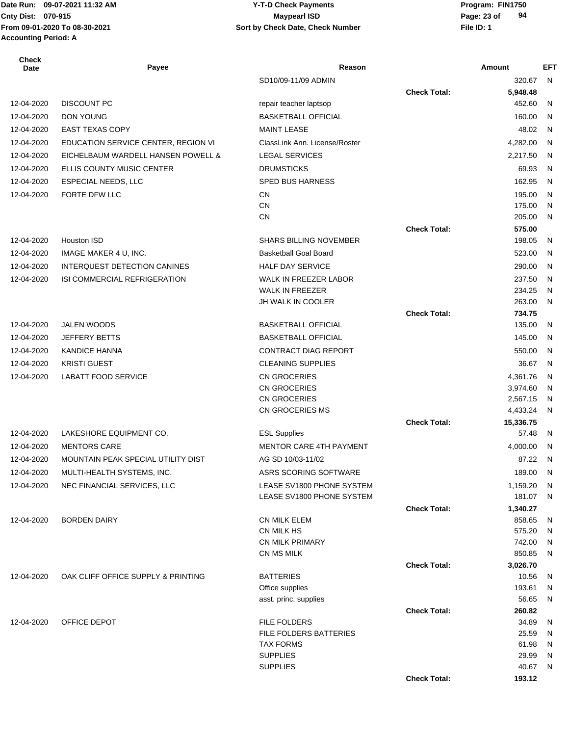# **Cnty Dist:** 070-915 **Page: 23 of** Maypearl ISD **Page: 23 of 09-07-2021 11:32 AM Y-T-D Check Payments 070-915 Maypearl ISD**

| Check<br>Date | Payee                               | Reason                                               |                     | Amount           | <b>EFT</b> |
|---------------|-------------------------------------|------------------------------------------------------|---------------------|------------------|------------|
|               |                                     | SD10/09-11/09 ADMIN                                  |                     | 320.67           | - N        |
|               |                                     |                                                      | <b>Check Total:</b> | 5,948.48         |            |
| 12-04-2020    | <b>DISCOUNT PC</b>                  | repair teacher laptsop                               |                     | 452.60           | N          |
| 12-04-2020    | <b>DON YOUNG</b>                    | <b>BASKETBALL OFFICIAL</b>                           |                     | 160.00           | N          |
| 12-04-2020    | <b>EAST TEXAS COPY</b>              | <b>MAINT LEASE</b>                                   |                     | 48.02            | N          |
| 12-04-2020    | EDUCATION SERVICE CENTER, REGION VI | ClassLink Ann. License/Roster                        |                     | 4,282.00         | N          |
| 12-04-2020    | EICHELBAUM WARDELL HANSEN POWELL &  | <b>LEGAL SERVICES</b>                                |                     | 2,217.50         | N          |
| 12-04-2020    | ELLIS COUNTY MUSIC CENTER           | <b>DRUMSTICKS</b>                                    |                     | 69.93            | N          |
| 12-04-2020    | <b>ESPECIAL NEEDS, LLC</b>          | <b>SPED BUS HARNESS</b>                              |                     | 162.95           | N          |
| 12-04-2020    | FORTE DFW LLC                       | <b>CN</b>                                            |                     | 195.00           | N          |
|               |                                     | <b>CN</b>                                            |                     | 175.00           | N          |
|               |                                     | <b>CN</b>                                            |                     | 205.00           | N          |
|               |                                     |                                                      | <b>Check Total:</b> | 575.00           |            |
| 12-04-2020    | <b>Houston ISD</b>                  | <b>SHARS BILLING NOVEMBER</b>                        |                     | 198.05           | N          |
| 12-04-2020    | IMAGE MAKER 4 U, INC.               | Basketball Goal Board                                |                     | 523.00           | N          |
| 12-04-2020    | <b>INTERQUEST DETECTION CANINES</b> | <b>HALF DAY SERVICE</b>                              |                     | 290.00           | N          |
| 12-04-2020    | ISI COMMERCIAL REFRIGERATION        | WALK IN FREEZER LABOR                                |                     | 237.50           | N          |
|               |                                     | <b>WALK IN FREEZER</b><br>JH WALK IN COOLER          |                     | 234.25<br>263.00 | N<br>N     |
|               |                                     |                                                      | <b>Check Total:</b> | 734.75           |            |
| 12-04-2020    | <b>JALEN WOODS</b>                  | <b>BASKETBALL OFFICIAL</b>                           |                     | 135.00           | N          |
| 12-04-2020    | <b>JEFFERY BETTS</b>                | <b>BASKETBALL OFFICIAL</b>                           |                     | 145.00           | N          |
| 12-04-2020    | <b>KANDICE HANNA</b>                | <b>CONTRACT DIAG REPORT</b>                          |                     | 550.00           | N          |
| 12-04-2020    | <b>KRISTI GUEST</b>                 | <b>CLEANING SUPPLIES</b>                             |                     | 36.67            | N          |
| 12-04-2020    | <b>LABATT FOOD SERVICE</b>          | CN GROCERIES                                         |                     | 4,361.76         | N          |
|               |                                     | CN GROCERIES                                         |                     | 3,974.60         | N          |
|               |                                     | CN GROCERIES                                         |                     | 2,567.15         | N          |
|               |                                     | CN GROCERIES MS                                      |                     | 4,433.24         | N          |
|               |                                     |                                                      | <b>Check Total:</b> | 15,336.75        |            |
| 12-04-2020    | LAKESHORE EQUIPMENT CO.             | <b>ESL Supplies</b>                                  |                     | 57.48            | N          |
| 12-04-2020    | <b>MENTORS CARE</b>                 | <b>MENTOR CARE 4TH PAYMENT</b>                       |                     | 4,000.00         | N          |
| 12-04-2020    | MOUNTAIN PEAK SPECIAL UTILITY DIST  | AG SD 10/03-11/02                                    |                     | 87.22            | N          |
| 12-04-2020    | MULTI-HEALTH SYSTEMS, INC.          | ASRS SCORING SOFTWARE                                |                     | 189.00 N         |            |
| 12-04-2020    | NEC FINANCIAL SERVICES, LLC         | LEASE SV1800 PHONE SYSTEM                            |                     | 1,159.20         | -N         |
|               |                                     | LEASE SV1800 PHONE SYSTEM                            |                     | 181.07           | N          |
|               |                                     |                                                      | <b>Check Total:</b> | 1,340.27         |            |
| 12-04-2020    | <b>BORDEN DAIRY</b>                 | <b>CN MILK ELEM</b><br>CN MILK HS                    |                     | 858.65<br>575.20 | N<br>N     |
|               |                                     | <b>CN MILK PRIMARY</b>                               |                     | 742.00           | N          |
|               |                                     | CN MS MILK                                           |                     | 850.85           | N          |
|               |                                     |                                                      | <b>Check Total:</b> | 3,026.70         |            |
| 12-04-2020    | OAK CLIFF OFFICE SUPPLY & PRINTING  | <b>BATTERIES</b>                                     |                     | 10.56            | N          |
|               |                                     | Office supplies                                      |                     | 193.61           | N          |
|               |                                     | asst. princ. supplies                                |                     | 56.65            | N          |
|               |                                     |                                                      | <b>Check Total:</b> | 260.82           |            |
| 12-04-2020    | OFFICE DEPOT                        | <b>FILE FOLDERS</b><br><b>FILE FOLDERS BATTERIES</b> |                     | 34.89<br>25.59   | N          |
|               |                                     | <b>TAX FORMS</b>                                     |                     | 61.98            | N<br>N     |
|               |                                     | <b>SUPPLIES</b>                                      |                     | 29.99            | N          |
|               |                                     | <b>SUPPLIES</b>                                      |                     | 40.67            | N          |
|               |                                     |                                                      | <b>Check Total:</b> | 193.12           |            |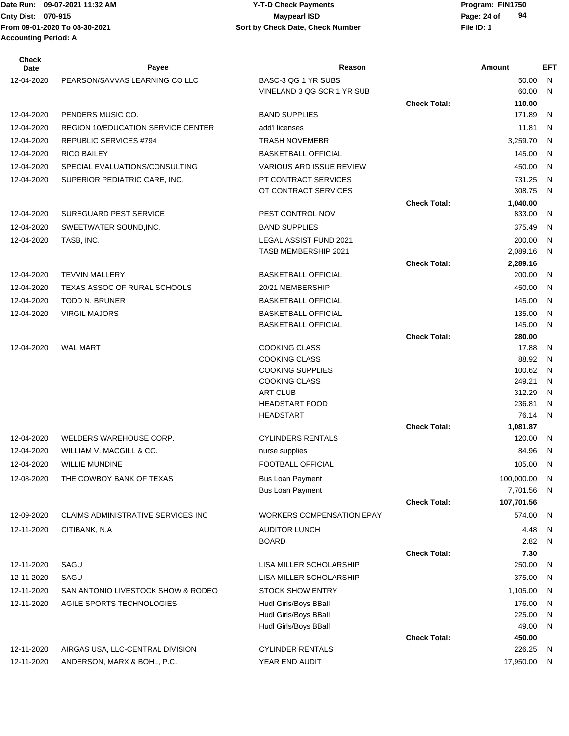#### Date Run: 09-07-2021 11:32 AM **Program: FIN1750** Y-T-D Check Payments **Cnty Dist:** 070-915 **Page: 24 of** Maypearl ISD Maypearl ISD **09-07-2021 11:32 AM Y-T-D Check Payments 070-915 Maypearl ISD**

| <b>Check</b><br>Date | Payee                                     | Reason                                       |                     | Amount           | <b>EFT</b>   |
|----------------------|-------------------------------------------|----------------------------------------------|---------------------|------------------|--------------|
| 12-04-2020           | PEARSON/SAVVAS LEARNING CO LLC            | BASC-3 QG 1 YR SUBS                          |                     | 50.00            | N            |
|                      |                                           | VINELAND 3 QG SCR 1 YR SUB                   |                     | 60.00            | N            |
|                      |                                           |                                              | <b>Check Total:</b> | 110.00           |              |
| 12-04-2020           | PENDERS MUSIC CO.                         | <b>BAND SUPPLIES</b>                         |                     | 171.89           | N            |
| 12-04-2020           | <b>REGION 10/EDUCATION SERVICE CENTER</b> | add'I licenses                               |                     | 11.81            | N            |
| 12-04-2020           | REPUBLIC SERVICES #794                    | <b>TRASH NOVEMEBR</b>                        |                     | 3,259.70         | N            |
| 12-04-2020           | <b>RICO BAILEY</b>                        | <b>BASKETBALL OFFICIAL</b>                   |                     | 145.00           | N            |
| 12-04-2020           | SPECIAL EVALUATIONS/CONSULTING            | <b>VARIOUS ARD ISSUE REVIEW</b>              |                     | 450.00           | N            |
| 12-04-2020           | SUPERIOR PEDIATRIC CARE, INC.             | PT CONTRACT SERVICES                         |                     | 731.25           | N            |
|                      |                                           | OT CONTRACT SERVICES                         |                     | 308.75           | N            |
|                      |                                           |                                              | <b>Check Total:</b> | 1,040.00         |              |
| 12-04-2020           | <b>SUREGUARD PEST SERVICE</b>             | PEST CONTROL NOV                             |                     | 833.00           | N            |
| 12-04-2020           | SWEETWATER SOUND, INC.                    | <b>BAND SUPPLIES</b>                         |                     | 375.49           | N            |
| 12-04-2020           | TASB, INC.                                | <b>LEGAL ASSIST FUND 2021</b>                |                     | 200.00           | N            |
|                      |                                           | TASB MEMBERSHIP 2021                         |                     | 2,089.16         | N            |
|                      |                                           |                                              | <b>Check Total:</b> | 2,289.16         |              |
| 12-04-2020           | <b>TEVVIN MALLERY</b>                     | <b>BASKETBALL OFFICIAL</b>                   |                     | 200.00           | N            |
| 12-04-2020           | TEXAS ASSOC OF RURAL SCHOOLS              | 20/21 MEMBERSHIP                             |                     | 450.00           | N            |
| 12-04-2020           | <b>TODD N. BRUNER</b>                     | <b>BASKETBALL OFFICIAL</b>                   |                     | 145.00           | N            |
| 12-04-2020           | <b>VIRGIL MAJORS</b>                      | <b>BASKETBALL OFFICIAL</b>                   |                     | 135.00           | N            |
|                      |                                           | <b>BASKETBALL OFFICIAL</b>                   |                     | 145.00           | N            |
|                      |                                           |                                              | <b>Check Total:</b> | 280.00           |              |
| 12-04-2020           | <b>WAL MART</b>                           | <b>COOKING CLASS</b><br><b>COOKING CLASS</b> |                     | 17.88<br>88.92   | N<br>N       |
|                      |                                           | <b>COOKING SUPPLIES</b>                      |                     | 100.62           | N            |
|                      |                                           | <b>COOKING CLASS</b>                         |                     | 249.21           | N            |
|                      |                                           | <b>ART CLUB</b>                              |                     | 312.29           | N            |
|                      |                                           | <b>HEADSTART FOOD</b>                        |                     | 236.81           | N            |
|                      |                                           | <b>HEADSTART</b>                             |                     | 76.14            | N            |
|                      |                                           |                                              | <b>Check Total:</b> | 1,081.87         |              |
| 12-04-2020           | WELDERS WAREHOUSE CORP.                   | <b>CYLINDERS RENTALS</b>                     |                     | 120.00           | N            |
| 12-04-2020           | WILLIAM V. MACGILL & CO.                  | nurse supplies                               |                     | 84.96            | N            |
| 12-04-2020           | <b>WILLIE MUNDINE</b>                     | FOOTBALL OFFICIAL                            |                     | 105.00           | N            |
| 12-08-2020           | THE COWBOY BANK OF TEXAS                  | <b>Bus Loan Payment</b>                      |                     | 100,000.00       | N            |
|                      |                                           | <b>Bus Loan Payment</b>                      |                     | 7,701.56         | N            |
|                      |                                           |                                              | <b>Check Total:</b> | 107,701.56       |              |
| 12-09-2020           | <b>CLAIMS ADMINISTRATIVE SERVICES INC</b> | <b>WORKERS COMPENSATION EPAY</b>             |                     | 574.00           | N            |
| 12-11-2020           | CITIBANK, N.A                             | <b>AUDITOR LUNCH</b>                         |                     | 4.48             | $\mathsf{N}$ |
|                      |                                           | <b>BOARD</b>                                 |                     | 2.82             | $\mathsf{N}$ |
|                      |                                           |                                              | <b>Check Total:</b> | 7.30             |              |
| 12-11-2020           | SAGU                                      | LISA MILLER SCHOLARSHIP                      |                     | 250.00           | N            |
| 12-11-2020           | SAGU                                      | LISA MILLER SCHOLARSHIP                      |                     | 375.00           | N            |
| 12-11-2020           | SAN ANTONIO LIVESTOCK SHOW & RODEO        | <b>STOCK SHOW ENTRY</b>                      |                     | 1,105.00         | N            |
| 12-11-2020           | AGILE SPORTS TECHNOLOGIES                 | Hudl Girls/Boys BBall                        |                     | 176.00           | N            |
|                      |                                           | Hudl Girls/Boys BBall                        |                     | 225.00           | $\mathsf{N}$ |
|                      |                                           | Hudl Girls/Boys BBall                        | <b>Check Total:</b> | 49.00            | $\mathsf{N}$ |
| 12-11-2020           | AIRGAS USA, LLC-CENTRAL DIVISION          | <b>CYLINDER RENTALS</b>                      |                     | 450.00<br>226.25 | N            |
| 12-11-2020           | ANDERSON, MARX & BOHL, P.C.               | YEAR END AUDIT                               |                     | 17,950.00        | N            |
|                      |                                           |                                              |                     |                  |              |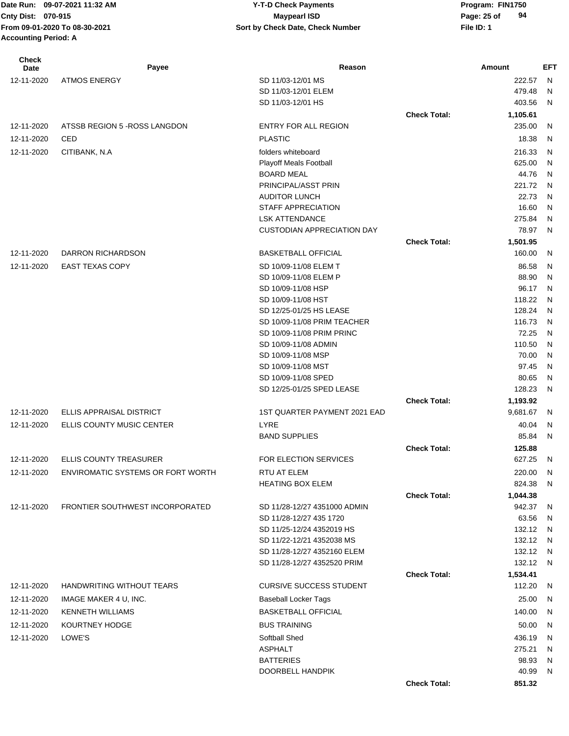# **09-07-2021 11:32 AM Y-T-D Check Payments 070-915 Maypearl ISD**

**94**

| <b>Check</b><br>Date | Payee                             | Reason                               |                     | Amount           | EFT      |
|----------------------|-----------------------------------|--------------------------------------|---------------------|------------------|----------|
| 12-11-2020           | <b>ATMOS ENERGY</b>               | SD 11/03-12/01 MS                    |                     | 222.57           | N        |
|                      |                                   | SD 11/03-12/01 ELEM                  |                     | 479.48           | N        |
|                      |                                   | SD 11/03-12/01 HS                    |                     | 403.56           | N        |
|                      |                                   |                                      | <b>Check Total:</b> | 1,105.61         |          |
| 12-11-2020           | ATSSB REGION 5 - ROSS LANGDON     | ENTRY FOR ALL REGION                 |                     | 235.00           | N        |
| 12-11-2020           | CED                               | <b>PLASTIC</b>                       |                     | 18.38            | N        |
| 12-11-2020           | CITIBANK, N.A                     | folders whiteboard                   |                     | 216.33           | N        |
|                      |                                   | <b>Playoff Meals Football</b>        |                     | 625.00           | N        |
|                      |                                   | <b>BOARD MEAL</b>                    |                     | 44.76            | N        |
|                      |                                   | PRINCIPAL/ASST PRIN                  |                     | 221.72           | N        |
|                      |                                   | <b>AUDITOR LUNCH</b>                 |                     | 22.73            | N        |
|                      |                                   | <b>STAFF APPRECIATION</b>            |                     | 16.60            | N        |
|                      |                                   | <b>LSK ATTENDANCE</b>                |                     | 275.84           | N        |
|                      |                                   | <b>CUSTODIAN APPRECIATION DAY</b>    |                     | 78.97            | N        |
|                      |                                   |                                      | <b>Check Total:</b> | 1,501.95         |          |
| 12-11-2020           | DARRON RICHARDSON                 | <b>BASKETBALL OFFICIAL</b>           |                     | 160.00           | N        |
| 12-11-2020           | <b>EAST TEXAS COPY</b>            | SD 10/09-11/08 ELEM T                |                     | 86.58            | N        |
|                      |                                   | SD 10/09-11/08 ELEM P                |                     | 88.90            | N        |
|                      |                                   | SD 10/09-11/08 HSP                   |                     | 96.17            | N        |
|                      |                                   | SD 10/09-11/08 HST                   |                     | 118.22           | N        |
|                      |                                   | SD 12/25-01/25 HS LEASE              |                     | 128.24           | N        |
|                      |                                   | SD 10/09-11/08 PRIM TEACHER          |                     | 116.73           | N        |
|                      |                                   | SD 10/09-11/08 PRIM PRINC            |                     | 72.25            | N        |
|                      |                                   | SD 10/09-11/08 ADMIN                 |                     | 110.50           | N        |
|                      |                                   | SD 10/09-11/08 MSP                   |                     | 70.00            | N        |
|                      |                                   | SD 10/09-11/08 MST                   |                     | 97.45            | N        |
|                      |                                   | SD 10/09-11/08 SPED                  |                     | 80.65            | N        |
|                      |                                   | SD 12/25-01/25 SPED LEASE            |                     | 128.23           | N        |
|                      |                                   |                                      | <b>Check Total:</b> | 1,193.92         |          |
| 12-11-2020           | ELLIS APPRAISAL DISTRICT          | 1ST QUARTER PAYMENT 2021 EAD         |                     | 9,681.67         | N        |
| 12-11-2020           | ELLIS COUNTY MUSIC CENTER         | LYRE                                 |                     | 40.04            | N        |
|                      |                                   | <b>BAND SUPPLIES</b>                 |                     | 85.84            | N        |
|                      | <b>ELLIS COUNTY TREASURER</b>     |                                      | <b>Check Total:</b> | 125.88<br>627.25 |          |
| 12-11-2020           |                                   | FOR ELECTION SERVICES                |                     |                  | - N      |
| 12-11-2020           | ENVIROMATIC SYSTEMS OR FORT WORTH | RTU AT ELEM                          |                     | 220.00 N         |          |
|                      |                                   | <b>HEATING BOX ELEM</b>              |                     | 824.38           | - N      |
| 12-11-2020           | FRONTIER SOUTHWEST INCORPORATED   | SD 11/28-12/27 4351000 ADMIN         | <b>Check Total:</b> | 1,044.38         |          |
|                      |                                   | SD 11/28-12/27 435 1720              |                     | 942.37<br>63.56  | - N<br>N |
|                      |                                   | SD 11/25-12/24 4352019 HS            |                     | 132.12           | N        |
|                      |                                   | SD 11/22-12/21 4352038 MS            |                     | 132.12 N         |          |
|                      |                                   | SD 11/28-12/27 4352160 ELEM          |                     | 132.12 N         |          |
|                      |                                   | SD 11/28-12/27 4352520 PRIM          |                     | 132.12 N         |          |
|                      |                                   |                                      | <b>Check Total:</b> | 1,534.41         |          |
| 12-11-2020           | HANDWRITING WITHOUT TEARS         | <b>CURSIVE SUCCESS STUDENT</b>       |                     | 112.20           | - N      |
| 12-11-2020           | IMAGE MAKER 4 U, INC.             | <b>Baseball Locker Tags</b>          |                     | 25.00            | N,       |
| 12-11-2020           | <b>KENNETH WILLIAMS</b>           | <b>BASKETBALL OFFICIAL</b>           |                     | 140.00           | N        |
|                      |                                   |                                      |                     |                  |          |
| 12-11-2020           | KOURTNEY HODGE                    | <b>BUS TRAINING</b>                  |                     | 50.00            | N        |
| 12-11-2020           | LOWE'S                            | Softball Shed                        |                     | 436.19           | N        |
|                      |                                   | <b>ASPHALT</b>                       |                     | 275.21           | N        |
|                      |                                   | <b>BATTERIES</b><br>DOORBELL HANDPIK |                     | 98.93<br>40.99   | N<br>N   |
|                      |                                   |                                      |                     |                  |          |

**Check Total: 851.32**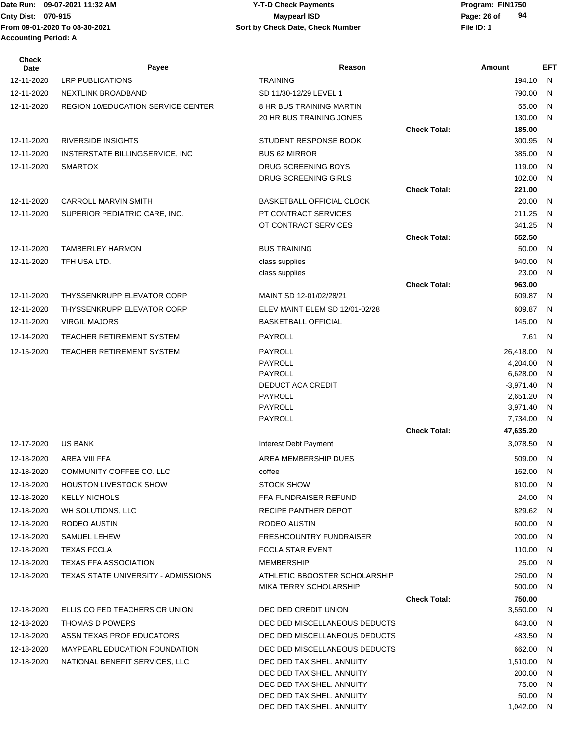#### Date Run: 09-07-2021 11:32 AM **Program: FIN1750** Y-T-D Check Payments **Cnty Dist:** 070-915 **Page: 26 of Maypearl ISD Page: 26 of 09-07-2021 11:32 AM Y-T-D Check Payments 070-915 Maypearl ISD**

| Check<br>Date | Payee                                     | Reason                                                 |                     | Amount                  | <b>EFT</b> |
|---------------|-------------------------------------------|--------------------------------------------------------|---------------------|-------------------------|------------|
| 12-11-2020    | <b>LRP PUBLICATIONS</b>                   | <b>TRAINING</b>                                        |                     | 194.10                  | N          |
| 12-11-2020    | NEXTLINK BROADBAND                        | SD 11/30-12/29 LEVEL 1                                 |                     | 790.00                  | N          |
| 12-11-2020    | <b>REGION 10/EDUCATION SERVICE CENTER</b> | <b>8 HR BUS TRAINING MARTIN</b>                        |                     | 55.00                   | N          |
|               |                                           | 20 HR BUS TRAINING JONES                               |                     | 130.00                  | N          |
|               |                                           |                                                        | <b>Check Total:</b> | 185.00                  |            |
| 12-11-2020    | <b>RIVERSIDE INSIGHTS</b>                 | STUDENT RESPONSE BOOK                                  |                     | 300.95                  | N          |
| 12-11-2020    | INSTERSTATE BILLINGSERVICE, INC           | <b>BUS 62 MIRROR</b>                                   |                     | 385.00                  | N          |
| 12-11-2020    | <b>SMARTOX</b>                            | DRUG SCREENING BOYS<br>DRUG SCREENING GIRLS            |                     | 119.00                  | N<br>N     |
|               |                                           |                                                        | <b>Check Total:</b> | 102.00<br>221.00        |            |
| 12-11-2020    | <b>CARROLL MARVIN SMITH</b>               | <b>BASKETBALL OFFICIAL CLOCK</b>                       |                     | 20.00                   | N          |
| 12-11-2020    | SUPERIOR PEDIATRIC CARE, INC.             | PT CONTRACT SERVICES                                   |                     | 211.25                  | N          |
|               |                                           | OT CONTRACT SERVICES                                   |                     | 341.25                  | N          |
|               |                                           |                                                        | <b>Check Total:</b> | 552.50                  |            |
| 12-11-2020    | <b>TAMBERLEY HARMON</b>                   | <b>BUS TRAINING</b>                                    |                     | 50.00                   | N          |
| 12-11-2020    | TFH USA LTD.                              | class supplies                                         |                     | 940.00                  | N          |
|               |                                           | class supplies                                         |                     | 23.00                   | N          |
|               |                                           |                                                        | <b>Check Total:</b> | 963.00                  |            |
| 12-11-2020    | THYSSENKRUPP ELEVATOR CORP                | MAINT SD 12-01/02/28/21                                |                     | 609.87                  | N          |
| 12-11-2020    | THYSSENKRUPP ELEVATOR CORP                | ELEV MAINT ELEM SD 12/01-02/28                         |                     | 609.87                  | N          |
| 12-11-2020    | <b>VIRGIL MAJORS</b>                      | <b>BASKETBALL OFFICIAL</b>                             |                     | 145.00                  | N          |
| 12-14-2020    | TEACHER RETIREMENT SYSTEM                 | PAYROLL                                                |                     | 7.61                    | N          |
| 12-15-2020    | TEACHER RETIREMENT SYSTEM                 | PAYROLL                                                |                     | 26,418.00               | N          |
|               |                                           | PAYROLL                                                |                     | 4,204.00                | N          |
|               |                                           | <b>PAYROLL</b><br>DEDUCT ACA CREDIT                    |                     | 6,628.00                | N          |
|               |                                           | PAYROLL                                                |                     | $-3,971.40$<br>2,651.20 | N<br>N     |
|               |                                           | PAYROLL                                                |                     | 3,971.40                | N          |
|               |                                           | PAYROLL                                                |                     | 7,734.00                | N          |
|               |                                           |                                                        | <b>Check Total:</b> | 47,635.20               |            |
| 12-17-2020    | <b>US BANK</b>                            | Interest Debt Payment                                  |                     | 3,078.50                | N          |
| 12-18-2020    | AREA VIII FFA                             | AREA MEMBERSHIP DUES                                   |                     | 509.00                  | N.         |
| 12-18-2020    | COMMUNITY COFFEE CO. LLC                  | coffee                                                 |                     | 162.00 N                |            |
| 12-18-2020    | <b>HOUSTON LIVESTOCK SHOW</b>             | STOCK SHOW                                             |                     | 810.00                  | N.         |
| 12-18-2020    | <b>KELLY NICHOLS</b>                      | <b>FFA FUNDRAISER REFUND</b>                           |                     | 24.00                   | N          |
| 12-18-2020    | WH SOLUTIONS, LLC                         | RECIPE PANTHER DEPOT                                   |                     | 829.62                  | - N        |
| 12-18-2020    | RODEO AUSTIN                              | RODEO AUSTIN                                           |                     | 600.00                  | N          |
| 12-18-2020    | SAMUEL LEHEW                              | <b>FRESHCOUNTRY FUNDRAISER</b>                         |                     | 200.00                  | N          |
| 12-18-2020    | <b>TEXAS FCCLA</b>                        | FCCLA STAR EVENT                                       |                     | 110.00                  | N.         |
| 12-18-2020    | <b>TEXAS FFA ASSOCIATION</b>              | MEMBERSHIP                                             |                     | 25.00                   | N          |
| 12-18-2020    | TEXAS STATE UNIVERSITY - ADMISSIONS       | ATHLETIC BBOOSTER SCHOLARSHIP                          |                     | 250.00                  | N          |
|               |                                           | MIKA TERRY SCHOLARSHIP                                 |                     | 500.00                  | N          |
|               |                                           |                                                        | <b>Check Total:</b> | 750.00                  |            |
| 12-18-2020    | ELLIS CO FED TEACHERS CR UNION            | DEC DED CREDIT UNION                                   |                     | 3,550.00                | N          |
| 12-18-2020    | THOMAS D POWERS                           | DEC DED MISCELLANEOUS DEDUCTS                          |                     | 643.00                  | N          |
| 12-18-2020    | ASSN TEXAS PROF EDUCATORS                 | DEC DED MISCELLANEOUS DEDUCTS                          |                     | 483.50                  | N          |
| 12-18-2020    | MAYPEARL EDUCATION FOUNDATION             | DEC DED MISCELLANEOUS DEDUCTS                          |                     | 662.00                  | N          |
| 12-18-2020    | NATIONAL BENEFIT SERVICES, LLC            | DEC DED TAX SHEL. ANNUITY                              |                     | 1,510.00                | N          |
|               |                                           | DEC DED TAX SHEL. ANNUITY                              |                     | 200.00                  | N          |
|               |                                           | DEC DED TAX SHEL. ANNUITY<br>DEC DED TAX SHEL. ANNUITY |                     | 75.00<br>50.00          | N<br>N     |
|               |                                           | DEC DED TAX SHEL. ANNUITY                              |                     | 1,042.00 N              |            |
|               |                                           |                                                        |                     |                         |            |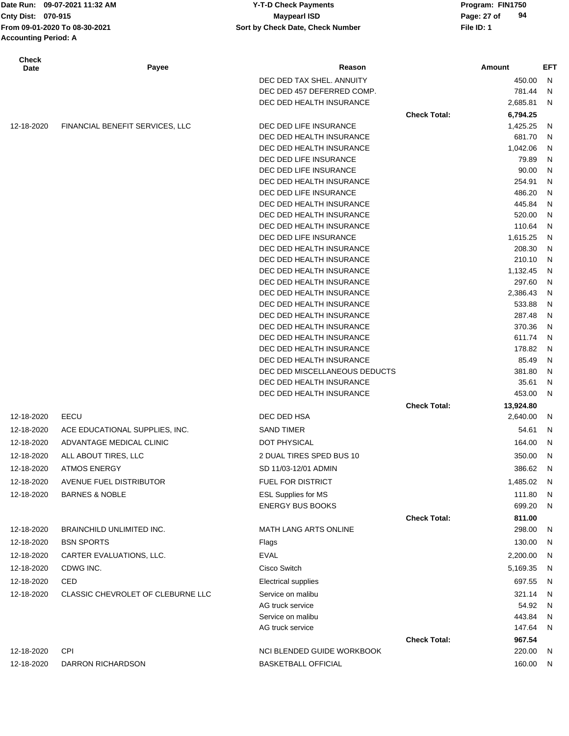Date Run: 09-07-2021 11:32 AM **Program: FIN1750** Y-T-D Check Payments **Accounting Period: A**

**Cnty Dist:** 070-915 **Page:** 27 of **From 09-01-2020 To 08-30-2021 File ID: 1 Sort by Check Date, Check Number 09-07-2021 11:32 AM Y-T-D Check Payments 070-915 Maypearl ISD**

| Check<br>Date | Payee                             | Reason                                               |                     | Amount           | EFT    |
|---------------|-----------------------------------|------------------------------------------------------|---------------------|------------------|--------|
|               |                                   | DEC DED TAX SHEL. ANNUITY                            |                     | 450.00           | N      |
|               |                                   | DEC DED 457 DEFERRED COMP.                           |                     | 781.44           | N      |
|               |                                   | DEC DED HEALTH INSURANCE                             |                     | 2,685.81         | N      |
|               |                                   |                                                      | <b>Check Total:</b> | 6,794.25         |        |
| 12-18-2020    | FINANCIAL BENEFIT SERVICES, LLC   | DEC DED LIFE INSURANCE                               |                     | 1,425.25         | N      |
|               |                                   | DEC DED HEALTH INSURANCE                             |                     | 681.70           | N      |
|               |                                   | DEC DED HEALTH INSURANCE                             |                     | 1,042.06         | N      |
|               |                                   | DEC DED LIFE INSURANCE                               |                     | 79.89            | N      |
|               |                                   | DEC DED LIFE INSURANCE                               |                     | 90.00            | N      |
|               |                                   | DEC DED HEALTH INSURANCE                             |                     | 254.91           | N      |
|               |                                   | DEC DED LIFE INSURANCE                               |                     | 486.20           | N      |
|               |                                   | DEC DED HEALTH INSURANCE                             |                     | 445.84           | N      |
|               |                                   | DEC DED HEALTH INSURANCE                             |                     | 520.00           | N      |
|               |                                   | DEC DED HEALTH INSURANCE                             |                     | 110.64           | N      |
|               |                                   | DEC DED LIFE INSURANCE                               |                     | 1,615.25         | N      |
|               |                                   | DEC DED HEALTH INSURANCE                             |                     | 208.30           | N      |
|               |                                   | DEC DED HEALTH INSURANCE                             |                     | 210.10           | N      |
|               |                                   | DEC DED HEALTH INSURANCE                             |                     | 1,132.45         | N      |
|               |                                   | DEC DED HEALTH INSURANCE                             |                     | 297.60           | N      |
|               |                                   | DEC DED HEALTH INSURANCE                             |                     | 2,386.43         | N      |
|               |                                   | DEC DED HEALTH INSURANCE                             |                     | 533.88           | N      |
|               |                                   | DEC DED HEALTH INSURANCE<br>DEC DED HEALTH INSURANCE |                     | 287.48<br>370.36 | N<br>N |
|               |                                   | DEC DED HEALTH INSURANCE                             |                     | 611.74           | N      |
|               |                                   | DEC DED HEALTH INSURANCE                             |                     | 178.82           | N      |
|               |                                   | DEC DED HEALTH INSURANCE                             |                     | 85.49            | N      |
|               |                                   | DEC DED MISCELLANEOUS DEDUCTS                        |                     | 381.80           | N      |
|               |                                   | DEC DED HEALTH INSURANCE                             |                     | 35.61            | N      |
|               |                                   | DEC DED HEALTH INSURANCE                             |                     | 453.00           | N      |
|               |                                   |                                                      | <b>Check Total:</b> | 13,924.80        |        |
| 12-18-2020    | EECU                              | DEC DED HSA                                          |                     | 2,640.00         | N      |
| 12-18-2020    | ACE EDUCATIONAL SUPPLIES, INC.    | <b>SAND TIMER</b>                                    |                     | 54.61            | N      |
| 12-18-2020    | ADVANTAGE MEDICAL CLINIC          | <b>DOT PHYSICAL</b>                                  |                     | 164.00           | N      |
|               |                                   |                                                      |                     |                  |        |
| 12-18-2020    | ALL ABOUT TIRES, LLC              | 2 DUAL TIRES SPED BUS 10                             |                     | 350.00           | N      |
| 12-18-2020    | ATMOS ENERGY                      | SD 11/03-12/01 ADMIN                                 |                     | 386.62           | N      |
| 12-18-2020    | AVENUE FUEL DISTRIBUTOR           | <b>FUEL FOR DISTRICT</b>                             |                     | 1,485.02         | - N    |
| 12-18-2020    | <b>BARNES &amp; NOBLE</b>         | <b>ESL Supplies for MS</b>                           |                     | 111.80           | N      |
|               |                                   | <b>ENERGY BUS BOOKS</b>                              |                     | 699.20           | N      |
|               |                                   |                                                      | <b>Check Total:</b> | 811.00           |        |
| 12-18-2020    | BRAINCHILD UNLIMITED INC.         | <b>MATH LANG ARTS ONLINE</b>                         |                     | 298.00           | N      |
| 12-18-2020    | <b>BSN SPORTS</b>                 | Flags                                                |                     | 130.00           | N      |
| 12-18-2020    | CARTER EVALUATIONS, LLC.          | <b>EVAL</b>                                          |                     | 2,200.00         | N,     |
| 12-18-2020    | CDWG INC.                         | Cisco Switch                                         |                     | 5,169.35         | N,     |
| 12-18-2020    | CED                               | <b>Electrical supplies</b>                           |                     | 697.55           | N      |
| 12-18-2020    | CLASSIC CHEVROLET OF CLEBURNE LLC | Service on malibu                                    |                     | 321.14           | - N    |
|               |                                   | AG truck service                                     |                     | 54.92            | N,     |
|               |                                   | Service on malibu                                    |                     | 443.84           | - N    |
|               |                                   | AG truck service                                     |                     | 147.64           | - N    |
|               |                                   |                                                      | <b>Check Total:</b> | 967.54           |        |
| 12-18-2020    | <b>CPI</b>                        | NCI BLENDED GUIDE WORKBOOK                           |                     | 220.00           | N      |
| 12-18-2020    | DARRON RICHARDSON                 | <b>BASKETBALL OFFICIAL</b>                           |                     | 160.00           | N      |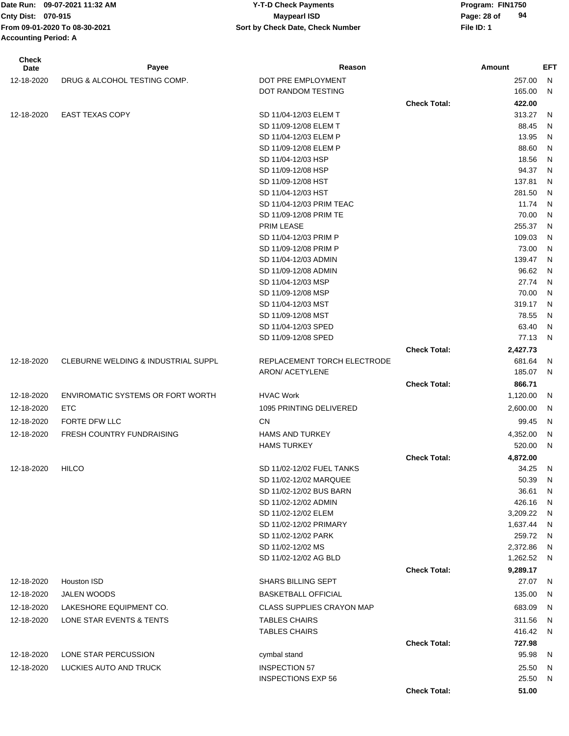| <b>Check</b><br>Date | Payee                                    | Reason                                   |                     | Amount         | EFT    |
|----------------------|------------------------------------------|------------------------------------------|---------------------|----------------|--------|
| 12-18-2020           | DRUG & ALCOHOL TESTING COMP.             | DOT PRE EMPLOYMENT                       |                     | 257.00         | N      |
|                      |                                          | DOT RANDOM TESTING                       |                     | 165.00         | N      |
|                      |                                          |                                          | <b>Check Total:</b> | 422.00         |        |
| 12-18-2020           | <b>EAST TEXAS COPY</b>                   | SD 11/04-12/03 ELEM T                    |                     | 313.27         | N      |
|                      |                                          | SD 11/09-12/08 ELEM T                    |                     | 88.45          | N      |
|                      |                                          | SD 11/04-12/03 ELEM P                    |                     | 13.95          | N      |
|                      |                                          | SD 11/09-12/08 ELEM P                    |                     | 88.60          | N      |
|                      |                                          | SD 11/04-12/03 HSP                       |                     | 18.56          | N      |
|                      |                                          | SD 11/09-12/08 HSP                       |                     | 94.37          | N      |
|                      |                                          | SD 11/09-12/08 HST                       |                     | 137.81         | N      |
|                      |                                          | SD 11/04-12/03 HST                       |                     | 281.50         | N      |
|                      |                                          | SD 11/04-12/03 PRIM TEAC                 |                     | 11.74          | N      |
|                      |                                          | SD 11/09-12/08 PRIM TE                   |                     | 70.00          | N      |
|                      |                                          | <b>PRIM LEASE</b>                        |                     | 255.37         | N      |
|                      |                                          | SD 11/04-12/03 PRIM P                    |                     | 109.03         | N      |
|                      |                                          | SD 11/09-12/08 PRIM P                    |                     | 73.00          | N      |
|                      |                                          | SD 11/04-12/03 ADMIN                     |                     | 139.47         | N      |
|                      |                                          | SD 11/09-12/08 ADMIN                     |                     | 96.62<br>27.74 | N      |
|                      |                                          | SD 11/04-12/03 MSP<br>SD 11/09-12/08 MSP |                     | 70.00          | N<br>N |
|                      |                                          | SD 11/04-12/03 MST                       |                     | 319.17         | N      |
|                      |                                          | SD 11/09-12/08 MST                       |                     | 78.55          | N      |
|                      |                                          | SD 11/04-12/03 SPED                      |                     | 63.40          | N      |
|                      |                                          | SD 11/09-12/08 SPED                      |                     | 77.13          | N      |
|                      |                                          |                                          | <b>Check Total:</b> | 2,427.73       |        |
| 12-18-2020           | CLEBURNE WELDING & INDUSTRIAL SUPPL      | REPLACEMENT TORCH ELECTRODE              |                     | 681.64         | N      |
|                      |                                          | ARON/ ACETYLENE                          |                     | 185.07         | N      |
|                      |                                          |                                          | <b>Check Total:</b> | 866.71         |        |
| 12-18-2020           | <b>ENVIROMATIC SYSTEMS OR FORT WORTH</b> | <b>HVAC Work</b>                         |                     | 1,120.00       | N      |
| 12-18-2020           | <b>ETC</b>                               | 1095 PRINTING DELIVERED                  |                     | 2,600.00       | N      |
| 12-18-2020           | FORTE DFW LLC                            | CN                                       |                     | 99.45          | N      |
| 12-18-2020           | <b>FRESH COUNTRY FUNDRAISING</b>         | <b>HAMS AND TURKEY</b>                   |                     | 4,352.00       | N      |
|                      |                                          | <b>HAMS TURKEY</b>                       |                     | 520.00         | N      |
|                      |                                          |                                          | <b>Check Total:</b> | 4,872.00       |        |
| 12-18-2020           | <b>HILCO</b>                             | SD 11/02-12/02 FUEL TANKS                |                     | 34.25          | N      |
|                      |                                          | SD 11/02-12/02 MARQUEE                   |                     | 50.39          | N      |
|                      |                                          | SD 11/02-12/02 BUS BARN                  |                     | 36.61          | N      |
|                      |                                          | SD 11/02-12/02 ADMIN                     |                     | 426.16         | N      |
|                      |                                          | SD 11/02-12/02 ELEM                      |                     | 3,209.22       | N      |
|                      |                                          | SD 11/02-12/02 PRIMARY                   |                     | 1,637.44       | N      |
|                      |                                          | SD 11/02-12/02 PARK                      |                     | 259.72         | N      |
|                      |                                          | SD 11/02-12/02 MS                        |                     | 2,372.86       | N      |
|                      |                                          | SD 11/02-12/02 AG BLD                    |                     | 1,262.52 N     |        |
|                      |                                          |                                          | <b>Check Total:</b> | 9,289.17       |        |
| 12-18-2020           | Houston ISD                              | <b>SHARS BILLING SEPT</b>                |                     | 27.07          | N,     |
| 12-18-2020           | <b>JALEN WOODS</b>                       | <b>BASKETBALL OFFICIAL</b>               |                     | 135.00         | N      |
| 12-18-2020           | LAKESHORE EQUIPMENT CO.                  | <b>CLASS SUPPLIES CRAYON MAP</b>         |                     | 683.09         | N      |
| 12-18-2020           | LONE STAR EVENTS & TENTS                 | <b>TABLES CHAIRS</b>                     |                     | 311.56         | N      |
|                      |                                          | <b>TABLES CHAIRS</b>                     |                     | 416.42         | N      |
|                      |                                          |                                          | <b>Check Total:</b> | 727.98         |        |
| 12-18-2020           | LONE STAR PERCUSSION                     | cymbal stand                             |                     | 95.98          | N      |
| 12-18-2020           | LUCKIES AUTO AND TRUCK                   | <b>INSPECTION 57</b>                     |                     | 25.50          | N      |
|                      |                                          | <b>INSPECTIONS EXP 56</b>                |                     | 25.50          | N      |
|                      |                                          |                                          | <b>Check Total:</b> | 51.00          |        |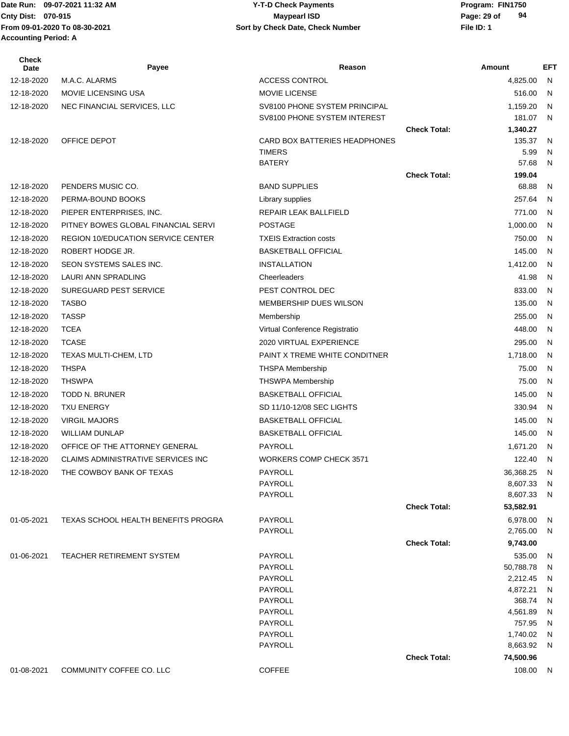#### Date Run: 09-07-2021 11:32 AM **Program: FIN1750** Y-T-D Check Payments **Cnty Dist:** 070-915 **Page: 29 of Maypearl ISD Page: 29 of 09-07-2021 11:32 AM Y-T-D Check Payments 070-915 Maypearl ISD**

| Check<br>Date | Payee                                      | Reason                         |                     | Amount                | EFT          |
|---------------|--------------------------------------------|--------------------------------|---------------------|-----------------------|--------------|
| 12-18-2020    | M.A.C. ALARMS                              | <b>ACCESS CONTROL</b>          |                     | 4,825.00              | N            |
| 12-18-2020    | <b>MOVIE LICENSING USA</b>                 | <b>MOVIE LICENSE</b>           |                     | 516.00                | N            |
| 12-18-2020    | NEC FINANCIAL SERVICES, LLC                | SV8100 PHONE SYSTEM PRINCIPAL  |                     | 1,159.20              | $\mathsf{N}$ |
|               |                                            | SV8100 PHONE SYSTEM INTEREST   |                     | 181.07                | - N          |
|               |                                            |                                | <b>Check Total:</b> | 1,340.27              |              |
| 12-18-2020    | OFFICE DEPOT                               | CARD BOX BATTERIES HEADPHONES  |                     | 135.37                | N            |
|               |                                            | <b>TIMERS</b>                  |                     | 5.99                  | N            |
|               |                                            | <b>BATERY</b>                  |                     | 57.68                 | N            |
| 12-18-2020    | PENDERS MUSIC CO.                          | <b>BAND SUPPLIES</b>           | <b>Check Total:</b> | 199.04<br>68.88       | N            |
| 12-18-2020    | PERMA-BOUND BOOKS                          | Library supplies               |                     | 257.64                | N            |
| 12-18-2020    | PIEPER ENTERPRISES, INC.                   | REPAIR LEAK BALLFIELD          |                     | 771.00                | N            |
| 12-18-2020    | PITNEY BOWES GLOBAL FINANCIAL SERVI        | <b>POSTAGE</b>                 |                     | 1,000.00              | N            |
| 12-18-2020    | <b>REGION 10/EDUCATION SERVICE CENTER</b>  | <b>TXEIS Extraction costs</b>  |                     | 750.00                | N            |
| 12-18-2020    | ROBERT HODGE JR.                           | <b>BASKETBALL OFFICIAL</b>     |                     | 145.00                | $\mathsf{N}$ |
| 12-18-2020    | SEON SYSTEMS SALES INC.                    | <b>INSTALLATION</b>            |                     | 1,412.00              | N            |
| 12-18-2020    | LAURI ANN SPRADLING                        | Cheerleaders                   |                     | 41.98                 | N            |
| 12-18-2020    | SUREGUARD PEST SERVICE                     | PEST CONTROL DEC               |                     | 833.00                | N            |
| 12-18-2020    | <b>TASBO</b>                               | MEMBERSHIP DUES WILSON         |                     | 135.00                | N            |
| 12-18-2020    | <b>TASSP</b>                               | Membership                     |                     | 255.00                | N.           |
| 12-18-2020    | <b>TCEA</b>                                | Virtual Conference Registratio |                     | 448.00                | N            |
| 12-18-2020    | <b>TCASE</b>                               | 2020 VIRTUAL EXPERIENCE        |                     | 295.00                | N            |
| 12-18-2020    | TEXAS MULTI-CHEM, LTD                      | PAINT X TREME WHITE CONDITNER  |                     | 1,718.00              | N            |
| 12-18-2020    | <b>THSPA</b>                               | <b>THSPA Membership</b>        |                     | 75.00                 | N            |
| 12-18-2020    | <b>THSWPA</b>                              | <b>THSWPA Membership</b>       |                     | 75.00                 | N            |
| 12-18-2020    | <b>TODD N. BRUNER</b>                      | <b>BASKETBALL OFFICIAL</b>     |                     | 145.00                | N.           |
| 12-18-2020    | <b>TXU ENERGY</b>                          | SD 11/10-12/08 SEC LIGHTS      |                     | 330.94                | N            |
| 12-18-2020    | <b>VIRGIL MAJORS</b>                       | <b>BASKETBALL OFFICIAL</b>     |                     | 145.00                | N            |
| 12-18-2020    | <b>WILLIAM DUNLAP</b>                      | <b>BASKETBALL OFFICIAL</b>     |                     | 145.00                | N            |
| 12-18-2020    | OFFICE OF THE ATTORNEY GENERAL             | PAYROLL                        |                     | 1,671.20              | - N          |
| 12-18-2020    | <b>CLAIMS ADMINISTRATIVE SERVICES INC.</b> | WORKERS COMP CHECK 3571        |                     | 122.40                | - N          |
| 12-18-2020    | THE COWBOY BANK OF TEXAS                   | PAYROLL                        |                     | 36,368.25 N           |              |
|               |                                            | PAYROLL                        |                     | 8,607.33              | N            |
|               |                                            | PAYROLL                        |                     | 8,607.33              | N            |
|               |                                            |                                | <b>Check Total:</b> | 53,582.91             |              |
| 01-05-2021    | <b>TEXAS SCHOOL HEALTH BENEFITS PROGRA</b> | PAYROLL                        |                     | 6,978.00              | N            |
|               |                                            | PAYROLL                        |                     | 2,765.00              | N            |
|               |                                            |                                | <b>Check Total:</b> | 9,743.00              |              |
| 01-06-2021    | <b>TEACHER RETIREMENT SYSTEM</b>           | PAYROLL                        |                     | 535.00                | N            |
|               |                                            | PAYROLL<br>PAYROLL             |                     | 50,788.78<br>2,212.45 | N            |
|               |                                            | PAYROLL                        |                     | 4,872.21              | N<br>N       |
|               |                                            | PAYROLL                        |                     | 368.74                | N            |
|               |                                            | PAYROLL                        |                     | 4,561.89              | N            |
|               |                                            | PAYROLL                        |                     | 757.95                | N            |
|               |                                            | PAYROLL                        |                     | 1,740.02              | N            |
|               |                                            | PAYROLL                        |                     | 8,663.92              | N            |
|               |                                            |                                | <b>Check Total:</b> | 74,500.96             |              |
| 01-08-2021    | COMMUNITY COFFEE CO. LLC                   | <b>COFFEE</b>                  |                     | 108.00                | N            |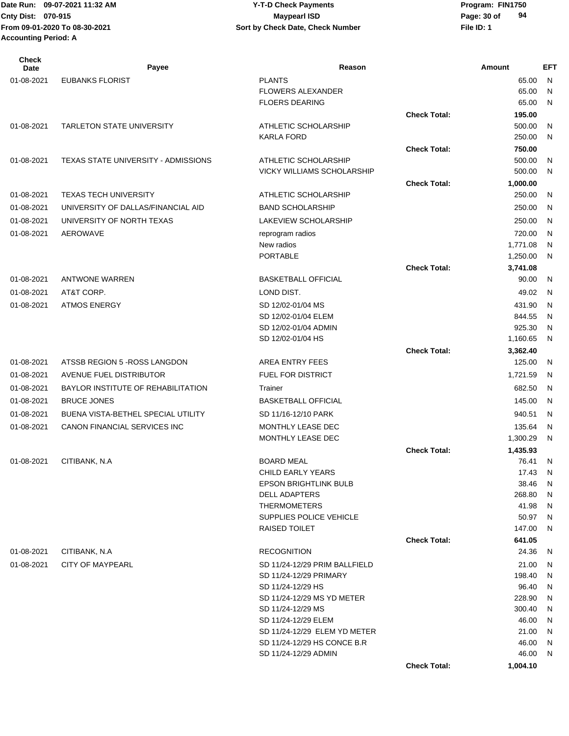| <b>Check</b><br>Date | Payee                               | Reason                                                  |                     | Amount             | <b>EFT</b>   |
|----------------------|-------------------------------------|---------------------------------------------------------|---------------------|--------------------|--------------|
| 01-08-2021           | <b>EUBANKS FLORIST</b>              | <b>PLANTS</b>                                           |                     | 65.00              | N            |
|                      |                                     | <b>FLOWERS ALEXANDER</b>                                |                     | 65.00              | N            |
|                      |                                     | <b>FLOERS DEARING</b>                                   |                     | 65.00              | N            |
|                      |                                     |                                                         | <b>Check Total:</b> | 195.00             |              |
| 01-08-2021           | <b>TARLETON STATE UNIVERSITY</b>    | ATHLETIC SCHOLARSHIP                                    |                     | 500.00             | N            |
|                      |                                     | <b>KARLA FORD</b>                                       |                     | 250.00             | N            |
|                      |                                     |                                                         | <b>Check Total:</b> | 750.00             |              |
| 01-08-2021           | TEXAS STATE UNIVERSITY - ADMISSIONS | ATHLETIC SCHOLARSHIP                                    |                     | 500.00             | N            |
|                      |                                     | <b>VICKY WILLIAMS SCHOLARSHIP</b>                       | <b>Check Total:</b> | 500.00             | N            |
| 01-08-2021           | <b>TEXAS TECH UNIVERSITY</b>        | ATHLETIC SCHOLARSHIP                                    |                     | 1,000.00<br>250.00 | N            |
| 01-08-2021           | UNIVERSITY OF DALLAS/FINANCIAL AID  | <b>BAND SCHOLARSHIP</b>                                 |                     | 250.00             | N            |
|                      |                                     |                                                         |                     |                    |              |
| 01-08-2021           | UNIVERSITY OF NORTH TEXAS           | LAKEVIEW SCHOLARSHIP                                    |                     | 250.00             | N            |
| 01-08-2021           | AEROWAVE                            | reprogram radios<br>New radios                          |                     | 720.00<br>1,771.08 | N<br>N       |
|                      |                                     | <b>PORTABLE</b>                                         |                     | 1,250.00           | N            |
|                      |                                     |                                                         | <b>Check Total:</b> | 3,741.08           |              |
| 01-08-2021           | <b>ANTWONE WARREN</b>               | <b>BASKETBALL OFFICIAL</b>                              |                     | 90.00              | $\mathsf{N}$ |
| 01-08-2021           | AT&T CORP.                          | LOND DIST.                                              |                     | 49.02              | N            |
| 01-08-2021           | <b>ATMOS ENERGY</b>                 | SD 12/02-01/04 MS                                       |                     | 431.90             | N            |
|                      |                                     | SD 12/02-01/04 ELEM                                     |                     | 844.55             | N            |
|                      |                                     | SD 12/02-01/04 ADMIN                                    |                     | 925.30             | N            |
|                      |                                     | SD 12/02-01/04 HS                                       |                     | 1,160.65           | N            |
|                      |                                     |                                                         | <b>Check Total:</b> | 3,362.40           |              |
| 01-08-2021           | ATSSB REGION 5 - ROSS LANGDON       | AREA ENTRY FEES                                         |                     | 125.00             | N            |
| 01-08-2021           | AVENUE FUEL DISTRIBUTOR             | FUEL FOR DISTRICT                                       |                     | 1,721.59           | N            |
| 01-08-2021           | BAYLOR INSTITUTE OF REHABILITATION  | Trainer                                                 |                     | 682.50             | N            |
| 01-08-2021           | <b>BRUCE JONES</b>                  | <b>BASKETBALL OFFICIAL</b>                              |                     | 145.00             | N            |
| 01-08-2021           | BUENA VISTA-BETHEL SPECIAL UTILITY  | SD 11/16-12/10 PARK                                     |                     | 940.51             | N            |
| 01-08-2021           | CANON FINANCIAL SERVICES INC        | <b>MONTHLY LEASE DEC</b>                                |                     | 135.64             | N            |
|                      |                                     | <b>MONTHLY LEASE DEC</b>                                |                     | 1,300.29           | N            |
|                      |                                     |                                                         | <b>Check Total:</b> | 1,435.93           |              |
| 01-08-2021           | CITIBANK, N.A                       | <b>BOARD MEAL</b>                                       |                     | 76.41              | N            |
|                      |                                     | CHILD EARLY YEARS                                       |                     | 17.43              | N            |
|                      |                                     | <b>EPSON BRIGHTLINK BULB</b>                            |                     | 38.46              | N            |
|                      |                                     | <b>DELL ADAPTERS</b>                                    |                     | 268.80             | N            |
|                      |                                     | <b>THERMOMETERS</b>                                     |                     | 41.98              | $\mathsf{N}$ |
|                      |                                     | SUPPLIES POLICE VEHICLE                                 |                     | 50.97              | N            |
|                      |                                     | RAISED TOILET                                           |                     | 147.00             | N            |
| 01-08-2021           | CITIBANK, N.A.                      | <b>RECOGNITION</b>                                      | <b>Check Total:</b> | 641.05<br>24.36    | N            |
|                      |                                     |                                                         |                     |                    |              |
| 01-08-2021           | <b>CITY OF MAYPEARL</b>             | SD 11/24-12/29 PRIM BALLFIELD<br>SD 11/24-12/29 PRIMARY |                     | 21.00<br>198.40    | N<br>N       |
|                      |                                     | SD 11/24-12/29 HS                                       |                     | 96.40              | $\mathsf{N}$ |
|                      |                                     | SD 11/24-12/29 MS YD METER                              |                     | 228.90             | N            |
|                      |                                     | SD 11/24-12/29 MS                                       |                     | 300.40             | N            |
|                      |                                     | SD 11/24-12/29 ELEM                                     |                     | 46.00              | $\mathsf{N}$ |
|                      |                                     | SD 11/24-12/29 ELEM YD METER                            |                     | 21.00              | $\mathsf{N}$ |
|                      |                                     | SD 11/24-12/29 HS CONCE B.R                             |                     | 46.00              | N            |
|                      |                                     | SD 11/24-12/29 ADMIN                                    |                     | 46.00              | N            |
|                      |                                     |                                                         | <b>Check Total:</b> | 1,004.10           |              |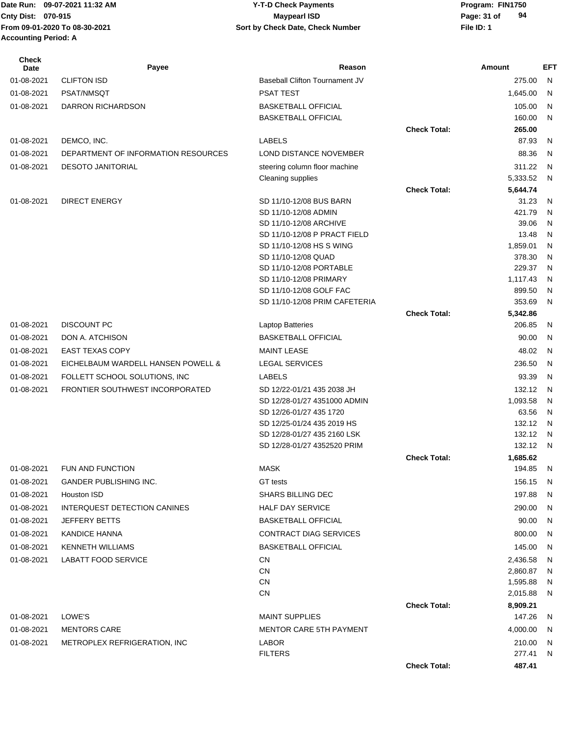# **Cnty Dist:** 070-915 **Page: 31 of** Maypearl ISD **Page: 31 of 09-07-2021 11:32 AM Y-T-D Check Payments 070-915 Maypearl ISD**

| <b>Check</b><br>Date | Payee                               | Reason                                                    |                     | Amount            | EFT    |
|----------------------|-------------------------------------|-----------------------------------------------------------|---------------------|-------------------|--------|
| 01-08-2021           | <b>CLIFTON ISD</b>                  | Baseball Clifton Tournament JV                            |                     | 275.00            | N      |
| 01-08-2021           | PSAT/NMSQT                          | <b>PSAT TEST</b>                                          |                     | 1,645.00          | N      |
| 01-08-2021           | DARRON RICHARDSON                   | <b>BASKETBALL OFFICIAL</b>                                |                     | 105.00            | N      |
|                      |                                     | <b>BASKETBALL OFFICIAL</b>                                |                     | 160.00            | N      |
|                      |                                     |                                                           | <b>Check Total:</b> | 265.00            |        |
| 01-08-2021           | DEMCO, INC.                         | <b>LABELS</b>                                             |                     | 87.93             | N      |
| 01-08-2021           | DEPARTMENT OF INFORMATION RESOURCES | LOND DISTANCE NOVEMBER                                    |                     | 88.36             | N      |
| 01-08-2021           | <b>DESOTO JANITORIAL</b>            | steering column floor machine                             |                     | 311.22            | N      |
|                      |                                     | Cleaning supplies                                         |                     | 5,333.52          | N      |
|                      |                                     |                                                           | <b>Check Total:</b> | 5,644.74          |        |
| 01-08-2021           | <b>DIRECT ENERGY</b>                | SD 11/10-12/08 BUS BARN                                   |                     | 31.23             | N      |
|                      |                                     | SD 11/10-12/08 ADMIN                                      |                     | 421.79            | N      |
|                      |                                     | SD 11/10-12/08 ARCHIVE                                    |                     | 39.06             | N      |
|                      |                                     | SD 11/10-12/08 P PRACT FIELD<br>SD 11/10-12/08 HS S WING  |                     | 13.48<br>1,859.01 | N<br>N |
|                      |                                     | SD 11/10-12/08 QUAD                                       |                     | 378.30            | N      |
|                      |                                     | SD 11/10-12/08 PORTABLE                                   |                     | 229.37            | N      |
|                      |                                     | SD 11/10-12/08 PRIMARY                                    |                     | 1,117.43          | N      |
|                      |                                     | SD 11/10-12/08 GOLF FAC                                   |                     | 899.50            | N      |
|                      |                                     | SD 11/10-12/08 PRIM CAFETERIA                             |                     | 353.69            | N      |
|                      |                                     |                                                           | <b>Check Total:</b> | 5,342.86          |        |
| 01-08-2021           | <b>DISCOUNT PC</b>                  | Laptop Batteries                                          |                     | 206.85            | N      |
| 01-08-2021           | DON A. ATCHISON                     | <b>BASKETBALL OFFICIAL</b>                                |                     | 90.00             | N      |
| 01-08-2021           | <b>EAST TEXAS COPY</b>              | <b>MAINT LEASE</b>                                        |                     | 48.02             | N      |
| 01-08-2021           | EICHELBAUM WARDELL HANSEN POWELL &  | <b>LEGAL SERVICES</b>                                     |                     | 236.50            | N      |
| 01-08-2021           | FOLLETT SCHOOL SOLUTIONS, INC       | <b>LABELS</b>                                             |                     | 93.39             | N      |
| 01-08-2021           | FRONTIER SOUTHWEST INCORPORATED     | SD 12/22-01/21 435 2038 JH                                |                     | 132.12            | N      |
|                      |                                     | SD 12/28-01/27 4351000 ADMIN                              |                     | 1,093.58          | N      |
|                      |                                     | SD 12/26-01/27 435 1720                                   |                     | 63.56             | N      |
|                      |                                     | SD 12/25-01/24 435 2019 HS<br>SD 12/28-01/27 435 2160 LSK |                     | 132.12<br>132.12  | N<br>N |
|                      |                                     | SD 12/28-01/27 4352520 PRIM                               |                     | 132.12            | N      |
|                      |                                     |                                                           | <b>Check Total:</b> | 1,685.62          |        |
| 01-08-2021           | FUN AND FUNCTION                    | <b>MASK</b>                                               |                     | 194.85            | N      |
| 01-08-2021           | GANDER PUBLISHING INC.              | GT tests                                                  |                     | 156.15            | N,     |
| 01-08-2021           | Houston ISD                         | SHARS BILLING DEC                                         |                     | 197.88            | N      |
| 01-08-2021           | INTERQUEST DETECTION CANINES        | <b>HALF DAY SERVICE</b>                                   |                     | 290.00            | N      |
| 01-08-2021           | <b>JEFFERY BETTS</b>                | <b>BASKETBALL OFFICIAL</b>                                |                     | 90.00             | N      |
| 01-08-2021           | <b>KANDICE HANNA</b>                | <b>CONTRACT DIAG SERVICES</b>                             |                     | 800.00            | N      |
| 01-08-2021           | <b>KENNETH WILLIAMS</b>             | BASKETBALL OFFICIAL                                       |                     | 145.00            | N      |
| 01-08-2021           | <b>LABATT FOOD SERVICE</b>          | CN                                                        |                     | 2,436.58          | N      |
|                      |                                     | <b>CN</b>                                                 |                     | 2,860.87          | N      |
|                      |                                     | CN                                                        |                     | 1,595.88          | N      |
|                      |                                     | CN                                                        |                     | 2,015.88          | N      |
|                      |                                     |                                                           | <b>Check Total:</b> | 8,909.21          |        |
| 01-08-2021           | LOWE'S                              | <b>MAINT SUPPLIES</b>                                     |                     | 147.26            | N      |
| 01-08-2021           | <b>MENTORS CARE</b>                 | <b>MENTOR CARE 5TH PAYMENT</b>                            |                     | 4,000.00          | N      |
| 01-08-2021           | METROPLEX REFRIGERATION, INC        | <b>LABOR</b>                                              |                     | 210.00            | N      |
|                      |                                     | <b>FILTERS</b>                                            |                     | 277.41            | N      |
|                      |                                     |                                                           | <b>Check Total:</b> | 487.41            |        |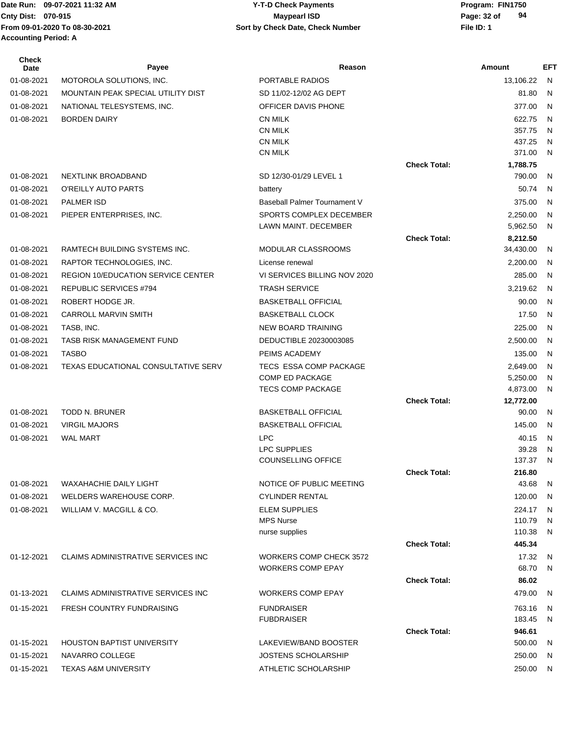Date Run: 09-07-2021 11:32 AM **Date Runity Constructs Are Structure Constructs** Program: FIN1750 **From 09-01-2020 To 08-30-2021 File ID: 1 Sort by Check Date, Check Number Accounting Period: A**

# **Cnty Dist:** 070-915 **Page: 32 of** Maypearl ISD **Page: 32 of 09-07-2021 11:32 AM Y-T-D Check Payments 070-915 Maypearl ISD**

| <b>Check</b><br>Date | Payee                                     | Reason                         |                     | Amount           | EFT          |
|----------------------|-------------------------------------------|--------------------------------|---------------------|------------------|--------------|
| 01-08-2021           | MOTOROLA SOLUTIONS, INC.                  | PORTABLE RADIOS                |                     | 13,106.22        | -N           |
| 01-08-2021           | MOUNTAIN PEAK SPECIAL UTILITY DIST        | SD 11/02-12/02 AG DEPT         |                     | 81.80            | N            |
| 01-08-2021           | NATIONAL TELESYSTEMS, INC.                | OFFICER DAVIS PHONE            |                     | 377.00           | N            |
| 01-08-2021           | <b>BORDEN DAIRY</b>                       | <b>CN MILK</b>                 |                     | 622.75           | N            |
|                      |                                           | <b>CN MILK</b>                 |                     | 357.75           | N            |
|                      |                                           | <b>CN MILK</b>                 |                     | 437.25           | N            |
|                      |                                           | <b>CN MILK</b>                 |                     | 371.00           | N            |
|                      |                                           |                                | <b>Check Total:</b> | 1,788.75         |              |
| 01-08-2021           | NEXTLINK BROADBAND                        | SD 12/30-01/29 LEVEL 1         |                     | 790.00           | N            |
| 01-08-2021           | O'REILLY AUTO PARTS                       | battery                        |                     | 50.74            | N            |
| 01-08-2021           | <b>PALMER ISD</b>                         | Baseball Palmer Tournament V   |                     | 375.00           | N            |
| 01-08-2021           | PIEPER ENTERPRISES, INC.                  | SPORTS COMPLEX DECEMBER        |                     | 2,250.00         | N            |
|                      |                                           | LAWN MAINT. DECEMBER           |                     | 5,962.50         | N            |
|                      |                                           |                                | <b>Check Total:</b> | 8,212.50         |              |
| 01-08-2021           | RAMTECH BUILDING SYSTEMS INC.             | <b>MODULAR CLASSROOMS</b>      |                     | 34,430.00        | N            |
| 01-08-2021           | RAPTOR TECHNOLOGIES, INC.                 | License renewal                |                     | 2,200.00         | N            |
| 01-08-2021           | <b>REGION 10/EDUCATION SERVICE CENTER</b> | VI SERVICES BILLING NOV 2020   |                     | 285.00           | N            |
| 01-08-2021           | <b>REPUBLIC SERVICES #794</b>             | <b>TRASH SERVICE</b>           |                     | 3,219.62         | N            |
| 01-08-2021           | ROBERT HODGE JR.                          | <b>BASKETBALL OFFICIAL</b>     |                     | 90.00            | N            |
| 01-08-2021           | <b>CARROLL MARVIN SMITH</b>               | <b>BASKETBALL CLOCK</b>        |                     | 17.50            | $\mathsf{N}$ |
| 01-08-2021           | TASB, INC.                                | NEW BOARD TRAINING             |                     | 225.00           | N            |
| 01-08-2021           | TASB RISK MANAGEMENT FUND                 | DEDUCTIBLE 20230003085         |                     | 2,500.00         | N            |
| 01-08-2021           | <b>TASBO</b>                              | PEIMS ACADEMY                  |                     | 135.00           | N            |
| 01-08-2021           | TEXAS EDUCATIONAL CONSULTATIVE SERV       | TECS ESSA COMP PACKAGE         |                     | 2,649.00         | N            |
|                      |                                           | <b>COMP ED PACKAGE</b>         |                     | 5,250.00         | N            |
|                      |                                           | <b>TECS COMP PACKAGE</b>       |                     | 4,873.00         | N            |
|                      |                                           |                                | <b>Check Total:</b> | 12,772.00        |              |
| 01-08-2021           | <b>TODD N. BRUNER</b>                     | <b>BASKETBALL OFFICIAL</b>     |                     | 90.00            | N            |
| 01-08-2021           | <b>VIRGIL MAJORS</b>                      | <b>BASKETBALL OFFICIAL</b>     |                     | 145.00           | N            |
| 01-08-2021           | <b>WAL MART</b>                           | <b>LPC</b>                     |                     | 40.15            | N            |
|                      |                                           | <b>LPC SUPPLIES</b>            |                     | 39.28            | N            |
|                      |                                           | <b>COUNSELLING OFFICE</b>      |                     | 137.37           | N            |
| 01-08-2021           | <b>WAXAHACHIE DAILY LIGHT</b>             | NOTICE OF PUBLIC MEETING       | <b>Check Total:</b> | 216.80<br>43.68  | N            |
|                      | WELDERS WAREHOUSE CORP.                   | <b>CYLINDER RENTAL</b>         |                     | 120.00           |              |
| 01-08-2021           |                                           | <b>ELEM SUPPLIES</b>           |                     |                  | N            |
| 01-08-2021           | WILLIAM V. MACGILL & CO.                  | <b>MPS Nurse</b>               |                     | 224.17<br>110.79 | N<br>N       |
|                      |                                           | nurse supplies                 |                     | 110.38           | N            |
|                      |                                           |                                | <b>Check Total:</b> | 445.34           |              |
| 01-12-2021           | <b>CLAIMS ADMINISTRATIVE SERVICES INC</b> | <b>WORKERS COMP CHECK 3572</b> |                     | 17.32            | N            |
|                      |                                           | <b>WORKERS COMP EPAY</b>       |                     | 68.70            | N            |
|                      |                                           |                                | <b>Check Total:</b> | 86.02            |              |
| 01-13-2021           | <b>CLAIMS ADMINISTRATIVE SERVICES INC</b> | <b>WORKERS COMP EPAY</b>       |                     | 479.00           | N            |
| 01-15-2021           | <b>FRESH COUNTRY FUNDRAISING</b>          | <b>FUNDRAISER</b>              |                     | 763.16           | N            |
|                      |                                           | <b>FUBDRAISER</b>              |                     | 183.45           | N            |
|                      |                                           |                                | <b>Check Total:</b> | 946.61           |              |
| 01-15-2021           | <b>HOUSTON BAPTIST UNIVERSITY</b>         | LAKEVIEW/BAND BOOSTER          |                     | 500.00           | <sub>N</sub> |
| 01-15-2021           | NAVARRO COLLEGE                           | <b>JOSTENS SCHOLARSHIP</b>     |                     | 250.00           | N            |
| 01-15-2021           | <b>TEXAS A&amp;M UNIVERSITY</b>           | ATHLETIC SCHOLARSHIP           |                     | 250.00           | N            |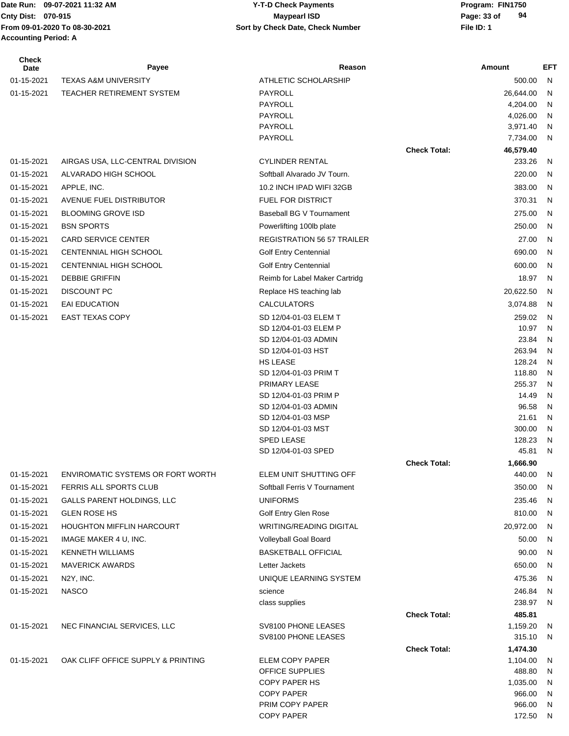# **Accounting Period: A**

#### Date Run: 09-07-2021 11:32 AM **Program: FIN1750** Y-T-D Check Payments **Cnty Dist:** 070-915 **Page: 33 of** Maypearl ISD **Page: 33 of From 09-01-2020 To 08-30-2021 File ID: 1 Sort by Check Date, Check Number 09-07-2021 11:32 AM Y-T-D Check Payments 070-915 Maypearl ISD**

| <b>Check</b><br>Date | Payee                              | Reason                                        |                     | Amount              | EFT    |
|----------------------|------------------------------------|-----------------------------------------------|---------------------|---------------------|--------|
| 01-15-2021           | <b>TEXAS A&amp;M UNIVERSITY</b>    | ATHLETIC SCHOLARSHIP                          |                     | 500.00              | N      |
| 01-15-2021           | <b>TEACHER RETIREMENT SYSTEM</b>   | <b>PAYROLL</b>                                |                     | 26,644.00           | N      |
|                      |                                    | <b>PAYROLL</b>                                |                     | 4,204.00            | N      |
|                      |                                    | <b>PAYROLL</b>                                |                     | 4,026.00            | N      |
|                      |                                    | <b>PAYROLL</b>                                |                     | 3,971.40            | N      |
|                      |                                    | PAYROLL                                       | <b>Check Total:</b> | 7,734.00            | N      |
| 01-15-2021           | AIRGAS USA, LLC-CENTRAL DIVISION   | <b>CYLINDER RENTAL</b>                        |                     | 46,579.40<br>233.26 | N      |
| 01-15-2021           | ALVARADO HIGH SCHOOL               | Softball Alvarado JV Tourn.                   |                     | 220.00              | N      |
| 01-15-2021           | APPLE, INC.                        | 10.2 INCH IPAD WIFI 32GB                      |                     | 383.00              | N      |
|                      | AVENUE FUEL DISTRIBUTOR            | <b>FUEL FOR DISTRICT</b>                      |                     | 370.31              | N      |
| 01-15-2021           |                                    |                                               |                     |                     |        |
| 01-15-2021           | <b>BLOOMING GROVE ISD</b>          | Baseball BG V Tournament                      |                     | 275.00              | N      |
| 01-15-2021           | <b>BSN SPORTS</b>                  | Powerlifting 100lb plate                      |                     | 250.00              | N      |
| 01-15-2021           | <b>CARD SERVICE CENTER</b>         | <b>REGISTRATION 56 57 TRAILER</b>             |                     | 27.00               | N      |
| 01-15-2021           | CENTENNIAL HIGH SCHOOL             | <b>Golf Entry Centennial</b>                  |                     | 690.00              | N      |
| 01-15-2021           | <b>CENTENNIAL HIGH SCHOOL</b>      | <b>Golf Entry Centennial</b>                  |                     | 600.00              | N      |
| 01-15-2021           | <b>DEBBIE GRIFFIN</b>              | Reimb for Label Maker Cartridg                |                     | 18.97               | N      |
| 01-15-2021           | <b>DISCOUNT PC</b>                 | Replace HS teaching lab                       |                     | 20,622.50           | N      |
| 01-15-2021           | <b>EAI EDUCATION</b>               | <b>CALCULATORS</b>                            |                     | 3,074.88            | N      |
| 01-15-2021           | <b>EAST TEXAS COPY</b>             | SD 12/04-01-03 ELEM T                         |                     | 259.02              | N      |
|                      |                                    | SD 12/04-01-03 ELEM P<br>SD 12/04-01-03 ADMIN |                     | 10.97               | N      |
|                      |                                    | SD 12/04-01-03 HST                            |                     | 23.84<br>263.94     | N<br>N |
|                      |                                    | <b>HS LEASE</b>                               |                     | 128.24              | N      |
|                      |                                    | SD 12/04-01-03 PRIM T                         |                     | 118.80              | N      |
|                      |                                    | PRIMARY LEASE                                 |                     | 255.37              | N      |
|                      |                                    | SD 12/04-01-03 PRIM P                         |                     | 14.49               | N      |
|                      |                                    | SD 12/04-01-03 ADMIN                          |                     | 96.58               | N      |
|                      |                                    | SD 12/04-01-03 MSP                            |                     | 21.61               | N      |
|                      |                                    | SD 12/04-01-03 MST<br>SPED LEASE              |                     | 300.00              | N      |
|                      |                                    | SD 12/04-01-03 SPED                           |                     | 128.23<br>45.81     | N<br>N |
|                      |                                    |                                               | <b>Check Total:</b> | 1,666.90            |        |
| 01-15-2021           | ENVIROMATIC SYSTEMS OR FORT WORTH  | ELEM UNIT SHUTTING OFF                        |                     | 440.00              | N      |
| 01-15-2021           | FERRIS ALL SPORTS CLUB             | Softball Ferris V Tournament                  |                     | 350.00              | N      |
| 01-15-2021           | <b>GALLS PARENT HOLDINGS, LLC</b>  | <b>UNIFORMS</b>                               |                     | 235.46              | N      |
| 01-15-2021           | <b>GLEN ROSE HS</b>                | Golf Entry Glen Rose                          |                     | 810.00              | N      |
| 01-15-2021           | <b>HOUGHTON MIFFLIN HARCOURT</b>   | <b>WRITING/READING DIGITAL</b>                |                     | 20,972.00           | N      |
| 01-15-2021           | IMAGE MAKER 4 U, INC.              | Volleyball Goal Board                         |                     | 50.00               | N      |
| 01-15-2021           | <b>KENNETH WILLIAMS</b>            | <b>BASKETBALL OFFICIAL</b>                    |                     | 90.00               | N      |
| 01-15-2021           | <b>MAVERICK AWARDS</b>             | Letter Jackets                                |                     | 650.00              | N      |
| 01-15-2021           | N2Y, INC.                          | UNIQUE LEARNING SYSTEM                        |                     | 475.36              | N      |
| 01-15-2021           | <b>NASCO</b>                       | science                                       |                     | 246.84              | N      |
|                      |                                    | class supplies                                |                     | 238.97              | N      |
|                      |                                    |                                               | <b>Check Total:</b> | 485.81              |        |
| 01-15-2021           | NEC FINANCIAL SERVICES, LLC        | SV8100 PHONE LEASES                           |                     | 1,159.20            | N      |
|                      |                                    | SV8100 PHONE LEASES                           |                     | 315.10              | N      |
|                      |                                    |                                               | <b>Check Total:</b> | 1,474.30            |        |
| 01-15-2021           | OAK CLIFF OFFICE SUPPLY & PRINTING | ELEM COPY PAPER                               |                     | 1,104.00            | N      |
|                      |                                    | OFFICE SUPPLIES                               |                     | 488.80              | N      |
|                      |                                    | <b>COPY PAPER HS</b>                          |                     | 1,035.00            | N      |
|                      |                                    | <b>COPY PAPER</b><br>PRIM COPY PAPER          |                     | 966.00<br>966.00    | N<br>N |
|                      |                                    | <b>COPY PAPER</b>                             |                     | 172.50              | N      |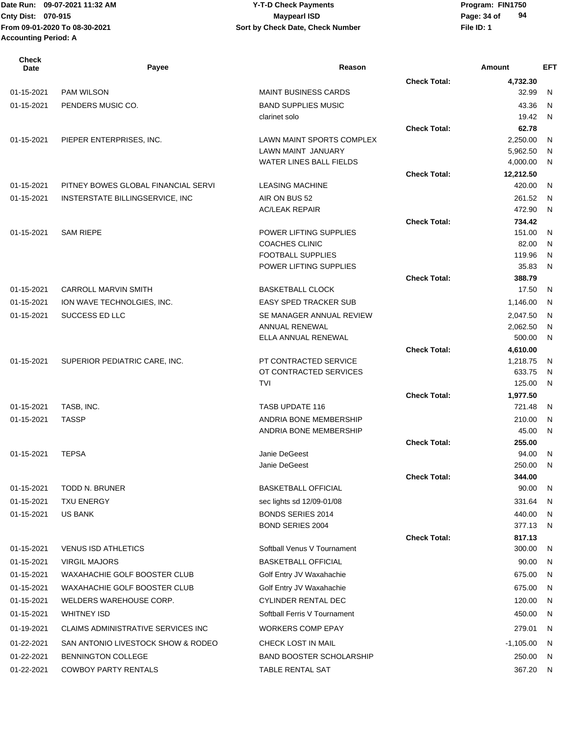## **Cnty Dist:** 070-915 **Page: 34 of** Maypearl ISD **CONTEX 1999 Page: 34 of** Page: 34 of **09-07-2021 11:32 AM Y-T-D Check Payments 070-915 Maypearl ISD**

| <b>Check</b><br>Date | Payee                               | Reason                                          |                     | Amount               | <b>EFT</b>   |
|----------------------|-------------------------------------|-------------------------------------------------|---------------------|----------------------|--------------|
|                      |                                     |                                                 | <b>Check Total:</b> | 4,732.30             |              |
| 01-15-2021           | <b>PAM WILSON</b>                   | <b>MAINT BUSINESS CARDS</b>                     |                     | 32.99                | N            |
| 01-15-2021           | PENDERS MUSIC CO.                   | <b>BAND SUPPLIES MUSIC</b>                      |                     | 43.36                | N            |
|                      |                                     | clarinet solo                                   |                     | 19.42                | N            |
|                      |                                     |                                                 | <b>Check Total:</b> | 62.78                |              |
| 01-15-2021           | PIEPER ENTERPRISES, INC.            | LAWN MAINT SPORTS COMPLEX<br>LAWN MAINT JANUARY |                     | 2,250.00<br>5,962.50 | N            |
|                      |                                     | <b>WATER LINES BALL FIELDS</b>                  |                     | 4,000.00             | N<br>N       |
|                      |                                     |                                                 | <b>Check Total:</b> | 12,212.50            |              |
| 01-15-2021           | PITNEY BOWES GLOBAL FINANCIAL SERVI | <b>LEASING MACHINE</b>                          |                     | 420.00               | N            |
| 01-15-2021           | INSTERSTATE BILLINGSERVICE, INC     | AIR ON BUS 52                                   |                     | 261.52               | N            |
|                      |                                     | <b>AC/LEAK REPAIR</b>                           |                     | 472.90               | N            |
|                      |                                     |                                                 | <b>Check Total:</b> | 734.42               |              |
| 01-15-2021           | <b>SAM RIEPE</b>                    | POWER LIFTING SUPPLIES                          |                     | 151.00               | N            |
|                      |                                     | <b>COACHES CLINIC</b>                           |                     | 82.00                | N            |
|                      |                                     | <b>FOOTBALL SUPPLIES</b>                        |                     | 119.96               | N            |
|                      |                                     | POWER LIFTING SUPPLIES                          |                     | 35.83                | $\mathsf{N}$ |
|                      | <b>CARROLL MARVIN SMITH</b>         |                                                 | <b>Check Total:</b> | 388.79<br>17.50      |              |
| 01-15-2021           |                                     | <b>BASKETBALL CLOCK</b>                         |                     |                      | N            |
| 01-15-2021           | ION WAVE TECHNOLGIES, INC.          | <b>EASY SPED TRACKER SUB</b>                    |                     | 1,146.00             | N            |
| 01-15-2021           | SUCCESS ED LLC                      | SE MANAGER ANNUAL REVIEW<br>ANNUAL RENEWAL      |                     | 2,047.50<br>2,062.50 | N<br>N       |
|                      |                                     | ELLA ANNUAL RENEWAL                             |                     | 500.00               | N            |
|                      |                                     |                                                 | <b>Check Total:</b> | 4,610.00             |              |
| 01-15-2021           | SUPERIOR PEDIATRIC CARE, INC.       | PT CONTRACTED SERVICE                           |                     | 1,218.75             | N            |
|                      |                                     | OT CONTRACTED SERVICES                          |                     | 633.75               | N            |
|                      |                                     | <b>TVI</b>                                      |                     | 125.00               | N            |
|                      |                                     |                                                 | <b>Check Total:</b> | 1,977.50             |              |
| 01-15-2021           | TASB, INC.                          | TASB UPDATE 116                                 |                     | 721.48               | N            |
| 01-15-2021           | <b>TASSP</b>                        | ANDRIA BONE MEMBERSHIP                          |                     | 210.00               | N            |
|                      |                                     | ANDRIA BONE MEMBERSHIP                          |                     | 45.00                | N            |
|                      |                                     |                                                 | <b>Check Total:</b> | 255.00               |              |
| 01-15-2021           | <b>TEPSA</b>                        | Janie DeGeest<br>Janie DeGeest                  |                     | 94.00<br>250.00      | N<br>N       |
|                      |                                     |                                                 | <b>Check Total:</b> | 344.00               |              |
| 01-15-2021           | <b>TODD N. BRUNER</b>               | <b>BASKETBALL OFFICIAL</b>                      |                     | 90.00                | N            |
| 01-15-2021           | <b>TXU ENERGY</b>                   | sec lights sd 12/09-01/08                       |                     | 331.64               | N            |
| 01-15-2021           | <b>US BANK</b>                      | <b>BONDS SERIES 2014</b>                        |                     | 440.00               | N            |
|                      |                                     | <b>BOND SERIES 2004</b>                         |                     | 377.13               | N            |
|                      |                                     |                                                 | <b>Check Total:</b> | 817.13               |              |
| 01-15-2021           | <b>VENUS ISD ATHLETICS</b>          | Softball Venus V Tournament                     |                     | 300.00               | N            |
| 01-15-2021           | <b>VIRGIL MAJORS</b>                | <b>BASKETBALL OFFICIAL</b>                      |                     | 90.00                | N            |
| 01-15-2021           | WAXAHACHIE GOLF BOOSTER CLUB        | Golf Entry JV Waxahachie                        |                     | 675.00               | N            |
| 01-15-2021           | WAXAHACHIE GOLF BOOSTER CLUB        | Golf Entry JV Waxahachie                        |                     | 675.00               | N            |
| 01-15-2021           | WELDERS WAREHOUSE CORP.             | <b>CYLINDER RENTAL DEC</b>                      |                     | 120.00               | N            |
| 01-15-2021           | <b>WHITNEY ISD</b>                  | Softball Ferris V Tournament                    |                     | 450.00               | N            |
| 01-19-2021           | CLAIMS ADMINISTRATIVE SERVICES INC  | <b>WORKERS COMP EPAY</b>                        |                     | 279.01               | N            |
| 01-22-2021           | SAN ANTONIO LIVESTOCK SHOW & RODEO  | CHECK LOST IN MAIL                              |                     | $-1,105.00$          | N            |
| 01-22-2021           | BENNINGTON COLLEGE                  | <b>BAND BOOSTER SCHOLARSHIP</b>                 |                     | 250.00               | N            |
| 01-22-2021           | <b>COWBOY PARTY RENTALS</b>         | TABLE RENTAL SAT                                |                     | 367.20               | N            |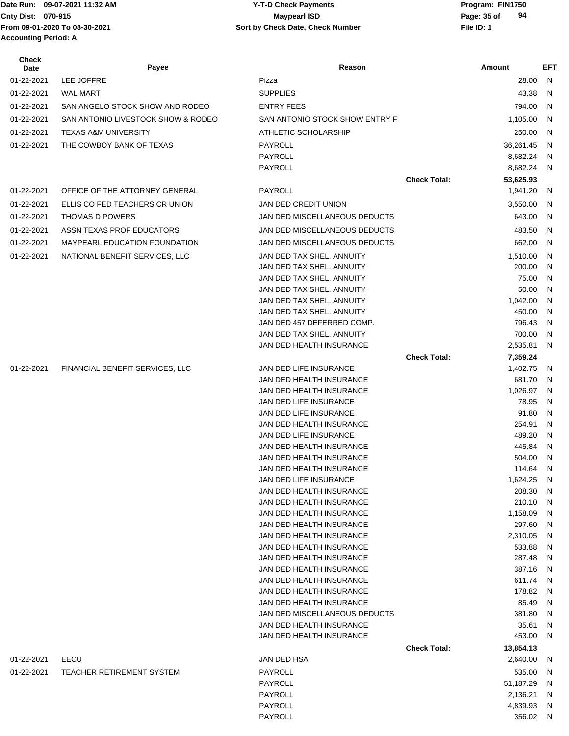# **Cnty Dist:** 070-915 **Page:** 35 of **09-07-2021 11:32 AM Y-T-D Check Payments 070-915 Maypearl ISD**

| Check<br>Date | Payee                                | Reason                                                  |                     | Amount                | EFT          |
|---------------|--------------------------------------|---------------------------------------------------------|---------------------|-----------------------|--------------|
| 01-22-2021    | LEE JOFFRE                           | Pizza                                                   |                     | 28.00                 | N            |
| 01-22-2021    | <b>WAL MART</b>                      | <b>SUPPLIES</b>                                         |                     | 43.38                 | N            |
| 01-22-2021    | SAN ANGELO STOCK SHOW AND RODEO      | <b>ENTRY FEES</b>                                       |                     | 794.00                | N            |
| 01-22-2021    | SAN ANTONIO LIVESTOCK SHOW & RODEO   | SAN ANTONIO STOCK SHOW ENTRY F                          |                     | 1,105.00              | N            |
|               | <b>TEXAS A&amp;M UNIVERSITY</b>      | ATHLETIC SCHOLARSHIP                                    |                     | 250.00                | N            |
| 01-22-2021    |                                      |                                                         |                     |                       |              |
| 01-22-2021    | THE COWBOY BANK OF TEXAS             | PAYROLL<br>PAYROLL                                      |                     | 36,261.45<br>8,682.24 | N<br>N       |
|               |                                      | PAYROLL                                                 |                     | 8,682.24              | N            |
|               |                                      |                                                         | <b>Check Total:</b> | 53,625.93             |              |
| 01-22-2021    | OFFICE OF THE ATTORNEY GENERAL       | PAYROLL                                                 |                     | 1,941.20              | N            |
| 01-22-2021    | ELLIS CO FED TEACHERS CR UNION       | JAN DED CREDIT UNION                                    |                     | 3,550.00              | N            |
|               |                                      |                                                         |                     |                       |              |
| 01-22-2021    | THOMAS D POWERS                      | JAN DED MISCELLANEOUS DEDUCTS                           |                     | 643.00                | N            |
| 01-22-2021    | ASSN TEXAS PROF EDUCATORS            | JAN DED MISCELLANEOUS DEDUCTS                           |                     | 483.50                | N            |
| 01-22-2021    | <b>MAYPEARL EDUCATION FOUNDATION</b> | JAN DED MISCELLANEOUS DEDUCTS                           |                     | 662.00                | N            |
| 01-22-2021    | NATIONAL BENEFIT SERVICES, LLC       | JAN DED TAX SHEL. ANNUITY                               |                     | 1,510.00              | N            |
|               |                                      | JAN DED TAX SHEL, ANNUITY                               |                     | 200.00                | N            |
|               |                                      | JAN DED TAX SHEL, ANNUITY                               |                     | 75.00                 | N            |
|               |                                      | JAN DED TAX SHEL, ANNUITY                               |                     | 50.00                 | N            |
|               |                                      | JAN DED TAX SHEL. ANNUITY                               |                     | 1,042.00              | N            |
|               |                                      | JAN DED TAX SHEL. ANNUITY<br>JAN DED 457 DEFERRED COMP. |                     | 450.00<br>796.43      | N<br>N       |
|               |                                      | JAN DED TAX SHEL. ANNUITY                               |                     | 700.00                | N            |
|               |                                      | JAN DED HEALTH INSURANCE                                |                     | 2,535.81              | N            |
|               |                                      |                                                         | <b>Check Total:</b> | 7,359.24              |              |
| 01-22-2021    | FINANCIAL BENEFIT SERVICES, LLC      | JAN DED LIFE INSURANCE                                  |                     | 1,402.75              | N            |
|               |                                      | JAN DED HEALTH INSURANCE                                |                     | 681.70                | N            |
|               |                                      | JAN DED HEALTH INSURANCE                                |                     | 1,026.97              | N            |
|               |                                      | JAN DED LIFE INSURANCE                                  |                     | 78.95                 | N            |
|               |                                      | JAN DED LIFE INSURANCE                                  |                     | 91.80                 | $\mathsf{N}$ |
|               |                                      | JAN DED HEALTH INSURANCE                                |                     | 254.91                | N            |
|               |                                      | <b>JAN DED LIFE INSURANCE</b>                           |                     | 489.20                | N            |
|               |                                      | JAN DED HEALTH INSURANCE                                |                     | 445.84                | N            |
|               |                                      | JAN DED HEALTH INSURANCE                                |                     | 504.00                | N            |
|               |                                      | JAN DED HEALTH INSURANCE                                |                     | 114.64                | N            |
|               |                                      | JAN DED LIFE INSURANCE                                  |                     | 1,624.25              | N            |
|               |                                      | JAN DED HEALTH INSURANCE                                |                     | 208.30                | N            |
|               |                                      | JAN DED HEALTH INSURANCE                                |                     | 210.10                | N            |
|               |                                      | JAN DED HEALTH INSURANCE                                |                     | 1,158.09              | N            |
|               |                                      | JAN DED HEALTH INSURANCE                                |                     | 297.60                | N            |
|               |                                      | JAN DED HEALTH INSURANCE<br>JAN DED HEALTH INSURANCE    |                     | 2,310.05              | N<br>N       |
|               |                                      | JAN DED HEALTH INSURANCE                                |                     | 533.88<br>287.48      | N            |
|               |                                      | JAN DED HEALTH INSURANCE                                |                     | 387.16                | N            |
|               |                                      | JAN DED HEALTH INSURANCE                                |                     | 611.74                | N            |
|               |                                      | JAN DED HEALTH INSURANCE                                |                     | 178.82                | N            |
|               |                                      | JAN DED HEALTH INSURANCE                                |                     | 85.49                 | N            |
|               |                                      | JAN DED MISCELLANEOUS DEDUCTS                           |                     | 381.80                | N            |
|               |                                      | JAN DED HEALTH INSURANCE                                |                     | 35.61                 | N            |
|               |                                      | JAN DED HEALTH INSURANCE                                |                     | 453.00                | N            |
|               |                                      |                                                         | <b>Check Total:</b> | 13,854.13             |              |
| 01-22-2021    | EECU                                 | JAN DED HSA                                             |                     | 2,640.00              | N            |
| 01-22-2021    | TEACHER RETIREMENT SYSTEM            | PAYROLL                                                 |                     | 535.00                | N            |
|               |                                      | PAYROLL                                                 |                     | 51,187.29             | N            |
|               |                                      | PAYROLL                                                 |                     | 2,136.21              | N            |
|               |                                      | PAYROLL                                                 |                     | 4,839.93              | N            |
|               |                                      | PAYROLL                                                 |                     | 356.02 N              |              |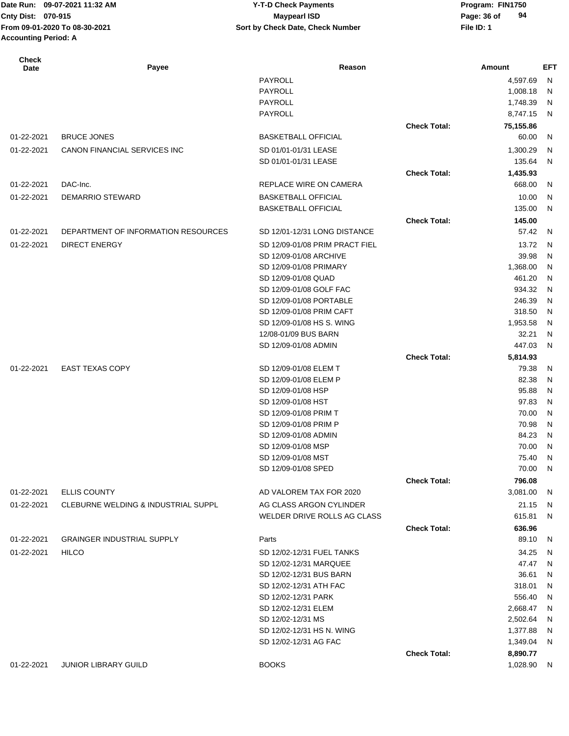# **Cnty Dist:** 070-915 **Page: 36 of Maypearl ISD Page: 36 of 09-07-2021 11:32 AM Y-T-D Check Payments 070-915 Maypearl ISD**

| <b>Check</b><br>Date | Payee                               | Reason                                        |                     | Amount         | EFT    |
|----------------------|-------------------------------------|-----------------------------------------------|---------------------|----------------|--------|
|                      |                                     | PAYROLL                                       |                     | 4,597.69       | N      |
|                      |                                     | PAYROLL                                       |                     | 1,008.18       | N      |
|                      |                                     | PAYROLL                                       |                     | 1,748.39       | N      |
|                      |                                     | PAYROLL                                       |                     | 8,747.15       | N      |
|                      |                                     |                                               | <b>Check Total:</b> | 75,155.86      |        |
| 01-22-2021           | <b>BRUCE JONES</b>                  | <b>BASKETBALL OFFICIAL</b>                    |                     | 60.00          | N      |
| 01-22-2021           | <b>CANON FINANCIAL SERVICES INC</b> | SD 01/01-01/31 LEASE                          |                     | 1,300.29       | N      |
|                      |                                     | SD 01/01-01/31 LEASE                          |                     | 135.64         | N      |
|                      |                                     |                                               | <b>Check Total:</b> | 1,435.93       |        |
| 01-22-2021           | DAC-Inc.                            | REPLACE WIRE ON CAMERA                        |                     | 668.00         | N      |
| 01-22-2021           | DEMARRIO STEWARD                    | <b>BASKETBALL OFFICIAL</b>                    |                     | 10.00          | N      |
|                      |                                     | <b>BASKETBALL OFFICIAL</b>                    |                     | 135.00         | N      |
|                      |                                     |                                               | <b>Check Total:</b> | 145.00         |        |
| 01-22-2021           | DEPARTMENT OF INFORMATION RESOURCES | SD 12/01-12/31 LONG DISTANCE                  |                     | 57.42          | N      |
| 01-22-2021           | <b>DIRECT ENERGY</b>                | SD 12/09-01/08 PRIM PRACT FIEL                |                     | 13.72          | N      |
|                      |                                     | SD 12/09-01/08 ARCHIVE                        |                     | 39.98          | N      |
|                      |                                     | SD 12/09-01/08 PRIMARY                        |                     | 1,368.00       | N      |
|                      |                                     | SD 12/09-01/08 QUAD                           |                     | 461.20         | N      |
|                      |                                     | SD 12/09-01/08 GOLF FAC                       |                     | 934.32         | N      |
|                      |                                     | SD 12/09-01/08 PORTABLE                       |                     | 246.39         | N      |
|                      |                                     | SD 12/09-01/08 PRIM CAFT                      |                     | 318.50         | N      |
|                      |                                     | SD 12/09-01/08 HS S. WING                     |                     | 1,953.58       | N      |
|                      |                                     | 12/08-01/09 BUS BARN                          |                     | 32.21          | N      |
|                      |                                     | SD 12/09-01/08 ADMIN                          |                     | 447.03         | N      |
|                      |                                     |                                               | <b>Check Total:</b> | 5,814.93       |        |
| 01-22-2021           | <b>EAST TEXAS COPY</b>              | SD 12/09-01/08 ELEM T                         |                     | 79.38          | N      |
|                      |                                     | SD 12/09-01/08 ELEM P                         |                     | 82.38          | N      |
|                      |                                     | SD 12/09-01/08 HSP                            |                     | 95.88          | N      |
|                      |                                     | SD 12/09-01/08 HST                            |                     | 97.83          | N      |
|                      |                                     | SD 12/09-01/08 PRIM T                         |                     | 70.00          | N      |
|                      |                                     | SD 12/09-01/08 PRIM P<br>SD 12/09-01/08 ADMIN |                     | 70.98<br>84.23 | N      |
|                      |                                     | SD 12/09-01/08 MSP                            |                     | 70.00          | N<br>N |
|                      |                                     | SD 12/09-01/08 MST                            |                     | 75.40          | N      |
|                      |                                     | SD 12/09-01/08 SPED                           |                     | 70.00 N        |        |
|                      |                                     |                                               | <b>Check Total:</b> | 796.08         |        |
| 01-22-2021           | <b>ELLIS COUNTY</b>                 | AD VALOREM TAX FOR 2020                       |                     | 3,081.00       | -N     |
| 01-22-2021           | CLEBURNE WELDING & INDUSTRIAL SUPPL | AG CLASS ARGON CYLINDER                       |                     | 21.15          | N      |
|                      |                                     | WELDER DRIVE ROLLS AG CLASS                   |                     | 615.81         | N      |
|                      |                                     |                                               | <b>Check Total:</b> | 636.96         |        |
| 01-22-2021           | <b>GRAINGER INDUSTRIAL SUPPLY</b>   | Parts                                         |                     | 89.10          | N      |
| 01-22-2021           | <b>HILCO</b>                        | SD 12/02-12/31 FUEL TANKS                     |                     | 34.25          | N      |
|                      |                                     | SD 12/02-12/31 MARQUEE                        |                     | 47.47          | N      |
|                      |                                     | SD 12/02-12/31 BUS BARN                       |                     | 36.61          | N      |
|                      |                                     | SD 12/02-12/31 ATH FAC                        |                     | 318.01         | N      |
|                      |                                     | SD 12/02-12/31 PARK                           |                     | 556.40         | N      |
|                      |                                     | SD 12/02-12/31 ELEM                           |                     | 2,668.47       | - N    |
|                      |                                     | SD 12/02-12/31 MS                             |                     | 2,502.64       | - N    |
|                      |                                     | SD 12/02-12/31 HS N. WING                     |                     | 1,377.88       | N,     |
|                      |                                     | SD 12/02-12/31 AG FAC                         |                     | 1,349.04       | -N     |
|                      |                                     |                                               | <b>Check Total:</b> | 8,890.77       |        |
| 01-22-2021           | JUNIOR LIBRARY GUILD                | <b>BOOKS</b>                                  |                     | 1,028.90 N     |        |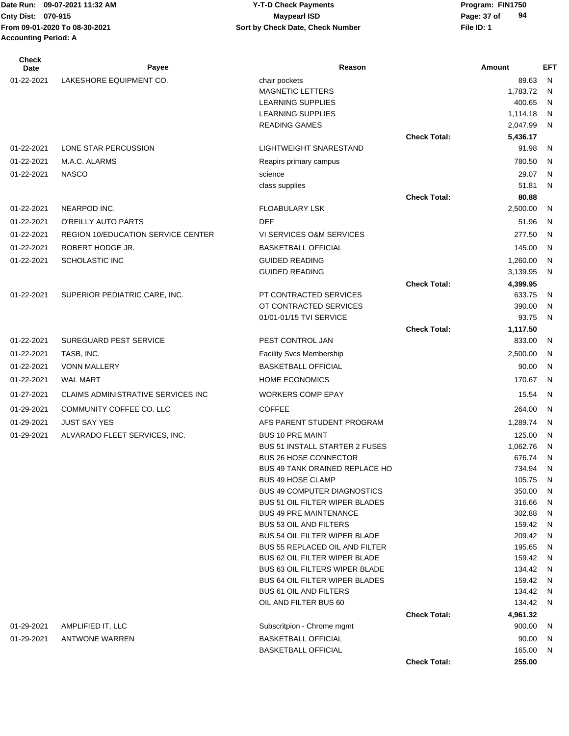| <b>Check</b><br>Date | Payee                                     | Reason                                                                 |                     | Amount             | <b>EFT</b>                   |
|----------------------|-------------------------------------------|------------------------------------------------------------------------|---------------------|--------------------|------------------------------|
| 01-22-2021           | LAKESHORE EQUIPMENT CO.                   | chair pockets                                                          |                     | 89.63              | N                            |
|                      |                                           | <b>MAGNETIC LETTERS</b>                                                |                     | 1,783.72           | N                            |
|                      |                                           | LEARNING SUPPLIES                                                      |                     | 400.65             | N                            |
|                      |                                           | <b>LEARNING SUPPLIES</b>                                               |                     | 1,114.18           | N                            |
|                      |                                           | <b>READING GAMES</b>                                                   |                     | 2,047.99           | N                            |
| 01-22-2021           |                                           | <b>LIGHTWEIGHT SNARESTAND</b>                                          | <b>Check Total:</b> | 5,436.17           |                              |
|                      | LONE STAR PERCUSSION                      |                                                                        |                     | 91.98              | N                            |
| 01-22-2021           | M.A.C. ALARMS                             | Reapirs primary campus                                                 |                     | 780.50             | N                            |
| 01-22-2021           | <b>NASCO</b>                              | science                                                                |                     | 29.07              | N                            |
|                      |                                           | class supplies                                                         | <b>Check Total:</b> | 51.81<br>80.88     | N                            |
| 01-22-2021           | NEARPOD INC.                              | <b>FLOABULARY LSK</b>                                                  |                     | 2,500.00           | N                            |
| 01-22-2021           | O'REILLY AUTO PARTS                       | <b>DEF</b>                                                             |                     | 51.96              | N                            |
|                      |                                           |                                                                        |                     |                    |                              |
| 01-22-2021           | <b>REGION 10/EDUCATION SERVICE CENTER</b> | VI SERVICES O&M SERVICES                                               |                     | 277.50             | N                            |
| 01-22-2021           | ROBERT HODGE JR.                          | <b>BASKETBALL OFFICIAL</b>                                             |                     | 145.00             | N                            |
| 01-22-2021           | <b>SCHOLASTIC INC</b>                     | <b>GUIDED READING</b>                                                  |                     | 1,260.00           | N                            |
|                      |                                           | <b>GUIDED READING</b>                                                  |                     | 3,139.95           | N                            |
| 01-22-2021           | SUPERIOR PEDIATRIC CARE, INC.             | PT CONTRACTED SERVICES                                                 | <b>Check Total:</b> | 4,399.95<br>633.75 | N                            |
|                      |                                           | OT CONTRACTED SERVICES                                                 |                     | 390.00             | N                            |
|                      |                                           | 01/01-01/15 TVI SERVICE                                                |                     | 93.75              | N                            |
|                      |                                           |                                                                        | <b>Check Total:</b> | 1,117.50           |                              |
| 01-22-2021           | <b>SUREGUARD PEST SERVICE</b>             | PEST CONTROL JAN                                                       |                     | 833.00             | N                            |
| 01-22-2021           | TASB, INC.                                | <b>Facility Svcs Membership</b>                                        |                     | 2,500.00           | N                            |
| 01-22-2021           | <b>VONN MALLERY</b>                       | <b>BASKETBALL OFFICIAL</b>                                             |                     | 90.00              | N                            |
| 01-22-2021           | <b>WAL MART</b>                           | <b>HOME ECONOMICS</b>                                                  |                     | 170.67             | N                            |
| 01-27-2021           | CLAIMS ADMINISTRATIVE SERVICES INC        | <b>WORKERS COMP EPAY</b>                                               |                     | 15.54              | N                            |
| 01-29-2021           | COMMUNITY COFFEE CO. LLC                  | <b>COFFEE</b>                                                          |                     | 264.00             | N                            |
| 01-29-2021           | <b>JUST SAY YES</b>                       | AFS PARENT STUDENT PROGRAM                                             |                     | 1,289.74           | N                            |
| 01-29-2021           | ALVARADO FLEET SERVICES, INC.             | <b>BUS 10 PRE MAINT</b>                                                |                     | 125.00             | N                            |
|                      |                                           | <b>BUS 51 INSTALL STARTER 2 FUSES</b>                                  |                     | 1,062.76           | N                            |
|                      |                                           | <b>BUS 26 HOSE CONNECTOR</b>                                           |                     | 676.74             | N                            |
|                      |                                           | BUS 49 TANK DRAINED REPLACE HO                                         |                     | 734.94 N           |                              |
|                      |                                           | <b>BUS 49 HOSE CLAMP</b>                                               |                     | 105.75 N           |                              |
|                      |                                           | <b>BUS 49 COMPUTER DIAGNOSTICS</b>                                     |                     | 350.00             | $\mathsf{N}$                 |
|                      |                                           | <b>BUS 51 OIL FILTER WIPER BLADES</b><br><b>BUS 49 PRE MAINTENANCE</b> |                     | 316.66<br>302.88   | $\mathsf{N}$<br>$\mathsf{N}$ |
|                      |                                           | <b>BUS 53 OIL AND FILTERS</b>                                          |                     | 159.42             | N                            |
|                      |                                           | <b>BUS 54 OIL FILTER WIPER BLADE</b>                                   |                     | 209.42             | N                            |
|                      |                                           | <b>BUS 55 REPLACED OIL AND FILTER</b>                                  |                     | 195.65             | $\mathsf{N}$                 |
|                      |                                           | <b>BUS 62 OIL FILTER WIPER BLADE</b>                                   |                     | 159.42             | $\mathsf{N}$                 |
|                      |                                           | <b>BUS 63 OIL FILTERS WIPER BLADE</b>                                  |                     | 134.42             | $\mathsf{N}$                 |
|                      |                                           | <b>BUS 64 OIL FILTER WIPER BLADES</b>                                  |                     | 159.42             | N                            |
|                      |                                           | <b>BUS 61 OIL AND FILTERS</b>                                          |                     | 134.42             | N                            |
|                      |                                           | OIL AND FILTER BUS 60                                                  |                     | 134.42             | N                            |
|                      |                                           |                                                                        | <b>Check Total:</b> | 4,961.32           |                              |
| 01-29-2021           | AMPLIFIED IT, LLC                         | Subscritpion - Chrome mgmt                                             |                     | 900.00             | N                            |
| 01-29-2021           | <b>ANTWONE WARREN</b>                     | <b>BASKETBALL OFFICIAL</b><br><b>BASKETBALL OFFICIAL</b>               |                     | 90.00<br>165.00    | N<br>N                       |
|                      |                                           |                                                                        | <b>Check Total:</b> | 255.00             |                              |
|                      |                                           |                                                                        |                     |                    |                              |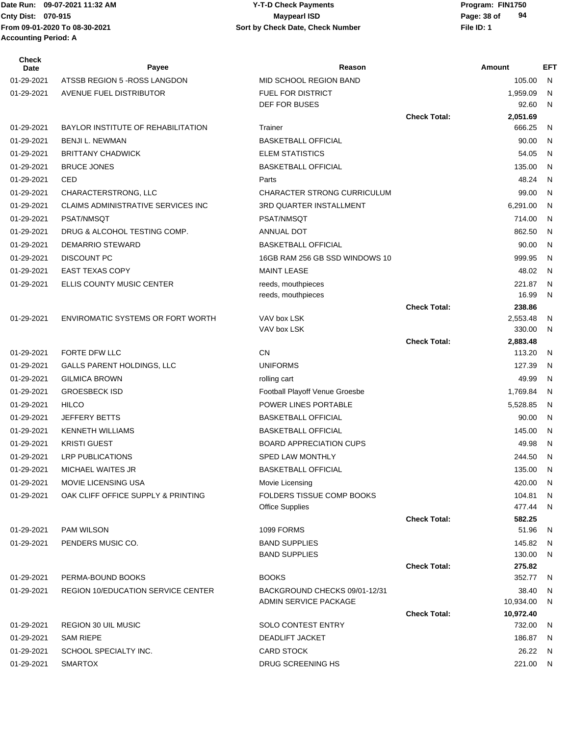| <b>Check</b><br><b>Date</b> | Payee                                     | Reason                             |                     | Amount             | <b>EFT</b> |
|-----------------------------|-------------------------------------------|------------------------------------|---------------------|--------------------|------------|
| 01-29-2021                  | ATSSB REGION 5 - ROSS LANGDON             | MID SCHOOL REGION BAND             |                     | 105.00             | N          |
| 01-29-2021                  | AVENUE FUEL DISTRIBUTOR                   | <b>FUEL FOR DISTRICT</b>           |                     | 1,959.09           | N          |
|                             |                                           | <b>DEF FOR BUSES</b>               |                     | 92.60              | N          |
|                             |                                           |                                    | <b>Check Total:</b> | 2,051.69           |            |
| 01-29-2021                  | <b>BAYLOR INSTITUTE OF REHABILITATION</b> | Trainer                            |                     | 666.25             | N          |
| 01-29-2021                  | <b>BENJI L. NEWMAN</b>                    | <b>BASKETBALL OFFICIAL</b>         |                     | 90.00              | N          |
| 01-29-2021                  | <b>BRITTANY CHADWICK</b>                  | <b>ELEM STATISTICS</b>             |                     | 54.05              | N          |
| 01-29-2021                  | <b>BRUCE JONES</b>                        | <b>BASKETBALL OFFICIAL</b>         |                     | 135.00             | N          |
| 01-29-2021                  | CED                                       | Parts                              |                     | 48.24              | N          |
| 01-29-2021                  | CHARACTERSTRONG, LLC                      | <b>CHARACTER STRONG CURRICULUM</b> |                     | 99.00              | N          |
| 01-29-2021                  | CLAIMS ADMINISTRATIVE SERVICES INC        | 3RD QUARTER INSTALLMENT            |                     | 6,291.00           | N          |
| 01-29-2021                  | <b>PSAT/NMSQT</b>                         | PSAT/NMSQT                         |                     | 714.00             | N          |
| 01-29-2021                  | DRUG & ALCOHOL TESTING COMP.              | ANNUAL DOT                         |                     | 862.50             | N          |
| 01-29-2021                  | DEMARRIO STEWARD                          | <b>BASKETBALL OFFICIAL</b>         |                     | 90.00              | N          |
| 01-29-2021                  | DISCOUNT PC                               | 16GB RAM 256 GB SSD WINDOWS 10     |                     | 999.95             | N          |
| 01-29-2021                  | <b>EAST TEXAS COPY</b>                    | <b>MAINT LEASE</b>                 |                     | 48.02              | N          |
| 01-29-2021                  | ELLIS COUNTY MUSIC CENTER                 | reeds, mouthpieces                 |                     | 221.87             | N          |
|                             |                                           | reeds, mouthpieces                 |                     | 16.99              | N          |
|                             |                                           |                                    | <b>Check Total:</b> | 238.86             |            |
| 01-29-2021                  | ENVIROMATIC SYSTEMS OR FORT WORTH         | VAV box LSK                        |                     | 2,553.48           | N          |
|                             |                                           | VAV box LSK                        | <b>Check Total:</b> | 330.00<br>2,883.48 | N          |
| 01-29-2021                  | FORTE DFW LLC                             | CN                                 |                     | 113.20             | N          |
| 01-29-2021                  | GALLS PARENT HOLDINGS, LLC                | <b>UNIFORMS</b>                    |                     | 127.39             | N          |
| 01-29-2021                  | <b>GILMICA BROWN</b>                      | rolling cart                       |                     | 49.99              | N          |
| 01-29-2021                  | <b>GROESBECK ISD</b>                      | Football Playoff Venue Groesbe     |                     | 1,769.84           | N          |
| 01-29-2021                  | <b>HILCO</b>                              | POWER LINES PORTABLE               |                     | 5,528.85           | N          |
| 01-29-2021                  | <b>JEFFERY BETTS</b>                      | <b>BASKETBALL OFFICIAL</b>         |                     | 90.00              | N          |
| 01-29-2021                  | <b>KENNETH WILLIAMS</b>                   | <b>BASKETBALL OFFICIAL</b>         |                     | 145.00             | N          |
| 01-29-2021                  | <b>KRISTI GUEST</b>                       | <b>BOARD APPRECIATION CUPS</b>     |                     | 49.98              | N          |
| 01-29-2021                  | <b>LRP PUBLICATIONS</b>                   | <b>SPED LAW MONTHLY</b>            |                     | 244.50             | N          |
| 01-29-2021                  | <b>MICHAEL WAITES JR</b>                  | <b>BASKETBALL OFFICIAL</b>         |                     | 135.00             | N          |
| 01-29-2021                  | <b>MOVIE LICENSING USA</b>                | Movie Licensing                    |                     | 420.00             | N          |
| 01-29-2021                  | OAK CLIFF OFFICE SUPPLY & PRINTING        | <b>FOLDERS TISSUE COMP BOOKS</b>   |                     | 104.81             | N          |
|                             |                                           | <b>Office Supplies</b>             |                     | 477.44             | N          |
|                             |                                           |                                    | <b>Check Total:</b> | 582.25             |            |
| 01-29-2021                  | PAM WILSON                                | 1099 FORMS                         |                     | 51.96              | N          |
| 01-29-2021                  | PENDERS MUSIC CO.                         | <b>BAND SUPPLIES</b>               |                     | 145.82             | N          |
|                             |                                           | <b>BAND SUPPLIES</b>               |                     | 130.00             | N          |
|                             |                                           |                                    | <b>Check Total:</b> | 275.82             |            |
| 01-29-2021                  | PERMA-BOUND BOOKS                         | <b>BOOKS</b>                       |                     | 352.77             | N          |
| 01-29-2021                  | <b>REGION 10/EDUCATION SERVICE CENTER</b> | BACKGROUND CHECKS 09/01-12/31      |                     | 38.40              | N          |
|                             |                                           | ADMIN SERVICE PACKAGE              |                     | 10,934.00          | N          |
|                             |                                           |                                    | <b>Check Total:</b> | 10,972.40          |            |
| 01-29-2021                  | <b>REGION 30 UIL MUSIC</b>                | <b>SOLO CONTEST ENTRY</b>          |                     | 732.00             | N          |
| 01-29-2021                  | <b>SAM RIEPE</b>                          | DEADLIFT JACKET                    |                     | 186.87             | N          |
| 01-29-2021                  | SCHOOL SPECIALTY INC.                     | <b>CARD STOCK</b>                  |                     | 26.22              | N          |
| 01-29-2021                  | <b>SMARTOX</b>                            | DRUG SCREENING HS                  |                     | 221.00 N           |            |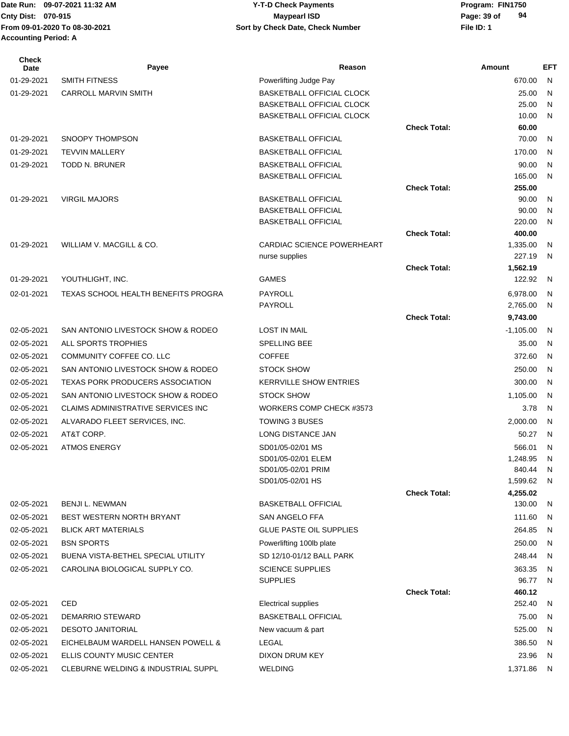#### Date Run: 09-07-2021 11:32 AM **Program: FIN1750** Y-T-D Check Payments **Cnty Dist:** 070-915 **Page:** 39 of **09-07-2021 11:32 AM Y-T-D Check Payments 070-915 Maypearl ISD**

| <b>Check</b><br>Date | Payee                                      | Reason                                                   |                     | Amount               | <b>EFT</b>   |
|----------------------|--------------------------------------------|----------------------------------------------------------|---------------------|----------------------|--------------|
| 01-29-2021           | <b>SMITH FITNESS</b>                       | Powerlifting Judge Pay                                   |                     | 670.00               | N            |
| 01-29-2021           | <b>CARROLL MARVIN SMITH</b>                | <b>BASKETBALL OFFICIAL CLOCK</b>                         |                     | 25.00                | N            |
|                      |                                            | <b>BASKETBALL OFFICIAL CLOCK</b>                         |                     | 25.00                | $\mathsf{N}$ |
|                      |                                            | <b>BASKETBALL OFFICIAL CLOCK</b>                         |                     | 10.00                | N            |
|                      |                                            |                                                          | <b>Check Total:</b> | 60.00                |              |
| 01-29-2021           | SNOOPY THOMPSON                            | <b>BASKETBALL OFFICIAL</b>                               |                     | 70.00                | N            |
| 01-29-2021           | <b>TEVVIN MALLERY</b>                      | <b>BASKETBALL OFFICIAL</b>                               |                     | 170.00               | N            |
| 01-29-2021           | TODD N. BRUNER                             | <b>BASKETBALL OFFICIAL</b><br><b>BASKETBALL OFFICIAL</b> |                     | 90.00<br>165.00      | N<br>N       |
|                      |                                            |                                                          | <b>Check Total:</b> | 255.00               |              |
| 01-29-2021           | <b>VIRGIL MAJORS</b>                       | <b>BASKETBALL OFFICIAL</b>                               |                     | 90.00                | N            |
|                      |                                            | <b>BASKETBALL OFFICIAL</b>                               |                     | 90.00                | $\mathsf{N}$ |
|                      |                                            | <b>BASKETBALL OFFICIAL</b>                               |                     | 220.00               | N            |
|                      |                                            |                                                          | <b>Check Total:</b> | 400.00               |              |
| 01-29-2021           | WILLIAM V. MACGILL & CO.                   | CARDIAC SCIENCE POWERHEART                               |                     | 1,335.00             | N            |
|                      |                                            | nurse supplies                                           |                     | 227.19               | N            |
|                      |                                            |                                                          | <b>Check Total:</b> | 1,562.19             |              |
| 01-29-2021           | YOUTHLIGHT, INC.                           | <b>GAMES</b>                                             |                     | 122.92               | N            |
| 02-01-2021           | <b>TEXAS SCHOOL HEALTH BENEFITS PROGRA</b> | PAYROLL                                                  |                     | 6,978.00             | N            |
|                      |                                            | <b>PAYROLL</b>                                           |                     | 2,765.00             | N            |
|                      |                                            |                                                          | <b>Check Total:</b> | 9,743.00             |              |
| 02-05-2021           | SAN ANTONIO LIVESTOCK SHOW & RODEO         | <b>LOST IN MAIL</b>                                      |                     | $-1,105.00$          | N            |
| 02-05-2021           | ALL SPORTS TROPHIES                        | SPELLING BEE                                             |                     | 35.00                | N            |
| 02-05-2021           | COMMUNITY COFFEE CO. LLC                   | <b>COFFEE</b>                                            |                     | 372.60               | N            |
| 02-05-2021           | SAN ANTONIO LIVESTOCK SHOW & RODEO         | <b>STOCK SHOW</b>                                        |                     | 250.00               | N            |
| 02-05-2021           | <b>TEXAS PORK PRODUCERS ASSOCIATION</b>    | <b>KERRVILLE SHOW ENTRIES</b>                            |                     | 300.00               | N            |
| 02-05-2021           | SAN ANTONIO LIVESTOCK SHOW & RODEO         | <b>STOCK SHOW</b>                                        |                     | 1,105.00             | N            |
| 02-05-2021           | <b>CLAIMS ADMINISTRATIVE SERVICES INC</b>  | WORKERS COMP CHECK #3573                                 |                     | 3.78                 | N            |
| 02-05-2021           | ALVARADO FLEET SERVICES, INC.              | <b>TOWING 3 BUSES</b>                                    |                     | 2,000.00             | N            |
| 02-05-2021           | AT&T CORP.                                 | LONG DISTANCE JAN                                        |                     | 50.27                | N            |
| 02-05-2021           | <b>ATMOS ENERGY</b>                        | SD01/05-02/01 MS                                         |                     | 566.01               | N            |
|                      |                                            | SD01/05-02/01 ELEM                                       |                     | 1,248.95             | N            |
|                      |                                            | SD01/05-02/01 PRIM                                       |                     | 840.44               | N            |
|                      |                                            | SD01/05-02/01 HS                                         | <b>Check Total:</b> | 1,599.62<br>4,255.02 | N            |
| 02-05-2021           | BENJI L. NEWMAN                            | <b>BASKETBALL OFFICIAL</b>                               |                     | 130.00               | N            |
| 02-05-2021           | BEST WESTERN NORTH BRYANT                  | SAN ANGELO FFA                                           |                     | 111.60               | N            |
| 02-05-2021           | <b>BLICK ART MATERIALS</b>                 | <b>GLUE PASTE OIL SUPPLIES</b>                           |                     | 264.85               | N            |
| 02-05-2021           | <b>BSN SPORTS</b>                          | Powerlifting 100lb plate                                 |                     | 250.00               | N            |
| 02-05-2021           | BUENA VISTA-BETHEL SPECIAL UTILITY         | SD 12/10-01/12 BALL PARK                                 |                     | 248.44               | N            |
| 02-05-2021           | CAROLINA BIOLOGICAL SUPPLY CO.             | <b>SCIENCE SUPPLIES</b>                                  |                     | 363.35               | N            |
|                      |                                            | <b>SUPPLIES</b>                                          |                     | 96.77                | N            |
|                      |                                            |                                                          | <b>Check Total:</b> | 460.12               |              |
| 02-05-2021           | CED                                        | <b>Electrical supplies</b>                               |                     | 252.40               | N            |
| 02-05-2021           | DEMARRIO STEWARD                           | <b>BASKETBALL OFFICIAL</b>                               |                     | 75.00                | N            |
| 02-05-2021           | <b>DESOTO JANITORIAL</b>                   | New vacuum & part                                        |                     | 525.00               | N            |
| 02-05-2021           | EICHELBAUM WARDELL HANSEN POWELL &         | LEGAL                                                    |                     | 386.50               | N            |
| 02-05-2021           | ELLIS COUNTY MUSIC CENTER                  | DIXON DRUM KEY                                           |                     | 23.96                | N            |
| 02-05-2021           | CLEBURNE WELDING & INDUSTRIAL SUPPL        | WELDING                                                  |                     | 1,371.86 N           |              |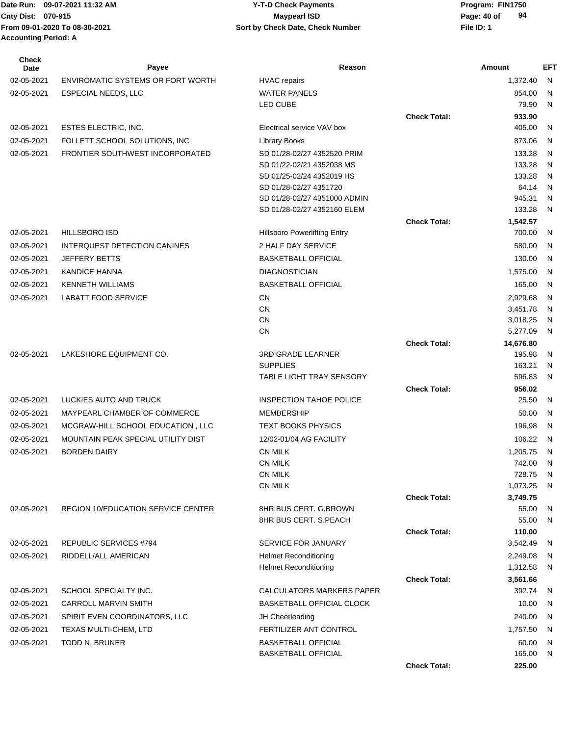# **Cnty Dist:** 070-915 **Page: 40 of** Maypearl ISD **Page: 40 of 09-07-2021 11:32 AM Y-T-D Check Payments 070-915 Maypearl ISD**

**94**

| Check<br>Date | Payee                                     | Reason                                              |                     | Amount             | <b>EFT</b>                   |
|---------------|-------------------------------------------|-----------------------------------------------------|---------------------|--------------------|------------------------------|
| 02-05-2021    | <b>ENVIROMATIC SYSTEMS OR FORT WORTH</b>  | <b>HVAC</b> repairs                                 |                     | 1,372.40           | N                            |
| 02-05-2021    | <b>ESPECIAL NEEDS, LLC</b>                | <b>WATER PANELS</b>                                 |                     | 854.00             | N.                           |
|               |                                           | LED CUBE                                            |                     | 79.90              | N                            |
|               |                                           |                                                     | <b>Check Total:</b> | 933.90             |                              |
| 02-05-2021    | <b>ESTES ELECTRIC, INC.</b>               | Electrical service VAV box                          |                     | 405.00             | $\mathsf{N}$                 |
| 02-05-2021    | FOLLETT SCHOOL SOLUTIONS, INC             | <b>Library Books</b>                                |                     | 873.06             | N                            |
| 02-05-2021    | FRONTIER SOUTHWEST INCORPORATED           | SD 01/28-02/27 4352520 PRIM                         |                     | 133.28             | $\mathsf{N}$                 |
|               |                                           | SD 01/22-02/21 4352038 MS                           |                     | 133.28             | $\mathsf{N}$                 |
|               |                                           | SD 01/25-02/24 4352019 HS<br>SD 01/28-02/27 4351720 |                     | 133.28<br>64.14    | $\mathsf{N}$<br>$\mathsf{N}$ |
|               |                                           | SD 01/28-02/27 4351000 ADMIN                        |                     | 945.31             | N                            |
|               |                                           | SD 01/28-02/27 4352160 ELEM                         |                     | 133.28             | N                            |
|               |                                           |                                                     | <b>Check Total:</b> | 1,542.57           |                              |
| 02-05-2021    | <b>HILLSBORO ISD</b>                      | <b>Hillsboro Powerlifting Entry</b>                 |                     | 700.00             | - N                          |
| 02-05-2021    | INTERQUEST DETECTION CANINES              | 2 HALF DAY SERVICE                                  |                     | 580.00             | N,                           |
| 02-05-2021    | JEFFERY BETTS                             | <b>BASKETBALL OFFICIAL</b>                          |                     | 130.00             | - N                          |
| 02-05-2021    | <b>KANDICE HANNA</b>                      | <b>DIAGNOSTICIAN</b>                                |                     | 1,575.00           | - N                          |
| 02-05-2021    | <b>KENNETH WILLIAMS</b>                   | <b>BASKETBALL OFFICIAL</b>                          |                     | 165.00             | $\mathsf{N}$                 |
| 02-05-2021    | <b>LABATT FOOD SERVICE</b>                | CN                                                  |                     | 2,929.68           | N                            |
|               |                                           | <b>CN</b>                                           |                     | 3,451.78           | N                            |
|               |                                           | <b>CN</b>                                           |                     | 3,018.25           | N                            |
|               |                                           | <b>CN</b>                                           |                     | 5,277.09           | N                            |
|               |                                           |                                                     | <b>Check Total:</b> | 14,676.80          |                              |
| 02-05-2021    | LAKESHORE EQUIPMENT CO.                   | <b>3RD GRADE LEARNER</b>                            |                     | 195.98             | N                            |
|               |                                           | <b>SUPPLIES</b>                                     |                     | 163.21             | N                            |
|               |                                           | <b>TABLE LIGHT TRAY SENSORY</b>                     |                     | 596.83             | $\mathsf{N}$                 |
| 02-05-2021    | LUCKIES AUTO AND TRUCK                    | <b>INSPECTION TAHOE POLICE</b>                      | <b>Check Total:</b> | 956.02<br>25.50    | N                            |
|               |                                           |                                                     |                     |                    |                              |
| 02-05-2021    | MAYPEARL CHAMBER OF COMMERCE              | <b>MEMBERSHIP</b>                                   |                     | 50.00              | $\mathsf{N}$                 |
| 02-05-2021    | MCGRAW-HILL SCHOOL EDUCATION, LLC         | <b>TEXT BOOKS PHYSICS</b>                           |                     | 196.98             | N                            |
| 02-05-2021    | MOUNTAIN PEAK SPECIAL UTILITY DIST        | 12/02-01/04 AG FACILITY                             |                     | 106.22             | - N                          |
| 02-05-2021    | <b>BORDEN DAIRY</b>                       | <b>CN MILK</b><br><b>CN MILK</b>                    |                     | 1,205.75<br>742.00 | $\mathsf{N}$<br>- N          |
|               |                                           | <b>CN MILK</b>                                      |                     | 728.75             | N,                           |
|               |                                           | <b>CN MILK</b>                                      |                     | 1,073.25           | N                            |
|               |                                           |                                                     | <b>Check Total:</b> | 3,749.75           |                              |
| 02-05-2021    | <b>REGION 10/EDUCATION SERVICE CENTER</b> | 8HR BUS CERT. G.BROWN                               |                     | 55.00              | N                            |
|               |                                           | 8HR BUS CERT, S.PEACH                               |                     | 55.00              | N                            |
|               |                                           |                                                     | <b>Check Total:</b> | 110.00             |                              |
| 02-05-2021    | REPUBLIC SERVICES #794                    | <b>SERVICE FOR JANUARY</b>                          |                     | 3,542.49           | N,                           |
| 02-05-2021    | RIDDELL/ALL AMERICAN                      | <b>Helmet Reconditioning</b>                        |                     | 2,249.08           | N.                           |
|               |                                           | <b>Helmet Reconditioning</b>                        |                     | 1,312.58           | N.                           |
|               |                                           |                                                     | <b>Check Total:</b> | 3,561.66           |                              |
| 02-05-2021    | SCHOOL SPECIALTY INC.                     | CALCULATORS MARKERS PAPER                           |                     | 392.74             | N,                           |
| 02-05-2021    | <b>CARROLL MARVIN SMITH</b>               | <b>BASKETBALL OFFICIAL CLOCK</b>                    |                     | 10.00              | N,                           |
| 02-05-2021    | SPIRIT EVEN COORDINATORS, LLC             | JH Cheerleading                                     |                     | 240.00             | - N                          |
| 02-05-2021    | TEXAS MULTI-CHEM, LTD                     | FERTILIZER ANT CONTROL                              |                     | 1,757.50           | - N                          |
| 02-05-2021    | <b>TODD N. BRUNER</b>                     | <b>BASKETBALL OFFICIAL</b>                          |                     | 60.00              | - N                          |
|               |                                           | <b>BASKETBALL OFFICIAL</b>                          |                     | 165.00 N           |                              |

**Check Total: 225.00**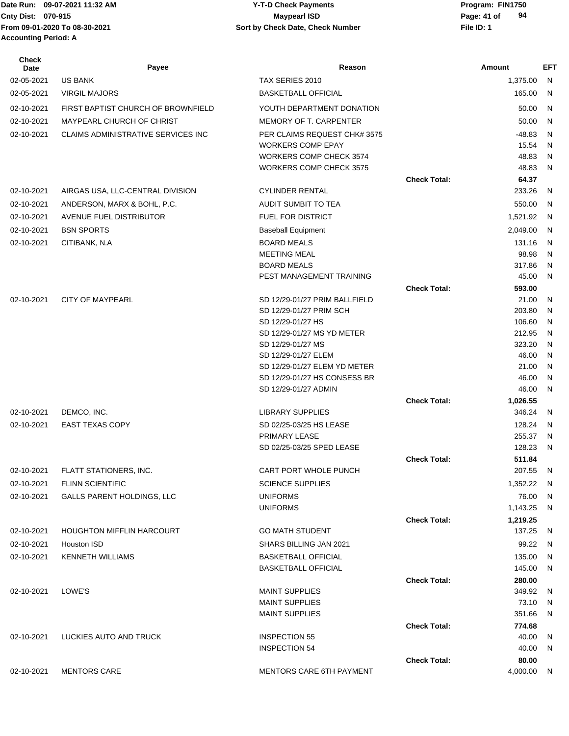| Check<br>Date | Payee                                     | Reason                                     |                     | Amount            | <b>EFT</b> |
|---------------|-------------------------------------------|--------------------------------------------|---------------------|-------------------|------------|
| 02-05-2021    | <b>US BANK</b>                            | TAX SERIES 2010                            |                     | 1,375.00          | N          |
| 02-05-2021    | <b>VIRGIL MAJORS</b>                      | <b>BASKETBALL OFFICIAL</b>                 |                     | 165.00            | N          |
| 02-10-2021    | FIRST BAPTIST CHURCH OF BROWNFIELD        | YOUTH DEPARTMENT DONATION                  |                     | 50.00             | N          |
| 02-10-2021    | MAYPEARL CHURCH OF CHRIST                 | MEMORY OF T. CARPENTER                     |                     | 50.00             | N          |
| 02-10-2021    | <b>CLAIMS ADMINISTRATIVE SERVICES INC</b> | PER CLAIMS REQUEST CHK# 3575               |                     | $-48.83$          | N          |
|               |                                           | <b>WORKERS COMP EPAY</b>                   |                     | 15.54             | N          |
|               |                                           | WORKERS COMP CHECK 3574                    |                     | 48.83             | N          |
|               |                                           | <b>WORKERS COMP CHECK 3575</b>             |                     | 48.83             | N          |
|               |                                           |                                            | <b>Check Total:</b> | 64.37             |            |
| 02-10-2021    | AIRGAS USA, LLC-CENTRAL DIVISION          | <b>CYLINDER RENTAL</b>                     |                     | 233.26            | N          |
| 02-10-2021    | ANDERSON, MARX & BOHL, P.C.               | AUDIT SUMBIT TO TEA                        |                     | 550.00            | N          |
| 02-10-2021    | AVENUE FUEL DISTRIBUTOR                   | <b>FUEL FOR DISTRICT</b>                   |                     | 1,521.92          | N          |
| 02-10-2021    | <b>BSN SPORTS</b>                         | <b>Baseball Equipment</b>                  |                     | 2,049.00          | N          |
| 02-10-2021    | CITIBANK, N.A                             | <b>BOARD MEALS</b>                         |                     | 131.16            | N          |
|               |                                           | <b>MEETING MEAL</b>                        |                     | 98.98             | N          |
|               |                                           | <b>BOARD MEALS</b>                         |                     | 317.86            | N          |
|               |                                           | PEST MANAGEMENT TRAINING                   |                     | 45.00             | N          |
|               |                                           | SD 12/29-01/27 PRIM BALLFIELD              | <b>Check Total:</b> | 593.00            |            |
| 02-10-2021    | <b>CITY OF MAYPEARL</b>                   | SD 12/29-01/27 PRIM SCH                    |                     | 21.00<br>203.80   | N<br>N     |
|               |                                           | SD 12/29-01/27 HS                          |                     | 106.60            | N          |
|               |                                           | SD 12/29-01/27 MS YD METER                 |                     | 212.95            | N          |
|               |                                           | SD 12/29-01/27 MS                          |                     | 323.20            | N          |
|               |                                           | SD 12/29-01/27 ELEM                        |                     | 46.00             | N          |
|               |                                           | SD 12/29-01/27 ELEM YD METER               |                     | 21.00             | N          |
|               |                                           | SD 12/29-01/27 HS CONSESS BR               |                     | 46.00             | N          |
|               |                                           | SD 12/29-01/27 ADMIN                       |                     | 46.00             | N          |
|               |                                           |                                            | <b>Check Total:</b> | 1,026.55          |            |
| 02-10-2021    | DEMCO, INC.                               | <b>LIBRARY SUPPLIES</b>                    |                     | 346.24            | N          |
| 02-10-2021    | <b>EAST TEXAS COPY</b>                    | SD 02/25-03/25 HS LEASE                    |                     | 128.24            | N          |
|               |                                           | PRIMARY LEASE<br>SD 02/25-03/25 SPED LEASE |                     | 255.37<br>128.23  | N<br>N     |
|               |                                           |                                            | <b>Check Total:</b> | 511.84            |            |
| 02-10-2021    | FLATT STATIONERS, INC.                    | CART PORT WHOLE PUNCH                      |                     | 207.55            | N          |
| 02-10-2021    | <b>FLINN SCIENTIFIC</b>                   | <b>SCIENCE SUPPLIES</b>                    |                     | 1,352.22          | N,         |
| 02-10-2021    | <b>GALLS PARENT HOLDINGS, LLC</b>         | <b>UNIFORMS</b>                            |                     | 76.00             | N          |
|               |                                           | <b>UNIFORMS</b>                            |                     | 1,143.25          | N          |
|               |                                           |                                            | <b>Check Total:</b> | 1,219.25          |            |
| 02-10-2021    | <b>HOUGHTON MIFFLIN HARCOURT</b>          | <b>GO MATH STUDENT</b>                     |                     | 137.25            | N          |
| 02-10-2021    | Houston ISD                               | SHARS BILLING JAN 2021                     |                     | 99.22             | N          |
| 02-10-2021    | <b>KENNETH WILLIAMS</b>                   | <b>BASKETBALL OFFICIAL</b>                 |                     | 135.00            | N          |
|               |                                           | <b>BASKETBALL OFFICIAL</b>                 |                     | 145.00            | N          |
|               |                                           |                                            | <b>Check Total:</b> | 280.00            |            |
| 02-10-2021    | LOWE'S                                    | <b>MAINT SUPPLIES</b>                      |                     | 349.92            | N          |
|               |                                           | <b>MAINT SUPPLIES</b>                      |                     | 73.10             | N          |
|               |                                           | <b>MAINT SUPPLIES</b>                      |                     | 351.66            | N          |
|               |                                           |                                            | <b>Check Total:</b> | 774.68            |            |
| 02-10-2021    | LUCKIES AUTO AND TRUCK                    | <b>INSPECTION 55</b>                       |                     | 40.00             | N          |
|               |                                           | <b>INSPECTION 54</b>                       |                     | 40.00             | N          |
| 02-10-2021    | <b>MENTORS CARE</b>                       | MENTORS CARE 6TH PAYMENT                   | <b>Check Total:</b> | 80.00<br>4,000.00 | N.         |
|               |                                           |                                            |                     |                   |            |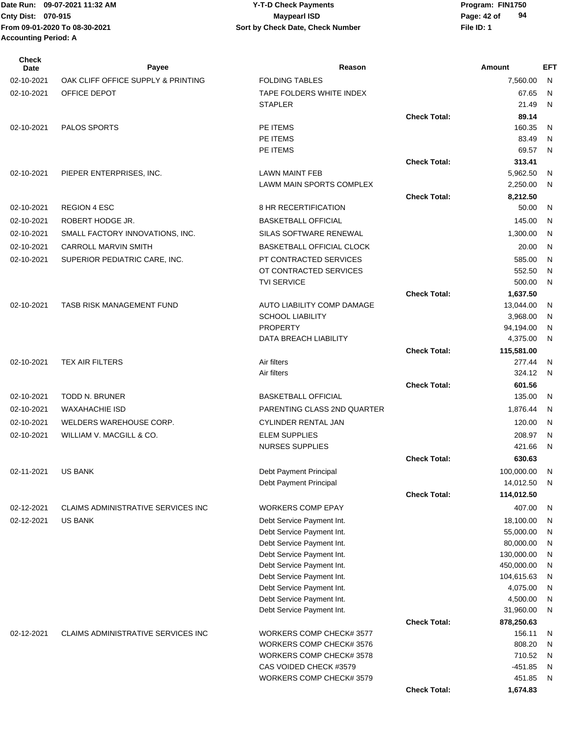| <b>Check</b><br>Date | Payee                                     | Reason                                               |                     | Amount              | <b>EFT</b>   |
|----------------------|-------------------------------------------|------------------------------------------------------|---------------------|---------------------|--------------|
| 02-10-2021           | OAK CLIFF OFFICE SUPPLY & PRINTING        | <b>FOLDING TABLES</b>                                |                     | 7,560.00            | N            |
| 02-10-2021           | OFFICE DEPOT                              | TAPE FOLDERS WHITE INDEX                             |                     | 67.65               | N            |
|                      |                                           | <b>STAPLER</b>                                       |                     | 21.49               | N            |
|                      |                                           |                                                      | <b>Check Total:</b> | 89.14               |              |
| 02-10-2021           | <b>PALOS SPORTS</b>                       | PE ITEMS                                             |                     | 160.35              | N            |
|                      |                                           | PE ITEMS                                             |                     | 83.49               | N            |
|                      |                                           | PE ITEMS                                             |                     | 69.57               | N            |
|                      |                                           |                                                      | <b>Check Total:</b> | 313.41              |              |
| 02-10-2021           | PIEPER ENTERPRISES, INC.                  | <b>LAWN MAINT FEB</b>                                |                     | 5,962.50            | N            |
|                      |                                           | LAWM MAIN SPORTS COMPLEX                             |                     | 2,250.00            | N            |
|                      |                                           |                                                      | <b>Check Total:</b> | 8,212.50            |              |
| 02-10-2021           | <b>REGION 4 ESC</b>                       | 8 HR RECERTIFICATION                                 |                     | 50.00               | N            |
| 02-10-2021           | ROBERT HODGE JR.                          | <b>BASKETBALL OFFICIAL</b>                           |                     | 145.00              | N            |
| 02-10-2021           | SMALL FACTORY INNOVATIONS, INC.           | SILAS SOFTWARE RENEWAL                               |                     | 1,300.00            | N            |
| 02-10-2021           | <b>CARROLL MARVIN SMITH</b>               | <b>BASKETBALL OFFICIAL CLOCK</b>                     |                     | 20.00               | N            |
| 02-10-2021           | SUPERIOR PEDIATRIC CARE, INC.             | PT CONTRACTED SERVICES                               |                     | 585.00              | N            |
|                      |                                           | OT CONTRACTED SERVICES                               |                     | 552.50              | N            |
|                      |                                           | <b>TVI SERVICE</b>                                   |                     | 500.00              | N            |
|                      |                                           |                                                      | <b>Check Total:</b> | 1,637.50            |              |
| 02-10-2021           | <b>TASB RISK MANAGEMENT FUND</b>          | AUTO LIABILITY COMP DAMAGE                           |                     | 13,044.00           | N            |
|                      |                                           | <b>SCHOOL LIABILITY</b>                              |                     | 3,968.00            | N            |
|                      |                                           | <b>PROPERTY</b>                                      |                     | 94,194.00           | N            |
|                      |                                           | DATA BREACH LIABILITY                                |                     | 4,375.00            | N            |
|                      |                                           |                                                      | <b>Check Total:</b> | 115,581.00          |              |
| 02-10-2021           | <b>TEX AIR FILTERS</b>                    | Air filters                                          |                     | 277.44              | N            |
|                      |                                           | Air filters                                          |                     | 324.12              | N            |
|                      |                                           |                                                      | <b>Check Total:</b> | 601.56              |              |
| 02-10-2021           | <b>TODD N. BRUNER</b>                     | <b>BASKETBALL OFFICIAL</b>                           |                     | 135.00              | N            |
| 02-10-2021           | <b>WAXAHACHIE ISD</b>                     | PARENTING CLASS 2ND QUARTER                          |                     | 1,876.44            | N            |
| 02-10-2021           | WELDERS WAREHOUSE CORP.                   | CYLINDER RENTAL JAN                                  |                     | 120.00              | N            |
| 02-10-2021           | WILLIAM V. MACGILL & CO.                  | <b>ELEM SUPPLIES</b>                                 |                     | 208.97              | N            |
|                      |                                           | <b>NURSES SUPPLIES</b>                               |                     | 421.66              | N            |
|                      |                                           |                                                      | <b>Check Total:</b> | 630.63              |              |
| 02-11-2021           | US BANK                                   | Debt Payment Principal                               |                     | 100,000.00 N        |              |
|                      |                                           | Debt Payment Principal                               |                     | 14,012.50           | N            |
|                      |                                           |                                                      | <b>Check Total:</b> | 114,012.50          |              |
| 02-12-2021           | <b>CLAIMS ADMINISTRATIVE SERVICES INC</b> | <b>WORKERS COMP EPAY</b>                             |                     | 407.00              | N            |
| 02-12-2021           | <b>US BANK</b>                            | Debt Service Payment Int.                            |                     | 18,100.00           | N            |
|                      |                                           | Debt Service Payment Int.                            |                     | 55,000.00           | N            |
|                      |                                           | Debt Service Payment Int.                            |                     | 80,000.00           | N            |
|                      |                                           | Debt Service Payment Int.                            |                     | 130,000.00          | N            |
|                      |                                           | Debt Service Payment Int.                            |                     | 450,000.00          | N            |
|                      |                                           | Debt Service Payment Int.                            |                     | 104,615.63          | N            |
|                      |                                           | Debt Service Payment Int.                            |                     | 4,075.00            | N            |
|                      |                                           | Debt Service Payment Int.                            |                     | 4,500.00            | N            |
|                      |                                           | Debt Service Payment Int.                            |                     | 31,960.00           | N            |
|                      |                                           |                                                      | <b>Check Total:</b> | 878,250.63          |              |
| 02-12-2021           | <b>CLAIMS ADMINISTRATIVE SERVICES INC</b> | WORKERS COMP CHECK#3577                              |                     | 156.11              | N            |
|                      |                                           | WORKERS COMP CHECK# 3576<br>WORKERS COMP CHECK# 3578 |                     | 808.20              | N            |
|                      |                                           | CAS VOIDED CHECK #3579                               |                     | 710.52<br>$-451.85$ | N<br>N       |
|                      |                                           | WORKERS COMP CHECK# 3579                             |                     | 451.85              | $\mathsf{N}$ |
|                      |                                           |                                                      | <b>Check Total:</b> | 1,674.83            |              |
|                      |                                           |                                                      |                     |                     |              |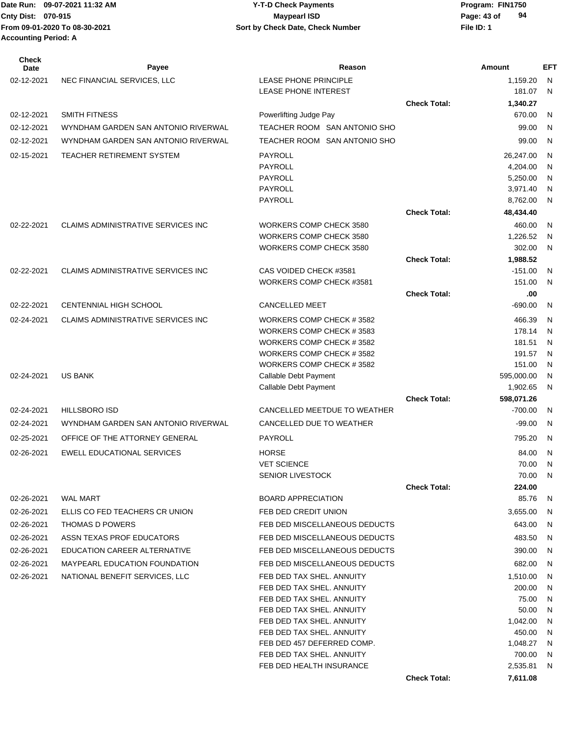| <b>Check</b><br>Date | Payee                                     | Reason                                               |                     | Amount           | <b>EFT</b>   |
|----------------------|-------------------------------------------|------------------------------------------------------|---------------------|------------------|--------------|
| 02-12-2021           | NEC FINANCIAL SERVICES, LLC               | <b>LEASE PHONE PRINCIPLE</b>                         |                     | 1,159.20         | N            |
|                      |                                           | <b>LEASE PHONE INTEREST</b>                          |                     | 181.07           | $\mathsf{N}$ |
|                      |                                           |                                                      | <b>Check Total:</b> | 1,340.27         |              |
| 02-12-2021           | <b>SMITH FITNESS</b>                      | Powerlifting Judge Pay                               |                     | 670.00           | N            |
| 02-12-2021           | WYNDHAM GARDEN SAN ANTONIO RIVERWAL       | TEACHER ROOM SAN ANTONIO SHO                         |                     | 99.00            | $\mathsf{N}$ |
| 02-12-2021           | WYNDHAM GARDEN SAN ANTONIO RIVERWAL       | TEACHER ROOM SAN ANTONIO SHO                         |                     | 99.00            | N            |
| 02-15-2021           | TEACHER RETIREMENT SYSTEM                 | PAYROLL                                              |                     | 26,247.00        | N            |
|                      |                                           | <b>PAYROLL</b>                                       |                     | 4.204.00         | N            |
|                      |                                           | PAYROLL                                              |                     | 5,250.00         | N            |
|                      |                                           | <b>PAYROLL</b>                                       |                     | 3,971.40         | N            |
|                      |                                           | PAYROLL                                              |                     | 8,762.00         | N            |
|                      |                                           |                                                      | <b>Check Total:</b> | 48,434.40        |              |
| 02-22-2021           | <b>CLAIMS ADMINISTRATIVE SERVICES INC</b> | WORKERS COMP CHECK 3580                              |                     | 460.00           | N            |
|                      |                                           | WORKERS COMP CHECK 3580                              |                     | 1,226.52         | N            |
|                      |                                           | WORKERS COMP CHECK 3580                              |                     | 302.00           | N            |
|                      |                                           |                                                      | <b>Check Total:</b> | 1,988.52         |              |
| 02-22-2021           | <b>CLAIMS ADMINISTRATIVE SERVICES INC</b> | CAS VOIDED CHECK #3581                               |                     | $-151.00$        | N            |
|                      |                                           | WORKERS COMP CHECK #3581                             |                     | 151.00           | N            |
|                      |                                           |                                                      | <b>Check Total:</b> | .00              |              |
| 02-22-2021           | CENTENNIAL HIGH SCHOOL                    | <b>CANCELLED MEET</b>                                |                     | -690.00          | N            |
| 02-24-2021           | <b>CLAIMS ADMINISTRATIVE SERVICES INC</b> | WORKERS COMP CHECK #3582                             |                     | 466.39           | N            |
|                      |                                           | WORKERS COMP CHECK #3583                             |                     | 178.14           | N            |
|                      |                                           | WORKERS COMP CHECK #3582<br>WORKERS COMP CHECK #3582 |                     | 181.51<br>191.57 | N            |
|                      |                                           | WORKERS COMP CHECK #3582                             |                     | 151.00           | N<br>N       |
| 02-24-2021           | <b>US BANK</b>                            | Callable Debt Payment                                |                     | 595,000.00       | N            |
|                      |                                           | Callable Debt Payment                                |                     | 1,902.65         | N            |
|                      |                                           |                                                      | <b>Check Total:</b> | 598,071.26       |              |
| 02-24-2021           | <b>HILLSBORO ISD</b>                      | CANCELLED MEETDUE TO WEATHER                         |                     | $-700.00$        | N            |
| 02-24-2021           | WYNDHAM GARDEN SAN ANTONIO RIVERWAL       | CANCELLED DUE TO WEATHER                             |                     | $-99.00$         | $\mathsf{N}$ |
| 02-25-2021           | OFFICE OF THE ATTORNEY GENERAL            | <b>PAYROLL</b>                                       |                     | 795.20           | N            |
| 02-26-2021           | <b>EWELL EDUCATIONAL SERVICES</b>         | <b>HORSE</b>                                         |                     | 84.00            | N            |
|                      |                                           | <b>VET SCIENCE</b>                                   |                     | 70.00            | N            |
|                      |                                           | SENIOR LIVESTOCK                                     |                     | 70.00            | N            |
|                      |                                           |                                                      | <b>Check Total:</b> | 224.00           |              |
| 02-26-2021           | <b>WAL MART</b>                           | <b>BOARD APPRECIATION</b>                            |                     | 85.76            | N            |
| 02-26-2021           | ELLIS CO FED TEACHERS CR UNION            | FEB DED CREDIT UNION                                 |                     | 3,655.00         | N            |
| 02-26-2021           | <b>THOMAS D POWERS</b>                    | FEB DED MISCELLANEOUS DEDUCTS                        |                     | 643.00           | N            |
| 02-26-2021           | ASSN TEXAS PROF EDUCATORS                 | FEB DED MISCELLANEOUS DEDUCTS                        |                     | 483.50           | N            |
| 02-26-2021           | EDUCATION CAREER ALTERNATIVE              | FEB DED MISCELLANEOUS DEDUCTS                        |                     | 390.00           | N            |
| 02-26-2021           | <b>MAYPEARL EDUCATION FOUNDATION</b>      | FEB DED MISCELLANEOUS DEDUCTS                        |                     | 682.00           | N            |
| 02-26-2021           | NATIONAL BENEFIT SERVICES, LLC            | FEB DED TAX SHEL, ANNUITY                            |                     | 1,510.00         | N            |
|                      |                                           | FEB DED TAX SHEL. ANNUITY                            |                     | 200.00           | N            |
|                      |                                           | FEB DED TAX SHEL. ANNUITY                            |                     | 75.00            | N            |
|                      |                                           | FEB DED TAX SHEL. ANNUITY                            |                     | 50.00            | N            |
|                      |                                           | FEB DED TAX SHEL. ANNUITY                            |                     | 1,042.00         | N            |
|                      |                                           | FEB DED TAX SHEL. ANNUITY                            |                     | 450.00           | N            |
|                      |                                           | FEB DED 457 DEFERRED COMP.                           |                     | 1,048.27         | N            |
|                      |                                           | FEB DED TAX SHEL. ANNUITY                            |                     | 700.00           | N            |
|                      |                                           | FEB DED HEALTH INSURANCE                             |                     | 2,535.81         | N            |
|                      |                                           |                                                      | <b>Check Total:</b> | 7,611.08         |              |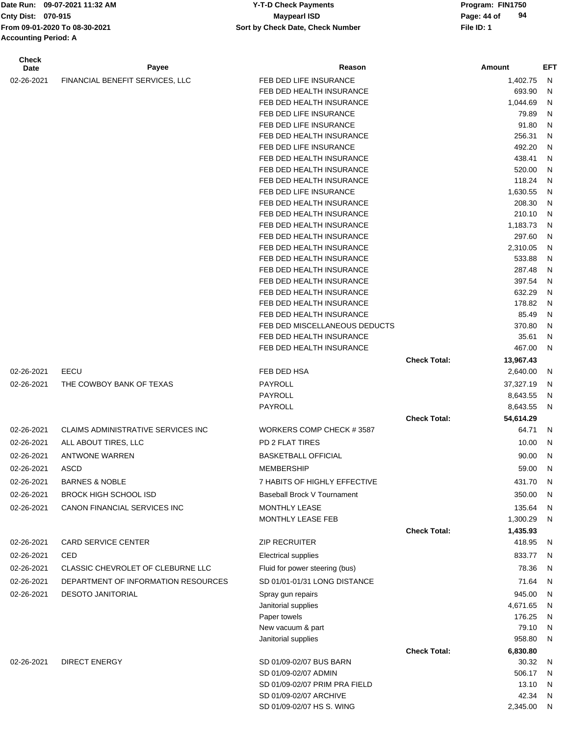**Accounting Period: A**

#### Date Run: 09-07-2021 11:32 AM **Program: FIN1750** Y-T-D Check Payments **Cnty Dist:** 070-915 **Page: 44 of MaypearI ISD Page: 44 of Page: 44 of From 09-01-2020 To 08-30-2021 File ID: 1 Sort by Check Date, Check Number 09-07-2021 11:32 AM Y-T-D Check Payments 070-915 Maypearl ISD**

| <b>Check</b><br>Date | Payee                                     | Reason                                               |                     | Amount             | <b>EFT</b> |
|----------------------|-------------------------------------------|------------------------------------------------------|---------------------|--------------------|------------|
| 02-26-2021           | FINANCIAL BENEFIT SERVICES, LLC           | FEB DED LIFE INSURANCE                               |                     | 1,402.75           | N          |
|                      |                                           | FEB DED HEALTH INSURANCE                             |                     | 693.90             | N          |
|                      |                                           | FEB DED HEALTH INSURANCE                             |                     | 1,044.69           | N          |
|                      |                                           | FEB DED LIFE INSURANCE                               |                     | 79.89              | N          |
|                      |                                           | FEB DED LIFE INSURANCE                               |                     | 91.80              | N          |
|                      |                                           | FEB DED HEALTH INSURANCE                             |                     | 256.31             | N          |
|                      |                                           | FEB DED LIFE INSURANCE                               |                     | 492.20             | N          |
|                      |                                           | FEB DED HEALTH INSURANCE                             |                     | 438.41             | N          |
|                      |                                           | FEB DED HEALTH INSURANCE                             |                     | 520.00             | N          |
|                      |                                           | FEB DED HEALTH INSURANCE<br>FEB DED LIFE INSURANCE   |                     | 118.24             | N          |
|                      |                                           | FEB DED HEALTH INSURANCE                             |                     | 1,630.55<br>208.30 | N<br>N     |
|                      |                                           | FEB DED HEALTH INSURANCE                             |                     | 210.10             | N          |
|                      |                                           | FEB DED HEALTH INSURANCE                             |                     | 1,183.73           | N          |
|                      |                                           | FEB DED HEALTH INSURANCE                             |                     | 297.60             | N          |
|                      |                                           | FEB DED HEALTH INSURANCE                             |                     | 2,310.05           | N          |
|                      |                                           | FEB DED HEALTH INSURANCE                             |                     | 533.88             | N          |
|                      |                                           | FEB DED HEALTH INSURANCE                             |                     | 287.48             | N          |
|                      |                                           | FEB DED HEALTH INSURANCE                             |                     | 397.54             | N          |
|                      |                                           | FEB DED HEALTH INSURANCE                             |                     | 632.29             | N          |
|                      |                                           | FEB DED HEALTH INSURANCE                             |                     | 178.82             | N          |
|                      |                                           | FEB DED HEALTH INSURANCE                             |                     | 85.49              | N          |
|                      |                                           | FEB DED MISCELLANEOUS DEDUCTS                        |                     | 370.80             | N          |
|                      |                                           | FEB DED HEALTH INSURANCE<br>FEB DED HEALTH INSURANCE |                     | 35.61<br>467.00    | N<br>N     |
|                      |                                           |                                                      | <b>Check Total:</b> | 13,967.43          |            |
| 02-26-2021           | EECU                                      | FEB DED HSA                                          |                     | 2,640.00           | N          |
| 02-26-2021           | THE COWBOY BANK OF TEXAS                  | PAYROLL                                              |                     | 37,327.19          | N          |
|                      |                                           | PAYROLL                                              |                     | 8,643.55           | N          |
|                      |                                           | PAYROLL                                              |                     | 8,643.55           | N          |
|                      |                                           |                                                      | <b>Check Total:</b> | 54,614.29          |            |
| 02-26-2021           | <b>CLAIMS ADMINISTRATIVE SERVICES INC</b> | WORKERS COMP CHECK #3587                             |                     | 64.71              | N          |
| 02-26-2021           | ALL ABOUT TIRES, LLC                      | PD 2 FLAT TIRES                                      |                     | 10.00              | N          |
| 02-26-2021           | <b>ANTWONE WARREN</b>                     | <b>BASKETBALL OFFICIAL</b>                           |                     | 90.00              | N          |
| 02-26-2021           | ASCD                                      | <b>MEMBERSHIP</b>                                    |                     | 59.00              | N          |
| 02-26-2021           | <b>BARNES &amp; NOBLE</b>                 | 7 HABITS OF HIGHLY EFFECTIVE                         |                     | 431.70             | N          |
| 02-26-2021           | <b>BROCK HIGH SCHOOL ISD</b>              | Baseball Brock V Tournament                          |                     | 350.00             | N          |
| 02-26-2021           | CANON FINANCIAL SERVICES INC              | MONTHLY LEASE                                        |                     | 135.64             | N          |
|                      |                                           | MONTHLY LEASE FEB                                    |                     | 1,300.29           | N          |
|                      |                                           |                                                      | <b>Check Total:</b> | 1,435.93           |            |
| 02-26-2021           | <b>CARD SERVICE CENTER</b>                | <b>ZIP RECRUITER</b>                                 |                     | 418.95             | N          |
| 02-26-2021           | CED                                       | <b>Electrical supplies</b>                           |                     | 833.77             | N          |
| 02-26-2021           | CLASSIC CHEVROLET OF CLEBURNE LLC         | Fluid for power steering (bus)                       |                     | 78.36              | N          |
| 02-26-2021           | DEPARTMENT OF INFORMATION RESOURCES       | SD 01/01-01/31 LONG DISTANCE                         |                     | 71.64              | N          |
| 02-26-2021           | <b>DESOTO JANITORIAL</b>                  | Spray gun repairs                                    |                     | 945.00             | N          |
|                      |                                           | Janitorial supplies                                  |                     | 4,671.65           | N          |
|                      |                                           | Paper towels                                         |                     | 176.25             | N          |
|                      |                                           | New vacuum & part                                    |                     | 79.10              | N          |
|                      |                                           | Janitorial supplies                                  |                     | 958.80             | N          |
|                      | <b>DIRECT ENERGY</b>                      | SD 01/09-02/07 BUS BARN                              | <b>Check Total:</b> | 6,830.80<br>30.32  |            |
| 02-26-2021           |                                           | SD 01/09-02/07 ADMIN                                 |                     | 506.17             | N<br>N     |
|                      |                                           | SD 01/09-02/07 PRIM PRA FIELD                        |                     | 13.10              | N          |
|                      |                                           | SD 01/09-02/07 ARCHIVE                               |                     | 42.34              | N          |
|                      |                                           | SD 01/09-02/07 HS S. WING                            |                     | 2,345.00           | N          |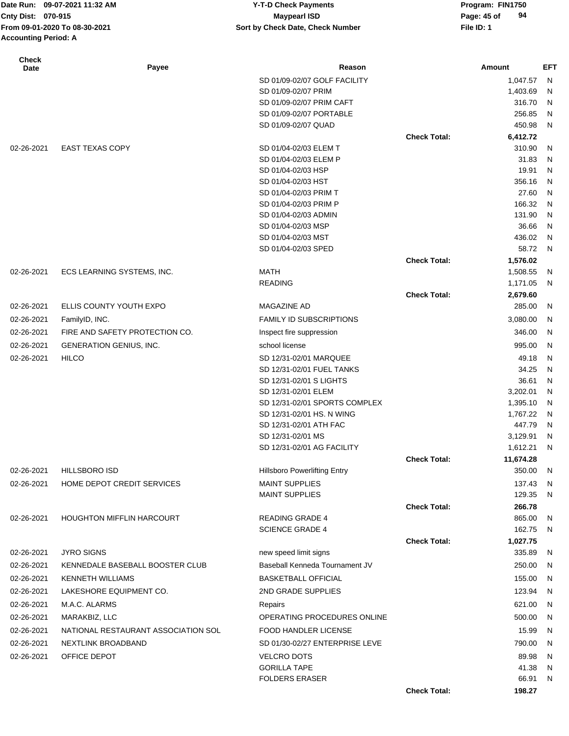| Cnty Dist: 070-915          | Date Run: 09-07-2021 11:32 AM<br>From 09-01-2020 To 08-30-2021 | <b>Y-T-D Check Payments</b><br><b>Maypearl ISD</b> |                     | Program: FIN1750<br>94<br>Page: 45 of<br>File ID: 1 |        |
|-----------------------------|----------------------------------------------------------------|----------------------------------------------------|---------------------|-----------------------------------------------------|--------|
| <b>Accounting Period: A</b> |                                                                | Sort by Check Date, Check Number                   |                     |                                                     |        |
| <b>Check</b><br>Date        | Payee                                                          | Reason                                             |                     | Amount                                              | EFT    |
|                             |                                                                | SD 01/09-02/07 GOLF FACILITY                       |                     | 1,047.57                                            | - N    |
|                             |                                                                | SD 01/09-02/07 PRIM                                |                     | 1,403.69                                            | N      |
|                             |                                                                | SD 01/09-02/07 PRIM CAFT                           |                     | 316.70                                              | N      |
|                             |                                                                | SD 01/09-02/07 PORTABLE                            |                     | 256.85                                              | N      |
|                             |                                                                | SD 01/09-02/07 QUAD                                |                     | 450.98                                              | N.     |
|                             |                                                                |                                                    | <b>Check Total:</b> | 6,412.72                                            |        |
| 02-26-2021                  | <b>EAST TEXAS COPY</b>                                         | SD 01/04-02/03 ELEM T                              |                     | 310.90                                              | N      |
|                             |                                                                | SD 01/04-02/03 ELEM P                              |                     | 31.83                                               | N      |
|                             |                                                                | SD 01/04-02/03 HSP                                 |                     | 19.91                                               | N      |
|                             |                                                                | SD 01/04-02/03 HST                                 |                     | 356.16                                              | N      |
|                             |                                                                | SD 01/04-02/03 PRIM T                              |                     | 27.60                                               | N      |
|                             |                                                                | SD 01/04-02/03 PRIM P<br>SD 01/04-02/03 ADMIN      |                     | 166.32<br>131.90                                    | N<br>N |
|                             |                                                                | SD 01/04-02/03 MSP                                 |                     | 36.66                                               | N      |
|                             |                                                                | SD 01/04-02/03 MST                                 |                     | 436.02                                              | N      |
|                             |                                                                | SD 01/04-02/03 SPED                                |                     | 58.72                                               | N,     |
|                             |                                                                |                                                    | <b>Check Total:</b> | 1,576.02                                            |        |
| 02-26-2021                  | ECS LEARNING SYSTEMS, INC.                                     | <b>MATH</b>                                        |                     | 1,508.55                                            | N.     |
|                             |                                                                | <b>READING</b>                                     |                     | 1,171.05                                            | N,     |
|                             |                                                                |                                                    | <b>Check Total:</b> | 2,679.60                                            |        |
| 02-26-2021                  | ELLIS COUNTY YOUTH EXPO                                        | <b>MAGAZINE AD</b>                                 |                     | 285.00                                              | N,     |
| 02-26-2021                  | FamilyID, INC.                                                 | <b>FAMILY ID SUBSCRIPTIONS</b>                     |                     | 3,080.00                                            | -N     |
| 02-26-2021                  | FIRE AND SAFETY PROTECTION CO.                                 | Inspect fire suppression                           |                     | 346.00                                              | N      |
| 02-26-2021                  | GENERATION GENIUS, INC.                                        | school license                                     |                     | 995.00                                              | N      |
| 02-26-2021                  | <b>HILCO</b>                                                   | SD 12/31-02/01 MARQUEE                             |                     | 49.18                                               | N      |
|                             |                                                                | SD 12/31-02/01 FUEL TANKS                          |                     | 34.25                                               | N      |
|                             |                                                                | SD 12/31-02/01 S LIGHTS                            |                     | 36.61                                               | N      |
|                             |                                                                | SD 12/31-02/01 ELEM                                |                     | 3,202.01                                            | N      |
|                             |                                                                | SD 12/31-02/01 SPORTS COMPLEX                      |                     | 1,395.10                                            | N      |
|                             |                                                                | SD 12/31-02/01 HS. N WING                          |                     | 1,767.22 N                                          |        |
|                             |                                                                | SD 12/31-02/01 ATH FAC                             |                     | 447.79                                              | N      |
|                             |                                                                | SD 12/31-02/01 MS                                  |                     | 3,129.91 N                                          |        |
|                             |                                                                | SD 12/31-02/01 AG FACILITY                         |                     | 1,612.21 N                                          |        |
|                             |                                                                |                                                    | <b>Check Total:</b> | 11,674.28                                           |        |
| 02-26-2021                  | <b>HILLSBORO ISD</b>                                           | <b>Hillsboro Powerlifting Entry</b>                |                     | 350.00                                              | - N    |
| 02-26-2021                  | HOME DEPOT CREDIT SERVICES                                     | <b>MAINT SUPPLIES</b>                              |                     | 137.43 N                                            |        |
|                             |                                                                | <b>MAINT SUPPLIES</b>                              |                     | 129.35 N                                            |        |
|                             | <b>HOUGHTON MIFFLIN HARCOURT</b>                               | <b>READING GRADE 4</b>                             | <b>Check Total:</b> | 266.78<br>865.00 N                                  |        |
| 02-26-2021                  |                                                                | <b>SCIENCE GRADE 4</b>                             |                     | 162.75 N                                            |        |
|                             |                                                                |                                                    | <b>Check Total:</b> | 1,027.75                                            |        |
| 02-26-2021                  | <b>JYRO SIGNS</b>                                              | new speed limit signs                              |                     | 335.89 N                                            |        |
| 02-26-2021                  | KENNEDALE BASEBALL BOOSTER CLUB                                | Baseball Kenneda Tournament JV                     |                     | 250.00                                              | N      |
|                             |                                                                |                                                    |                     |                                                     |        |
| 02-26-2021                  | <b>KENNETH WILLIAMS</b>                                        | <b>BASKETBALL OFFICIAL</b>                         |                     | 155.00 N                                            |        |
| 02-26-2021                  | LAKESHORE EQUIPMENT CO.                                        | 2ND GRADE SUPPLIES                                 |                     | 123.94 N                                            |        |
| 02-26-2021                  | M.A.C. ALARMS                                                  | Repairs                                            |                     | 621.00 N                                            |        |

02-26-2021 MARAKBIZ, LLC OPERATING PROCEDURES ONLINE 500.00 N 02-26-2021 NATIONAL RESTAURANT ASSOCIATION SOL FOOD HANDLER LICENSE 15.99 N 02-26-2021 NEXTLINK BROADBAND SD 01/30-02/27 ENTERPRISE LEVE 790.00 N 02-26-2021 OFFICE DEPOT CONTROL CONTROL CONTROL OF MANUSCRIPTION OF MANUSCRIPTION OF MANUSCRIPTION OF MANUSCRIPTION OF MANUSCRIPTION OF MANUSCRIPTION OF MANUSCRIPTION OF MANUSCRIPTION OF MANUSCRIPTION OF MANUSCRIPTION OF M

GORILLA TAPE 41.38 N FOLDERS ERASER 66.91 N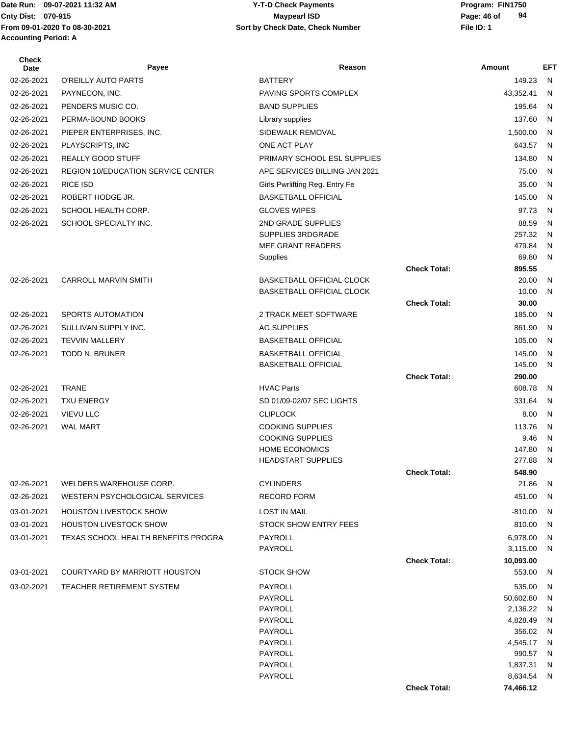**Accounting Period: A**

#### Date Run: 09-07-2021 11:32 AM **Program: FIN1750** Y-T-D Check Payments **Cnty Dist:** 070-915 **Page: 46 of Maypearl ISD Page: 46 of From 09-01-2020 To 08-30-2021 File ID: 1 Sort by Check Date, Check Number 09-07-2021 11:32 AM Y-T-D Check Payments 070-915 Maypearl ISD**

| <b>Check</b><br><b>Date</b> | Payee                                     | Reason                                             |                     | Amount               | EFT.   |
|-----------------------------|-------------------------------------------|----------------------------------------------------|---------------------|----------------------|--------|
| 02-26-2021                  | O'REILLY AUTO PARTS                       | <b>BATTERY</b>                                     |                     | 149.23               | N      |
| 02-26-2021                  | PAYNECON, INC.                            | PAVING SPORTS COMPLEX                              |                     | 43,352.41            | N      |
| 02-26-2021                  | PENDERS MUSIC CO.                         | <b>BAND SUPPLIES</b>                               |                     | 195.64               | N      |
| 02-26-2021                  | PERMA-BOUND BOOKS                         | Library supplies                                   |                     | 137.60               | N      |
| 02-26-2021                  | PIEPER ENTERPRISES, INC.                  | SIDEWALK REMOVAL                                   |                     | 1,500.00             | N      |
| 02-26-2021                  | PLAYSCRIPTS, INC                          | ONE ACT PLAY                                       |                     | 643.57               | N      |
| 02-26-2021                  | <b>REALLY GOOD STUFF</b>                  | PRIMARY SCHOOL ESL SUPPLIES                        |                     | 134.80               | N      |
| 02-26-2021                  | <b>REGION 10/EDUCATION SERVICE CENTER</b> | APE SERVICES BILLING JAN 2021                      |                     | 75.00                | N      |
| 02-26-2021                  | <b>RICE ISD</b>                           | Girls Pwrlifting Reg. Entry Fe                     |                     | 35.00                | N      |
| 02-26-2021                  | ROBERT HODGE JR.                          | <b>BASKETBALL OFFICIAL</b>                         |                     | 145.00               | N      |
| 02-26-2021                  | SCHOOL HEALTH CORP.                       | <b>GLOVES WIPES</b>                                |                     | 97.73                | N      |
| 02-26-2021                  | SCHOOL SPECIALTY INC.                     | 2ND GRADE SUPPLIES                                 |                     | 88.59                | N      |
|                             |                                           | SUPPLIES 3RDGRADE                                  |                     | 257.32               | N      |
|                             |                                           | <b>MEF GRANT READERS</b>                           |                     | 479.84               | N      |
|                             |                                           | Supplies                                           |                     | 69.80                | N      |
|                             |                                           |                                                    | <b>Check Total:</b> | 895.55               |        |
| 02-26-2021                  | <b>CARROLL MARVIN SMITH</b>               | BASKETBALL OFFICIAL CLOCK                          |                     | 20.00                | N      |
|                             |                                           | BASKETBALL OFFICIAL CLOCK                          |                     | 10.00                | N      |
|                             |                                           |                                                    | <b>Check Total:</b> | 30.00                |        |
| 02-26-2021                  | <b>SPORTS AUTOMATION</b>                  | 2 TRACK MEET SOFTWARE                              |                     | 185.00               | N      |
| 02-26-2021                  | SULLIVAN SUPPLY INC.                      | AG SUPPLIES                                        |                     | 861.90               | N      |
| 02-26-2021                  | <b>TEVVIN MALLERY</b>                     | <b>BASKETBALL OFFICIAL</b>                         |                     | 105.00               | N      |
| 02-26-2021                  | <b>TODD N. BRUNER</b>                     | <b>BASKETBALL OFFICIAL</b>                         |                     | 145.00               | N      |
|                             |                                           | <b>BASKETBALL OFFICIAL</b>                         |                     | 145.00               | N      |
| 02-26-2021                  | <b>TRANE</b>                              | <b>HVAC Parts</b>                                  | <b>Check Total:</b> | 290.00<br>608.78     | N      |
|                             |                                           |                                                    |                     | 331.64               |        |
| 02-26-2021                  | <b>TXU ENERGY</b>                         | SD 01/09-02/07 SEC LIGHTS                          |                     |                      | N      |
| 02-26-2021                  | <b>VIEVU LLC</b>                          | <b>CLIPLOCK</b>                                    |                     | 8.00                 | N      |
| 02-26-2021                  | <b>WAL MART</b>                           | <b>COOKING SUPPLIES</b><br><b>COOKING SUPPLIES</b> |                     | 113.76<br>9.46       | N<br>N |
|                             |                                           | <b>HOME ECONOMICS</b>                              |                     | 147.80               | N      |
|                             |                                           | <b>HEADSTART SUPPLIES</b>                          |                     | 277.88               | N      |
|                             |                                           |                                                    | <b>Check Total:</b> | 548.90               |        |
| 02-26-2021                  | WELDERS WAREHOUSE CORP.                   | <b>CYLINDERS</b>                                   |                     | 21.86                | N      |
| 02-26-2021                  | WESTERN PSYCHOLOGICAL SERVICES            | <b>RECORD FORM</b>                                 |                     | 451.00               | N      |
| 03-01-2021                  | <b>HOUSTON LIVESTOCK SHOW</b>             | <b>LOST IN MAIL</b>                                |                     | $-810.00$            | N      |
| 03-01-2021                  | <b>HOUSTON LIVESTOCK SHOW</b>             | <b>STOCK SHOW ENTRY FEES</b>                       |                     | 810.00               | N      |
| 03-01-2021                  | TEXAS SCHOOL HEALTH BENEFITS PROGRA       | PAYROLL                                            |                     | 6,978.00             | N      |
|                             |                                           | PAYROLL                                            |                     | 3,115.00             | N      |
|                             |                                           |                                                    | <b>Check Total:</b> | 10,093.00            |        |
| 03-01-2021                  | COURTYARD BY MARRIOTT HOUSTON             | <b>STOCK SHOW</b>                                  |                     | 553.00               | N      |
| 03-02-2021                  | <b>TEACHER RETIREMENT SYSTEM</b>          | PAYROLL                                            |                     | 535.00               | N      |
|                             |                                           | PAYROLL                                            |                     | 50,602.80            | N      |
|                             |                                           | PAYROLL                                            |                     | 2,136.22             | N      |
|                             |                                           | PAYROLL                                            |                     | 4,828.49             | N      |
|                             |                                           | PAYROLL                                            |                     | 356.02               | N      |
|                             |                                           | PAYROLL                                            |                     | 4,545.17             | N      |
|                             |                                           | PAYROLL                                            |                     | 990.57               | N      |
|                             |                                           | PAYROLL<br>PAYROLL                                 |                     | 1,837.31<br>8,634.54 | N<br>N |
|                             |                                           |                                                    | <b>Check Total:</b> | 74,466.12            |        |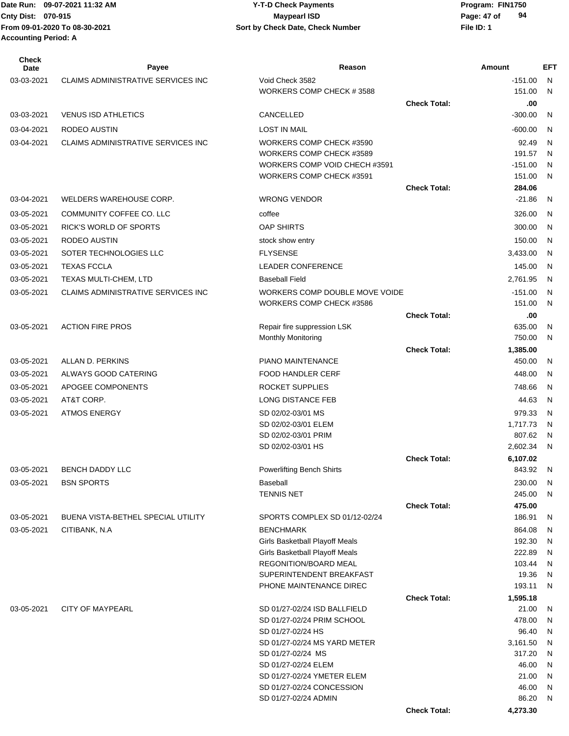| <b>Check</b><br>Date | Payee                                     | Reason                                                  |                     | Amount             | EFT     |
|----------------------|-------------------------------------------|---------------------------------------------------------|---------------------|--------------------|---------|
| 03-03-2021           | CLAIMS ADMINISTRATIVE SERVICES INC        | Void Check 3582                                         |                     | $-151.00$          | N.      |
|                      |                                           | WORKERS COMP CHECK #3588                                |                     | 151.00             | N.      |
|                      |                                           |                                                         | <b>Check Total:</b> | .00                |         |
| 03-03-2021           | <b>VENUS ISD ATHLETICS</b>                | CANCELLED                                               |                     | $-300.00$          | N       |
| 03-04-2021           | RODEO AUSTIN                              | <b>LOST IN MAIL</b>                                     |                     | $-600.00$          | N       |
| 03-04-2021           | <b>CLAIMS ADMINISTRATIVE SERVICES INC</b> | WORKERS COMP CHECK #3590                                |                     | 92.49              | N       |
|                      |                                           | WORKERS COMP CHECK #3589                                |                     | 191.57             | N       |
|                      |                                           | WORKERS COMP VOID CHECH #3591                           |                     | $-151.00$          | N       |
|                      |                                           | WORKERS COMP CHECK #3591                                |                     | 151.00             | N       |
| 03-04-2021           | WELDERS WAREHOUSE CORP.                   | <b>WRONG VENDOR</b>                                     | <b>Check Total:</b> | 284.06<br>$-21.86$ | N.      |
|                      |                                           |                                                         |                     |                    |         |
| 03-05-2021           | COMMUNITY COFFEE CO. LLC                  | coffee                                                  |                     | 326.00             | N       |
| 03-05-2021           | RICK'S WORLD OF SPORTS                    | <b>OAP SHIRTS</b>                                       |                     | 300.00             | N       |
| 03-05-2021           | RODEO AUSTIN                              | stock show entry                                        |                     | 150.00             | N       |
| 03-05-2021           | SOTER TECHNOLOGIES LLC                    | <b>FLYSENSE</b>                                         |                     | 3,433.00           | N       |
| 03-05-2021           | <b>TEXAS FCCLA</b>                        | <b>LEADER CONFERENCE</b>                                |                     | 145.00             | N       |
| 03-05-2021           | TEXAS MULTI-CHEM, LTD                     | <b>Baseball Field</b>                                   |                     | 2,761.95           | N       |
| 03-05-2021           | CLAIMS ADMINISTRATIVE SERVICES INC        | WORKERS COMP DOUBLE MOVE VOIDE                          |                     | $-151.00$          | N.      |
|                      |                                           | WORKERS COMP CHECK #3586                                |                     | 151.00             | N       |
| 03-05-2021           | <b>ACTION FIRE PROS</b>                   | Repair fire suppression LSK                             | <b>Check Total:</b> | .00<br>635.00      | N       |
|                      |                                           | <b>Monthly Monitoring</b>                               |                     | 750.00             | N       |
|                      |                                           |                                                         | <b>Check Total:</b> | 1,385.00           |         |
| 03-05-2021           | ALLAN D. PERKINS                          | PIANO MAINTENANCE                                       |                     | 450.00             | N       |
| 03-05-2021           | ALWAYS GOOD CATERING                      | <b>FOOD HANDLER CERF</b>                                |                     | 448.00             | N       |
| 03-05-2021           | APOGEE COMPONENTS                         | ROCKET SUPPLIES                                         |                     | 748.66             | N       |
| 03-05-2021           | AT&T CORP.                                | <b>LONG DISTANCE FEB</b>                                |                     | 44.63              | N       |
| 03-05-2021           | <b>ATMOS ENERGY</b>                       | SD 02/02-03/01 MS                                       |                     | 979.33             | N       |
|                      |                                           | SD 02/02-03/01 ELEM                                     |                     | 1,717.73           | N       |
|                      |                                           | SD 02/02-03/01 PRIM                                     |                     | 807.62             | N       |
|                      |                                           | SD 02/02-03/01 HS                                       |                     | 2,602.34           | N       |
|                      |                                           |                                                         | <b>Check Total:</b> | 6,107.02           |         |
| 03-05-2021           | <b>BENCH DADDY LLC</b>                    | <b>Powerlifting Bench Shirts</b>                        |                     | 843.92             | N       |
| 03-05-2021           | <b>BSN SPORTS</b>                         | <b>Baseball</b><br><b>TENNIS NET</b>                    |                     | 230.00<br>245.00   | N.<br>N |
|                      |                                           |                                                         | <b>Check Total:</b> | 475.00             |         |
| 03-05-2021           | BUENA VISTA-BETHEL SPECIAL UTILITY        | SPORTS COMPLEX SD 01/12-02/24                           |                     | 186.91             | N       |
| 03-05-2021           | CITIBANK, N.A.                            | <b>BENCHMARK</b>                                        |                     | 864.08             | N       |
|                      |                                           | Girls Basketball Playoff Meals                          |                     | 192.30             | N       |
|                      |                                           | Girls Basketball Playoff Meals                          |                     | 222.89             | N       |
|                      |                                           | REGONITION/BOARD MEAL                                   |                     | 103.44             | N       |
|                      |                                           | SUPERINTENDENT BREAKFAST                                |                     | 19.36              | N,      |
|                      |                                           | PHONE MAINTENANCE DIREC                                 |                     | 193.11             | N       |
| 03-05-2021           | <b>CITY OF MAYPEARL</b>                   | SD 01/27-02/24 ISD BALLFIELD                            | <b>Check Total:</b> | 1,595.18<br>21.00  | N,      |
|                      |                                           | SD 01/27-02/24 PRIM SCHOOL                              |                     | 478.00             | N       |
|                      |                                           | SD 01/27-02/24 HS                                       |                     | 96.40              | N       |
|                      |                                           | SD 01/27-02/24 MS YARD METER                            |                     | 3,161.50           | N       |
|                      |                                           | SD 01/27-02/24 MS                                       |                     | 317.20             | N       |
|                      |                                           | SD 01/27-02/24 ELEM                                     |                     | 46.00              | N       |
|                      |                                           | SD 01/27-02/24 YMETER ELEM<br>SD 01/27-02/24 CONCESSION |                     | 21.00<br>46.00     | N<br>N  |
|                      |                                           | SD 01/27-02/24 ADMIN                                    |                     | 86.20              | N.      |
|                      |                                           |                                                         | <b>Check Total:</b> | 4,273.30           |         |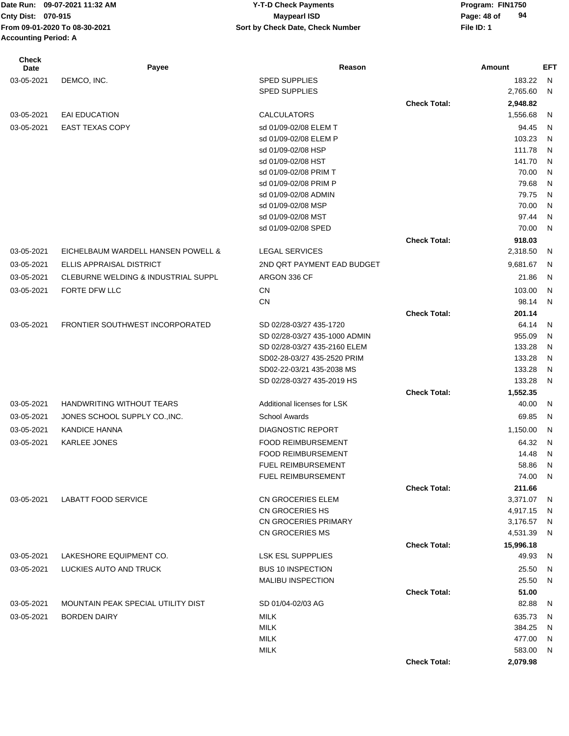| <b>Check</b><br><b>Date</b> | Payee                               | Reason                        |                     | Amount             | <b>EFT</b>   |
|-----------------------------|-------------------------------------|-------------------------------|---------------------|--------------------|--------------|
| 03-05-2021                  | DEMCO, INC.                         | <b>SPED SUPPLIES</b>          |                     | 183.22             | N            |
|                             |                                     | <b>SPED SUPPLIES</b>          |                     | 2,765.60           | N            |
|                             |                                     |                               | <b>Check Total:</b> | 2,948.82           |              |
| 03-05-2021                  | <b>EAI EDUCATION</b>                | <b>CALCULATORS</b>            |                     | 1,556.68           | N            |
| 03-05-2021                  | <b>EAST TEXAS COPY</b>              | sd 01/09-02/08 ELEM T         |                     | 94.45              | N            |
|                             |                                     | sd 01/09-02/08 ELEM P         |                     | 103.23             | N            |
|                             |                                     | sd 01/09-02/08 HSP            |                     | 111.78             | N            |
|                             |                                     | sd 01/09-02/08 HST            |                     | 141.70             | N            |
|                             |                                     | sd 01/09-02/08 PRIM T         |                     | 70.00              | N            |
|                             |                                     | sd 01/09-02/08 PRIM P         |                     | 79.68              | N            |
|                             |                                     | sd 01/09-02/08 ADMIN          |                     | 79.75              | N            |
|                             |                                     | sd 01/09-02/08 MSP            |                     | 70.00              | N            |
|                             |                                     | sd 01/09-02/08 MST            |                     | 97.44              | N            |
|                             |                                     | sd 01/09-02/08 SPED           |                     | 70.00              | N            |
|                             |                                     |                               | <b>Check Total:</b> | 918.03             |              |
| 03-05-2021                  | EICHELBAUM WARDELL HANSEN POWELL &  | <b>LEGAL SERVICES</b>         |                     | 2,318.50           | N            |
| 03-05-2021                  | <b>ELLIS APPRAISAL DISTRICT</b>     | 2ND QRT PAYMENT EAD BUDGET    |                     | 9,681.67           | N            |
| 03-05-2021                  | CLEBURNE WELDING & INDUSTRIAL SUPPL | ARGON 336 CF                  |                     | 21.86              | N            |
| 03-05-2021                  | FORTE DFW LLC                       | <b>CN</b>                     |                     | 103.00             | N            |
|                             |                                     | <b>CN</b>                     |                     | 98.14              | N            |
|                             |                                     |                               | <b>Check Total:</b> | 201.14             |              |
| 03-05-2021                  | FRONTIER SOUTHWEST INCORPORATED     | SD 02/28-03/27 435-1720       |                     | 64.14              | N            |
|                             |                                     | SD 02/28-03/27 435-1000 ADMIN |                     | 955.09             | N            |
|                             |                                     | SD 02/28-03/27 435-2160 ELEM  |                     | 133.28             | N            |
|                             |                                     | SD02-28-03/27 435-2520 PRIM   |                     | 133.28             | N            |
|                             |                                     | SD02-22-03/21 435-2038 MS     |                     | 133.28             | N            |
|                             |                                     | SD 02/28-03/27 435-2019 HS    |                     | 133.28             | N            |
|                             |                                     |                               | <b>Check Total:</b> | 1,552.35           |              |
| 03-05-2021                  | <b>HANDWRITING WITHOUT TEARS</b>    | Additional licenses for LSK   |                     | 40.00              | N            |
| 03-05-2021                  | JONES SCHOOL SUPPLY CO., INC.       | <b>School Awards</b>          |                     | 69.85              | $\mathsf{N}$ |
| 03-05-2021                  | <b>KANDICE HANNA</b>                | <b>DIAGNOSTIC REPORT</b>      |                     | 1,150.00           | N            |
| 03-05-2021                  | <b>KARLEE JONES</b>                 | <b>FOOD REIMBURSEMENT</b>     |                     | 64.32              | N            |
|                             |                                     | <b>FOOD REIMBURSEMENT</b>     |                     | 14.48              | N            |
|                             |                                     | <b>FUEL REIMBURSEMENT</b>     |                     | 58.86              | N            |
|                             |                                     | FUEL REIMBURSEMENT            |                     | 74.00 N            |              |
|                             |                                     |                               | <b>Check Total:</b> | 211.66             |              |
| 03-05-2021                  | <b>LABATT FOOD SERVICE</b>          | CN GROCERIES ELEM             |                     | 3,371.07           | - N          |
|                             |                                     | CN GROCERIES HS               |                     | 4,917.15           | - N          |
|                             |                                     | CN GROCERIES PRIMARY          |                     | 3,176.57           | N,           |
|                             |                                     | CN GROCERIES MS               |                     | 4,531.39           | N,           |
|                             | LAKESHORE EQUIPMENT CO.             | <b>LSK ESL SUPPPLIES</b>      | <b>Check Total:</b> | 15,996.18<br>49.93 |              |
| 03-05-2021                  |                                     |                               |                     |                    | N,           |
| 03-05-2021                  | LUCKIES AUTO AND TRUCK              | <b>BUS 10 INSPECTION</b>      |                     | 25.50              | N,           |
|                             |                                     | MALIBU INSPECTION             |                     | 25.50              | N,           |
|                             |                                     |                               | <b>Check Total:</b> | 51.00              |              |
| 03-05-2021                  | MOUNTAIN PEAK SPECIAL UTILITY DIST  | SD 01/04-02/03 AG             |                     | 82.88              | N,           |
| 03-05-2021                  | <b>BORDEN DAIRY</b>                 | <b>MILK</b>                   |                     | 635.73             | N            |
|                             |                                     | <b>MILK</b>                   |                     | 384.25             | N.           |
|                             |                                     | <b>MILK</b>                   |                     | 477.00             | N,           |
|                             |                                     | <b>MILK</b>                   |                     | 583.00             | N,           |
|                             |                                     |                               | <b>Check Total:</b> | 2,079.98           |              |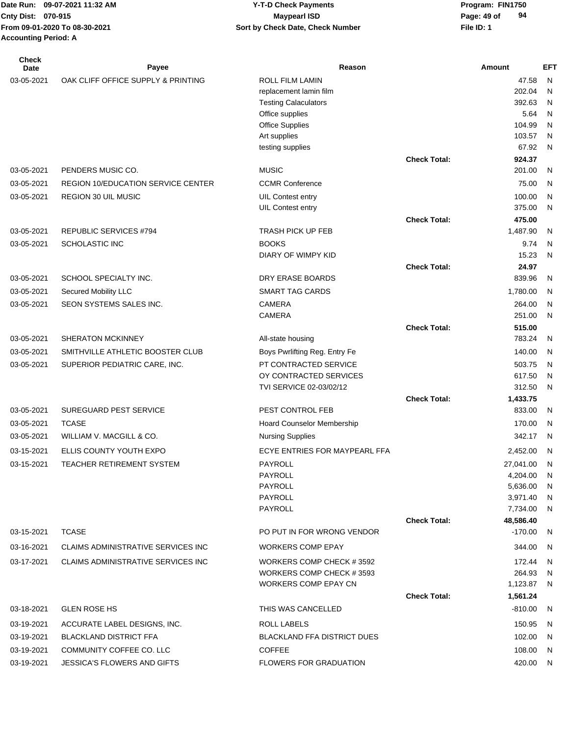| Check<br><b>Date</b> | Payee                                     | Reason                                 |                     | Amount                 | <b>EFT</b>   |
|----------------------|-------------------------------------------|----------------------------------------|---------------------|------------------------|--------------|
| 03-05-2021           | OAK CLIFF OFFICE SUPPLY & PRINTING        | ROLL FILM LAMIN                        |                     | 47.58                  | N            |
|                      |                                           | replacement lamin film                 |                     | 202.04                 | N            |
|                      |                                           | <b>Testing Calaculators</b>            |                     | 392.63                 | N            |
|                      |                                           | Office supplies                        |                     | 5.64                   | N            |
|                      |                                           | <b>Office Supplies</b><br>Art supplies |                     | 104.99<br>103.57       | N<br>N       |
|                      |                                           | testing supplies                       |                     | 67.92                  | N            |
|                      |                                           |                                        | <b>Check Total:</b> | 924.37                 |              |
| 03-05-2021           | PENDERS MUSIC CO.                         | <b>MUSIC</b>                           |                     | 201.00                 | N            |
| 03-05-2021           | <b>REGION 10/EDUCATION SERVICE CENTER</b> | <b>CCMR Conference</b>                 |                     | 75.00                  | N            |
| 03-05-2021           | <b>REGION 30 UIL MUSIC</b>                | UIL Contest entry                      |                     | 100.00                 | $\mathsf{N}$ |
|                      |                                           | UIL Contest entry                      |                     | 375.00                 | N            |
|                      |                                           |                                        | <b>Check Total:</b> | 475.00                 |              |
| 03-05-2021           | REPUBLIC SERVICES #794                    | <b>TRASH PICK UP FEB</b>               |                     | 1,487.90               | N            |
| 03-05-2021           | SCHOLASTIC INC                            | <b>BOOKS</b>                           |                     | 9.74                   | N            |
|                      |                                           | DIARY OF WIMPY KID                     |                     | 15.23                  | N            |
|                      |                                           |                                        | <b>Check Total:</b> | 24.97                  |              |
| 03-05-2021           | SCHOOL SPECIALTY INC.                     | DRY ERASE BOARDS                       |                     | 839.96                 | N            |
| 03-05-2021           | Secured Mobility LLC                      | SMART TAG CARDS                        |                     | 1,780.00               | N            |
| 03-05-2021           | SEON SYSTEMS SALES INC.                   | <b>CAMERA</b>                          |                     | 264.00                 | N            |
|                      |                                           | <b>CAMERA</b>                          | <b>Check Total:</b> | 251.00<br>515.00       | N            |
| 03-05-2021           | <b>SHERATON MCKINNEY</b>                  | All-state housing                      |                     | 783.24                 | $\mathsf{N}$ |
| 03-05-2021           | SMITHVILLE ATHLETIC BOOSTER CLUB          | Boys Pwrlifting Reg. Entry Fe          |                     | 140.00                 | $\mathsf{N}$ |
| 03-05-2021           | SUPERIOR PEDIATRIC CARE, INC.             | PT CONTRACTED SERVICE                  |                     | 503.75                 | N            |
|                      |                                           | OY CONTRACTED SERVICES                 |                     | 617.50                 | N            |
|                      |                                           | TVI SERVICE 02-03/02/12                |                     | 312.50                 | N            |
|                      |                                           |                                        | <b>Check Total:</b> | 1,433.75               |              |
| 03-05-2021           | SUREGUARD PEST SERVICE                    | PEST CONTROL FEB                       |                     | 833.00                 | N            |
| 03-05-2021           | <b>TCASE</b>                              | <b>Hoard Counselor Membership</b>      |                     | 170.00                 | N            |
| 03-05-2021           | WILLIAM V. MACGILL & CO.                  | <b>Nursing Supplies</b>                |                     | 342.17                 | N            |
| 03-15-2021           | ELLIS COUNTY YOUTH EXPO                   | ECYE ENTRIES FOR MAYPEARL FFA          |                     | 2,452.00               | N            |
| 03-15-2021           | TEACHER RETIREMENT SYSTEM                 | <b>PAYROLL</b>                         |                     | 27,041.00              | N            |
|                      |                                           | PAYROLL                                |                     | 4,204.00               | N            |
|                      |                                           | <b>PAYROLL</b>                         |                     | 5,636.00               | N            |
|                      |                                           | PAYROLL                                |                     | 3,971.40 N             |              |
|                      |                                           | PAYROLL                                |                     | 7,734.00               | N            |
| 03-15-2021           | <b>TCASE</b>                              | PO PUT IN FOR WRONG VENDOR             | <b>Check Total:</b> | 48,586.40<br>$-170.00$ | - N          |
|                      |                                           |                                        |                     |                        |              |
| 03-16-2021           | CLAIMS ADMINISTRATIVE SERVICES INC        | <b>WORKERS COMP EPAY</b>               |                     | 344.00                 | -N           |
| 03-17-2021           | CLAIMS ADMINISTRATIVE SERVICES INC        | WORKERS COMP CHECK #3592               |                     | 172.44                 | N            |
|                      |                                           | WORKERS COMP CHECK #3593               |                     | 264.93                 | N            |
|                      |                                           | <b>WORKERS COMP EPAY CN</b>            |                     | 1,123.87               | - N          |
|                      |                                           |                                        | <b>Check Total:</b> | 1,561.24               |              |
| 03-18-2021           | <b>GLEN ROSE HS</b>                       | THIS WAS CANCELLED                     |                     | $-810.00$              | - N          |
| 03-19-2021           | ACCURATE LABEL DESIGNS, INC.              | ROLL LABELS                            |                     | 150.95                 | - N          |
| 03-19-2021           | <b>BLACKLAND DISTRICT FFA</b>             | <b>BLACKLAND FFA DISTRICT DUES</b>     |                     | 102.00                 | - N          |
| 03-19-2021           | COMMUNITY COFFEE CO. LLC                  | <b>COFFEE</b>                          |                     | 108.00                 | -N           |
| 03-19-2021           | JESSICA'S FLOWERS AND GIFTS               | <b>FLOWERS FOR GRADUATION</b>          |                     | 420.00 N               |              |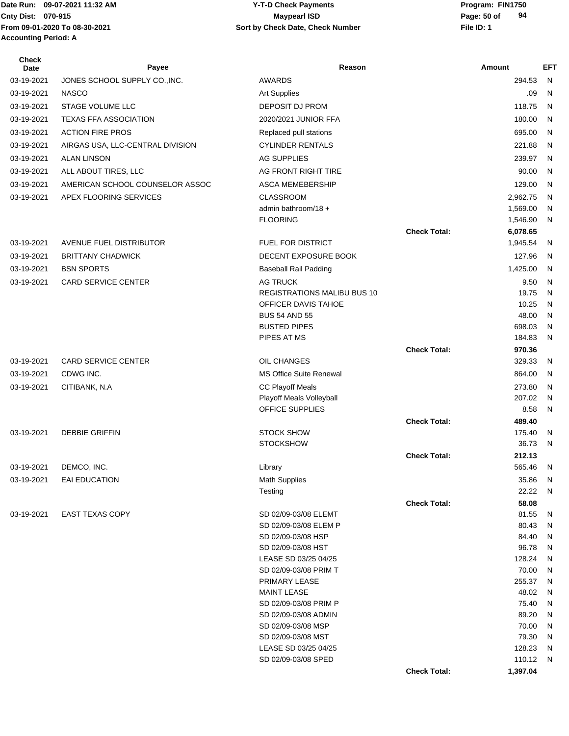Date Run: 09-07-2021 11:32 AM **Program: FIN1750** Y-T-D Check Payments **Accounting Period: A**

#### **Cnty Dist:** 070-915 **Page:** 50 of **From 09-01-2020 To 08-30-2021 File ID: 1 Sort by Check Date, Check Number 09-07-2021 11:32 AM Y-T-D Check Payments 070-915 Maypearl ISD**

| <b>Check</b><br>Date | Payee                            | Reason                                 |                     | <b>Amount</b>    | <b>EFT</b>   |
|----------------------|----------------------------------|----------------------------------------|---------------------|------------------|--------------|
| 03-19-2021           | JONES SCHOOL SUPPLY CO., INC.    | <b>AWARDS</b>                          |                     | 294.53           | N            |
| 03-19-2021           | <b>NASCO</b>                     | <b>Art Supplies</b>                    |                     | .09              | N            |
| 03-19-2021           | <b>STAGE VOLUME LLC</b>          | <b>DEPOSIT DJ PROM</b>                 |                     | 118.75           | N            |
| 03-19-2021           | <b>TEXAS FFA ASSOCIATION</b>     | 2020/2021 JUNIOR FFA                   |                     | 180.00           | N            |
| 03-19-2021           | <b>ACTION FIRE PROS</b>          | Replaced pull stations                 |                     | 695.00           | N            |
| 03-19-2021           | AIRGAS USA, LLC-CENTRAL DIVISION | <b>CYLINDER RENTALS</b>                |                     | 221.88           | N            |
| 03-19-2021           | <b>ALAN LINSON</b>               | <b>AG SUPPLIES</b>                     |                     | 239.97           | N            |
| 03-19-2021           | ALL ABOUT TIRES, LLC             | AG FRONT RIGHT TIRE                    |                     | 90.00            | N            |
| 03-19-2021           | AMERICAN SCHOOL COUNSELOR ASSOC  | <b>ASCA MEMEBERSHIP</b>                |                     | 129.00           | $\mathsf{N}$ |
| 03-19-2021           | APEX FLOORING SERVICES           | <b>CLASSROOM</b>                       |                     | 2,962.75         | N            |
|                      |                                  | admin bathroom/18 +                    |                     | 1,569.00         | N            |
|                      |                                  | <b>FLOORING</b>                        |                     | 1,546.90         | N            |
|                      |                                  |                                        | <b>Check Total:</b> | 6,078.65         |              |
| 03-19-2021           | AVENUE FUEL DISTRIBUTOR          | <b>FUEL FOR DISTRICT</b>               |                     | 1,945.54         | N            |
| 03-19-2021           | <b>BRITTANY CHADWICK</b>         | DECENT EXPOSURE BOOK                   |                     | 127.96           | N            |
| 03-19-2021           | <b>BSN SPORTS</b>                | <b>Baseball Rail Padding</b>           |                     | 1,425.00         | N            |
| 03-19-2021           | <b>CARD SERVICE CENTER</b>       | <b>AG TRUCK</b>                        |                     | 9.50             | N            |
|                      |                                  | <b>REGISTRATIONS MALIBU BUS 10</b>     |                     | 19.75            | N            |
|                      |                                  | OFFICER DAVIS TAHOE                    |                     | 10.25            | N            |
|                      |                                  | <b>BUS 54 AND 55</b>                   |                     | 48.00            | N            |
|                      |                                  | <b>BUSTED PIPES</b>                    |                     | 698.03           | N            |
|                      |                                  | PIPES AT MS                            |                     | 184.83           | N            |
|                      |                                  |                                        | <b>Check Total:</b> | 970.36           |              |
| 03-19-2021           | <b>CARD SERVICE CENTER</b>       | OIL CHANGES                            |                     | 329.33           | N            |
| 03-19-2021           | CDWG INC.                        | <b>MS Office Suite Renewal</b>         |                     | 864.00           | $\mathsf{N}$ |
| 03-19-2021           | CITIBANK, N.A                    | <b>CC Playoff Meals</b>                |                     | 273.80           | N            |
|                      |                                  | Playoff Meals Volleyball               |                     | 207.02           | N            |
|                      |                                  | OFFICE SUPPLIES                        |                     | 8.58             | N            |
| 03-19-2021           | <b>DEBBIE GRIFFIN</b>            | <b>STOCK SHOW</b>                      | <b>Check Total:</b> | 489.40<br>175.40 | N            |
|                      |                                  | <b>STOCKSHOW</b>                       |                     | 36.73            | N            |
|                      |                                  |                                        | <b>Check Total:</b> | 212.13           |              |
| 03-19-2021           | DEMCO, INC.                      | Library                                |                     | 565.46           | N            |
| 03-19-2021           | EAI EDUCATION                    | <b>Math Supplies</b>                   |                     | 35.86            | N            |
|                      |                                  | Testing                                |                     | 22.22            | N            |
|                      |                                  |                                        | <b>Check Total:</b> | 58.08            |              |
| 03-19-2021           | <b>EAST TEXAS COPY</b>           | SD 02/09-03/08 ELEMT                   |                     | 81.55            | N            |
|                      |                                  | SD 02/09-03/08 ELEM P                  |                     | 80.43            | N            |
|                      |                                  | SD 02/09-03/08 HSP                     |                     | 84.40            | N            |
|                      |                                  | SD 02/09-03/08 HST                     |                     | 96.78            | N            |
|                      |                                  | LEASE SD 03/25 04/25                   |                     | 128.24           | N            |
|                      |                                  | SD 02/09-03/08 PRIM T<br>PRIMARY LEASE |                     | 70.00<br>255.37  | N<br>N       |
|                      |                                  | <b>MAINT LEASE</b>                     |                     | 48.02            | N            |
|                      |                                  | SD 02/09-03/08 PRIM P                  |                     | 75.40            | N            |
|                      |                                  | SD 02/09-03/08 ADMIN                   |                     | 89.20            | N            |
|                      |                                  | SD 02/09-03/08 MSP                     |                     | 70.00            | N            |
|                      |                                  | SD 02/09-03/08 MST                     |                     | 79.30            | N            |
|                      |                                  | LEASE SD 03/25 04/25                   |                     | 128.23           | N            |
|                      |                                  | SD 02/09-03/08 SPED                    |                     | 110.12           | N.           |
|                      |                                  |                                        | <b>Check Total:</b> | 1,397.04         |              |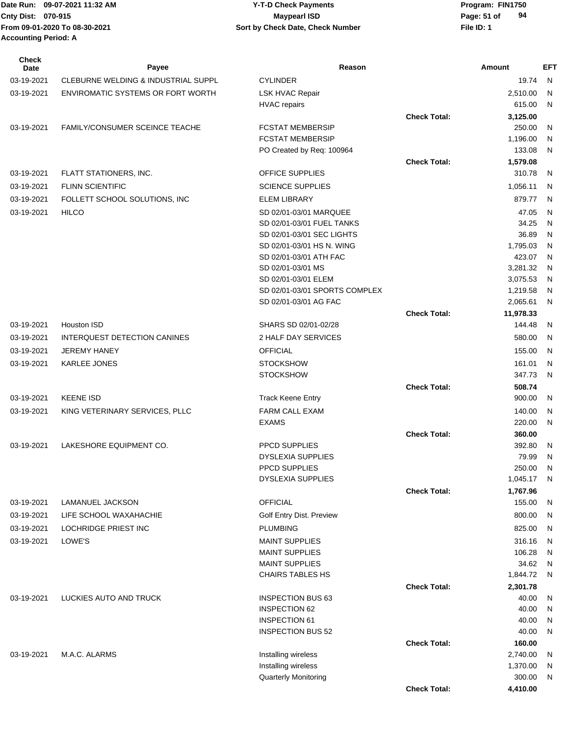| <b>Check</b><br>Date | Payee                                    | Reason                         |                     | Amount              | <b>EFT</b>   |
|----------------------|------------------------------------------|--------------------------------|---------------------|---------------------|--------------|
| 03-19-2021           | CLEBURNE WELDING & INDUSTRIAL SUPPL      | <b>CYLINDER</b>                |                     | 19.74               | N            |
| 03-19-2021           | <b>ENVIROMATIC SYSTEMS OR FORT WORTH</b> | <b>LSK HVAC Repair</b>         |                     | 2,510.00            | N            |
|                      |                                          | <b>HVAC</b> repairs            |                     | 615.00              | N            |
|                      |                                          |                                | <b>Check Total:</b> | 3,125.00            |              |
| 03-19-2021           | <b>FAMILY/CONSUMER SCEINCE TEACHE</b>    | <b>FCSTAT MEMBERSIP</b>        |                     | 250.00              | N            |
|                      |                                          | <b>FCSTAT MEMBERSIP</b>        |                     | 1,196.00            | N            |
|                      |                                          | PO Created by Req: 100964      |                     | 133.08              | N            |
|                      |                                          |                                | <b>Check Total:</b> | 1,579.08            |              |
| 03-19-2021           | FLATT STATIONERS, INC.                   | <b>OFFICE SUPPLIES</b>         |                     | 310.78              | N            |
| 03-19-2021           | <b>FLINN SCIENTIFIC</b>                  | <b>SCIENCE SUPPLIES</b>        |                     | 1,056.11            | N            |
| 03-19-2021           | FOLLETT SCHOOL SOLUTIONS, INC            | <b>ELEM LIBRARY</b>            |                     | 879.77              | N            |
| 03-19-2021           | <b>HILCO</b>                             | SD 02/01-03/01 MARQUEE         |                     | 47.05               | N            |
|                      |                                          | SD 02/01-03/01 FUEL TANKS      |                     | 34.25               | N            |
|                      |                                          | SD 02/01-03/01 SEC LIGHTS      |                     | 36.89               | N            |
|                      |                                          | SD 02/01-03/01 HS N. WING      |                     | 1,795.03            | N            |
|                      |                                          | SD 02/01-03/01 ATH FAC         |                     | 423.07              | N            |
|                      |                                          | SD 02/01-03/01 MS              |                     | 3,281.32            | N            |
|                      |                                          | SD 02/01-03/01 ELEM            |                     | 3,075.53            | N            |
|                      |                                          | SD 02/01-03/01 SPORTS COMPLEX  |                     | 1,219.58            | N            |
|                      |                                          | SD 02/01-03/01 AG FAC          | <b>Check Total:</b> | 2,065.61            | N            |
| 03-19-2021           | Houston ISD                              | SHARS SD 02/01-02/28           |                     | 11,978.33<br>144.48 | N            |
|                      |                                          | 2 HALF DAY SERVICES            |                     |                     | N            |
| 03-19-2021           | INTERQUEST DETECTION CANINES             |                                |                     | 580.00              |              |
| 03-19-2021           | <b>JEREMY HANEY</b>                      | <b>OFFICIAL</b>                |                     | 155.00              | N            |
| 03-19-2021           | KARLEE JONES                             | <b>STOCKSHOW</b>               |                     | 161.01              | N            |
|                      |                                          | <b>STOCKSHOW</b>               |                     | 347.73              | N            |
|                      |                                          |                                | <b>Check Total:</b> | 508.74              |              |
| 03-19-2021           | <b>KEENE ISD</b>                         | <b>Track Keene Entry</b>       |                     | 900.00              | N            |
| 03-19-2021           | KING VETERINARY SERVICES, PLLC           | FARM CALL EXAM<br><b>EXAMS</b> |                     | 140.00              | N<br>N       |
|                      |                                          |                                | <b>Check Total:</b> | 220.00<br>360.00    |              |
| 03-19-2021           | LAKESHORE EQUIPMENT CO.                  | <b>PPCD SUPPLIES</b>           |                     | 392.80              | N            |
|                      |                                          | <b>DYSLEXIA SUPPLIES</b>       |                     | 79.99               | N            |
|                      |                                          | PPCD SUPPLIES                  |                     | 250.00              | N            |
|                      |                                          | <b>DYSLEXIA SUPPLIES</b>       |                     | 1,045.17 N          |              |
|                      |                                          |                                | <b>Check Total:</b> | 1,767.96            |              |
| 03-19-2021           | LAMANUEL JACKSON                         | <b>OFFICIAL</b>                |                     | 155.00              | N            |
| 03-19-2021           | LIFE SCHOOL WAXAHACHIE                   | Golf Entry Dist. Preview       |                     | 800.00              | N            |
| 03-19-2021           | LOCHRIDGE PRIEST INC                     | <b>PLUMBING</b>                |                     | 825.00              | N            |
| 03-19-2021           | LOWE'S                                   | <b>MAINT SUPPLIES</b>          |                     | 316.16              | N            |
|                      |                                          | <b>MAINT SUPPLIES</b>          |                     | 106.28              | $\mathsf{N}$ |
|                      |                                          | <b>MAINT SUPPLIES</b>          |                     | 34.62               | N            |
|                      |                                          | <b>CHAIRS TABLES HS</b>        |                     | 1,844.72            | N            |
|                      |                                          |                                | <b>Check Total:</b> | 2,301.78            |              |
| 03-19-2021           | LUCKIES AUTO AND TRUCK                   | <b>INSPECTION BUS 63</b>       |                     | 40.00               | N            |
|                      |                                          | <b>INSPECTION 62</b>           |                     | 40.00               | N            |
|                      |                                          | <b>INSPECTION 61</b>           |                     | 40.00               | N            |
|                      |                                          | <b>INSPECTION BUS 52</b>       |                     | 40.00               | N            |
|                      |                                          |                                | <b>Check Total:</b> | 160.00              |              |
| 03-19-2021           | M.A.C. ALARMS                            | Installing wireless            |                     | 2,740.00            | N            |
|                      |                                          | Installing wireless            |                     | 1,370.00            | N            |
|                      |                                          | <b>Quarterly Monitoring</b>    |                     | 300.00              | N            |
|                      |                                          |                                | <b>Check Total:</b> | 4,410.00            |              |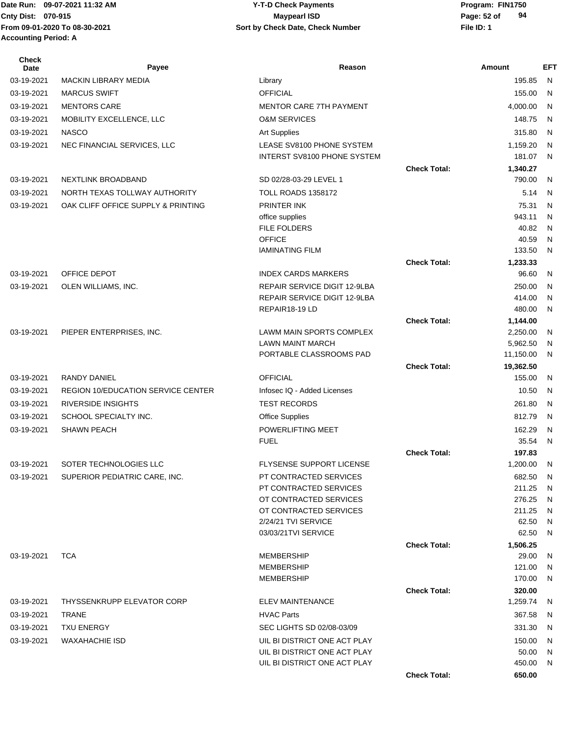#### Date Run: 09-07-2021 11:32 AM **Program: FIN1750** Y-T-D Check Payments **Cnty Dist:** 070-915 **Page:** 52 of **09-07-2021 11:32 AM Y-T-D Check Payments 070-915 Maypearl ISD**

| <b>Check</b><br>Date | Payee                                     | Reason                                                              |                     | <b>Amount</b>     | <b>EFT</b>   |
|----------------------|-------------------------------------------|---------------------------------------------------------------------|---------------------|-------------------|--------------|
| 03-19-2021           | <b>MACKIN LIBRARY MEDIA</b>               | Library                                                             |                     | 195.85            | N.           |
| 03-19-2021           | <b>MARCUS SWIFT</b>                       | <b>OFFICIAL</b>                                                     |                     | 155.00            | $\mathsf{N}$ |
| 03-19-2021           | <b>MENTORS CARE</b>                       | <b>MENTOR CARE 7TH PAYMENT</b>                                      |                     | 4,000.00          | N            |
| 03-19-2021           | MOBILITY EXCELLENCE, LLC                  | <b>O&amp;M SERVICES</b>                                             |                     | 148.75            | $\mathsf{N}$ |
| 03-19-2021           | <b>NASCO</b>                              | <b>Art Supplies</b>                                                 |                     | 315.80            | $\mathsf{N}$ |
| 03-19-2021           | NEC FINANCIAL SERVICES, LLC               | LEASE SV8100 PHONE SYSTEM                                           |                     | 1,159.20          | $\mathsf{N}$ |
|                      |                                           | <b>INTERST SV8100 PHONE SYSTEM</b>                                  |                     | 181.07            | $\mathsf{N}$ |
|                      |                                           |                                                                     | <b>Check Total:</b> | 1,340.27          |              |
| 03-19-2021           | <b>NEXTLINK BROADBAND</b>                 | SD 02/28-03-29 LEVEL 1                                              |                     | 790.00            | N            |
| 03-19-2021           | NORTH TEXAS TOLLWAY AUTHORITY             | <b>TOLL ROADS 1358172</b>                                           |                     | 5.14              | N            |
| 03-19-2021           | OAK CLIFF OFFICE SUPPLY & PRINTING        | PRINTER INK                                                         |                     | 75.31             | N            |
|                      |                                           | office supplies                                                     |                     | 943.11            | N            |
|                      |                                           | <b>FILE FOLDERS</b>                                                 |                     | 40.82             | N            |
|                      |                                           | <b>OFFICE</b>                                                       |                     | 40.59             | N            |
|                      |                                           | <b>IAMINATING FILM</b>                                              |                     | 133.50            | $\mathsf{N}$ |
| 03-19-2021           | OFFICE DEPOT                              | <b>INDEX CARDS MARKERS</b>                                          | <b>Check Total:</b> | 1,233.33<br>96.60 |              |
|                      |                                           |                                                                     |                     |                   | N            |
| 03-19-2021           | OLEN WILLIAMS, INC.                       | <b>REPAIR SERVICE DIGIT 12-9LBA</b><br>REPAIR SERVICE DIGIT 12-9LBA |                     | 250.00<br>414.00  | N<br>N       |
|                      |                                           | REPAIR18-19 LD                                                      |                     | 480.00            | N            |
|                      |                                           |                                                                     | <b>Check Total:</b> | 1,144.00          |              |
| 03-19-2021           | PIEPER ENTERPRISES, INC.                  | LAWM MAIN SPORTS COMPLEX                                            |                     | 2,250.00          | $\mathsf{N}$ |
|                      |                                           | <b>LAWN MAINT MARCH</b>                                             |                     | 5,962.50          | N            |
|                      |                                           | PORTABLE CLASSROOMS PAD                                             |                     | 11,150.00         | N            |
|                      |                                           |                                                                     | <b>Check Total:</b> | 19,362.50         |              |
| 03-19-2021           | <b>RANDY DANIEL</b>                       | <b>OFFICIAL</b>                                                     |                     | 155.00            | N            |
| 03-19-2021           | <b>REGION 10/EDUCATION SERVICE CENTER</b> | Infosec IQ - Added Licenses                                         |                     | 10.50             | N            |
| 03-19-2021           | <b>RIVERSIDE INSIGHTS</b>                 | <b>TEST RECORDS</b>                                                 |                     | 261.80            | $\mathsf{N}$ |
| 03-19-2021           | SCHOOL SPECIALTY INC.                     | <b>Office Supplies</b>                                              |                     | 812.79            | $\mathsf{N}$ |
| 03-19-2021           | <b>SHAWN PEACH</b>                        | POWERLIFTING MEET                                                   |                     | 162.29            | N            |
|                      |                                           | <b>FUEL</b>                                                         |                     | 35.54             | $\mathsf{N}$ |
|                      |                                           |                                                                     | <b>Check Total:</b> | 197.83            |              |
| 03-19-2021           | SOTER TECHNOLOGIES LLC                    | <b>FLYSENSE SUPPORT LICENSE</b>                                     |                     | 1,200.00          | N            |
| 03-19-2021           | SUPERIOR PEDIATRIC CARE, INC.             | PT CONTRACTED SERVICES                                              |                     | 682.50            | N            |
|                      |                                           | PT CONTRACTED SERVICES<br>OT CONTRACTED SERVICES                    |                     | 211.25<br>276.25  | N<br>N       |
|                      |                                           | OT CONTRACTED SERVICES                                              |                     | 211.25            | N            |
|                      |                                           | 2/24/21 TVI SERVICE                                                 |                     | 62.50             | N            |
|                      |                                           | 03/03/21TVI SERVICE                                                 |                     | 62.50             | N            |
|                      |                                           |                                                                     | <b>Check Total:</b> | 1,506.25          |              |
| 03-19-2021           | <b>TCA</b>                                | <b>MEMBERSHIP</b>                                                   |                     | 29.00             | N            |
|                      |                                           | <b>MEMBERSHIP</b>                                                   |                     | 121.00            | N            |
|                      |                                           | <b>MEMBERSHIP</b>                                                   |                     | 170.00            | N            |
|                      |                                           |                                                                     | <b>Check Total:</b> | 320.00            |              |
| 03-19-2021           | <b>THYSSENKRUPP ELEVATOR CORP</b>         | <b>ELEV MAINTENANCE</b>                                             |                     | 1,259.74          | -N           |
| 03-19-2021           | TRANE                                     | <b>HVAC Parts</b>                                                   |                     | 367.58            | N            |
| 03-19-2021           | <b>TXU ENERGY</b>                         | SEC LIGHTS SD 02/08-03/09                                           |                     | 331.30            | N            |
| 03-19-2021           | <b>WAXAHACHIE ISD</b>                     | UIL BI DISTRICT ONE ACT PLAY                                        |                     | 150.00            | N            |
|                      |                                           | UIL BI DISTRICT ONE ACT PLAY                                        |                     | 50.00             | N            |
|                      |                                           | UIL BI DISTRICT ONE ACT PLAY                                        | <b>Check Total:</b> | 450.00<br>650.00  | N            |
|                      |                                           |                                                                     |                     |                   |              |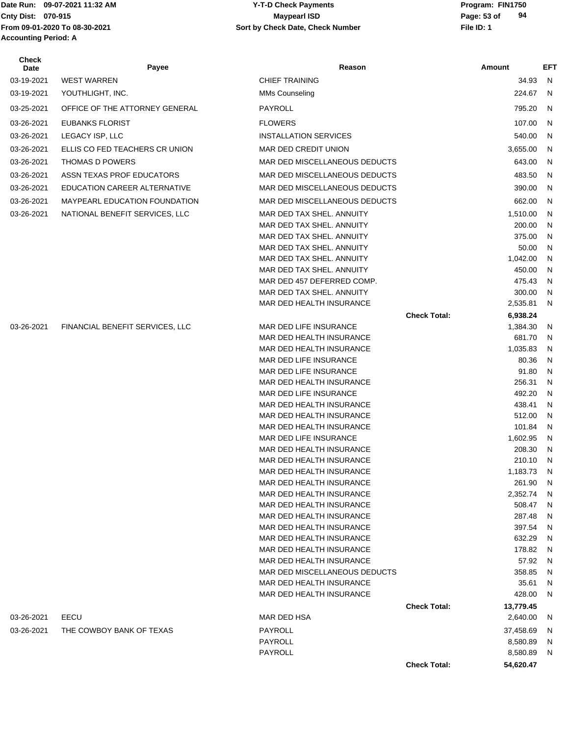# Date Run: 09-07-2021 11:32 AM **Program: FIN1750** Y-T-D Check Payments **Accounting Period: A**

#### **Cnty Dist:** 070-915 **Page:** 53 of **From 09-01-2020 To 08-30-2021 File ID: 1 Sort by Check Date, Check Number 09-07-2021 11:32 AM Y-T-D Check Payments 070-915 Maypearl ISD**

| Check<br>Date | Payee                                | Reason                                                  |                     | Amount             | <b>EFT</b>     |
|---------------|--------------------------------------|---------------------------------------------------------|---------------------|--------------------|----------------|
| 03-19-2021    | <b>WEST WARREN</b>                   | <b>CHIEF TRAINING</b>                                   |                     | 34.93              | - N            |
| 03-19-2021    | YOUTHLIGHT, INC.                     | <b>MMs Counseling</b>                                   |                     | 224.67             | $\overline{N}$ |
| 03-25-2021    | OFFICE OF THE ATTORNEY GENERAL       | PAYROLL                                                 |                     | 795.20             | -N             |
| 03-26-2021    | <b>EUBANKS FLORIST</b>               | <b>FLOWERS</b>                                          |                     | 107.00             | N              |
| 03-26-2021    | LEGACY ISP, LLC                      | <b>INSTALLATION SERVICES</b>                            |                     | 540.00             | N              |
| 03-26-2021    | ELLIS CO FED TEACHERS CR UNION       | MAR DED CREDIT UNION                                    |                     | 3,655.00           | N              |
| 03-26-2021    | <b>THOMAS D POWERS</b>               | MAR DED MISCELLANEOUS DEDUCTS                           |                     | 643.00             | N              |
| 03-26-2021    | ASSN TEXAS PROF EDUCATORS            | MAR DED MISCELLANEOUS DEDUCTS                           |                     | 483.50             | -N             |
|               |                                      |                                                         |                     |                    |                |
| 03-26-2021    | EDUCATION CAREER ALTERNATIVE         | MAR DED MISCELLANEOUS DEDUCTS                           |                     | 390.00             | N              |
| 03-26-2021    | <b>MAYPEARL EDUCATION FOUNDATION</b> | MAR DED MISCELLANEOUS DEDUCTS                           |                     | 662.00             | N              |
| 03-26-2021    | NATIONAL BENEFIT SERVICES, LLC       | MAR DED TAX SHEL. ANNUITY                               |                     | 1,510.00           | N              |
|               |                                      | MAR DED TAX SHEL. ANNUITY                               |                     | 200.00             | N              |
|               |                                      | MAR DED TAX SHEL. ANNUITY                               |                     | 375.00             | N              |
|               |                                      | MAR DED TAX SHEL. ANNUITY                               |                     | 50.00              | N              |
|               |                                      | MAR DED TAX SHEL. ANNUITY                               |                     | 1,042.00           | N              |
|               |                                      | MAR DED TAX SHEL, ANNUITY                               |                     | 450.00             | N              |
|               |                                      | MAR DED 457 DEFERRED COMP.<br>MAR DED TAX SHEL. ANNUITY |                     | 475.43<br>300.00   | N              |
|               |                                      | MAR DED HEALTH INSURANCE                                |                     | 2,535.81           | N<br>- N       |
|               |                                      |                                                         | <b>Check Total:</b> | 6,938.24           |                |
| 03-26-2021    | FINANCIAL BENEFIT SERVICES, LLC      | MAR DED LIFE INSURANCE                                  |                     | 1,384.30           | N              |
|               |                                      | MAR DED HEALTH INSURANCE                                |                     | 681.70             | N              |
|               |                                      | MAR DED HEALTH INSURANCE                                |                     | 1,035.83           | N              |
|               |                                      | MAR DED LIFE INSURANCE                                  |                     | 80.36              | N              |
|               |                                      | MAR DED LIFE INSURANCE                                  |                     | 91.80              | N              |
|               |                                      | MAR DED HEALTH INSURANCE                                |                     | 256.31             | N              |
|               |                                      | MAR DED LIFE INSURANCE                                  |                     | 492.20             | N              |
|               |                                      | MAR DED HEALTH INSURANCE                                |                     | 438.41             | N              |
|               |                                      | MAR DED HEALTH INSURANCE                                |                     | 512.00             | N              |
|               |                                      | MAR DED HEALTH INSURANCE                                |                     | 101.84             | N              |
|               |                                      | MAR DED LIFE INSURANCE                                  |                     | 1,602.95           | N              |
|               |                                      | MAR DED HEALTH INSURANCE                                |                     | 208.30             | N              |
|               |                                      | MAR DED HEALTH INSURANCE                                |                     | 210.10             | N              |
|               |                                      | MAR DED HEALTH INSURANCE                                |                     | 1,183.73 N         |                |
|               |                                      | MAR DED HEALTH INSURANCE<br>MAR DED HEALTH INSURANCE    |                     | 261.90<br>2,352.74 | - N            |
|               |                                      | MAR DED HEALTH INSURANCE                                |                     | 508.47             | N<br>N         |
|               |                                      | MAR DED HEALTH INSURANCE                                |                     | 287.48             | N              |
|               |                                      | MAR DED HEALTH INSURANCE                                |                     | 397.54             | N              |
|               |                                      | MAR DED HEALTH INSURANCE                                |                     | 632.29             | N              |
|               |                                      | MAR DED HEALTH INSURANCE                                |                     | 178.82             | N              |
|               |                                      | MAR DED HEALTH INSURANCE                                |                     | 57.92              | N              |
|               |                                      | MAR DED MISCELLANEOUS DEDUCTS                           |                     | 358.85             | N              |
|               |                                      | MAR DED HEALTH INSURANCE                                |                     | 35.61              | N              |
|               |                                      | MAR DED HEALTH INSURANCE                                |                     | 428.00             | N              |
|               |                                      |                                                         | <b>Check Total:</b> | 13,779.45          |                |
| 03-26-2021    | EECU                                 | MAR DED HSA                                             |                     | 2,640.00           | -N             |
| 03-26-2021    | THE COWBOY BANK OF TEXAS             | PAYROLL                                                 |                     | 37,458.69          | <sub>N</sub>   |
|               |                                      | PAYROLL                                                 |                     | 8,580.89           | N              |
|               |                                      | PAYROLL                                                 |                     | 8,580.89           | N,             |
|               |                                      |                                                         | <b>Check Total:</b> | 54,620.47          |                |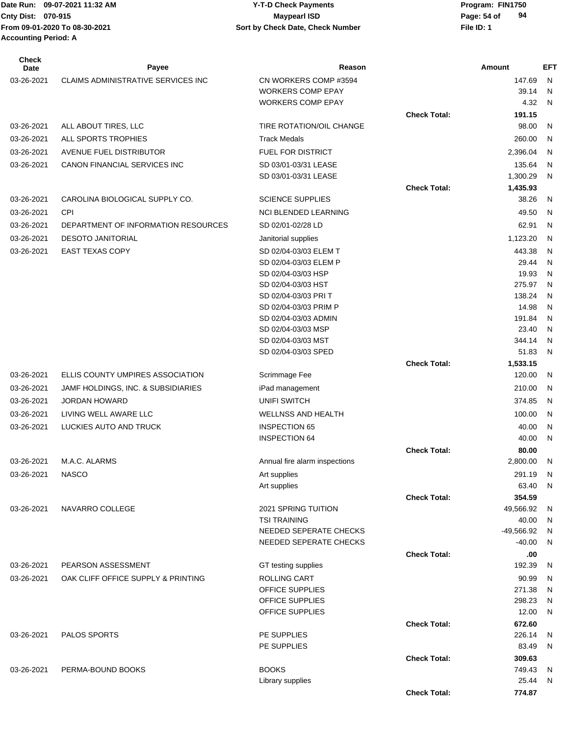#### Date Run: 09-07-2021 11:32 AM **Program: FIN1750** Y-T-D Check Payments **Cnty Dist:** 070-915 **Page:** 54 of **09-07-2021 11:32 AM Y-T-D Check Payments 070-915 Maypearl ISD**

| <b>Check</b><br>Date | Payee                               | Reason                                     |                     | Amount          | <b>EFT</b>        |
|----------------------|-------------------------------------|--------------------------------------------|---------------------|-----------------|-------------------|
| 03-26-2021           | CLAIMS ADMINISTRATIVE SERVICES INC  | CN WORKERS COMP#3594                       |                     | 147.69          | N                 |
|                      |                                     | <b>WORKERS COMP EPAY</b>                   |                     | 39.14           | N                 |
|                      |                                     | <b>WORKERS COMP EPAY</b>                   |                     | 4.32            | N                 |
|                      |                                     |                                            | <b>Check Total:</b> | 191.15          |                   |
| 03-26-2021           | ALL ABOUT TIRES, LLC                | TIRE ROTATION/OIL CHANGE                   |                     | 98.00           | N                 |
| 03-26-2021           | ALL SPORTS TROPHIES                 | <b>Track Medals</b>                        |                     | 260.00          | N                 |
| 03-26-2021           | <b>AVENUE FUEL DISTRIBUTOR</b>      | <b>FUEL FOR DISTRICT</b>                   |                     | 2,396.04        | N                 |
| 03-26-2021           | CANON FINANCIAL SERVICES INC        | SD 03/01-03/31 LEASE                       |                     | 135.64          | N                 |
|                      |                                     | SD 03/01-03/31 LEASE                       |                     | 1,300.29        | N                 |
|                      |                                     |                                            | <b>Check Total:</b> | 1,435.93        |                   |
| 03-26-2021           | CAROLINA BIOLOGICAL SUPPLY CO.      | <b>SCIENCE SUPPLIES</b>                    |                     | 38.26           | N                 |
| 03-26-2021           | <b>CPI</b>                          | <b>NCI BLENDED LEARNING</b>                |                     | 49.50           | N                 |
| 03-26-2021           | DEPARTMENT OF INFORMATION RESOURCES | SD 02/01-02/28 LD                          |                     | 62.91           | N                 |
| 03-26-2021           | <b>DESOTO JANITORIAL</b>            | Janitorial supplies                        |                     | 1,123.20        | N                 |
| 03-26-2021           | <b>EAST TEXAS COPY</b>              | SD 02/04-03/03 ELEM T                      |                     | 443.38          | N                 |
|                      |                                     | SD 02/04-03/03 ELEM P                      |                     | 29.44           | N                 |
|                      |                                     | SD 02/04-03/03 HSP                         |                     | 19.93           | N                 |
|                      |                                     | SD 02/04-03/03 HST                         |                     | 275.97          | N                 |
|                      |                                     | SD 02/04-03/03 PRI T                       |                     | 138.24          | N                 |
|                      |                                     | SD 02/04-03/03 PRIM P                      |                     | 14.98           | N                 |
|                      |                                     | SD 02/04-03/03 ADMIN<br>SD 02/04-03/03 MSP |                     | 191.84<br>23.40 | N<br>N            |
|                      |                                     | SD 02/04-03/03 MST                         |                     | 344.14          | N                 |
|                      |                                     | SD 02/04-03/03 SPED                        |                     | 51.83           | N                 |
|                      |                                     |                                            | <b>Check Total:</b> | 1,533.15        |                   |
| 03-26-2021           | ELLIS COUNTY UMPIRES ASSOCIATION    | Scrimmage Fee                              |                     | 120.00          | N                 |
| 03-26-2021           | JAMF HOLDINGS, INC. & SUBSIDIARIES  | iPad management                            |                     | 210.00          | N                 |
| 03-26-2021           | <b>JORDAN HOWARD</b>                | <b>UNIFI SWITCH</b>                        |                     | 374.85          | N                 |
| 03-26-2021           | LIVING WELL AWARE LLC               | <b>WELLNSS AND HEALTH</b>                  |                     | 100.00          | N                 |
| 03-26-2021           | LUCKIES AUTO AND TRUCK              | <b>INSPECTION 65</b>                       |                     | 40.00           | N                 |
|                      |                                     | <b>INSPECTION 64</b>                       |                     | 40.00           | N                 |
|                      |                                     |                                            | <b>Check Total:</b> | 80.00           |                   |
| 03-26-2021           | M.A.C. ALARMS                       | Annual fire alarm inspections              |                     | 2,800.00        | N                 |
| 03-26-2021           | <b>NASCO</b>                        | Art supplies                               |                     | 291.19          | N                 |
|                      |                                     | Art supplies                               |                     | 63.40           | N                 |
|                      |                                     |                                            | <b>Check Total:</b> | 354.59          |                   |
| 03-26-2021           | NAVARRO COLLEGE                     | <b>2021 SPRING TUITION</b>                 |                     | 49,566.92       | N                 |
|                      |                                     | <b>TSI TRAINING</b>                        |                     | 40.00           | $\mathsf{N}$      |
|                      |                                     | NEEDED SEPERATE CHECKS                     |                     | -49,566.92      | N                 |
|                      |                                     | NEEDED SEPERATE CHECKS                     |                     | -40.00          | N                 |
|                      |                                     |                                            | <b>Check Total:</b> | .00             |                   |
| 03-26-2021           | PEARSON ASSESSMENT                  | GT testing supplies                        |                     | 192.39          | N                 |
| 03-26-2021           | OAK CLIFF OFFICE SUPPLY & PRINTING  | ROLLING CART                               |                     | 90.99           | N                 |
|                      |                                     | OFFICE SUPPLIES                            |                     | 271.38          | N                 |
|                      |                                     | OFFICE SUPPLIES<br>OFFICE SUPPLIES         |                     | 298.23<br>12.00 | $\mathsf{N}$<br>N |
|                      |                                     |                                            | <b>Check Total:</b> | 672.60          |                   |
| 03-26-2021           | PALOS SPORTS                        | PE SUPPLIES                                |                     | 226.14          | N                 |
|                      |                                     | PE SUPPLIES                                |                     | 83.49           | N                 |
|                      |                                     |                                            | <b>Check Total:</b> | 309.63          |                   |
| 03-26-2021           | PERMA-BOUND BOOKS                   | <b>BOOKS</b>                               |                     | 749.43          | N.                |
|                      |                                     | Library supplies                           |                     | 25.44           | N                 |
|                      |                                     |                                            | <b>Check Total:</b> | 774.87          |                   |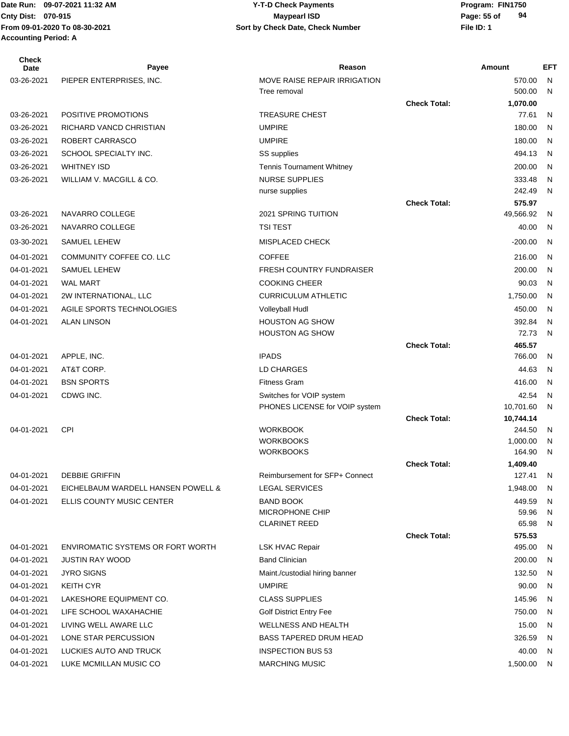#### Date Run: 09-07-2021 11:32 AM **Program: FIN1750** Y-T-D Check Payments **Cnty Dist:** 070-915 **Page: 55 of 09-07-2021 11:32 AM Y-T-D Check Payments 070-915 Maypearl ISD**

| <b>Check</b><br>Date | Payee                                    | Reason                              |                     | Amount             | <b>EFT</b>   |
|----------------------|------------------------------------------|-------------------------------------|---------------------|--------------------|--------------|
| 03-26-2021           | PIEPER ENTERPRISES, INC.                 | MOVE RAISE REPAIR IRRIGATION        |                     | 570.00             | N            |
|                      |                                          | Tree removal                        |                     | 500.00             | N            |
|                      |                                          |                                     | <b>Check Total:</b> | 1,070.00           |              |
| 03-26-2021           | POSITIVE PROMOTIONS                      | <b>TREASURE CHEST</b>               |                     | 77.61              | N            |
| 03-26-2021           | RICHARD VANCD CHRISTIAN                  | <b>UMPIRE</b>                       |                     | 180.00             | N            |
| 03-26-2021           | ROBERT CARRASCO                          | <b>UMPIRE</b>                       |                     | 180.00             | $\mathsf{N}$ |
| 03-26-2021           | SCHOOL SPECIALTY INC.                    | SS supplies                         |                     | 494.13             | $\mathsf{N}$ |
| 03-26-2021           | <b>WHITNEY ISD</b>                       | <b>Tennis Tournament Whitney</b>    |                     | 200.00             | N            |
| 03-26-2021           | WILLIAM V. MACGILL & CO.                 | <b>NURSE SUPPLIES</b>               |                     | 333.48             | N            |
|                      |                                          | nurse supplies                      |                     | 242.49             | N            |
|                      |                                          |                                     | <b>Check Total:</b> | 575.97             |              |
| 03-26-2021           | NAVARRO COLLEGE                          | 2021 SPRING TUITION                 |                     | 49,566.92          | N            |
| 03-26-2021           | NAVARRO COLLEGE                          | <b>TSI TEST</b>                     |                     | 40.00              | $\mathsf{N}$ |
| 03-30-2021           | SAMUEL LEHEW                             | <b>MISPLACED CHECK</b>              |                     | $-200.00$          | N            |
| 04-01-2021           | COMMUNITY COFFEE CO. LLC                 | <b>COFFEE</b>                       |                     | 216.00             | N            |
| 04-01-2021           | SAMUEL LEHEW                             | <b>FRESH COUNTRY FUNDRAISER</b>     |                     | 200.00             | N            |
| 04-01-2021           | <b>WAL MART</b>                          | <b>COOKING CHEER</b>                |                     | 90.03              | $\mathsf{N}$ |
| 04-01-2021           | 2W INTERNATIONAL, LLC                    | <b>CURRICULUM ATHLETIC</b>          |                     | 1,750.00           | N            |
| 04-01-2021           | AGILE SPORTS TECHNOLOGIES                | <b>Volleyball Hudl</b>              |                     | 450.00             | N            |
| 04-01-2021           | <b>ALAN LINSON</b>                       | <b>HOUSTON AG SHOW</b>              |                     | 392.84             | N            |
|                      |                                          | <b>HOUSTON AG SHOW</b>              |                     | 72.73              | $\mathsf{N}$ |
|                      |                                          |                                     | <b>Check Total:</b> | 465.57             |              |
| 04-01-2021           | APPLE, INC.                              | <b>IPADS</b>                        |                     | 766.00             | N            |
| 04-01-2021           | AT&T CORP.                               | LD CHARGES                          |                     | 44.63              | $\mathsf{N}$ |
| 04-01-2021           | <b>BSN SPORTS</b>                        | <b>Fitness Gram</b>                 |                     | 416.00             | N            |
| 04-01-2021           | CDWG INC.                                | Switches for VOIP system            |                     | 42.54              | N            |
|                      |                                          | PHONES LICENSE for VOIP system      |                     | 10,701.60          | $\mathsf{N}$ |
|                      |                                          |                                     | <b>Check Total:</b> | 10,744.14          |              |
| 04-01-2021           | <b>CPI</b>                               | <b>WORKBOOK</b><br><b>WORKBOOKS</b> |                     | 244.50<br>1,000.00 | N<br>N       |
|                      |                                          | <b>WORKBOOKS</b>                    |                     | 164.90             | N            |
|                      |                                          |                                     | <b>Check Total:</b> | 1,409.40           |              |
| 04-01-2021           | <b>DEBBIE GRIFFIN</b>                    | Reimbursement for SFP+ Connect      |                     | 127.41             | N            |
| 04-01-2021           | EICHELBAUM WARDELL HANSEN POWELL &       | <b>LEGAL SERVICES</b>               |                     | 1,948.00           | <sub>N</sub> |
| 04-01-2021           | ELLIS COUNTY MUSIC CENTER                | <b>BAND BOOK</b>                    |                     | 449.59             | N            |
|                      |                                          | MICROPHONE CHIP                     |                     | 59.96              | N            |
|                      |                                          | <b>CLARINET REED</b>                |                     | 65.98              | N            |
|                      |                                          |                                     | <b>Check Total:</b> | 575.53             |              |
| 04-01-2021           | <b>ENVIROMATIC SYSTEMS OR FORT WORTH</b> | <b>LSK HVAC Repair</b>              |                     | 495.00             | N            |
| 04-01-2021           | <b>JUSTIN RAY WOOD</b>                   | <b>Band Clinician</b>               |                     | 200.00             | N            |
| 04-01-2021           | <b>JYRO SIGNS</b>                        | Maint./custodial hiring banner      |                     | 132.50             | N            |
| 04-01-2021           | <b>KEITH CYR</b>                         | <b>UMPIRE</b>                       |                     | 90.00              | N            |
| 04-01-2021           | LAKESHORE EQUIPMENT CO.                  | <b>CLASS SUPPLIES</b>               |                     | 145.96             | N            |
| 04-01-2021           | LIFE SCHOOL WAXAHACHIE                   | <b>Golf District Entry Fee</b>      |                     | 750.00             | N            |
| 04-01-2021           | LIVING WELL AWARE LLC                    | <b>WELLNESS AND HEALTH</b>          |                     | 15.00              | N            |
| 04-01-2021           | LONE STAR PERCUSSION                     | <b>BASS TAPERED DRUM HEAD</b>       |                     | 326.59             | N            |
| 04-01-2021           | LUCKIES AUTO AND TRUCK                   | <b>INSPECTION BUS 53</b>            |                     | 40.00              | N            |
| 04-01-2021           | LUKE MCMILLAN MUSIC CO                   | <b>MARCHING MUSIC</b>               |                     | 1,500.00           | N            |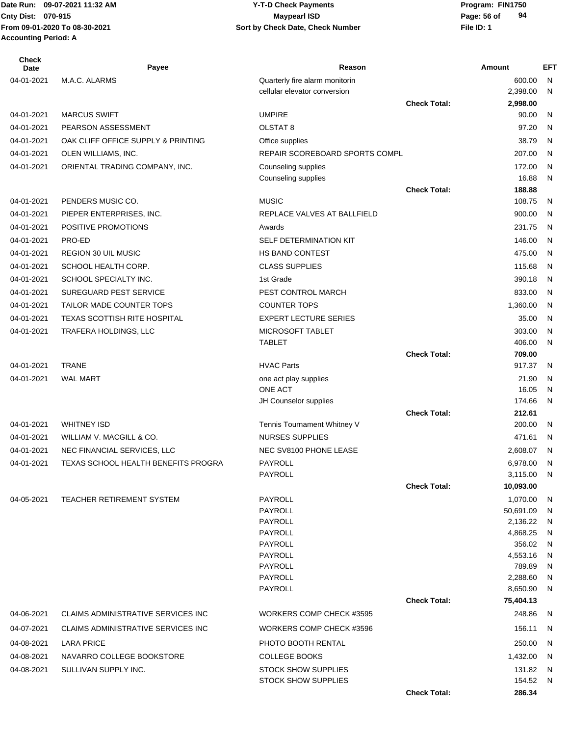#### Date Run: 09-07-2021 11:32 AM **Program: FIN1750** Y-T-D Check Payments **Cnty Dist:** 070-915 **Page: 56 of 09-07-2021 11:32 AM Y-T-D Check Payments 070-915 Maypearl ISD**

| <b>Check</b><br>Date | Payee                               | Reason                                  |                     | Amount               | EFT          |
|----------------------|-------------------------------------|-----------------------------------------|---------------------|----------------------|--------------|
| 04-01-2021           | M.A.C. ALARMS                       | Quarterly fire alarm monitorin          |                     | 600.00               | N.           |
|                      |                                     | cellular elevator conversion            |                     | 2,398.00             | N            |
|                      |                                     |                                         | <b>Check Total:</b> | 2,998.00             |              |
| 04-01-2021           | <b>MARCUS SWIFT</b>                 | <b>UMPIRE</b>                           |                     | 90.00                | N            |
| 04-01-2021           | PEARSON ASSESSMENT                  | OLSTAT <sub>8</sub>                     |                     | 97.20                | $\mathsf{N}$ |
| 04-01-2021           | OAK CLIFF OFFICE SUPPLY & PRINTING  | Office supplies                         |                     | 38.79                | N            |
| 04-01-2021           | OLEN WILLIAMS, INC.                 | REPAIR SCOREBOARD SPORTS COMPL          |                     | 207.00               | N            |
| 04-01-2021           | ORIENTAL TRADING COMPANY, INC.      | Counseling supplies                     |                     | 172.00               | N            |
|                      |                                     | Counseling supplies                     |                     | 16.88                | N            |
|                      |                                     |                                         | <b>Check Total:</b> | 188.88               |              |
| 04-01-2021           | PENDERS MUSIC CO.                   | <b>MUSIC</b>                            |                     | 108.75               | N            |
| 04-01-2021           | PIEPER ENTERPRISES, INC.            | REPLACE VALVES AT BALLFIELD             |                     | 900.00               | N            |
| 04-01-2021           | POSITIVE PROMOTIONS                 | Awards                                  |                     | 231.75               | N            |
| 04-01-2021           | PRO-ED                              | SELF DETERMINATION KIT                  |                     | 146.00               | N            |
| 04-01-2021           | REGION 30 UIL MUSIC                 | HS BAND CONTEST                         |                     | 475.00               | N            |
| 04-01-2021           | SCHOOL HEALTH CORP.                 | <b>CLASS SUPPLIES</b>                   |                     | 115.68               | N            |
| 04-01-2021           | SCHOOL SPECIALTY INC.               | 1st Grade                               |                     | 390.18               | N            |
| 04-01-2021           | SUREGUARD PEST SERVICE              | PEST CONTROL MARCH                      |                     | 833.00               | N            |
| 04-01-2021           | TAILOR MADE COUNTER TOPS            | <b>COUNTER TOPS</b>                     |                     | 1,360.00             | N            |
| 04-01-2021           | <b>TEXAS SCOTTISH RITE HOSPITAL</b> | <b>EXPERT LECTURE SERIES</b>            |                     | 35.00                | N            |
| 04-01-2021           | TRAFERA HOLDINGS, LLC               | MICROSOFT TABLET                        |                     | 303.00               | N            |
|                      |                                     | <b>TABLET</b>                           |                     | 406.00               | N            |
|                      |                                     |                                         | <b>Check Total:</b> | 709.00               |              |
| 04-01-2021           | <b>TRANE</b>                        | <b>HVAC Parts</b>                       |                     | 917.37               | N            |
| 04-01-2021           | <b>WAL MART</b>                     | one act play supplies<br><b>ONE ACT</b> |                     | 21.90<br>16.05       | N            |
|                      |                                     | JH Counselor supplies                   |                     | 174.66               | N<br>N       |
|                      |                                     |                                         | <b>Check Total:</b> | 212.61               |              |
| 04-01-2021           | <b>WHITNEY ISD</b>                  | Tennis Tournament Whitney V             |                     | 200.00               | N            |
| 04-01-2021           | WILLIAM V. MACGILL & CO.            | <b>NURSES SUPPLIES</b>                  |                     | 471.61               | -N           |
| 04-01-2021           | NEC FINANCIAL SERVICES, LLC         | NEC SV8100 PHONE LEASE                  |                     | 2,608.07             | N.           |
| 04-01-2021           | TEXAS SCHOOL HEALTH BENEFITS PROGRA | PAYROLL                                 |                     | 6,978.00             | N            |
|                      |                                     | PAYROLL                                 |                     | 3,115.00             | N            |
|                      |                                     |                                         | <b>Check Total:</b> | 10,093.00            |              |
| 04-05-2021           | TEACHER RETIREMENT SYSTEM           | PAYROLL                                 |                     | 1,070.00             | N            |
|                      |                                     | PAYROLL                                 |                     | 50,691.09            | N            |
|                      |                                     | PAYROLL                                 |                     | 2,136.22             | N            |
|                      |                                     | <b>PAYROLL</b>                          |                     | 4,868.25             | N            |
|                      |                                     | <b>PAYROLL</b>                          |                     | 356.02               | N            |
|                      |                                     | <b>PAYROLL</b>                          |                     | 4,553.16             | N            |
|                      |                                     | PAYROLL<br><b>PAYROLL</b>               |                     | 789.89               | N            |
|                      |                                     | PAYROLL                                 |                     | 2,288.60<br>8,650.90 | N<br>N       |
|                      |                                     |                                         | <b>Check Total:</b> | 75,404.13            |              |
| 04-06-2021           | CLAIMS ADMINISTRATIVE SERVICES INC  | WORKERS COMP CHECK #3595                |                     | 248.86               | N            |
| 04-07-2021           | CLAIMS ADMINISTRATIVE SERVICES INC  | WORKERS COMP CHECK #3596                |                     | 156.11               | N            |
| 04-08-2021           | LARA PRICE                          | PHOTO BOOTH RENTAL                      |                     | 250.00               | N            |
| 04-08-2021           | NAVARRO COLLEGE BOOKSTORE           | <b>COLLEGE BOOKS</b>                    |                     | 1,432.00             | N            |
| 04-08-2021           | SULLIVAN SUPPLY INC.                | <b>STOCK SHOW SUPPLIES</b>              |                     | 131.82               | N            |
|                      |                                     | <b>STOCK SHOW SUPPLIES</b>              |                     | 154.52               | N            |
|                      |                                     |                                         | <b>Check Total:</b> | 286.34               |              |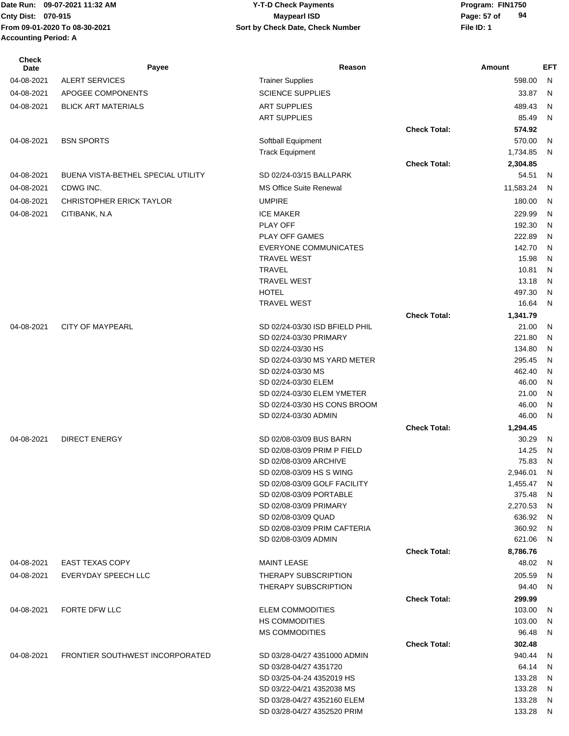# **Cnty Dist:** 070-915 **Page:** 57 of **09-07-2021 11:32 AM Y-T-D Check Payments 070-915 Maypearl ISD**

| <b>Check</b><br><b>Date</b> | Payee                              | Reason                                            |                     | Amount            | EFT          |
|-----------------------------|------------------------------------|---------------------------------------------------|---------------------|-------------------|--------------|
| 04-08-2021                  | <b>ALERT SERVICES</b>              | <b>Trainer Supplies</b>                           |                     | 598.00            | $\mathsf{N}$ |
| 04-08-2021                  | APOGEE COMPONENTS                  | <b>SCIENCE SUPPLIES</b>                           |                     | 33.87             | N            |
| 04-08-2021                  | <b>BLICK ART MATERIALS</b>         | <b>ART SUPPLIES</b>                               |                     | 489.43            | N            |
|                             |                                    | <b>ART SUPPLIES</b>                               |                     | 85.49             | N            |
|                             |                                    |                                                   | <b>Check Total:</b> | 574.92            |              |
| 04-08-2021                  | <b>BSN SPORTS</b>                  | Softball Equipment                                |                     | 570.00            | N            |
|                             |                                    | <b>Track Equipment</b>                            |                     | 1,734.85          | N            |
|                             |                                    |                                                   | <b>Check Total:</b> | 2,304.85          |              |
| 04-08-2021                  | BUENA VISTA-BETHEL SPECIAL UTILITY | SD 02/24-03/15 BALLPARK                           |                     | 54.51             | N            |
| 04-08-2021                  | CDWG INC.                          | MS Office Suite Renewal                           |                     | 11,583.24         | N            |
| 04-08-2021                  | <b>CHRISTOPHER ERICK TAYLOR</b>    | <b>UMPIRE</b>                                     |                     | 180.00            | N            |
| 04-08-2021                  | CITIBANK, N.A.                     | <b>ICE MAKER</b>                                  |                     | 229.99            | N            |
|                             |                                    | <b>PLAY OFF</b>                                   |                     | 192.30            | N            |
|                             |                                    | PLAY OFF GAMES                                    |                     | 222.89            | N            |
|                             |                                    | <b>EVERYONE COMMUNICATES</b>                      |                     | 142.70            | N            |
|                             |                                    | <b>TRAVEL WEST</b>                                |                     | 15.98             | N            |
|                             |                                    | <b>TRAVEL</b>                                     |                     | 10.81             | N            |
|                             |                                    | <b>TRAVEL WEST</b>                                |                     | 13.18             | N            |
|                             |                                    | <b>HOTEL</b>                                      |                     | 497.30            | N            |
|                             |                                    | <b>TRAVEL WEST</b>                                |                     | 16.64             | N            |
|                             |                                    |                                                   | <b>Check Total:</b> | 1,341.79          |              |
| 04-08-2021                  | <b>CITY OF MAYPEARL</b>            | SD 02/24-03/30 ISD BFIELD PHIL                    |                     | 21.00             | N            |
|                             |                                    | SD 02/24-03/30 PRIMARY                            |                     | 221.80            | N            |
|                             |                                    | SD 02/24-03/30 HS                                 |                     | 134.80            | N            |
|                             |                                    | SD 02/24-03/30 MS YARD METER<br>SD 02/24-03/30 MS |                     | 295.45<br>462.40  | N<br>N       |
|                             |                                    | SD 02/24-03/30 ELEM                               |                     | 46.00             | N            |
|                             |                                    | SD 02/24-03/30 ELEM YMETER                        |                     | 21.00             | N            |
|                             |                                    | SD 02/24-03/30 HS CONS BROOM                      |                     | 46.00             | N            |
|                             |                                    | SD 02/24-03/30 ADMIN                              |                     | 46.00             | N            |
|                             |                                    |                                                   | <b>Check Total:</b> | 1,294.45          |              |
| 04-08-2021                  | <b>DIRECT ENERGY</b>               | SD 02/08-03/09 BUS BARN                           |                     | 30.29             | N            |
|                             |                                    | SD 02/08-03/09 PRIM P FIELD                       |                     | 14.25             | N            |
|                             |                                    | SD 02/08-03/09 ARCHIVE                            |                     | 75.83             | N            |
|                             |                                    | SD 02/08-03/09 HS S WING                          |                     | 2,946.01          | N            |
|                             |                                    | SD 02/08-03/09 GOLF FACILITY                      |                     | 1,455.47          | N            |
|                             |                                    | SD 02/08-03/09 PORTABLE                           |                     | 375.48            | N            |
|                             |                                    | SD 02/08-03/09 PRIMARY                            |                     | 2,270.53          | N            |
|                             |                                    | SD 02/08-03/09 QUAD                               |                     | 636.92            | N            |
|                             |                                    | SD 02/08-03/09 PRIM CAFTERIA                      |                     | 360.92            | N            |
|                             |                                    | SD 02/08-03/09 ADMIN                              |                     | 621.06            | N            |
| 04-08-2021                  | <b>EAST TEXAS COPY</b>             | <b>MAINT LEASE</b>                                | <b>Check Total:</b> | 8,786.76<br>48.02 | N            |
|                             |                                    |                                                   |                     |                   |              |
| 04-08-2021                  | EVERYDAY SPEECH LLC                | THERAPY SUBSCRIPTION<br>THERAPY SUBSCRIPTION      |                     | 205.59<br>94.40   | N<br>N       |
|                             |                                    |                                                   | <b>Check Total:</b> | 299.99            |              |
| 04-08-2021                  | FORTE DFW LLC                      | <b>ELEM COMMODITIES</b>                           |                     | 103.00            | N            |
|                             |                                    | <b>HS COMMODITIES</b>                             |                     | 103.00            | N            |
|                             |                                    | <b>MS COMMODITIES</b>                             |                     | 96.48             | N            |
|                             |                                    |                                                   | <b>Check Total:</b> | 302.48            |              |
| 04-08-2021                  | FRONTIER SOUTHWEST INCORPORATED    | SD 03/28-04/27 4351000 ADMIN                      |                     | 940.44            | N            |
|                             |                                    | SD 03/28-04/27 4351720                            |                     | 64.14             | N            |
|                             |                                    | SD 03/25-04-24 4352019 HS                         |                     | 133.28            | N            |
|                             |                                    | SD 03/22-04/21 4352038 MS                         |                     | 133.28            | N            |
|                             |                                    | SD 03/28-04/27 4352160 ELEM                       |                     | 133.28            | N            |
|                             |                                    | SD 03/28-04/27 4352520 PRIM                       |                     | 133.28 N          |              |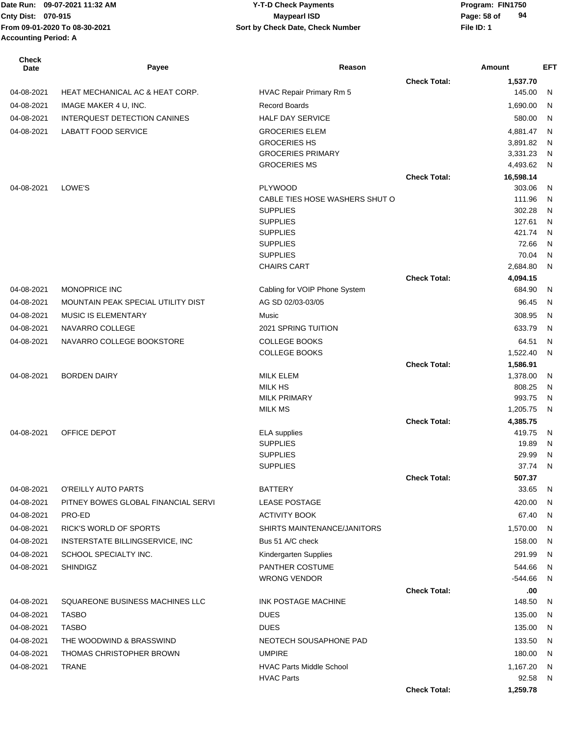| <b>Check</b><br>Date | Payee                               | Reason                                           |                     | Amount               | <b>EFT</b> |
|----------------------|-------------------------------------|--------------------------------------------------|---------------------|----------------------|------------|
|                      |                                     |                                                  | <b>Check Total:</b> | 1,537.70             |            |
| 04-08-2021           | HEAT MECHANICAL AC & HEAT CORP.     | HVAC Repair Primary Rm 5                         |                     | 145.00               | N          |
| 04-08-2021           | IMAGE MAKER 4 U, INC.               | <b>Record Boards</b>                             |                     | 1,690.00             | N          |
| 04-08-2021           | INTERQUEST DETECTION CANINES        | <b>HALF DAY SERVICE</b>                          |                     | 580.00               | N          |
| 04-08-2021           | <b>LABATT FOOD SERVICE</b>          | <b>GROCERIES ELEM</b>                            |                     | 4,881.47             | N          |
|                      |                                     | <b>GROCERIES HS</b>                              |                     | 3,891.82             | N          |
|                      |                                     | <b>GROCERIES PRIMARY</b>                         |                     | 3,331.23             | N          |
|                      |                                     | <b>GROCERIES MS</b>                              |                     | 4,493.62             | N          |
|                      |                                     |                                                  | <b>Check Total:</b> | 16,598.14            |            |
| 04-08-2021           | LOWE'S                              | <b>PLYWOOD</b><br>CABLE TIES HOSE WASHERS SHUT O |                     | 303.06<br>111.96     | N<br>N     |
|                      |                                     | <b>SUPPLIES</b>                                  |                     | 302.28               | N          |
|                      |                                     | <b>SUPPLIES</b>                                  |                     | 127.61               | N          |
|                      |                                     | <b>SUPPLIES</b>                                  |                     | 421.74               | N          |
|                      |                                     | <b>SUPPLIES</b>                                  |                     | 72.66                | N          |
|                      |                                     | <b>SUPPLIES</b>                                  |                     | 70.04                | N          |
|                      |                                     | <b>CHAIRS CART</b>                               |                     | 2,684.80             | N          |
|                      |                                     |                                                  | <b>Check Total:</b> | 4,094.15             |            |
| 04-08-2021           | <b>MONOPRICE INC</b>                | Cabling for VOIP Phone System                    |                     | 684.90               | N          |
| 04-08-2021           | MOUNTAIN PEAK SPECIAL UTILITY DIST  | AG SD 02/03-03/05                                |                     | 96.45                | N          |
| 04-08-2021           | <b>MUSIC IS ELEMENTARY</b>          | Music                                            |                     | 308.95               | N          |
| 04-08-2021           | NAVARRO COLLEGE                     | 2021 SPRING TUITION                              |                     | 633.79               | N          |
| 04-08-2021           | NAVARRO COLLEGE BOOKSTORE           | <b>COLLEGE BOOKS</b>                             |                     | 64.51                | N          |
|                      |                                     | <b>COLLEGE BOOKS</b>                             |                     | 1,522.40             | N          |
| 04-08-2021           | <b>BORDEN DAIRY</b>                 | <b>MILK ELEM</b>                                 | <b>Check Total:</b> | 1,586.91<br>1,378.00 | N          |
|                      |                                     | <b>MILK HS</b>                                   |                     | 808.25               | N          |
|                      |                                     | <b>MILK PRIMARY</b>                              |                     | 993.75               | N          |
|                      |                                     | <b>MILK MS</b>                                   |                     | 1,205.75             | N          |
|                      |                                     |                                                  | <b>Check Total:</b> | 4,385.75             |            |
| 04-08-2021           | OFFICE DEPOT                        | <b>ELA</b> supplies                              |                     | 419.75               | N          |
|                      |                                     | <b>SUPPLIES</b>                                  |                     | 19.89                | N          |
|                      |                                     | <b>SUPPLIES</b>                                  |                     | 29.99                | N          |
|                      |                                     | <b>SUPPLIES</b>                                  |                     | 37.74                | N          |
|                      |                                     |                                                  | <b>Check Total:</b> | 507.37               |            |
| 04-08-2021           | O'REILLY AUTO PARTS                 | <b>BATTERY</b>                                   |                     | 33.65                | N          |
| 04-08-2021           | PITNEY BOWES GLOBAL FINANCIAL SERVI | <b>LEASE POSTAGE</b>                             |                     | 420.00               | N          |
| 04-08-2021           | PRO-ED                              | <b>ACTIVITY BOOK</b>                             |                     | 67.40                | N          |
| 04-08-2021           | RICK'S WORLD OF SPORTS              | SHIRTS MAINTENANCE/JANITORS                      |                     | 1,570.00             | N          |
| 04-08-2021           | INSTERSTATE BILLINGSERVICE, INC     | Bus 51 A/C check                                 |                     | 158.00               | N          |
| 04-08-2021           | SCHOOL SPECIALTY INC.               | Kindergarten Supplies                            |                     | 291.99               | N          |
| 04-08-2021           | <b>SHINDIGZ</b>                     | PANTHER COSTUME                                  |                     | 544.66               | N          |
|                      |                                     | <b>WRONG VENDOR</b>                              |                     | $-544.66$            | N          |
|                      |                                     |                                                  | <b>Check Total:</b> | .00                  |            |
| 04-08-2021           | SQUAREONE BUSINESS MACHINES LLC     | INK POSTAGE MACHINE                              |                     | 148.50               | N          |
| 04-08-2021           | <b>TASBO</b>                        | <b>DUES</b>                                      |                     | 135.00               | N          |
| 04-08-2021           | <b>TASBO</b>                        | <b>DUES</b>                                      |                     | 135.00               | N          |
| 04-08-2021           | THE WOODWIND & BRASSWIND            | NEOTECH SOUSAPHONE PAD                           |                     | 133.50               | N          |
| 04-08-2021           | THOMAS CHRISTOPHER BROWN            | <b>UMPIRE</b>                                    |                     | 180.00               | N          |
| 04-08-2021           | <b>TRANE</b>                        | <b>HVAC Parts Middle School</b>                  |                     | 1,167.20             | N          |
|                      |                                     | <b>HVAC Parts</b>                                |                     | 92.58                | N          |
|                      |                                     |                                                  | <b>Check Total:</b> | 1,259.78             |            |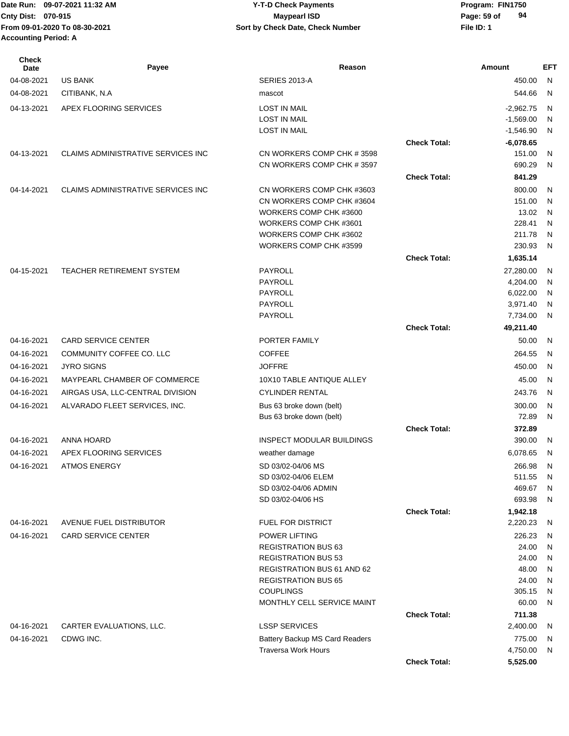| <b>Check</b><br>Date | Payee                              | Reason                                         |                     | Amount            | EFT            |
|----------------------|------------------------------------|------------------------------------------------|---------------------|-------------------|----------------|
| 04-08-2021           | <b>US BANK</b>                     | SERIES 2013-A                                  |                     | 450.00            | N,             |
| 04-08-2021           | CITIBANK, N.A                      | mascot                                         |                     | 544.66            | - N            |
| 04-13-2021           | APEX FLOORING SERVICES             | <b>LOST IN MAIL</b>                            |                     | $-2,962.75$       | N              |
|                      |                                    | <b>LOST IN MAIL</b>                            |                     | $-1,569.00$       | N              |
|                      |                                    | <b>LOST IN MAIL</b>                            |                     | $-1,546.90$       | N              |
|                      |                                    |                                                | <b>Check Total:</b> | $-6,078.65$       |                |
| 04-13-2021           | CLAIMS ADMINISTRATIVE SERVICES INC | CN WORKERS COMP CHK # 3598                     |                     | 151.00            | N              |
|                      |                                    | CN WORKERS COMP CHK #3597                      |                     | 690.29            | N              |
|                      |                                    |                                                | <b>Check Total:</b> | 841.29            |                |
| 04-14-2021           | CLAIMS ADMINISTRATIVE SERVICES INC | CN WORKERS COMP CHK #3603                      |                     | 800.00            | N              |
|                      |                                    | CN WORKERS COMP CHK #3604                      |                     | 151.00            | N              |
|                      |                                    | WORKERS COMP CHK #3600                         |                     | 13.02             | N,             |
|                      |                                    | WORKERS COMP CHK #3601                         |                     | 228.41            | N              |
|                      |                                    | WORKERS COMP CHK #3602                         |                     | 211.78            | - N            |
|                      |                                    | WORKERS COMP CHK #3599                         |                     | 230.93            | N              |
|                      |                                    |                                                | <b>Check Total:</b> | 1,635.14          |                |
| 04-15-2021           | TEACHER RETIREMENT SYSTEM          | <b>PAYROLL</b>                                 |                     | 27,280.00         | N,             |
|                      |                                    | PAYROLL                                        |                     | 4,204.00          | $\overline{N}$ |
|                      |                                    | <b>PAYROLL</b>                                 |                     | 6,022.00          | N              |
|                      |                                    | <b>PAYROLL</b>                                 |                     | 3,971.40          | N              |
|                      |                                    | PAYROLL                                        |                     | 7,734.00          | N              |
|                      |                                    |                                                | <b>Check Total:</b> | 49,211.40         |                |
| 04-16-2021           | <b>CARD SERVICE CENTER</b>         | PORTER FAMILY                                  |                     | 50.00             | - N            |
| 04-16-2021           | COMMUNITY COFFEE CO. LLC           | <b>COFFEE</b>                                  |                     | 264.55            | N              |
| 04-16-2021           | <b>JYRO SIGNS</b>                  | <b>JOFFRE</b>                                  |                     | 450.00            | N.             |
| 04-16-2021           | MAYPEARL CHAMBER OF COMMERCE       | 10X10 TABLE ANTIQUE ALLEY                      |                     | 45.00             | N,             |
| 04-16-2021           | AIRGAS USA, LLC-CENTRAL DIVISION   | <b>CYLINDER RENTAL</b>                         |                     | 243.76            | N              |
| 04-16-2021           | ALVARADO FLEET SERVICES, INC.      | Bus 63 broke down (belt)                       |                     | 300.00            | N.             |
|                      |                                    | Bus 63 broke down (belt)                       |                     | 72.89             | N              |
|                      |                                    |                                                | <b>Check Total:</b> | 372.89            |                |
| 04-16-2021           | ANNA HOARD                         | <b>INSPECT MODULAR BUILDINGS</b>               |                     | 390.00            | N              |
| 04-16-2021           | APEX FLOORING SERVICES             | weather damage                                 |                     | 6,078.65          | N              |
| 04-16-2021           | <b>ATMOS ENERGY</b>                | SD 03/02-04/06 MS                              |                     | 266.98            | - N            |
|                      |                                    | SD 03/02-04/06 ELEM                            |                     | 511.55 N          |                |
|                      |                                    | SD 03/02-04/06 ADMIN                           |                     | 469.67 N          |                |
|                      |                                    | SD 03/02-04/06 HS                              |                     | 693.98 N          |                |
|                      |                                    |                                                | <b>Check Total:</b> | 1,942.18          |                |
| 04-16-2021           | AVENUE FUEL DISTRIBUTOR            | FUEL FOR DISTRICT                              |                     | 2,220.23          | - N            |
| 04-16-2021           | <b>CARD SERVICE CENTER</b>         | <b>POWER LIFTING</b>                           |                     | 226.23            | N              |
|                      |                                    | <b>REGISTRATION BUS 63</b>                     |                     | 24.00             | N,             |
|                      |                                    | <b>REGISTRATION BUS 53</b>                     |                     | 24.00             | N,             |
|                      |                                    | <b>REGISTRATION BUS 61 AND 62</b>              |                     | 48.00             | N,             |
|                      |                                    | <b>REGISTRATION BUS 65</b>                     |                     | 24.00             | N              |
|                      |                                    | <b>COUPLINGS</b><br>MONTHLY CELL SERVICE MAINT |                     | 305.15 N<br>60.00 | N              |
|                      |                                    |                                                | <b>Check Total:</b> | 711.38            |                |
| 04-16-2021           | CARTER EVALUATIONS, LLC.           | <b>LSSP SERVICES</b>                           |                     | 2,400.00          | N,             |
| 04-16-2021           | CDWG INC.                          | Battery Backup MS Card Readers                 |                     | 775.00            | N              |
|                      |                                    | <b>Traversa Work Hours</b>                     |                     | 4,750.00          | N              |
|                      |                                    |                                                | <b>Check Total:</b> | 5,525.00          |                |
|                      |                                    |                                                |                     |                   |                |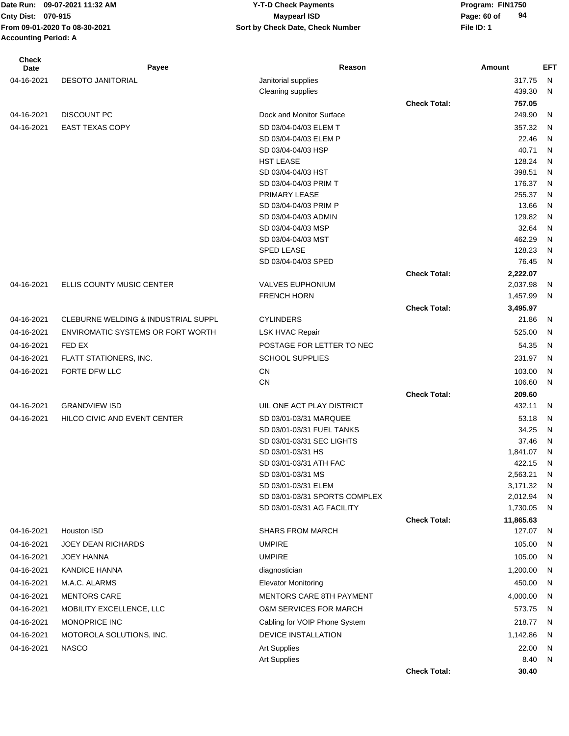# **Cnty Dist:** 070-915 **Page: 60 of** Maypearl ISD **Page: 60 of 09-07-2021 11:32 AM Y-T-D Check Payments 070-915 Maypearl ISD**

**94**

| Check<br>Date | Payee                                    | Reason                                        |                     | Amount             | <b>EFT</b>   |
|---------------|------------------------------------------|-----------------------------------------------|---------------------|--------------------|--------------|
| 04-16-2021    | <b>DESOTO JANITORIAL</b>                 | Janitorial supplies                           |                     | 317.75             | $\mathsf{N}$ |
|               |                                          | Cleaning supplies                             |                     | 439.30             | N            |
|               |                                          |                                               | <b>Check Total:</b> | 757.05             |              |
| 04-16-2021    | <b>DISCOUNT PC</b>                       | Dock and Monitor Surface                      |                     | 249.90             | N            |
| 04-16-2021    | <b>EAST TEXAS COPY</b>                   | SD 03/04-04/03 ELEM T                         |                     | 357.32             | $\mathsf{N}$ |
|               |                                          | SD 03/04-04/03 ELEM P                         |                     | 22.46              | N            |
|               |                                          | SD 03/04-04/03 HSP                            |                     | 40.71              | N            |
|               |                                          | <b>HST LEASE</b>                              |                     | 128.24             | N            |
|               |                                          | SD 03/04-04/03 HST                            |                     | 398.51             | N            |
|               |                                          | SD 03/04-04/03 PRIM T                         |                     | 176.37             | $\mathsf{N}$ |
|               |                                          | PRIMARY LEASE                                 |                     | 255.37             | N            |
|               |                                          | SD 03/04-04/03 PRIM P                         |                     | 13.66              | N            |
|               |                                          | SD 03/04-04/03 ADMIN                          |                     | 129.82             | N            |
|               |                                          | SD 03/04-04/03 MSP                            |                     | 32.64              | N            |
|               |                                          | SD 03/04-04/03 MST                            |                     | 462.29             | N            |
|               |                                          | <b>SPED LEASE</b>                             |                     | 128.23             | N            |
|               |                                          | SD 03/04-04/03 SPED                           |                     | 76.45              | $\mathsf{N}$ |
|               |                                          |                                               | <b>Check Total:</b> | 2,222.07           |              |
| 04-16-2021    | ELLIS COUNTY MUSIC CENTER                | <b>VALVES EUPHONIUM</b><br><b>FRENCH HORN</b> |                     | 2,037.98           | N            |
|               |                                          |                                               |                     | 1,457.99           | N            |
| 04-16-2021    | CLEBURNE WELDING & INDUSTRIAL SUPPL      | <b>CYLINDERS</b>                              | <b>Check Total:</b> | 3,495.97<br>21.86  | N            |
|               |                                          |                                               |                     |                    |              |
| 04-16-2021    | <b>ENVIROMATIC SYSTEMS OR FORT WORTH</b> | <b>LSK HVAC Repair</b>                        |                     | 525.00             | N            |
| 04-16-2021    | FED EX                                   | POSTAGE FOR LETTER TO NEC                     |                     | 54.35              | N            |
| 04-16-2021    | FLATT STATIONERS, INC.                   | <b>SCHOOL SUPPLIES</b>                        |                     | 231.97             | N            |
| 04-16-2021    | FORTE DFW LLC                            | <b>CN</b>                                     |                     | 103.00             | $\mathsf{N}$ |
|               |                                          | <b>CN</b>                                     |                     | 106.60             | N            |
|               |                                          |                                               | <b>Check Total:</b> | 209.60             |              |
| 04-16-2021    | <b>GRANDVIEW ISD</b>                     | UIL ONE ACT PLAY DISTRICT                     |                     | 432.11             | N            |
| 04-16-2021    | HILCO CIVIC AND EVENT CENTER             | SD 03/01-03/31 MARQUEE                        |                     | 53.18              | N            |
|               |                                          | SD 03/01-03/31 FUEL TANKS                     |                     | 34.25              | N            |
|               |                                          | SD 03/01-03/31 SEC LIGHTS                     |                     | 37.46              | N            |
|               |                                          | SD 03/01-03/31 HS<br>SD 03/01-03/31 ATH FAC   |                     | 1,841.07<br>422.15 | N<br>N       |
|               |                                          | SD 03/01-03/31 MS                             |                     | 2,563.21           | N            |
|               |                                          | SD 03/01-03/31 ELEM                           |                     | 3,171.32           | N            |
|               |                                          | SD 03/01-03/31 SPORTS COMPLEX                 |                     | 2,012.94           | N            |
|               |                                          | SD 03/01-03/31 AG FACILITY                    |                     | 1,730.05           | N            |
|               |                                          |                                               | <b>Check Total:</b> | 11,865.63          |              |
| 04-16-2021    | Houston ISD                              | <b>SHARS FROM MARCH</b>                       |                     | 127.07             | N,           |
| 04-16-2021    | <b>JOEY DEAN RICHARDS</b>                | <b>UMPIRE</b>                                 |                     | 105.00             | N            |
| 04-16-2021    | <b>JOEY HANNA</b>                        | <b>UMPIRE</b>                                 |                     | 105.00             | N.           |
| 04-16-2021    | <b>KANDICE HANNA</b>                     | diagnostician                                 |                     | 1,200.00           | - N          |
| 04-16-2021    | M.A.C. ALARMS                            | <b>Elevator Monitoring</b>                    |                     | 450.00             | N            |
| 04-16-2021    | <b>MENTORS CARE</b>                      | <b>MENTORS CARE 8TH PAYMENT</b>               |                     | 4,000.00           | N            |
| 04-16-2021    | MOBILITY EXCELLENCE, LLC                 | <b>O&amp;M SERVICES FOR MARCH</b>             |                     | 573.75             | -N           |
| 04-16-2021    | MONOPRICE INC                            | Cabling for VOIP Phone System                 |                     | 218.77             | N            |
|               |                                          | DEVICE INSTALLATION                           |                     |                    |              |
| 04-16-2021    | MOTOROLA SOLUTIONS, INC.                 |                                               |                     | 1,142.86           | N            |
| 04-16-2021    | <b>NASCO</b>                             | <b>Art Supplies</b>                           |                     | 22.00              | N            |
|               |                                          | <b>Art Supplies</b>                           |                     | 8.40               | N            |

**Check Total: 30.40**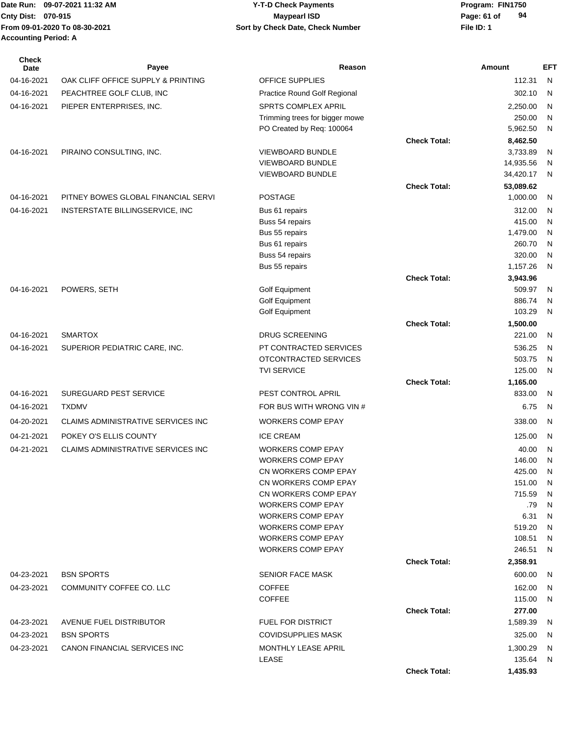| Date Run: 09-07-2021 11:32 AM | <b>Y-T-D Check Payments</b>      | Program: I  |
|-------------------------------|----------------------------------|-------------|
| Cnty Dist: 070-915            | Maypearl ISD                     | Page: 61 of |
| From 09-01-2020 To 08-30-2021 | Sort by Check Date, Check Number | File ID: 1  |
| <b>Accounting Period: A</b>   |                                  |             |

**Date Run: Program: FIN1750 94**

| <b>Check</b><br>Date | Payee                               | Reason                                           |                     | <b>Amount</b>          | EFT    |
|----------------------|-------------------------------------|--------------------------------------------------|---------------------|------------------------|--------|
| 04-16-2021           | OAK CLIFF OFFICE SUPPLY & PRINTING  | OFFICE SUPPLIES                                  |                     | 112.31                 | - N    |
| 04-16-2021           | PEACHTREE GOLF CLUB, INC            | Practice Round Golf Regional                     |                     | 302.10                 | N      |
| 04-16-2021           | PIEPER ENTERPRISES, INC.            | SPRTS COMPLEX APRIL                              |                     | 2,250.00               | N      |
|                      |                                     | Trimming trees for bigger mowe                   |                     | 250.00                 | N      |
|                      |                                     | PO Created by Req: 100064                        |                     | 5,962.50               | N      |
|                      |                                     |                                                  | <b>Check Total:</b> | 8,462.50               |        |
| 04-16-2021           | PIRAINO CONSULTING, INC.            | <b>VIEWBOARD BUNDLE</b>                          |                     | 3,733.89               | N      |
|                      |                                     | VIEWBOARD BUNDLE<br><b>VIEWBOARD BUNDLE</b>      |                     | 14,935.56<br>34,420.17 | N      |
|                      |                                     |                                                  | <b>Check Total:</b> | 53,089.62              | N      |
| 04-16-2021           | PITNEY BOWES GLOBAL FINANCIAL SERVI | <b>POSTAGE</b>                                   |                     | 1,000.00               | N      |
| 04-16-2021           | INSTERSTATE BILLINGSERVICE, INC     | Bus 61 repairs                                   |                     | 312.00                 | N      |
|                      |                                     | Buss 54 repairs                                  |                     | 415.00                 | N      |
|                      |                                     | Bus 55 repairs                                   |                     | 1,479.00               | N      |
|                      |                                     | Bus 61 repairs                                   |                     | 260.70                 | N      |
|                      |                                     | Buss 54 repairs                                  |                     | 320.00                 | N      |
|                      |                                     | Bus 55 repairs                                   |                     | 1,157.26               | N      |
|                      |                                     |                                                  | <b>Check Total:</b> | 3,943.96               |        |
| 04-16-2021           | POWERS, SETH                        | Golf Equipment                                   |                     | 509.97                 | N      |
|                      |                                     | <b>Golf Equipment</b><br>Golf Equipment          |                     | 886.74<br>103.29       | N<br>N |
|                      |                                     |                                                  | <b>Check Total:</b> | 1,500.00               |        |
| 04-16-2021           | <b>SMARTOX</b>                      | <b>DRUG SCREENING</b>                            |                     | 221.00                 | N      |
| 04-16-2021           | SUPERIOR PEDIATRIC CARE, INC.       | PT CONTRACTED SERVICES                           |                     | 536.25                 | N      |
|                      |                                     | OTCONTRACTED SERVICES                            |                     | 503.75                 | N      |
|                      |                                     | <b>TVI SERVICE</b>                               |                     | 125.00                 | N      |
|                      |                                     |                                                  | <b>Check Total:</b> | 1,165.00               |        |
| 04-16-2021           | <b>SUREGUARD PEST SERVICE</b>       | PEST CONTROL APRIL                               |                     | 833.00                 | N      |
| 04-16-2021           | <b>TXDMV</b>                        | FOR BUS WITH WRONG VIN #                         |                     | 6.75                   | N      |
| 04-20-2021           | CLAIMS ADMINISTRATIVE SERVICES INC  | <b>WORKERS COMP EPAY</b>                         |                     | 338.00                 | N      |
| 04-21-2021           | POKEY O'S ELLIS COUNTY              | <b>ICE CREAM</b>                                 |                     | 125.00                 | N      |
| 04-21-2021           | CLAIMS ADMINISTRATIVE SERVICES INC  | <b>WORKERS COMP EPAY</b>                         |                     | 40.00                  | N      |
|                      |                                     | <b>WORKERS COMP EPAY</b>                         |                     | 146.00                 | N      |
|                      |                                     | CN WORKERS COMP EPAY                             |                     | 425.00                 | N      |
|                      |                                     | CN WORKERS COMP EPAY                             |                     | 151.00                 | N      |
|                      |                                     | CN WORKERS COMP EPAY<br><b>WORKERS COMP EPAY</b> |                     | 715.59<br>.79          | N<br>N |
|                      |                                     | <b>WORKERS COMP EPAY</b>                         |                     | 6.31                   | N      |
|                      |                                     | <b>WORKERS COMP EPAY</b>                         |                     | 519.20                 | N      |
|                      |                                     | <b>WORKERS COMP EPAY</b>                         |                     | 108.51                 | N      |
|                      |                                     | <b>WORKERS COMP EPAY</b>                         |                     | 246.51                 | N      |
|                      |                                     |                                                  | <b>Check Total:</b> | 2,358.91               |        |
| 04-23-2021           | <b>BSN SPORTS</b>                   | <b>SENIOR FACE MASK</b>                          |                     | 600.00                 | N      |
| 04-23-2021           | COMMUNITY COFFEE CO. LLC            | <b>COFFEE</b>                                    |                     | 162.00                 | N      |
|                      |                                     | <b>COFFEE</b>                                    |                     | 115.00                 | N      |
|                      |                                     |                                                  | <b>Check Total:</b> | 277.00                 |        |
| 04-23-2021           | AVENUE FUEL DISTRIBUTOR             | <b>FUEL FOR DISTRICT</b>                         |                     | 1,589.39               | N      |
| 04-23-2021           | <b>BSN SPORTS</b>                   | <b>COVIDSUPPLIES MASK</b>                        |                     | 325.00                 | N      |
| 04-23-2021           | CANON FINANCIAL SERVICES INC        | MONTHLY LEASE APRIL                              |                     | 1,300.29               | N      |
|                      |                                     | LEASE                                            |                     | 135.64                 | N      |
|                      |                                     |                                                  | <b>Check Total:</b> | 1,435.93               |        |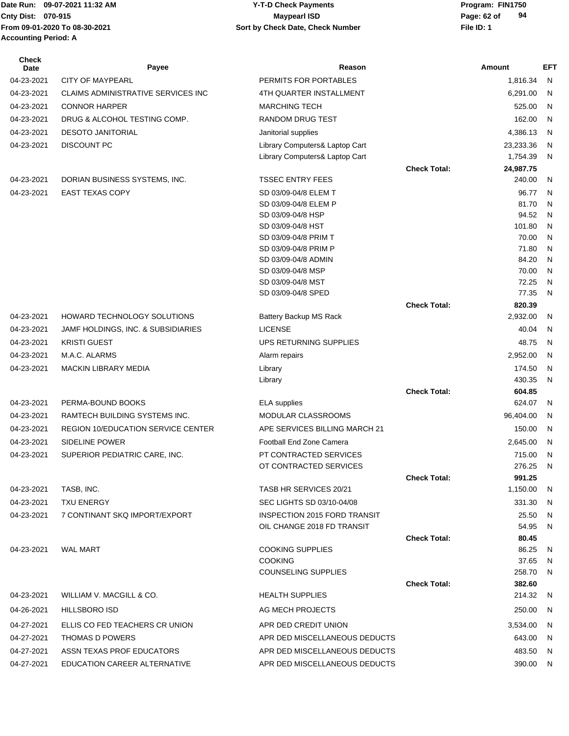# **Cnty Dist:** 070-915 **Page: 62 of MaypearI ISD Page: 62 of 09-07-2021 11:32 AM Y-T-D Check Payments 070-915 Maypearl ISD**

| <b>Check</b><br>Date | Payee                                     | Reason                                    |                     | Amount           | EFT.    |
|----------------------|-------------------------------------------|-------------------------------------------|---------------------|------------------|---------|
| 04-23-2021           | <b>CITY OF MAYPEARL</b>                   | PERMITS FOR PORTABLES                     |                     | 1,816.34         | N       |
| 04-23-2021           | <b>CLAIMS ADMINISTRATIVE SERVICES INC</b> | 4TH QUARTER INSTALLMENT                   |                     | 6,291.00         | N       |
| 04-23-2021           | <b>CONNOR HARPER</b>                      | <b>MARCHING TECH</b>                      |                     | 525.00           | N       |
| 04-23-2021           | DRUG & ALCOHOL TESTING COMP.              | RANDOM DRUG TEST                          |                     | 162.00           | N       |
| 04-23-2021           | <b>DESOTO JANITORIAL</b>                  | Janitorial supplies                       |                     | 4,386.13         | N       |
| 04-23-2021           | <b>DISCOUNT PC</b>                        | Library Computers& Laptop Cart            |                     | 23,233.36        | N       |
|                      |                                           | Library Computers& Laptop Cart            |                     | 1,754.39         | N       |
|                      |                                           |                                           | <b>Check Total:</b> | 24,987.75        |         |
| 04-23-2021           | DORIAN BUSINESS SYSTEMS, INC.             | <b>TSSEC ENTRY FEES</b>                   |                     | 240.00           | N       |
| 04-23-2021           | <b>EAST TEXAS COPY</b>                    | SD 03/09-04/8 ELEM T                      |                     | 96.77            | N       |
|                      |                                           | SD 03/09-04/8 ELEM P                      |                     | 81.70            | N       |
|                      |                                           | SD 03/09-04/8 HSP<br>SD 03/09-04/8 HST    |                     | 94.52<br>101.80  | N<br>N  |
|                      |                                           | SD 03/09-04/8 PRIM T                      |                     | 70.00            | N       |
|                      |                                           | SD 03/09-04/8 PRIM P                      |                     | 71.80            | N       |
|                      |                                           | SD 03/09-04/8 ADMIN                       |                     | 84.20            | N       |
|                      |                                           | SD 03/09-04/8 MSP                         |                     | 70.00            | N       |
|                      |                                           | SD 03/09-04/8 MST                         |                     | 72.25            | N       |
|                      |                                           | SD 03/09-04/8 SPED                        |                     | 77.35            | N       |
|                      |                                           |                                           | <b>Check Total:</b> | 820.39           |         |
| 04-23-2021           | HOWARD TECHNOLOGY SOLUTIONS               | Battery Backup MS Rack                    |                     | 2,932.00         | N       |
| 04-23-2021           | JAMF HOLDINGS, INC. & SUBSIDIARIES        | <b>LICENSE</b>                            |                     | 40.04            | N       |
| 04-23-2021           | <b>KRISTI GUEST</b>                       | UPS RETURNING SUPPLIES                    |                     | 48.75            | N       |
| 04-23-2021           | M.A.C. ALARMS                             | Alarm repairs                             |                     | 2,952.00         | N       |
| 04-23-2021           | MACKIN LIBRARY MEDIA                      | Library                                   |                     | 174.50           | N<br>N  |
|                      |                                           | Library                                   | <b>Check Total:</b> | 430.35<br>604.85 |         |
| 04-23-2021           | PERMA-BOUND BOOKS                         | <b>ELA</b> supplies                       |                     | 624.07           | N       |
| 04-23-2021           | RAMTECH BUILDING SYSTEMS INC.             | <b>MODULAR CLASSROOMS</b>                 |                     | 96,404.00        | N       |
| 04-23-2021           | REGION 10/EDUCATION SERVICE CENTER        | APE SERVICES BILLING MARCH 21             |                     | 150.00           | N       |
| 04-23-2021           | <b>SIDELINE POWER</b>                     | Football End Zone Camera                  |                     | 2,645.00         | N       |
| 04-23-2021           | SUPERIOR PEDIATRIC CARE, INC.             | PT CONTRACTED SERVICES                    |                     | 715.00           | N       |
|                      |                                           | OT CONTRACTED SERVICES                    |                     | 276.25           | N       |
|                      |                                           |                                           | <b>Check Total:</b> | 991.25           |         |
| 04-23-2021           | TASB, INC.                                | TASB HR SERVICES 20/21                    |                     | 1,150.00         | N       |
| 04-23-2021           | <b>TXU ENERGY</b>                         | SEC LIGHTS SD 03/10-04/08                 |                     | 331.30           | N.      |
| 04-23-2021           | 7 CONTINANT SKQ IMPORT/EXPORT             | INSPECTION 2015 FORD TRANSIT              |                     | 25.50            | N       |
|                      |                                           | OIL CHANGE 2018 FD TRANSIT                |                     | 54.95            | N       |
|                      |                                           |                                           | <b>Check Total:</b> | 80.45            |         |
| 04-23-2021           | <b>WAL MART</b>                           | <b>COOKING SUPPLIES</b><br><b>COOKING</b> |                     | 86.25<br>37.65   | N<br>N. |
|                      |                                           | <b>COUNSELING SUPPLIES</b>                |                     | 258.70           | N.      |
|                      |                                           |                                           | <b>Check Total:</b> | 382.60           |         |
| 04-23-2021           | WILLIAM V. MACGILL & CO.                  | <b>HEALTH SUPPLIES</b>                    |                     | 214.32           | N       |
| 04-26-2021           | <b>HILLSBORO ISD</b>                      | AG MECH PROJECTS                          |                     | 250.00           | N.      |
| 04-27-2021           | ELLIS CO FED TEACHERS CR UNION            | APR DED CREDIT UNION                      |                     | 3,534.00         | N.      |
| 04-27-2021           | <b>THOMAS D POWERS</b>                    | APR DED MISCELLANEOUS DEDUCTS             |                     | 643.00           | N       |
| 04-27-2021           | ASSN TEXAS PROF EDUCATORS                 | APR DED MISCELLANEOUS DEDUCTS             |                     | 483.50           | N       |
| 04-27-2021           | EDUCATION CAREER ALTERNATIVE              | APR DED MISCELLANEOUS DEDUCTS             |                     | 390.00           | N       |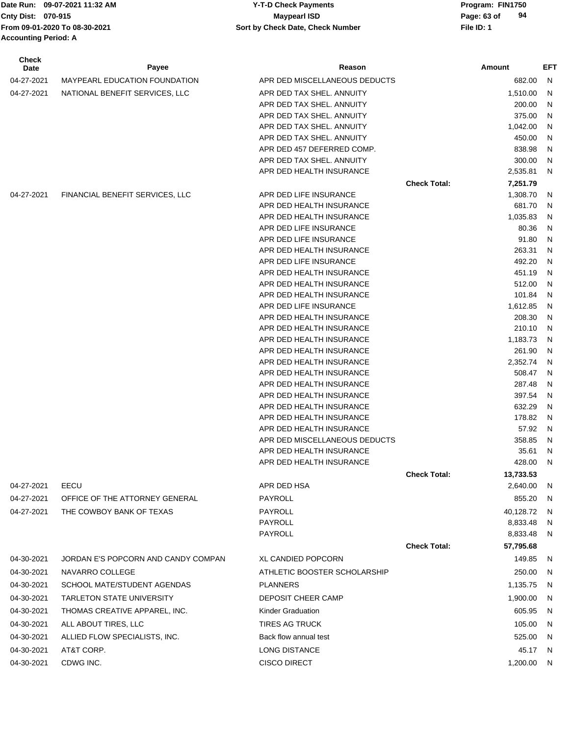Date Run: 09-07-2021 11:32 AM **Program: FIN1750** Y-T-D Check Payments **Cnty Dist:** 070-915 **Page: 63 of Maypearl ISD Page: 63 of From 09-01-2020 To 08-30-2021 File ID: 1 Sort by Check Date, Check Number Accounting Period: A**

# **09-07-2021 11:32 AM Y-T-D Check Payments 070-915 Maypearl ISD**

| <b>Check</b><br>Date | Payee                               | Reason                                               |                     | Amount           | EFT          |
|----------------------|-------------------------------------|------------------------------------------------------|---------------------|------------------|--------------|
| 04-27-2021           | MAYPEARL EDUCATION FOUNDATION       | APR DED MISCELLANEOUS DEDUCTS                        |                     | 682.00           | N            |
| 04-27-2021           | NATIONAL BENEFIT SERVICES, LLC      | APR DED TAX SHEL. ANNUITY                            |                     | 1,510.00         | N            |
|                      |                                     | APR DED TAX SHEL. ANNUITY                            |                     | 200.00           | N            |
|                      |                                     | APR DED TAX SHEL. ANNUITY                            |                     | 375.00           | N            |
|                      |                                     | APR DED TAX SHEL. ANNUITY                            |                     | 1,042.00         | N            |
|                      |                                     | APR DED TAX SHEL. ANNUITY                            |                     | 450.00           | N            |
|                      |                                     | APR DED 457 DEFERRED COMP.                           |                     | 838.98           | N            |
|                      |                                     | APR DED TAX SHEL. ANNUITY                            |                     | 300.00           | N            |
|                      |                                     | APR DED HEALTH INSURANCE                             |                     | 2,535.81         | N            |
|                      |                                     |                                                      | <b>Check Total:</b> | 7,251.79         |              |
| 04-27-2021           | FINANCIAL BENEFIT SERVICES, LLC     | APR DED LIFE INSURANCE                               |                     | 1,308.70         | N            |
|                      |                                     | APR DED HEALTH INSURANCE                             |                     | 681.70           | N            |
|                      |                                     | APR DED HEALTH INSURANCE                             |                     | 1,035.83         | N            |
|                      |                                     | APR DED LIFE INSURANCE                               |                     | 80.36            | N            |
|                      |                                     | APR DED LIFE INSURANCE                               |                     | 91.80            | N            |
|                      |                                     | APR DED HEALTH INSURANCE                             |                     | 263.31           | N            |
|                      |                                     | APR DED LIFE INSURANCE                               |                     | 492.20           | N            |
|                      |                                     | APR DED HEALTH INSURANCE                             |                     | 451.19           | N            |
|                      |                                     | APR DED HEALTH INSURANCE<br>APR DED HEALTH INSURANCE |                     | 512.00<br>101.84 | N<br>N       |
|                      |                                     | APR DED LIFE INSURANCE                               |                     | 1,612.85         | N            |
|                      |                                     | APR DED HEALTH INSURANCE                             |                     | 208.30           | N            |
|                      |                                     | APR DED HEALTH INSURANCE                             |                     | 210.10           | N            |
|                      |                                     | APR DED HEALTH INSURANCE                             |                     | 1,183.73         | N            |
|                      |                                     | APR DED HEALTH INSURANCE                             |                     | 261.90           | N            |
|                      |                                     | APR DED HEALTH INSURANCE                             |                     | 2,352.74         | N            |
|                      |                                     | APR DED HEALTH INSURANCE                             |                     | 508.47           | N            |
|                      |                                     | APR DED HEALTH INSURANCE                             |                     | 287.48           | N            |
|                      |                                     | APR DED HEALTH INSURANCE                             |                     | 397.54           | N            |
|                      |                                     | APR DED HEALTH INSURANCE                             |                     | 632.29           | N            |
|                      |                                     | APR DED HEALTH INSURANCE                             |                     | 178.82           | N            |
|                      |                                     | APR DED HEALTH INSURANCE                             |                     | 57.92            | N            |
|                      |                                     | APR DED MISCELLANEOUS DEDUCTS                        |                     | 358.85           | N            |
|                      |                                     | APR DED HEALTH INSURANCE                             |                     | 35.61            | N            |
|                      |                                     | APR DED HEALTH INSURANCE                             |                     | 428.00           | N            |
|                      |                                     |                                                      | <b>Check Total:</b> | 13,733.53        |              |
| 04-27-2021           | EECU                                | APR DED HSA                                          |                     | 2,640.00         | <sub>N</sub> |
| 04-27-2021           | OFFICE OF THE ATTORNEY GENERAL      | PAYROLL                                              |                     | 855.20           | N            |
| 04-27-2021           | THE COWBOY BANK OF TEXAS            | PAYROLL                                              |                     | 40,128.72        | N            |
|                      |                                     | PAYROLL                                              |                     | 8,833.48         | N            |
|                      |                                     | PAYROLL                                              |                     | 8,833.48         | N            |
|                      |                                     |                                                      | <b>Check Total:</b> | 57,795.68        |              |
| 04-30-2021           | JORDAN E'S POPCORN AND CANDY COMPAN | XL CANDIED POPCORN                                   |                     | 149.85           | N,           |
| 04-30-2021           | NAVARRO COLLEGE                     | ATHLETIC BOOSTER SCHOLARSHIP                         |                     | 250.00           | N.           |
| 04-30-2021           | SCHOOL MATE/STUDENT AGENDAS         | <b>PLANNERS</b>                                      |                     | 1,135.75         | -N           |
| 04-30-2021           | <b>TARLETON STATE UNIVERSITY</b>    | DEPOSIT CHEER CAMP                                   |                     | 1,900.00         | N            |
| 04-30-2021           | THOMAS CREATIVE APPAREL, INC.       | Kinder Graduation                                    |                     | 605.95           | N            |
| 04-30-2021           | ALL ABOUT TIRES, LLC                | <b>TIRES AG TRUCK</b>                                |                     | 105.00           | N            |
| 04-30-2021           | ALLIED FLOW SPECIALISTS, INC.       | Back flow annual test                                |                     | 525.00           | N            |
| 04-30-2021           | AT&T CORP.                          | LONG DISTANCE                                        |                     | 45.17            | - N          |
| 04-30-2021           | CDWG INC.                           | <b>CISCO DIRECT</b>                                  |                     | 1,200.00 N       |              |
|                      |                                     |                                                      |                     |                  |              |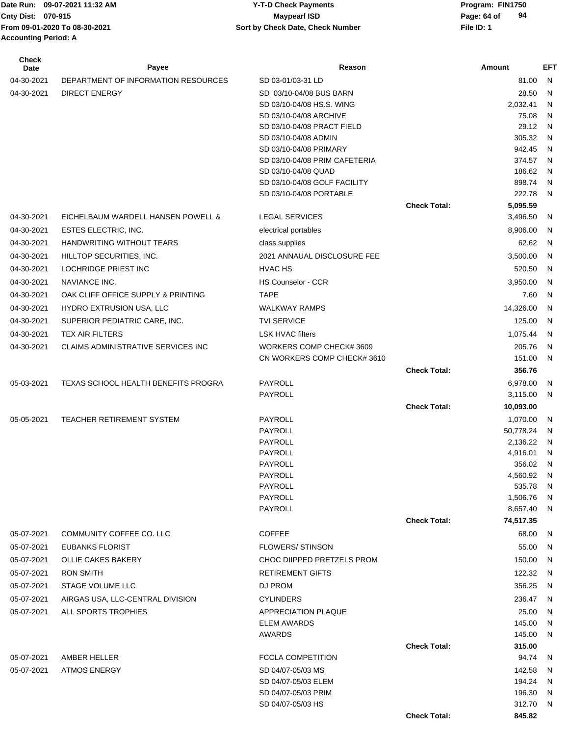| <b>Check</b><br>Date | Payee                               | Reason                                                  |                     | Amount             | EFT          |
|----------------------|-------------------------------------|---------------------------------------------------------|---------------------|--------------------|--------------|
| 04-30-2021           | DEPARTMENT OF INFORMATION RESOURCES | SD 03-01/03-31 LD                                       |                     | 81.00              | N            |
| 04-30-2021           | <b>DIRECT ENERGY</b>                | SD 03/10-04/08 BUS BARN                                 |                     | 28.50              | N            |
|                      |                                     | SD 03/10-04/08 HS.S. WING                               |                     | 2,032.41           | N            |
|                      |                                     | SD 03/10-04/08 ARCHIVE                                  |                     | 75.08              | N            |
|                      |                                     | SD 03/10-04/08 PRACT FIELD                              |                     | 29.12              | N            |
|                      |                                     | SD 03/10-04/08 ADMIN                                    |                     | 305.32             | N            |
|                      |                                     | SD 03/10-04/08 PRIMARY<br>SD 03/10-04/08 PRIM CAFETERIA |                     | 942.45<br>374.57   | N<br>N,      |
|                      |                                     | SD 03/10-04/08 QUAD                                     |                     | 186.62             | N.           |
|                      |                                     | SD 03/10-04/08 GOLF FACILITY                            |                     | 898.74             | N            |
|                      |                                     | SD 03/10-04/08 PORTABLE                                 |                     | 222.78             | N            |
|                      |                                     |                                                         | <b>Check Total:</b> | 5,095.59           |              |
| 04-30-2021           | EICHELBAUM WARDELL HANSEN POWELL &  | <b>LEGAL SERVICES</b>                                   |                     | 3,496.50           | N            |
| 04-30-2021           | ESTES ELECTRIC, INC.                | electrical portables                                    |                     | 8,906.00           | N.           |
| 04-30-2021           | <b>HANDWRITING WITHOUT TEARS</b>    | class supplies                                          |                     | 62.62              | N,           |
| 04-30-2021           | HILLTOP SECURITIES, INC.            | 2021 ANNAUAL DISCLOSURE FEE                             |                     | 3,500.00           | N            |
| 04-30-2021           | LOCHRIDGE PRIEST INC                | <b>HVAC HS</b>                                          |                     | 520.50             | N            |
| 04-30-2021           | NAVIANCE INC.                       | <b>HS Counselor - CCR</b>                               |                     | 3,950.00           | N            |
| 04-30-2021           | OAK CLIFF OFFICE SUPPLY & PRINTING  | <b>TAPE</b>                                             |                     | 7.60               | N.           |
| 04-30-2021           | HYDRO EXTRUSION USA, LLC            | <b>WALKWAY RAMPS</b>                                    |                     | 14,326.00          | N            |
| 04-30-2021           | SUPERIOR PEDIATRIC CARE, INC.       | <b>TVI SERVICE</b>                                      |                     | 125.00             | N            |
| 04-30-2021           | <b>TEX AIR FILTERS</b>              | <b>LSK HVAC filters</b>                                 |                     | 1,075.44           | N            |
| 04-30-2021           | CLAIMS ADMINISTRATIVE SERVICES INC  | WORKERS COMP CHECK# 3609                                |                     | 205.76             | N,           |
|                      |                                     | CN WORKERS COMP CHECK# 3610                             |                     | 151.00             | N.           |
|                      |                                     |                                                         | <b>Check Total:</b> | 356.76             |              |
| 05-03-2021           | TEXAS SCHOOL HEALTH BENEFITS PROGRA | PAYROLL                                                 |                     | 6,978.00           | N.           |
|                      |                                     | PAYROLL                                                 |                     | 3,115.00           | N            |
|                      |                                     |                                                         | <b>Check Total:</b> | 10,093.00          |              |
| 05-05-2021           | TEACHER RETIREMENT SYSTEM           | PAYROLL                                                 |                     | 1,070.00           | N            |
|                      |                                     | PAYROLL                                                 |                     | 50,778.24          | N            |
|                      |                                     | PAYROLL                                                 |                     | 2,136.22           | N            |
|                      |                                     | PAYROLL                                                 |                     | 4,916.01           | $\mathsf{N}$ |
|                      |                                     | <b>PAYROLL</b><br>PAYROLL                               |                     | 356.02<br>4,560.92 | N<br>N,      |
|                      |                                     | <b>PAYROLL</b>                                          |                     | 535.78             | N.           |
|                      |                                     | PAYROLL                                                 |                     | 1,506.76           | N            |
|                      |                                     | PAYROLL                                                 |                     | 8,657.40 N         |              |
|                      |                                     |                                                         | <b>Check Total:</b> | 74,517.35          |              |
| 05-07-2021           | COMMUNITY COFFEE CO. LLC            | <b>COFFEE</b>                                           |                     | 68.00              | N,           |
| 05-07-2021           | <b>EUBANKS FLORIST</b>              | <b>FLOWERS/ STINSON</b>                                 |                     | 55.00 N            |              |
| 05-07-2021           | <b>OLLIE CAKES BAKERY</b>           | CHOC DIIPPED PRETZELS PROM                              |                     | 150.00             | - N          |
| 05-07-2021           | <b>RON SMITH</b>                    | <b>RETIREMENT GIFTS</b>                                 |                     | 122.32             | N            |
| 05-07-2021           | <b>STAGE VOLUME LLC</b>             | DJ PROM                                                 |                     | 356.25             | N,           |
| 05-07-2021           | AIRGAS USA, LLC-CENTRAL DIVISION    | <b>CYLINDERS</b>                                        |                     | 236.47             | - N          |
| 05-07-2021           | ALL SPORTS TROPHIES                 | APPRECIATION PLAQUE                                     |                     | 25.00              | N,           |
|                      |                                     | <b>ELEM AWARDS</b>                                      |                     | 145.00 N           |              |
|                      |                                     | AWARDS                                                  |                     | 145.00 N           |              |
|                      |                                     |                                                         | <b>Check Total:</b> | 315.00             |              |
| 05-07-2021           | AMBER HELLER                        | <b>FCCLA COMPETITION</b>                                |                     | 94.74 N            |              |
| 05-07-2021           | <b>ATMOS ENERGY</b>                 | SD 04/07-05/03 MS                                       |                     | 142.58             | N.           |
|                      |                                     | SD 04/07-05/03 ELEM                                     |                     | 194.24             | N            |
|                      |                                     | SD 04/07-05/03 PRIM<br>SD 04/07-05/03 HS                |                     | 196.30<br>312.70 N | - N          |
|                      |                                     |                                                         | <b>Check Total:</b> | 845.82             |              |
|                      |                                     |                                                         |                     |                    |              |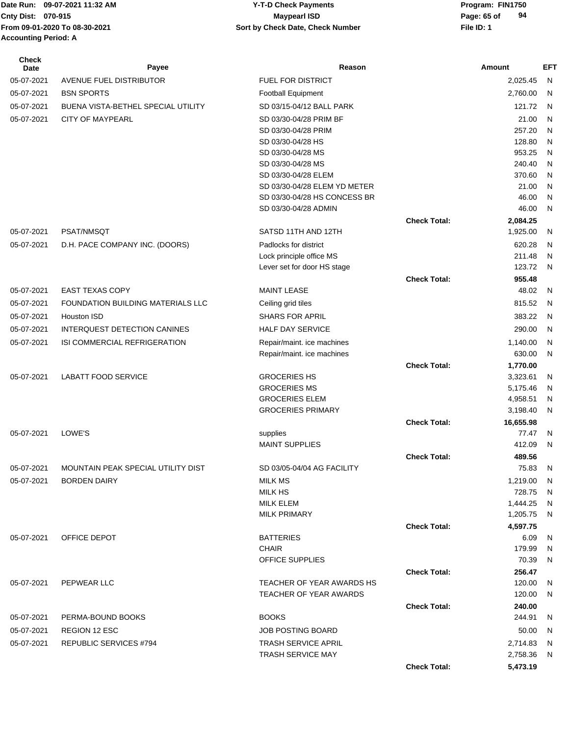# **Cnty Dist:** 070-915 **Page: 65 of MaypearI ISD Page: 65 of 09-07-2021 11:32 AM Y-T-D Check Payments 070-915 Maypearl ISD**

| <b>Check</b><br><b>Date</b> | Payee                              | Reason                                               |                     | Amount             | EFT          |
|-----------------------------|------------------------------------|------------------------------------------------------|---------------------|--------------------|--------------|
| 05-07-2021                  | AVENUE FUEL DISTRIBUTOR            | <b>FUEL FOR DISTRICT</b>                             |                     | 2,025.45           | N            |
| 05-07-2021                  | <b>BSN SPORTS</b>                  | <b>Football Equipment</b>                            |                     | 2,760.00           | N            |
| 05-07-2021                  | BUENA VISTA-BETHEL SPECIAL UTILITY | SD 03/15-04/12 BALL PARK                             |                     | 121.72             | - N          |
| 05-07-2021                  | <b>CITY OF MAYPEARL</b>            | SD 03/30-04/28 PRIM BF                               |                     | 21.00              | $\mathsf{N}$ |
|                             |                                    | SD 03/30-04/28 PRIM                                  |                     | 257.20             | N            |
|                             |                                    | SD 03/30-04/28 HS                                    |                     | 128.80             | $\mathsf{N}$ |
|                             |                                    | SD 03/30-04/28 MS                                    |                     | 953.25             | N            |
|                             |                                    | SD 03/30-04/28 MS                                    |                     | 240.40             | N            |
|                             |                                    | SD 03/30-04/28 ELEM                                  |                     | 370.60             | N            |
|                             |                                    | SD 03/30-04/28 ELEM YD METER                         |                     | 21.00              | N            |
|                             |                                    | SD 03/30-04/28 HS CONCESS BR<br>SD 03/30-04/28 ADMIN |                     | 46.00<br>46.00     | N<br>N       |
|                             |                                    |                                                      | <b>Check Total:</b> | 2,084.25           |              |
| 05-07-2021                  | PSAT/NMSQT                         | SATSD 11TH AND 12TH                                  |                     | 1,925.00           | N            |
| 05-07-2021                  | D.H. PACE COMPANY INC. (DOORS)     | Padlocks for district                                |                     | 620.28             | N            |
|                             |                                    | Lock principle office MS                             |                     | 211.48             | N            |
|                             |                                    | Lever set for door HS stage                          |                     | 123.72             | N            |
|                             |                                    |                                                      | <b>Check Total:</b> | 955.48             |              |
| 05-07-2021                  | <b>EAST TEXAS COPY</b>             | <b>MAINT LEASE</b>                                   |                     | 48.02              | N            |
| 05-07-2021                  | FOUNDATION BUILDING MATERIALS LLC  | Ceiling grid tiles                                   |                     | 815.52             | N            |
| 05-07-2021                  | Houston ISD                        | SHARS FOR APRIL                                      |                     | 383.22             | - N          |
| 05-07-2021                  | INTERQUEST DETECTION CANINES       | <b>HALF DAY SERVICE</b>                              |                     | 290.00             | N            |
| 05-07-2021                  | ISI COMMERCIAL REFRIGERATION       | Repair/maint. ice machines                           |                     | 1,140.00           | N            |
|                             |                                    | Repair/maint. ice machines                           |                     | 630.00             | N            |
|                             |                                    |                                                      | <b>Check Total:</b> | 1,770.00           |              |
| 05-07-2021                  | <b>LABATT FOOD SERVICE</b>         | <b>GROCERIES HS</b>                                  |                     | 3,323.61           | N            |
|                             |                                    | <b>GROCERIES MS</b>                                  |                     | 5,175.46           | N            |
|                             |                                    | <b>GROCERIES ELEM</b>                                |                     | 4,958.51           | N            |
|                             |                                    | <b>GROCERIES PRIMARY</b>                             |                     | 3,198.40           | N            |
|                             |                                    |                                                      | <b>Check Total:</b> | 16,655.98          |              |
| 05-07-2021                  | LOWE'S                             | supplies                                             |                     | 77.47              | N            |
|                             |                                    | <b>MAINT SUPPLIES</b>                                |                     | 412.09             | N            |
| 05-07-2021                  | MOUNTAIN PEAK SPECIAL UTILITY DIST | SD 03/05-04/04 AG FACILITY                           | <b>Check Total:</b> | 489.56<br>75.83    |              |
|                             |                                    |                                                      |                     |                    | N            |
| 05-07-2021                  | <b>BORDEN DAIRY</b>                | MILK MS<br><b>MILK HS</b>                            |                     | 1,219.00<br>728.75 | -N           |
|                             |                                    | MILK ELEM                                            |                     | 1,444.25           | N<br>- N     |
|                             |                                    | <b>MILK PRIMARY</b>                                  |                     | 1,205.75           | - N          |
|                             |                                    |                                                      | <b>Check Total:</b> | 4,597.75           |              |
| 05-07-2021                  | OFFICE DEPOT                       | <b>BATTERIES</b>                                     |                     | 6.09               | N,           |
|                             |                                    | <b>CHAIR</b>                                         |                     | 179.99             | -N           |
|                             |                                    | OFFICE SUPPLIES                                      |                     | 70.39              | - N          |
|                             |                                    |                                                      | <b>Check Total:</b> | 256.47             |              |
| 05-07-2021                  | PEPWEAR LLC                        | TEACHER OF YEAR AWARDS HS                            |                     | 120.00             | N,           |
|                             |                                    | TEACHER OF YEAR AWARDS                               |                     | 120.00             | N,           |
|                             |                                    |                                                      | <b>Check Total:</b> | 240.00             |              |
| 05-07-2021                  | PERMA-BOUND BOOKS                  | <b>BOOKS</b>                                         |                     | 244.91             | N,           |
| 05-07-2021                  | REGION 12 ESC                      | <b>JOB POSTING BOARD</b>                             |                     | 50.00              | - N          |
| 05-07-2021                  | <b>REPUBLIC SERVICES #794</b>      | <b>TRASH SERVICE APRIL</b>                           |                     | 2,714.83           | - N          |
|                             |                                    | <b>TRASH SERVICE MAY</b>                             |                     | 2,758.36           | - N          |
|                             |                                    |                                                      | <b>Check Total:</b> | 5,473.19           |              |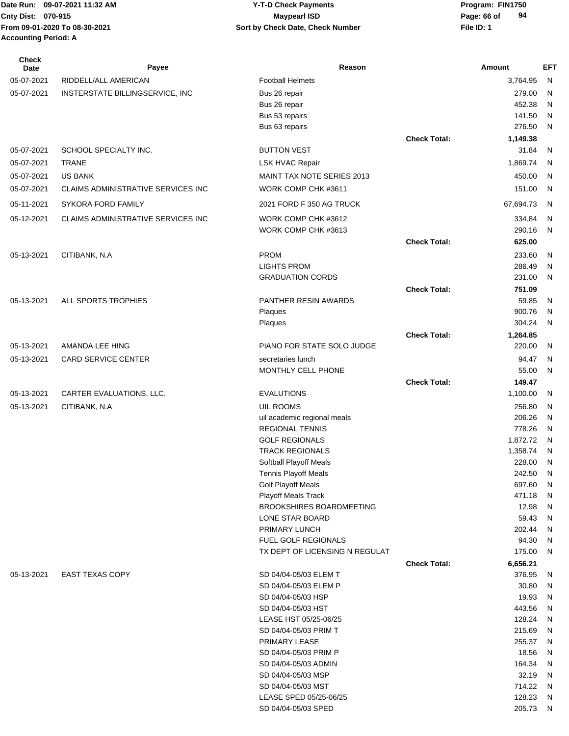| <b>Check</b><br>Date | Payee                              | Reason                                                   |                     | Amount           | <b>EFT</b>        |
|----------------------|------------------------------------|----------------------------------------------------------|---------------------|------------------|-------------------|
| 05-07-2021           | RIDDELL/ALL AMERICAN               | <b>Football Helmets</b>                                  |                     | 3.764.95         | N                 |
| 05-07-2021           | INSTERSTATE BILLINGSERVICE, INC    | Bus 26 repair                                            |                     | 279.00           | N                 |
|                      |                                    | Bus 26 repair                                            |                     | 452.38           | N                 |
|                      |                                    | Bus 53 repairs                                           |                     | 141.50           | N                 |
|                      |                                    | Bus 63 repairs                                           |                     | 276.50           | N                 |
|                      |                                    |                                                          | <b>Check Total:</b> | 1,149.38         |                   |
| 05-07-2021           | SCHOOL SPECIALTY INC.              | <b>BUTTON VEST</b>                                       |                     | 31.84            | N                 |
| 05-07-2021           | <b>TRANE</b>                       | <b>LSK HVAC Repair</b>                                   |                     | 1,869.74         | N                 |
| 05-07-2021           | <b>US BANK</b>                     | <b>MAINT TAX NOTE SERIES 2013</b>                        |                     | 450.00           | N                 |
| 05-07-2021           | CLAIMS ADMINISTRATIVE SERVICES INC | WORK COMP CHK #3611                                      |                     | 151.00           | N                 |
| 05-11-2021           | <b>SYKORA FORD FAMILY</b>          | 2021 FORD F 350 AG TRUCK                                 |                     | 67,694.73        | N                 |
| 05-12-2021           | CLAIMS ADMINISTRATIVE SERVICES INC | WORK COMP CHK #3612                                      |                     | 334.84           | N                 |
|                      |                                    | WORK COMP CHK #3613                                      |                     | 290.16           | N                 |
|                      |                                    |                                                          | <b>Check Total:</b> | 625.00           |                   |
| 05-13-2021           | CITIBANK, N.A                      | <b>PROM</b>                                              |                     | 233.60           | N                 |
|                      |                                    | <b>LIGHTS PROM</b>                                       |                     | 286.49           | N                 |
|                      |                                    | <b>GRADUATION CORDS</b>                                  |                     | 231.00           | N                 |
|                      |                                    |                                                          | <b>Check Total:</b> | 751.09           |                   |
| 05-13-2021           | ALL SPORTS TROPHIES                | PANTHER RESIN AWARDS<br>Plaques                          |                     | 59.85<br>900.76  | N<br>N            |
|                      |                                    | Plaques                                                  |                     | 304.24           | N                 |
|                      |                                    |                                                          | <b>Check Total:</b> | 1,264.85         |                   |
| 05-13-2021           | AMANDA LEE HING                    | PIANO FOR STATE SOLO JUDGE                               |                     | 220.00           | N                 |
| 05-13-2021           | <b>CARD SERVICE CENTER</b>         | secretaries lunch                                        |                     | 94.47            | N                 |
|                      |                                    | MONTHLY CELL PHONE                                       |                     | 55.00            | N                 |
|                      |                                    |                                                          | <b>Check Total:</b> | 149.47           |                   |
| 05-13-2021           | CARTER EVALUATIONS, LLC.           | <b>EVALUTIONS</b>                                        |                     | 1,100.00         | N                 |
| 05-13-2021           | CITIBANK, N.A                      | UIL ROOMS                                                |                     | 256.80           | N                 |
|                      |                                    | uil academic regional meals                              |                     | 206.26           | N                 |
|                      |                                    | <b>REGIONAL TENNIS</b>                                   |                     | 778.26           | N                 |
|                      |                                    | <b>GOLF REGIONALS</b>                                    |                     | 1,872.72         | N                 |
|                      |                                    | <b>TRACK REGIONALS</b>                                   |                     | 1,358.74         | N                 |
|                      |                                    | Softball Playoff Meals                                   |                     | 228.00           | N                 |
|                      |                                    | <b>Tennis Playoff Meals</b><br><b>Golf Playoff Meals</b> |                     | 242.50<br>697.60 | $\mathsf{N}$<br>N |
|                      |                                    | <b>Playoff Meals Track</b>                               |                     | 471.18           | $\mathsf{N}$      |
|                      |                                    | <b>BROOKSHIRES BOARDMEETING</b>                          |                     | 12.98            | $\mathsf{N}$      |
|                      |                                    | LONE STAR BOARD                                          |                     | 59.43            | $\mathsf{N}$      |
|                      |                                    | PRIMARY LUNCH                                            |                     | 202.44           | $\mathsf{N}$      |
|                      |                                    | <b>FUEL GOLF REGIONALS</b>                               |                     | 94.30            | $\mathsf{N}$      |
|                      |                                    | TX DEPT OF LICENSING N REGULAT                           |                     | 175.00           | N                 |
|                      |                                    |                                                          | <b>Check Total:</b> | 6,656.21         |                   |
| 05-13-2021           | <b>EAST TEXAS COPY</b>             | SD 04/04-05/03 ELEM T<br>SD 04/04-05/03 ELEM P           |                     | 376.95           | N                 |
|                      |                                    | SD 04/04-05/03 HSP                                       |                     | 30.80<br>19.93   | N<br>${\sf N}$    |
|                      |                                    | SD 04/04-05/03 HST                                       |                     | 443.56           | N                 |
|                      |                                    | LEASE HST 05/25-06/25                                    |                     | 128.24           | N                 |
|                      |                                    | SD 04/04-05/03 PRIM T                                    |                     | 215.69           | N                 |
|                      |                                    | PRIMARY LEASE                                            |                     | 255.37           | N                 |
|                      |                                    | SD 04/04-05/03 PRIM P                                    |                     | 18.56            | N                 |
|                      |                                    | SD 04/04-05/03 ADMIN                                     |                     | 164.34           | N                 |
|                      |                                    | SD 04/04-05/03 MSP                                       |                     | 32.19            | $\mathsf{N}$      |
|                      |                                    | SD 04/04-05/03 MST                                       |                     | 714.22           | N                 |
|                      |                                    | LEASE SPED 05/25-06/25<br>SD 04/04-05/03 SPED            |                     | 128.23<br>205.73 | N<br>N.           |
|                      |                                    |                                                          |                     |                  |                   |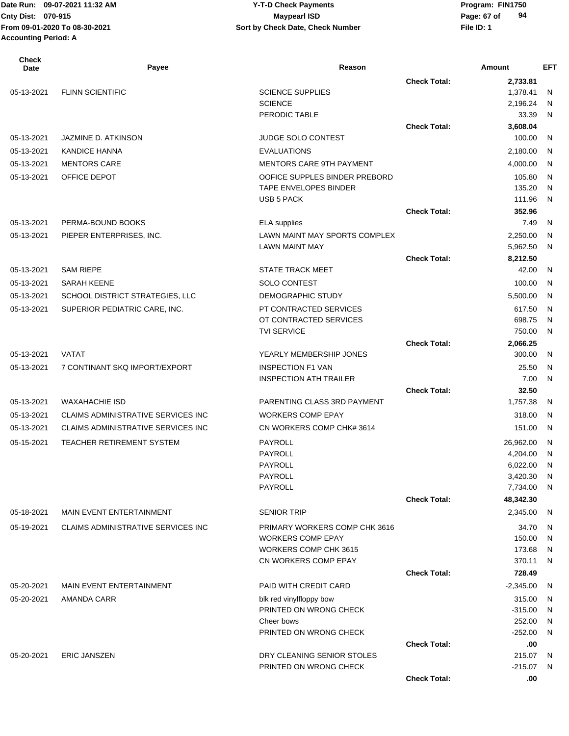# **Cnty Dist:** 070-915 **Page: 67 of Maypearl ISD Page: 67 of 09-07-2021 11:32 AM Y-T-D Check Payments 070-915 Maypearl ISD**

| <b>Check</b><br>Date | Payee                                     | Reason                                            |                     | Amount              | <b>EFT</b>   |
|----------------------|-------------------------------------------|---------------------------------------------------|---------------------|---------------------|--------------|
|                      |                                           |                                                   | <b>Check Total:</b> | 2,733.81            |              |
| 05-13-2021           | <b>FLINN SCIENTIFIC</b>                   | <b>SCIENCE SUPPLIES</b>                           |                     | 1,378.41            | N            |
|                      |                                           | <b>SCIENCE</b>                                    |                     | 2,196.24            | N            |
|                      |                                           | PERODIC TABLE                                     |                     | 33.39               | N            |
|                      |                                           |                                                   | <b>Check Total:</b> | 3,608.04            |              |
| 05-13-2021           | JAZMINE D. ATKINSON                       | <b>JUDGE SOLO CONTEST</b>                         |                     | 100.00              | N            |
| 05-13-2021           | <b>KANDICE HANNA</b>                      | <b>EVALUATIONS</b>                                |                     | 2,180.00            | N            |
| 05-13-2021           | <b>MENTORS CARE</b>                       | <b>MENTORS CARE 9TH PAYMENT</b>                   |                     | 4,000.00            | N            |
| 05-13-2021           | OFFICE DEPOT                              | OOFICE SUPPLES BINDER PREBORD                     |                     | 105.80              | $\mathsf{N}$ |
|                      |                                           | TAPE ENVELOPES BINDER<br><b>USB 5 PACK</b>        |                     | 135.20<br>111.96    | N<br>N       |
|                      |                                           |                                                   | <b>Check Total:</b> | 352.96              |              |
| 05-13-2021           | PERMA-BOUND BOOKS                         | <b>ELA</b> supplies                               |                     | 7.49                | N            |
| 05-13-2021           | PIEPER ENTERPRISES, INC.                  | LAWN MAINT MAY SPORTS COMPLEX                     |                     | 2,250.00            | N            |
|                      |                                           | <b>LAWN MAINT MAY</b>                             |                     | 5,962.50            | N            |
|                      |                                           |                                                   | <b>Check Total:</b> | 8,212.50            |              |
| 05-13-2021           | <b>SAM RIEPE</b>                          | <b>STATE TRACK MEET</b>                           |                     | 42.00               | N            |
| 05-13-2021           | <b>SARAH KEENE</b>                        | SOLO CONTEST                                      |                     | 100.00              | N            |
| 05-13-2021           | SCHOOL DISTRICT STRATEGIES, LLC           | DEMOGRAPHIC STUDY                                 |                     | 5,500.00            | N            |
| 05-13-2021           | SUPERIOR PEDIATRIC CARE, INC.             | PT CONTRACTED SERVICES                            |                     | 617.50              | N            |
|                      |                                           | OT CONTRACTED SERVICES                            |                     | 698.75              | N            |
|                      |                                           | <b>TVI SERVICE</b>                                |                     | 750.00              | N            |
|                      |                                           |                                                   | <b>Check Total:</b> | 2,066.25            |              |
| 05-13-2021           | <b>VATAT</b>                              | YEARLY MEMBERSHIP JONES                           |                     | 300.00              | N            |
| 05-13-2021           | 7 CONTINANT SKQ IMPORT/EXPORT             | <b>INSPECTION F1 VAN</b>                          |                     | 25.50               | N            |
|                      |                                           | <b>INSPECTION ATH TRAILER</b>                     |                     | 7.00                | N            |
|                      |                                           |                                                   | <b>Check Total:</b> | 32.50               |              |
| 05-13-2021           | <b>WAXAHACHIE ISD</b>                     | PARENTING CLASS 3RD PAYMENT                       |                     | 1,757.38            | N            |
| 05-13-2021           | <b>CLAIMS ADMINISTRATIVE SERVICES INC</b> | <b>WORKERS COMP EPAY</b>                          |                     | 318.00              | N            |
| 05-13-2021           | CLAIMS ADMINISTRATIVE SERVICES INC        | CN WORKERS COMP CHK# 3614                         |                     | 151.00              | N            |
| 05-15-2021           | <b>TEACHER RETIREMENT SYSTEM</b>          | PAYROLL                                           |                     | 26,962.00           | N            |
|                      |                                           | PAYROLL                                           |                     | 4,204.00            | N            |
|                      |                                           | PAYROLL                                           |                     | 6,022.00            | N            |
|                      |                                           | PAYROLL                                           |                     | 3,420.30            | N            |
|                      |                                           | <b>PAYROLL</b>                                    |                     | 7,734.00            | N            |
|                      |                                           |                                                   | <b>Check Total:</b> | 48,342.30           |              |
| 05-18-2021           | MAIN EVENT ENTERTAINMENT                  | <b>SENIOR TRIP</b>                                |                     | 2,345.00            | N            |
| 05-19-2021           | CLAIMS ADMINISTRATIVE SERVICES INC        | PRIMARY WORKERS COMP CHK 3616                     |                     | 34.70               | N            |
|                      |                                           | <b>WORKERS COMP EPAY</b>                          |                     | 150.00              | N            |
|                      |                                           | WORKERS COMP CHK 3615                             |                     | 173.68              | N            |
|                      |                                           | CN WORKERS COMP EPAY                              |                     | 370.11              | N            |
|                      |                                           |                                                   | <b>Check Total:</b> | 728.49              |              |
| 05-20-2021           | MAIN EVENT ENTERTAINMENT                  | <b>PAID WITH CREDIT CARD</b>                      |                     | $-2,345.00$         | N            |
| 05-20-2021           | AMANDA CARR                               | blk red vinylfloppy bow<br>PRINTED ON WRONG CHECK |                     | 315.00<br>$-315.00$ | N            |
|                      |                                           | Cheer bows                                        |                     | 252.00              | N<br>N       |
|                      |                                           | PRINTED ON WRONG CHECK                            |                     | $-252.00$           | N            |
|                      |                                           |                                                   | <b>Check Total:</b> | .00                 |              |
| 05-20-2021           | <b>ERIC JANSZEN</b>                       | DRY CLEANING SENIOR STOLES                        |                     | 215.07              | N.           |
|                      |                                           | PRINTED ON WRONG CHECK                            |                     | $-215.07$           | N.           |
|                      |                                           |                                                   | <b>Check Total:</b> | .00                 |              |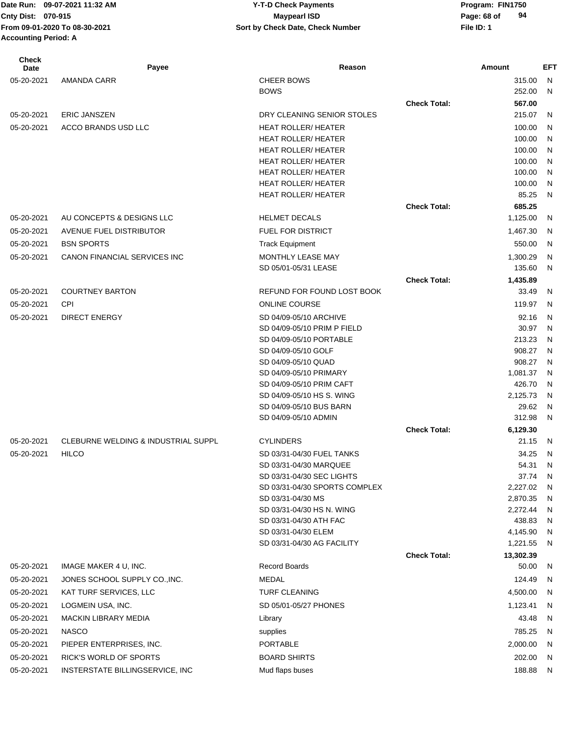| <b>Check</b><br><b>Date</b> | Payee                               | Reason                                         |                     | Amount               | <b>EFT</b> |
|-----------------------------|-------------------------------------|------------------------------------------------|---------------------|----------------------|------------|
| 05-20-2021                  | <b>AMANDA CARR</b>                  | <b>CHEER BOWS</b>                              |                     | 315.00               | N          |
|                             |                                     | <b>BOWS</b>                                    |                     | 252.00               | N          |
|                             |                                     |                                                | <b>Check Total:</b> | 567.00               |            |
| 05-20-2021                  | <b>ERIC JANSZEN</b>                 | DRY CLEANING SENIOR STOLES                     |                     | 215.07               | N          |
| 05-20-2021                  | ACCO BRANDS USD LLC                 | <b>HEAT ROLLER/ HEATER</b>                     |                     | 100.00               | N          |
|                             |                                     | <b>HEAT ROLLER/ HEATER</b>                     |                     | 100.00               | N          |
|                             |                                     | <b>HEAT ROLLER/ HEATER</b>                     |                     | 100.00               | N          |
|                             |                                     | <b>HEAT ROLLER/ HEATER</b>                     |                     | 100.00               | N          |
|                             |                                     | <b>HEAT ROLLER/ HEATER</b>                     |                     | 100.00               | N          |
|                             |                                     | <b>HEAT ROLLER/ HEATER</b>                     |                     | 100.00               | N          |
|                             |                                     | HEAT ROLLER/ HEATER                            |                     | 85.25                | N          |
|                             |                                     |                                                | <b>Check Total:</b> | 685.25               |            |
| 05-20-2021                  | AU CONCEPTS & DESIGNS LLC           | <b>HELMET DECALS</b>                           |                     | 1,125.00             | N          |
| 05-20-2021                  | AVENUE FUEL DISTRIBUTOR             | <b>FUEL FOR DISTRICT</b>                       |                     | 1,467.30             | N          |
| 05-20-2021                  | <b>BSN SPORTS</b>                   | <b>Track Equipment</b>                         |                     | 550.00               | N          |
| 05-20-2021                  | CANON FINANCIAL SERVICES INC        | <b>MONTHLY LEASE MAY</b>                       |                     | 1,300.29             | N          |
|                             |                                     | SD 05/01-05/31 LEASE                           |                     | 135.60               | N          |
|                             |                                     |                                                | <b>Check Total:</b> | 1,435.89             |            |
| 05-20-2021                  | <b>COURTNEY BARTON</b>              | REFUND FOR FOUND LOST BOOK                     |                     | 33.49                | N          |
| 05-20-2021                  | <b>CPI</b>                          | <b>ONLINE COURSE</b>                           |                     | 119.97               | N          |
| 05-20-2021                  | <b>DIRECT ENERGY</b>                | SD 04/09-05/10 ARCHIVE                         |                     | 92.16                | N          |
|                             |                                     | SD 04/09-05/10 PRIM P FIELD                    |                     | 30.97                | N          |
|                             |                                     | SD 04/09-05/10 PORTABLE                        |                     | 213.23               | N          |
|                             |                                     | SD 04/09-05/10 GOLF                            |                     | 908.27               | N          |
|                             |                                     | SD 04/09-05/10 QUAD                            |                     | 908.27               | N          |
|                             |                                     | SD 04/09-05/10 PRIMARY                         |                     | 1,081.37             | N          |
|                             |                                     | SD 04/09-05/10 PRIM CAFT                       |                     | 426.70               | N          |
|                             |                                     | SD 04/09-05/10 HS S. WING                      |                     | 2,125.73             | N          |
|                             |                                     | SD 04/09-05/10 BUS BARN                        |                     | 29.62                | N          |
|                             |                                     | SD 04/09-05/10 ADMIN                           |                     | 312.98               | N          |
|                             |                                     |                                                | <b>Check Total:</b> | 6,129.30             |            |
| 05-20-2021                  | CLEBURNE WELDING & INDUSTRIAL SUPPL | <b>CYLINDERS</b>                               |                     | 21.15                | N          |
| 05-20-2021                  | <b>HILCO</b>                        | SD 03/31-04/30 FUEL TANKS                      |                     | 34.25                | N          |
|                             |                                     | SD 03/31-04/30 MARQUEE                         |                     | 54.31                | N          |
|                             |                                     | SD 03/31-04/30 SEC LIGHTS                      |                     | 37.74                | N          |
|                             |                                     | SD 03/31-04/30 SPORTS COMPLEX                  |                     | 2,227.02             | N          |
|                             |                                     | SD 03/31-04/30 MS<br>SD 03/31-04/30 HS N. WING |                     | 2,870.35<br>2,272.44 | N<br>N     |
|                             |                                     | SD 03/31-04/30 ATH FAC                         |                     | 438.83               | N          |
|                             |                                     | SD 03/31-04/30 ELEM                            |                     | 4,145.90             | N          |
|                             |                                     | SD 03/31-04/30 AG FACILITY                     |                     | 1,221.55             | N          |
|                             |                                     |                                                | <b>Check Total:</b> | 13,302.39            |            |
| 05-20-2021                  | IMAGE MAKER 4 U, INC.               | <b>Record Boards</b>                           |                     | 50.00                | -N         |
| 05-20-2021                  | JONES SCHOOL SUPPLY CO., INC.       | MEDAL                                          |                     | 124.49               | -N         |
| 05-20-2021                  | KAT TURF SERVICES, LLC              | <b>TURF CLEANING</b>                           |                     | 4,500.00             | N,         |
| 05-20-2021                  | LOGMEIN USA, INC.                   | SD 05/01-05/27 PHONES                          |                     | 1,123.41             | N          |
| 05-20-2021                  | <b>MACKIN LIBRARY MEDIA</b>         | Library                                        |                     | 43.48                | N          |
| 05-20-2021                  | <b>NASCO</b>                        | supplies                                       |                     | 785.25               | N          |
| 05-20-2021                  | PIEPER ENTERPRISES, INC.            | <b>PORTABLE</b>                                |                     | 2,000.00             | - N        |
|                             | RICK'S WORLD OF SPORTS              | <b>BOARD SHIRTS</b>                            |                     | 202.00               |            |
| 05-20-2021                  |                                     |                                                |                     |                      | - N        |
| 05-20-2021                  | INSTERSTATE BILLINGSERVICE, INC     | Mud flaps buses                                |                     | 188.88               | N          |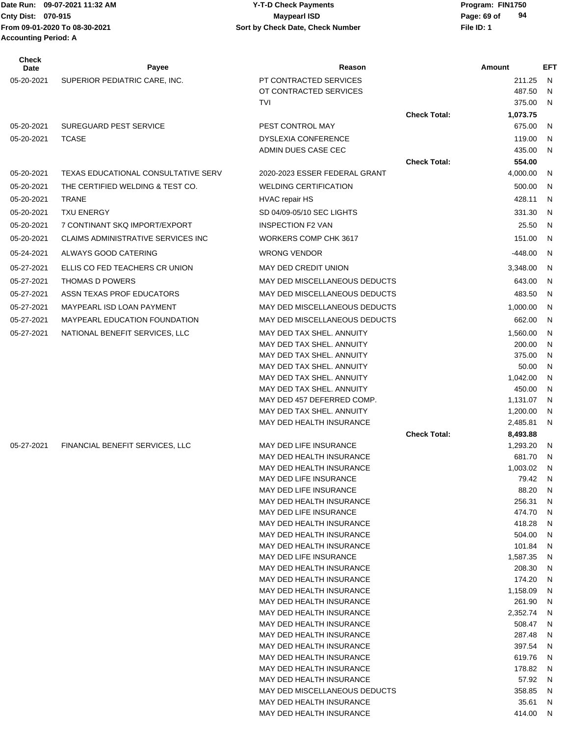**Accounting Period: A**

#### Date Run: 09-07-2021 11:32 AM **Program: FIN1750** Y-T-D Check Payments **Cnty Dist:** 070-915 **Page: 69 of MaypearI ISD Page: 69 of From 09-01-2020 To 08-30-2021 File ID: 1 Sort by Check Date, Check Number 09-07-2021 11:32 AM Y-T-D Check Payments 070-915 Maypearl ISD**

| Check<br>Date | Payee                                     | Reason                                                 |                     | Amount             | <b>EFT</b> |
|---------------|-------------------------------------------|--------------------------------------------------------|---------------------|--------------------|------------|
| 05-20-2021    | SUPERIOR PEDIATRIC CARE, INC.             | PT CONTRACTED SERVICES                                 |                     | 211.25             | N          |
|               |                                           | OT CONTRACTED SERVICES                                 |                     | 487.50             | N          |
|               |                                           | TVI                                                    |                     | 375.00             | N          |
|               |                                           |                                                        | <b>Check Total:</b> | 1,073.75           |            |
| 05-20-2021    | <b>SUREGUARD PEST SERVICE</b>             | PEST CONTROL MAY                                       |                     | 675.00             | N          |
| 05-20-2021    | <b>TCASE</b>                              | <b>DYSLEXIA CONFERENCE</b>                             |                     | 119.00             | N          |
|               |                                           | ADMIN DUES CASE CEC                                    |                     | 435.00             | N          |
| 05-20-2021    | TEXAS EDUCATIONAL CONSULTATIVE SERV       | 2020-2023 ESSER FEDERAL GRANT                          | <b>Check Total:</b> | 554.00<br>4,000.00 | N          |
| 05-20-2021    | THE CERTIFIED WELDING & TEST CO.          | <b>WELDING CERTIFICATION</b>                           |                     | 500.00             | N          |
|               |                                           |                                                        |                     |                    |            |
| 05-20-2021    | <b>TRANE</b>                              | <b>HVAC repair HS</b>                                  |                     | 428.11             | N          |
| 05-20-2021    | <b>TXU ENERGY</b>                         | SD 04/09-05/10 SEC LIGHTS                              |                     | 331.30             | N          |
| 05-20-2021    | 7 CONTINANT SKQ IMPORT/EXPORT             | <b>INSPECTION F2 VAN</b>                               |                     | 25.50              | N          |
| 05-20-2021    | <b>CLAIMS ADMINISTRATIVE SERVICES INC</b> | WORKERS COMP CHK 3617                                  |                     | 151.00             | N          |
| 05-24-2021    | ALWAYS GOOD CATERING                      | <b>WRONG VENDOR</b>                                    |                     | $-448.00$          | N          |
| 05-27-2021    | ELLIS CO FED TEACHERS CR UNION            | MAY DED CREDIT UNION                                   |                     | 3,348.00           | N          |
| 05-27-2021    | THOMAS D POWERS                           | MAY DED MISCELLANEOUS DEDUCTS                          |                     | 643.00             | N          |
| 05-27-2021    | ASSN TEXAS PROF EDUCATORS                 | MAY DED MISCELLANEOUS DEDUCTS                          |                     | 483.50             | N          |
| 05-27-2021    | <b>MAYPEARL ISD LOAN PAYMENT</b>          | MAY DED MISCELLANEOUS DEDUCTS                          |                     | 1,000.00           | N          |
| 05-27-2021    | <b>MAYPEARL EDUCATION FOUNDATION</b>      | MAY DED MISCELLANEOUS DEDUCTS                          |                     | 662.00             | N          |
| 05-27-2021    | NATIONAL BENEFIT SERVICES, LLC            | MAY DED TAX SHEL. ANNUITY                              |                     | 1,560.00           | N          |
|               |                                           | MAY DED TAX SHEL. ANNUITY                              |                     | 200.00             | N          |
|               |                                           | MAY DED TAX SHEL. ANNUITY                              |                     | 375.00             | N          |
|               |                                           | MAY DED TAX SHEL. ANNUITY                              |                     | 50.00              | N          |
|               |                                           | MAY DED TAX SHEL. ANNUITY<br>MAY DED TAX SHEL. ANNUITY |                     | 1,042.00<br>450.00 | N<br>N     |
|               |                                           | MAY DED 457 DEFERRED COMP.                             |                     | 1,131.07           | N          |
|               |                                           | MAY DED TAX SHEL. ANNUITY                              |                     | 1,200.00           | N          |
|               |                                           | MAY DED HEALTH INSURANCE                               |                     | 2,485.81           | N          |
|               |                                           |                                                        | <b>Check Total:</b> | 8,493.88           |            |
| 05-27-2021    | FINANCIAL BENEFIT SERVICES, LLC           | MAY DED LIFE INSURANCE                                 |                     | 1,293.20           | N          |
|               |                                           | MAY DED HEALTH INSURANCE                               |                     | 681.70             | N          |
|               |                                           | MAY DED HEALTH INSURANCE                               |                     | 1,003.02           | N          |
|               |                                           | MAY DED LIFE INSURANCE<br>MAY DED LIFE INSURANCE       |                     | 79.42<br>88.20     | N<br>N     |
|               |                                           | MAY DED HEALTH INSURANCE                               |                     | 256.31             | N          |
|               |                                           | MAY DED LIFE INSURANCE                                 |                     | 474.70             | N          |
|               |                                           | MAY DED HEALTH INSURANCE                               |                     | 418.28             | N          |
|               |                                           | MAY DED HEALTH INSURANCE                               |                     | 504.00             | N          |
|               |                                           | MAY DED HEALTH INSURANCE                               |                     | 101.84             | N          |
|               |                                           | MAY DED LIFE INSURANCE                                 |                     | 1,587.35           | N          |
|               |                                           | MAY DED HEALTH INSURANCE<br>MAY DED HEALTH INSURANCE   |                     | 208.30<br>174.20   | N<br>N     |
|               |                                           | MAY DED HEALTH INSURANCE                               |                     | 1,158.09           | N          |
|               |                                           | MAY DED HEALTH INSURANCE                               |                     | 261.90             | N          |
|               |                                           | MAY DED HEALTH INSURANCE                               |                     | 2,352.74           | N          |
|               |                                           | MAY DED HEALTH INSURANCE                               |                     | 508.47             | N          |
|               |                                           | MAY DED HEALTH INSURANCE                               |                     | 287.48             | N          |
|               |                                           | MAY DED HEALTH INSURANCE                               |                     | 397.54             | N          |
|               |                                           | MAY DED HEALTH INSURANCE<br>MAY DED HEALTH INSURANCE   |                     | 619.76<br>178.82   | N<br>N     |
|               |                                           | MAY DED HEALTH INSURANCE                               |                     | 57.92              | N          |
|               |                                           | MAY DED MISCELLANEOUS DEDUCTS                          |                     | 358.85             | N          |
|               |                                           | MAY DED HEALTH INSURANCE                               |                     | 35.61              | N          |
|               |                                           | MAY DED HEALTH INSURANCE                               |                     | 414.00             | N          |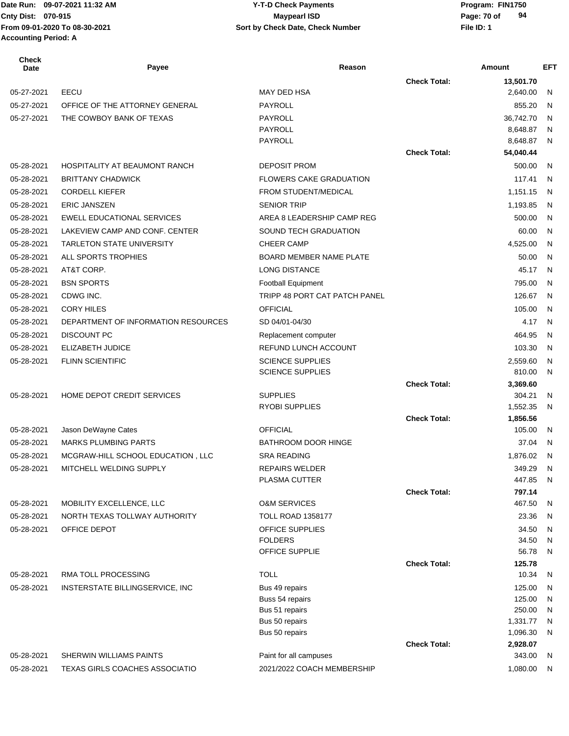#### **Cnty Dist:** 070-915 **Page: 70 of** Maypearl ISD **Page: 70 of From 09-01-2020 To 08-30-2021 File ID: 1 Sort by Check Date, Check Number 09-07-2021 11:32 AM Y-T-D Check Payments 070-915 Maypearl ISD**

| <b>Check</b><br>Date | Payee                                 | Reason                         |                     | Amount             | <b>EFT</b> |
|----------------------|---------------------------------------|--------------------------------|---------------------|--------------------|------------|
|                      |                                       |                                | <b>Check Total:</b> | 13,501.70          |            |
| 05-27-2021           | EECU                                  | <b>MAY DED HSA</b>             |                     | 2,640.00           | N          |
| 05-27-2021           | OFFICE OF THE ATTORNEY GENERAL        | PAYROLL                        |                     | 855.20             | N          |
| 05-27-2021           | THE COWBOY BANK OF TEXAS              | <b>PAYROLL</b>                 |                     | 36,742.70          | N          |
|                      |                                       | <b>PAYROLL</b>                 |                     | 8,648.87           | N          |
|                      |                                       | <b>PAYROLL</b>                 |                     | 8,648.87           | N          |
|                      |                                       |                                | <b>Check Total:</b> | 54,040.44          |            |
| 05-28-2021           | <b>HOSPITALITY AT BEAUMONT RANCH</b>  | <b>DEPOSIT PROM</b>            |                     | 500.00             | N          |
| 05-28-2021           | <b>BRITTANY CHADWICK</b>              | <b>FLOWERS CAKE GRADUATION</b> |                     | 117.41             | N          |
| 05-28-2021           | <b>CORDELL KIEFER</b>                 | FROM STUDENT/MEDICAL           |                     | 1,151.15           | N          |
| 05-28-2021           | <b>ERIC JANSZEN</b>                   | <b>SENIOR TRIP</b>             |                     | 1,193.85           | N          |
| 05-28-2021           | EWELL EDUCATIONAL SERVICES            | AREA 8 LEADERSHIP CAMP REG     |                     | 500.00             | N          |
| 05-28-2021           | LAKEVIEW CAMP AND CONF. CENTER        | SOUND TECH GRADUATION          |                     | 60.00              | N          |
| 05-28-2021           | <b>TARLETON STATE UNIVERSITY</b>      | <b>CHEER CAMP</b>              |                     | 4,525.00           | N          |
| 05-28-2021           | ALL SPORTS TROPHIES                   | <b>BOARD MEMBER NAME PLATE</b> |                     | 50.00              | N          |
| 05-28-2021           | AT&T CORP.                            | <b>LONG DISTANCE</b>           |                     | 45.17              | N          |
| 05-28-2021           | <b>BSN SPORTS</b>                     | <b>Football Equipment</b>      |                     | 795.00             | N          |
| 05-28-2021           | CDWG INC.                             | TRIPP 48 PORT CAT PATCH PANEL  |                     | 126.67             | N          |
| 05-28-2021           | <b>CORY HILES</b>                     | <b>OFFICIAL</b>                |                     | 105.00             | N          |
| 05-28-2021           | DEPARTMENT OF INFORMATION RESOURCES   | SD 04/01-04/30                 |                     | 4.17               | N          |
| 05-28-2021           | <b>DISCOUNT PC</b>                    | Replacement computer           |                     | 464.95             | N          |
| 05-28-2021           | ELIZABETH JUDICE                      | REFUND LUNCH ACCOUNT           |                     | 103.30             | N          |
| 05-28-2021           | <b>FLINN SCIENTIFIC</b>               | <b>SCIENCE SUPPLIES</b>        |                     | 2,559.60           | N          |
|                      |                                       | <b>SCIENCE SUPPLIES</b>        |                     | 810.00             | N          |
|                      |                                       |                                | <b>Check Total:</b> | 3,369.60           |            |
| 05-28-2021           | HOME DEPOT CREDIT SERVICES            | <b>SUPPLIES</b>                |                     | 304.21             | N          |
|                      |                                       | RYOBI SUPPLIES                 |                     | 1,552.35           | N          |
|                      |                                       |                                | <b>Check Total:</b> | 1,856.56           |            |
| 05-28-2021           | Jason DeWayne Cates                   | <b>OFFICIAL</b>                |                     | 105.00             | N          |
| 05-28-2021           | <b>MARKS PLUMBING PARTS</b>           | <b>BATHROOM DOOR HINGE</b>     |                     | 37.04              | N          |
| 05-28-2021           | MCGRAW-HILL SCHOOL EDUCATION, LLC     | <b>SRA READING</b>             |                     | 1,876.02           | N          |
| 05-28-2021           | MITCHELL WELDING SUPPLY               | <b>REPAIRS WELDER</b>          |                     | 349.29             | N          |
|                      |                                       | PLASMA CUTTER                  |                     | 447.85             | N          |
| 05-28-2021           | MOBILITY EXCELLENCE, LLC              | <b>O&amp;M SERVICES</b>        | <b>Check Total:</b> | 797.14<br>467.50   | N          |
| 05-28-2021           | NORTH TEXAS TOLLWAY AUTHORITY         | <b>TOLL ROAD 1358177</b>       |                     | 23.36              | N          |
| 05-28-2021           | OFFICE DEPOT                          | OFFICE SUPPLIES                |                     | 34.50              | N          |
|                      |                                       | <b>FOLDERS</b>                 |                     | 34.50              | N          |
|                      |                                       | OFFICE SUPPLIE                 |                     | 56.78              | N          |
|                      |                                       |                                | <b>Check Total:</b> | 125.78             |            |
| 05-28-2021           | RMA TOLL PROCESSING                   | <b>TOLL</b>                    |                     | 10.34              | N          |
| 05-28-2021           | INSTERSTATE BILLINGSERVICE, INC       | Bus 49 repairs                 |                     | 125.00             | N          |
|                      |                                       | Buss 54 repairs                |                     | 125.00             | N          |
|                      |                                       | Bus 51 repairs                 |                     | 250.00             | N          |
|                      |                                       | Bus 50 repairs                 |                     | 1,331.77           | N          |
|                      |                                       | Bus 50 repairs                 |                     | 1,096.30           | N          |
| 05-28-2021           | SHERWIN WILLIAMS PAINTS               | Paint for all campuses         | <b>Check Total:</b> | 2,928.07<br>343.00 | N          |
| 05-28-2021           | <b>TEXAS GIRLS COACHES ASSOCIATIO</b> | 2021/2022 COACH MEMBERSHIP     |                     | 1,080.00           | N          |
|                      |                                       |                                |                     |                    |            |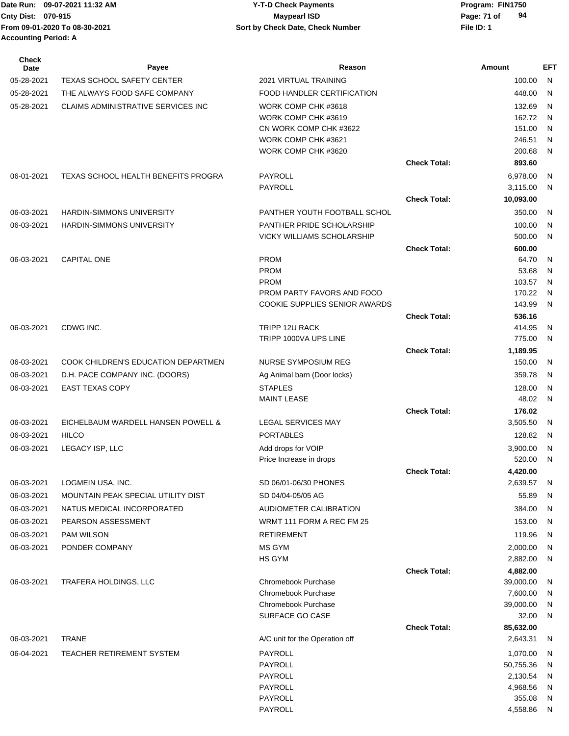| Date Run: 09-07-2021 11:32 AM | Y-T-D Check Payments             | Program: FIN1750  |
|-------------------------------|----------------------------------|-------------------|
| <b>Cnty Dist: 070-915</b>     | <b>Mavpearl ISD</b>              | 94<br>Page: 71 of |
| From 09-01-2020 To 08-30-2021 | Sort by Check Date, Check Number | File ID: 1        |
| <b>Accounting Period: A</b>   |                                  |                   |
|                               |                                  |                   |

| Maypearl ISD                     | 94<br>Page: 71 of |
|----------------------------------|-------------------|
| Sort by Check Date, Check Number | File ID: 1        |
|                                  |                   |

| Check<br>Date | Payee                                      | Reason                                 |                     | Amount             | <b>EFT</b> |
|---------------|--------------------------------------------|----------------------------------------|---------------------|--------------------|------------|
| 05-28-2021    | <b>TEXAS SCHOOL SAFETY CENTER</b>          | 2021 VIRTUAL TRAINING                  |                     | 100.00             | N          |
| 05-28-2021    | THE ALWAYS FOOD SAFE COMPANY               | FOOD HANDLER CERTIFICATION             |                     | 448.00             | N          |
| 05-28-2021    | CLAIMS ADMINISTRATIVE SERVICES INC         | WORK COMP CHK #3618                    |                     | 132.69             | N          |
|               |                                            | WORK COMP CHK #3619                    |                     | 162.72             | N          |
|               |                                            | CN WORK COMP CHK #3622                 |                     | 151.00             | N          |
|               |                                            | WORK COMP CHK #3621                    |                     | 246.51             | N          |
|               |                                            | WORK COMP CHK #3620                    |                     | 200.68             | N          |
|               |                                            |                                        | <b>Check Total:</b> | 893.60             |            |
| 06-01-2021    | <b>TEXAS SCHOOL HEALTH BENEFITS PROGRA</b> | PAYROLL                                |                     | 6,978.00           | N          |
|               |                                            | PAYROLL                                |                     | 3,115.00           | N          |
|               |                                            |                                        | <b>Check Total:</b> | 10,093.00          |            |
| 06-03-2021    | <b>HARDIN-SIMMONS UNIVERSITY</b>           | PANTHER YOUTH FOOTBALL SCHOL           |                     | 350.00             | N          |
| 06-03-2021    | <b>HARDIN-SIMMONS UNIVERSITY</b>           | PANTHER PRIDE SCHOLARSHIP              |                     | 100.00             | N          |
|               |                                            | <b>VICKY WILLIAMS SCHOLARSHIP</b>      |                     | 500.00             | N          |
|               |                                            |                                        | <b>Check Total:</b> | 600.00             |            |
| 06-03-2021    | <b>CAPITAL ONE</b>                         | <b>PROM</b><br><b>PROM</b>             |                     | 64.70<br>53.68     | N<br>N     |
|               |                                            | <b>PROM</b>                            |                     | 103.57             | N          |
|               |                                            | PROM PARTY FAVORS AND FOOD             |                     | 170.22             | N          |
|               |                                            | COOKIE SUPPLIES SENIOR AWARDS          |                     | 143.99             | N          |
|               |                                            |                                        | <b>Check Total:</b> | 536.16             |            |
| 06-03-2021    | CDWG INC.                                  | TRIPP 12U RACK                         |                     | 414.95             | N          |
|               |                                            | TRIPP 1000VA UPS LINE                  |                     | 775.00             | N          |
|               |                                            |                                        | <b>Check Total:</b> | 1,189.95           |            |
| 06-03-2021    | COOK CHILDREN'S EDUCATION DEPARTMEN        | NURSE SYMPOSIUM REG                    |                     | 150.00             | N          |
| 06-03-2021    | D.H. PACE COMPANY INC. (DOORS)             | Ag Animal barn (Door locks)            |                     | 359.78             | N          |
| 06-03-2021    | <b>EAST TEXAS COPY</b>                     | <b>STAPLES</b>                         |                     | 128.00             | N          |
|               |                                            | <b>MAINT LEASE</b>                     |                     | 48.02              | N          |
|               |                                            |                                        | <b>Check Total:</b> | 176.02             |            |
| 06-03-2021    | EICHELBAUM WARDELL HANSEN POWELL &         | <b>LEGAL SERVICES MAY</b>              |                     | 3,505.50           | N          |
| 06-03-2021    | <b>HILCO</b>                               | <b>PORTABLES</b>                       |                     | 128.82             | N          |
| 06-03-2021    | LEGACY ISP, LLC                            | Add drops for VOIP                     |                     | 3,900.00           | N          |
|               |                                            | Price Increase in drops                |                     | 520.00             | N          |
|               |                                            |                                        | <b>Check Total:</b> | 4,420.00           |            |
| 06-03-2021    | LOGMEIN USA, INC.                          | SD 06/01-06/30 PHONES                  |                     | 2,639.57           | - N        |
| 06-03-2021    | MOUNTAIN PEAK SPECIAL UTILITY DIST         | SD 04/04-05/05 AG                      |                     | 55.89              | N          |
| 06-03-2021    | NATUS MEDICAL INCORPORATED                 | AUDIOMETER CALIBRATION                 |                     | 384.00             | N          |
| 06-03-2021    | PEARSON ASSESSMENT                         | WRMT 111 FORM A REC FM 25              |                     | 153.00             | N          |
| 06-03-2021    | PAM WILSON                                 | <b>RETIREMENT</b>                      |                     | 119.96             | N          |
| 06-03-2021    | PONDER COMPANY                             | MS GYM                                 |                     | 2,000.00           | N          |
|               |                                            | HS GYM                                 |                     | 2,882.00           | N          |
|               |                                            |                                        | <b>Check Total:</b> | 4,882.00           |            |
| 06-03-2021    | TRAFERA HOLDINGS, LLC                      | Chromebook Purchase                    |                     | 39,000.00          | N          |
|               |                                            | Chromebook Purchase                    |                     | 7,600.00           | N          |
|               |                                            | Chromebook Purchase<br>SURFACE GO CASE |                     | 39,000.00<br>32.00 | N<br>N     |
|               |                                            |                                        | <b>Check Total:</b> | 85,632.00          |            |
| 06-03-2021    | <b>TRANE</b>                               | A/C unit for the Operation off         |                     | 2,643.31           | N          |
| 06-04-2021    | TEACHER RETIREMENT SYSTEM                  | PAYROLL                                |                     | 1,070.00           | N          |
|               |                                            | PAYROLL                                |                     | 50,755.36          | N          |
|               |                                            | PAYROLL                                |                     | 2,130.54           | N          |
|               |                                            | PAYROLL                                |                     | 4,968.56           | N          |
|               |                                            | PAYROLL                                |                     | 355.08             | N          |
|               |                                            | PAYROLL                                |                     | 4,558.86           | N,         |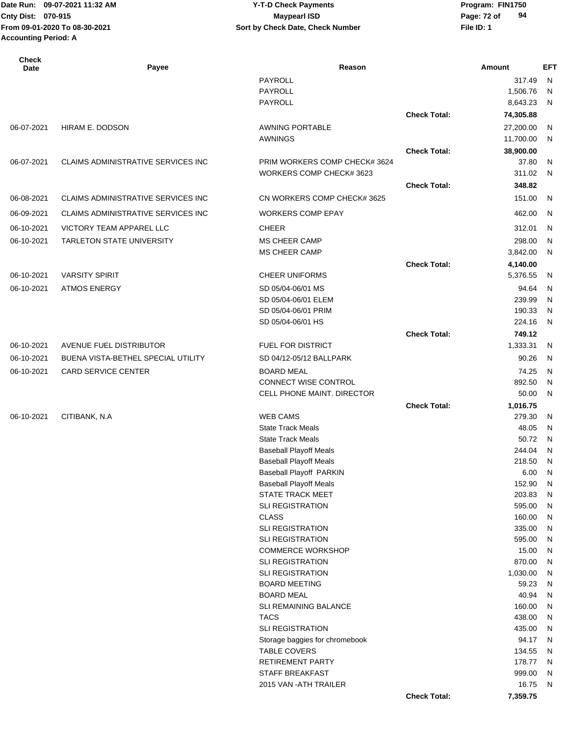| <b>Check</b><br>Date | Payee                                     | Reason                                              |                     | Amount             | <b>EFT</b>   |
|----------------------|-------------------------------------------|-----------------------------------------------------|---------------------|--------------------|--------------|
|                      |                                           | PAYROLL                                             |                     | 317.49             | N            |
|                      |                                           | <b>PAYROLL</b>                                      |                     | 1,506.76           | $\mathsf{N}$ |
|                      |                                           | <b>PAYROLL</b>                                      |                     | 8,643.23           | N            |
|                      |                                           |                                                     | <b>Check Total:</b> | 74,305.88          |              |
| 06-07-2021           | HIRAM E. DODSON                           | <b>AWNING PORTABLE</b>                              |                     | 27,200.00          | $\mathsf{N}$ |
|                      |                                           | AWNINGS                                             |                     | 11,700.00          | $\mathsf{N}$ |
|                      |                                           |                                                     | <b>Check Total:</b> | 38,900.00          |              |
| 06-07-2021           | CLAIMS ADMINISTRATIVE SERVICES INC        | PRIM WORKERS COMP CHECK# 3624                       |                     | 37.80              | $\mathsf{N}$ |
|                      |                                           | WORKERS COMP CHECK# 3623                            |                     | 311.02             | N            |
|                      |                                           |                                                     | <b>Check Total:</b> | 348.82             |              |
| 06-08-2021           | <b>CLAIMS ADMINISTRATIVE SERVICES INC</b> | CN WORKERS COMP CHECK# 3625                         |                     | 151.00             | N            |
| 06-09-2021           | CLAIMS ADMINISTRATIVE SERVICES INC        | <b>WORKERS COMP EPAY</b>                            |                     | 462.00             | N            |
| 06-10-2021           | VICTORY TEAM APPAREL LLC                  | <b>CHEER</b>                                        |                     | 312.01             | N            |
| 06-10-2021           | TARLETON STATE UNIVERSITY                 | MS CHEER CAMP                                       |                     | 298.00             | N            |
|                      |                                           | MS CHEER CAMP                                       |                     | 3,842.00           | N            |
|                      |                                           |                                                     | <b>Check Total:</b> | 4,140.00           |              |
| 06-10-2021           | <b>VARSITY SPIRIT</b>                     | <b>CHEER UNIFORMS</b>                               |                     | 5,376.55           | N            |
| 06-10-2021           | <b>ATMOS ENERGY</b>                       | SD 05/04-06/01 MS                                   |                     | 94.64              | N            |
|                      |                                           | SD 05/04-06/01 ELEM                                 |                     | 239.99             | $\mathsf{N}$ |
|                      |                                           | SD 05/04-06/01 PRIM                                 |                     | 190.33             | N            |
|                      |                                           | SD 05/04-06/01 HS                                   |                     | 224.16             | N            |
|                      |                                           |                                                     | <b>Check Total:</b> | 749.12             |              |
| 06-10-2021           | AVENUE FUEL DISTRIBUTOR                   | FUEL FOR DISTRICT                                   |                     | 1,333.31           | N            |
| 06-10-2021           | BUENA VISTA-BETHEL SPECIAL UTILITY        | SD 04/12-05/12 BALLPARK                             |                     | 90.26              | N            |
| 06-10-2021           | CARD SERVICE CENTER                       | <b>BOARD MEAL</b>                                   |                     | 74.25              | N            |
|                      |                                           | CONNECT WISE CONTROL                                |                     | 892.50             | N            |
|                      |                                           | CELL PHONE MAINT. DIRECTOR                          |                     | 50.00              | N            |
| 06-10-2021           | CITIBANK, N.A                             | <b>WEB CAMS</b>                                     | <b>Check Total:</b> | 1,016.75<br>279.30 | N            |
|                      |                                           | <b>State Track Meals</b>                            |                     | 48.05              | ${\sf N}$    |
|                      |                                           | <b>State Track Meals</b>                            |                     | 50.72              | $\mathsf{N}$ |
|                      |                                           | <b>Baseball Playoff Meals</b>                       |                     | 244.04             | N            |
|                      |                                           | <b>Baseball Playoff Meals</b>                       |                     | 218.50             | N            |
|                      |                                           | Baseball Playoff PARKIN                             |                     | 6.00               | N            |
|                      |                                           | <b>Baseball Playoff Meals</b>                       |                     | 152.90             | N            |
|                      |                                           | STATE TRACK MEET                                    |                     | 203.83             | $\mathsf{N}$ |
|                      |                                           | <b>SLI REGISTRATION</b>                             |                     | 595.00             | $\mathsf{N}$ |
|                      |                                           | <b>CLASS</b>                                        |                     | 160.00             | $\mathsf{N}$ |
|                      |                                           | SLI REGISTRATION                                    |                     | 335.00             | $\mathsf{N}$ |
|                      |                                           | <b>SLI REGISTRATION</b>                             |                     | 595.00             | $\mathsf{N}$ |
|                      |                                           | <b>COMMERCE WORKSHOP</b><br><b>SLI REGISTRATION</b> |                     | 15.00<br>870.00    | N            |
|                      |                                           | <b>SLI REGISTRATION</b>                             |                     | 1,030.00           | N<br>N       |
|                      |                                           | <b>BOARD MEETING</b>                                |                     | 59.23              | N            |
|                      |                                           | <b>BOARD MEAL</b>                                   |                     | 40.94              | N            |
|                      |                                           | SLI REMAINING BALANCE                               |                     | 160.00             | $\mathsf{N}$ |
|                      |                                           | <b>TACS</b>                                         |                     | 438.00             | $\mathsf{N}$ |
|                      |                                           | <b>SLI REGISTRATION</b>                             |                     | 435.00             | $\mathsf{N}$ |
|                      |                                           | Storage baggies for chromebook                      |                     | 94.17              | $\mathsf{N}$ |
|                      |                                           | <b>TABLE COVERS</b>                                 |                     | 134.55             | $\mathsf{N}$ |
|                      |                                           | <b>RETIREMENT PARTY</b>                             |                     | 178.77             | $\mathsf{N}$ |
|                      |                                           | <b>STAFF BREAKFAST</b>                              |                     | 999.00             | $\mathsf{N}$ |
|                      |                                           | 2015 VAN - ATH TRAILER                              |                     | 16.75              | N            |
|                      |                                           |                                                     | <b>Check Total:</b> | 7,359.75           |              |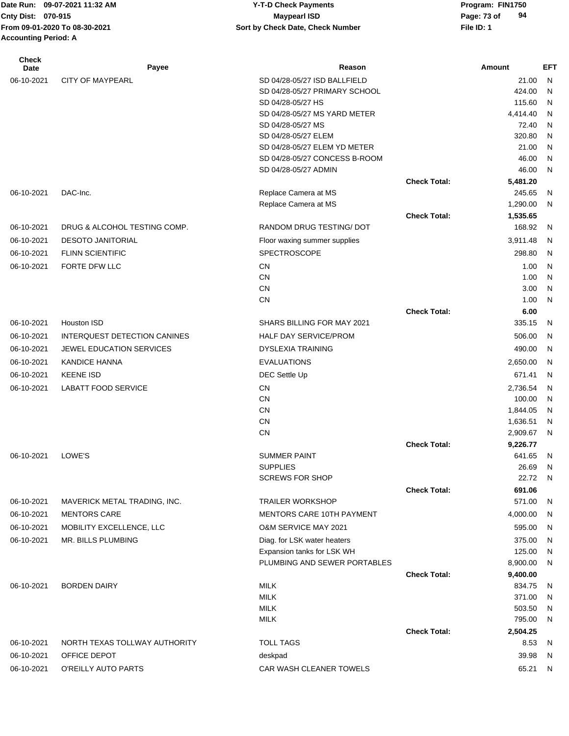**From 09-01-2020 To 08-30-2021 File ID: 1 Sort by Check Date, Check Number Accounting Period: A**

#### Date Run: 09-07-2021 11:32 AM **Program: FIN1750** Y-T-D Check Payments **Cnty Dist:** 070-915 **Page: 73 of** Maypearl ISD **Page: 73 of 09-07-2021 11:32 AM Y-T-D Check Payments 070-915 Maypearl ISD**

| <b>Check</b><br>Date | Payee                         | Reason                                       |                     | Amount             | <b>EFT</b>   |
|----------------------|-------------------------------|----------------------------------------------|---------------------|--------------------|--------------|
| 06-10-2021           | <b>CITY OF MAYPEARL</b>       | SD 04/28-05/27 ISD BALLFIELD                 |                     | 21.00              | N            |
|                      |                               | SD 04/28-05/27 PRIMARY SCHOOL                |                     | 424.00             | N            |
|                      |                               | SD 04/28-05/27 HS                            |                     | 115.60             | N            |
|                      |                               | SD 04/28-05/27 MS YARD METER                 |                     | 4,414.40           | N            |
|                      |                               | SD 04/28-05/27 MS                            |                     | 72.40              | N            |
|                      |                               | SD 04/28-05/27 ELEM                          |                     | 320.80             | N            |
|                      |                               | SD 04/28-05/27 ELEM YD METER                 |                     | 21.00              | N            |
|                      |                               | SD 04/28-05/27 CONCESS B-ROOM                |                     | 46.00              | N            |
|                      |                               | SD 04/28-05/27 ADMIN                         |                     | 46.00              | N            |
|                      | DAC-Inc.                      |                                              | <b>Check Total:</b> | 5,481.20           |              |
| 06-10-2021           |                               | Replace Camera at MS<br>Replace Camera at MS |                     | 245.65<br>1,290.00 | N<br>N       |
|                      |                               |                                              | <b>Check Total:</b> |                    |              |
| 06-10-2021           | DRUG & ALCOHOL TESTING COMP.  | RANDOM DRUG TESTING/ DOT                     |                     | 1,535.65<br>168.92 | N            |
|                      |                               |                                              |                     |                    |              |
| 06-10-2021           | <b>DESOTO JANITORIAL</b>      | Floor waxing summer supplies                 |                     | 3,911.48           | N            |
| 06-10-2021           | <b>FLINN SCIENTIFIC</b>       | <b>SPECTROSCOPE</b>                          |                     | 298.80             | N            |
| 06-10-2021           | FORTE DFW LLC                 | <b>CN</b>                                    |                     | 1.00               | N            |
|                      |                               | <b>CN</b>                                    |                     | 1.00               | N            |
|                      |                               | <b>CN</b>                                    |                     | 3.00               | N            |
|                      |                               | <b>CN</b>                                    |                     | 1.00               | N            |
| 06-10-2021           | Houston ISD                   | SHARS BILLING FOR MAY 2021                   | <b>Check Total:</b> | 6.00<br>335.15     | N            |
|                      |                               |                                              |                     |                    |              |
| 06-10-2021           | INTERQUEST DETECTION CANINES  | HALF DAY SERVICE/PROM                        |                     | 506.00             | N            |
| 06-10-2021           | JEWEL EDUCATION SERVICES      | <b>DYSLEXIA TRAINING</b>                     |                     | 490.00             | N            |
| 06-10-2021           | <b>KANDICE HANNA</b>          | <b>EVALUATIONS</b>                           |                     | 2,650.00           | N            |
| 06-10-2021           | <b>KEENE ISD</b>              | DEC Settle Up                                |                     | 671.41             | N            |
| 06-10-2021           | <b>LABATT FOOD SERVICE</b>    | <b>CN</b>                                    |                     | 2,736.54           | N            |
|                      |                               | <b>CN</b>                                    |                     | 100.00             | N            |
|                      |                               | <b>CN</b>                                    |                     | 1,844.05           | N            |
|                      |                               | <b>CN</b>                                    |                     | 1,636.51           | N            |
|                      |                               | <b>CN</b>                                    |                     | 2,909.67           | N            |
|                      |                               |                                              | <b>Check Total:</b> | 9,226.77           |              |
| 06-10-2021           | LOWE'S                        | <b>SUMMER PAINT</b><br><b>SUPPLIES</b>       |                     | 641.65<br>26.69    | N<br>N       |
|                      |                               | <b>SCREWS FOR SHOP</b>                       |                     | 22.72 N            |              |
|                      |                               |                                              | <b>Check Total:</b> | 691.06             |              |
| 06-10-2021           | MAVERICK METAL TRADING, INC.  | <b>TRAILER WORKSHOP</b>                      |                     | 571.00             | N            |
| 06-10-2021           | <b>MENTORS CARE</b>           | MENTORS CARE 10TH PAYMENT                    |                     | 4,000.00           | N            |
| 06-10-2021           | MOBILITY EXCELLENCE, LLC      | <b>O&amp;M SERVICE MAY 2021</b>              |                     | 595.00             | N            |
| 06-10-2021           | MR. BILLS PLUMBING            | Diag. for LSK water heaters                  |                     | 375.00             | N            |
|                      |                               | Expansion tanks for LSK WH                   |                     | 125.00             | N            |
|                      |                               | PLUMBING AND SEWER PORTABLES                 |                     | 8,900.00           | N            |
|                      |                               |                                              | <b>Check Total:</b> | 9,400.00           |              |
| 06-10-2021           | <b>BORDEN DAIRY</b>           | <b>MILK</b>                                  |                     | 834.75             | N            |
|                      |                               | <b>MILK</b>                                  |                     | 371.00             | N            |
|                      |                               | <b>MILK</b>                                  |                     | 503.50             | N            |
|                      |                               | <b>MILK</b>                                  |                     | 795.00             | N            |
|                      |                               |                                              | <b>Check Total:</b> | 2,504.25           |              |
| 06-10-2021           | NORTH TEXAS TOLLWAY AUTHORITY | <b>TOLL TAGS</b>                             |                     | 8.53               | <sub>N</sub> |
| 06-10-2021           | OFFICE DEPOT                  | deskpad                                      |                     | 39.98              | N            |
| 06-10-2021           | O'REILLY AUTO PARTS           | CAR WASH CLEANER TOWELS                      |                     | 65.21              | N            |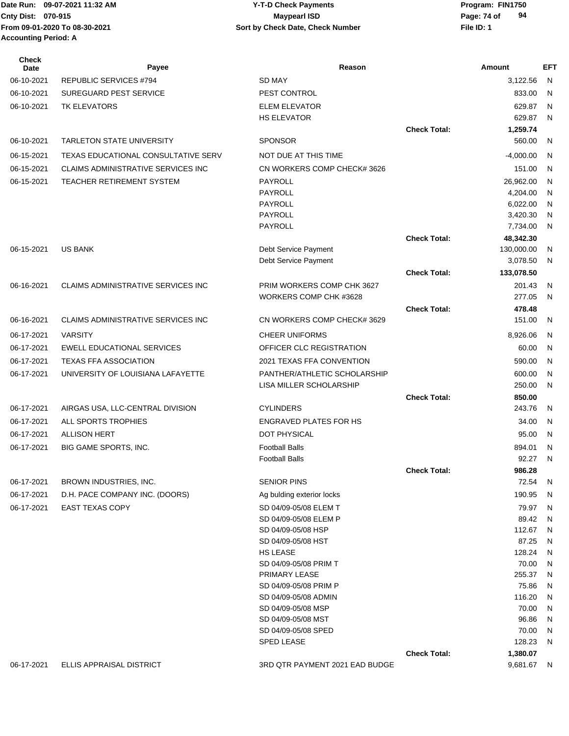**From 09-01-2020 To 08-30-2021 File ID: 1 Sort by Check Date, Check Number Accounting Period: A**

#### Date Run: 09-07-2021 11:32 AM **Program: FIN1750** Y-T-D Check Payments **Cnty Dist:** 070-915 **Page: 74 of** Maypearl ISD **Page: 74 of 09-07-2021 11:32 AM Y-T-D Check Payments 070-915 Maypearl ISD**

| <b>Check</b><br>Date | Payee                                     | Reason                                         |                     | Amount                 | <b>EFT</b> |
|----------------------|-------------------------------------------|------------------------------------------------|---------------------|------------------------|------------|
| 06-10-2021           | <b>REPUBLIC SERVICES #794</b>             | <b>SD MAY</b>                                  |                     | 3,122.56               | N          |
| 06-10-2021           | <b>SUREGUARD PEST SERVICE</b>             | PEST CONTROL                                   |                     | 833.00                 | N          |
| 06-10-2021           | <b>TK ELEVATORS</b>                       | <b>ELEM ELEVATOR</b>                           |                     | 629.87                 | N          |
|                      |                                           | <b>HS ELEVATOR</b>                             |                     | 629.87                 | N          |
|                      |                                           |                                                | <b>Check Total:</b> | 1,259.74               |            |
| 06-10-2021           | <b>TARLETON STATE UNIVERSITY</b>          | <b>SPONSOR</b>                                 |                     | 560.00                 | N          |
| 06-15-2021           | TEXAS EDUCATIONAL CONSULTATIVE SERV       | NOT DUE AT THIS TIME                           |                     | $-4,000.00$            | N          |
| 06-15-2021           | <b>CLAIMS ADMINISTRATIVE SERVICES INC</b> | CN WORKERS COMP CHECK# 3626                    |                     | 151.00                 | N          |
| 06-15-2021           | <b>TEACHER RETIREMENT SYSTEM</b>          | <b>PAYROLL</b>                                 |                     | 26,962.00              | N          |
|                      |                                           | <b>PAYROLL</b>                                 |                     | 4,204.00               | N          |
|                      |                                           | <b>PAYROLL</b>                                 |                     | 6,022.00               | N          |
|                      |                                           | <b>PAYROLL</b><br><b>PAYROLL</b>               |                     | 3,420.30<br>7,734.00   | N<br>N     |
|                      |                                           |                                                | <b>Check Total:</b> | 48,342.30              |            |
| 06-15-2021           | <b>US BANK</b>                            | Debt Service Payment                           |                     | 130,000.00             | N          |
|                      |                                           | Debt Service Payment                           |                     | 3,078.50               | N          |
|                      |                                           |                                                | <b>Check Total:</b> | 133,078.50             |            |
| 06-16-2021           | <b>CLAIMS ADMINISTRATIVE SERVICES INC</b> | PRIM WORKERS COMP CHK 3627                     |                     | 201.43                 | N          |
|                      |                                           | WORKERS COMP CHK #3628                         |                     | 277.05                 | N          |
|                      |                                           |                                                | <b>Check Total:</b> | 478.48                 |            |
| 06-16-2021           | <b>CLAIMS ADMINISTRATIVE SERVICES INC</b> | CN WORKERS COMP CHECK# 3629                    |                     | 151.00                 | N          |
| 06-17-2021           | <b>VARSITY</b>                            | <b>CHEER UNIFORMS</b>                          |                     | 8,926.06               | N          |
| 06-17-2021           | <b>EWELL EDUCATIONAL SERVICES</b>         | OFFICER CLC REGISTRATION                       |                     | 60.00                  | N          |
| 06-17-2021           | <b>TEXAS FFA ASSOCIATION</b>              | 2021 TEXAS FFA CONVENTION                      |                     | 590.00                 | N          |
| 06-17-2021           | UNIVERSITY OF LOUISIANA LAFAYETTE         | PANTHER/ATHLETIC SCHOLARSHIP                   |                     | 600.00                 | N          |
|                      |                                           | LISA MILLER SCHOLARSHIP                        |                     | 250.00                 | N          |
|                      |                                           |                                                | <b>Check Total:</b> | 850.00                 |            |
| 06-17-2021           | AIRGAS USA, LLC-CENTRAL DIVISION          | <b>CYLINDERS</b>                               |                     | 243.76                 | N          |
| 06-17-2021           | ALL SPORTS TROPHIES                       | <b>ENGRAVED PLATES FOR HS</b>                  |                     | 34.00                  | N          |
| 06-17-2021           | <b>ALLISON HERT</b>                       | <b>DOT PHYSICAL</b>                            |                     | 95.00                  | N          |
| 06-17-2021           | BIG GAME SPORTS, INC.                     | <b>Football Balls</b><br><b>Football Balls</b> |                     | 894.01<br>92.27        | N<br>N     |
|                      |                                           |                                                | <b>Check Total:</b> | 986.28                 |            |
| 06-17-2021           | BROWN INDUSTRIES, INC.                    | <b>SENIOR PINS</b>                             |                     | 72.54                  | N          |
| 06-17-2021           | D.H. PACE COMPANY INC. (DOORS)            | Ag bulding exterior locks                      |                     | 190.95                 | N          |
| 06-17-2021           | <b>EAST TEXAS COPY</b>                    | SD 04/09-05/08 ELEM T                          |                     | 79.97                  | N          |
|                      |                                           | SD 04/09-05/08 ELEM P                          |                     | 89.42                  | N          |
|                      |                                           | SD 04/09-05/08 HSP                             |                     | 112.67                 | N          |
|                      |                                           | SD 04/09-05/08 HST                             |                     | 87.25                  | N          |
|                      |                                           | <b>HS LEASE</b>                                |                     | 128.24                 | N          |
|                      |                                           | SD 04/09-05/08 PRIM T<br>PRIMARY LEASE         |                     | 70.00<br>255.37        | N<br>N     |
|                      |                                           | SD 04/09-05/08 PRIM P                          |                     | 75.86                  | N          |
|                      |                                           | SD 04/09-05/08 ADMIN                           |                     | 116.20                 | N          |
|                      |                                           | SD 04/09-05/08 MSP                             |                     | 70.00                  | N          |
|                      |                                           | SD 04/09-05/08 MST                             |                     | 96.86                  | N          |
|                      |                                           | SD 04/09-05/08 SPED                            |                     | 70.00                  | N          |
|                      |                                           | <b>SPED LEASE</b>                              |                     | 128.23                 | N          |
| 06-17-2021           | ELLIS APPRAISAL DISTRICT                  | 3RD QTR PAYMENT 2021 EAD BUDGE                 | <b>Check Total:</b> | 1,380.07<br>9,681.67 N |            |
|                      |                                           |                                                |                     |                        |            |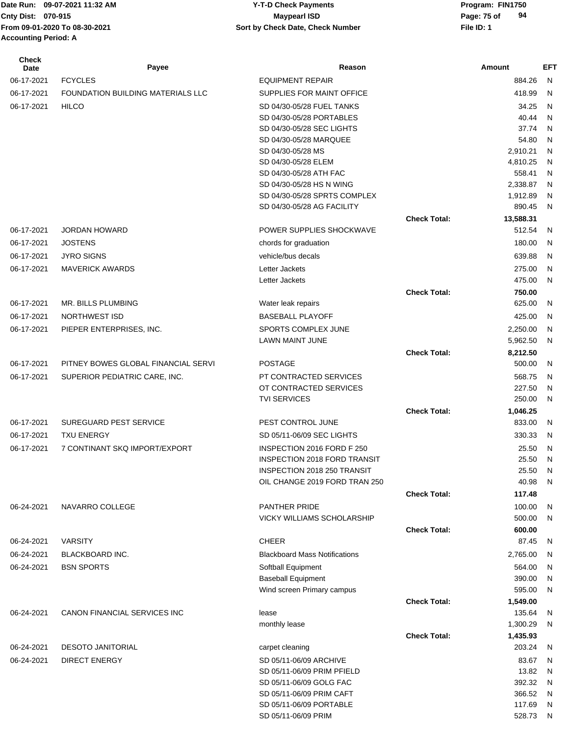## **Cnty Dist:** 070-915 **Page: 75 of Maypearl ISD Page: 75 of 09-07-2021 11:32 AM Y-T-D Check Payments 070-915 Maypearl ISD**

| Check<br>Date | Payee                                    | Reason                                                   |                     | Amount               | EFT               |
|---------------|------------------------------------------|----------------------------------------------------------|---------------------|----------------------|-------------------|
| 06-17-2021    | <b>FCYCLES</b>                           | <b>EQUIPMENT REPAIR</b>                                  |                     | 884.26               | $\mathsf{N}$      |
| 06-17-2021    | <b>FOUNDATION BUILDING MATERIALS LLC</b> | SUPPLIES FOR MAINT OFFICE                                |                     | 418.99               | $\mathsf{N}$      |
| 06-17-2021    | <b>HILCO</b>                             | SD 04/30-05/28 FUEL TANKS                                |                     | 34.25                | N                 |
|               |                                          | SD 04/30-05/28 PORTABLES                                 |                     | 40.44                | N                 |
|               |                                          | SD 04/30-05/28 SEC LIGHTS                                |                     | 37.74                | N                 |
|               |                                          | SD 04/30-05/28 MARQUEE                                   |                     | 54.80                | N                 |
|               |                                          | SD 04/30-05/28 MS                                        |                     | 2,910.21             | N                 |
|               |                                          | SD 04/30-05/28 ELEM                                      |                     | 4,810.25             | N                 |
|               |                                          | SD 04/30-05/28 ATH FAC                                   |                     | 558.41               | N                 |
|               |                                          | SD 04/30-05/28 HS N WING<br>SD 04/30-05/28 SPRTS COMPLEX |                     | 2,338.87<br>1,912.89 | $\mathsf{N}$<br>N |
|               |                                          | SD 04/30-05/28 AG FACILITY                               |                     | 890.45               | N.                |
|               |                                          |                                                          | <b>Check Total:</b> | 13,588.31            |                   |
| 06-17-2021    | <b>JORDAN HOWARD</b>                     | POWER SUPPLIES SHOCKWAVE                                 |                     | 512.54               | N                 |
| 06-17-2021    | <b>JOSTENS</b>                           | chords for graduation                                    |                     | 180.00               | N                 |
| 06-17-2021    | <b>JYRO SIGNS</b>                        | vehicle/bus decals                                       |                     | 639.88               | N                 |
| 06-17-2021    | <b>MAVERICK AWARDS</b>                   | Letter Jackets                                           |                     | 275.00               | N                 |
|               |                                          | Letter Jackets                                           |                     | 475.00               | N                 |
|               |                                          |                                                          | <b>Check Total:</b> | 750.00               |                   |
| 06-17-2021    | MR. BILLS PLUMBING                       | Water leak repairs                                       |                     | 625.00               | N                 |
| 06-17-2021    | <b>NORTHWEST ISD</b>                     | <b>BASEBALL PLAYOFF</b>                                  |                     | 425.00               | N                 |
| 06-17-2021    | PIEPER ENTERPRISES, INC.                 | SPORTS COMPLEX JUNE                                      |                     | 2,250.00             | N                 |
|               |                                          | LAWN MAINT JUNE                                          |                     | 5,962.50             | N                 |
|               |                                          |                                                          | <b>Check Total:</b> | 8,212.50             |                   |
| 06-17-2021    | PITNEY BOWES GLOBAL FINANCIAL SERVI      | <b>POSTAGE</b>                                           |                     | 500.00               | N                 |
| 06-17-2021    | SUPERIOR PEDIATRIC CARE, INC.            | PT CONTRACTED SERVICES                                   |                     | 568.75               | N                 |
|               |                                          | OT CONTRACTED SERVICES<br><b>TVI SERVICES</b>            |                     | 227.50<br>250.00     | N<br>N            |
|               |                                          |                                                          | <b>Check Total:</b> | 1,046.25             |                   |
| 06-17-2021    | <b>SUREGUARD PEST SERVICE</b>            | PEST CONTROL JUNE                                        |                     | 833.00               | -N                |
| 06-17-2021    | <b>TXU ENERGY</b>                        | SD 05/11-06/09 SEC LIGHTS                                |                     | 330.33               | - N               |
| 06-17-2021    | 7 CONTINANT SKQ IMPORT/EXPORT            | INSPECTION 2016 FORD F 250                               |                     | 25.50                | N                 |
|               |                                          | <b>INSPECTION 2018 FORD TRANSIT</b>                      |                     | 25.50                | N                 |
|               |                                          | INSPECTION 2018 250 TRANSIT                              |                     | 25.50 N              |                   |
|               |                                          | OIL CHANGE 2019 FORD TRAN 250                            |                     | 40.98                | N                 |
|               |                                          |                                                          | <b>Check Total:</b> | 117.48               |                   |
| 06-24-2021    | NAVARRO COLLEGE                          | <b>PANTHER PRIDE</b>                                     |                     | 100.00               | N                 |
|               |                                          | <b>VICKY WILLIAMS SCHOLARSHIP</b>                        |                     | 500.00               | N.                |
|               |                                          |                                                          | <b>Check Total:</b> | 600.00               |                   |
| 06-24-2021    | <b>VARSITY</b>                           | <b>CHEER</b>                                             |                     | 87.45                | -N                |
| 06-24-2021    | <b>BLACKBOARD INC.</b>                   | <b>Blackboard Mass Notifications</b>                     |                     | 2,765.00             | N                 |
| 06-24-2021    | <b>BSN SPORTS</b>                        | Softball Equipment                                       |                     | 564.00               | N                 |
|               |                                          | <b>Baseball Equipment</b>                                |                     | 390.00               | N                 |
|               |                                          | Wind screen Primary campus                               |                     | 595.00               | N                 |
| 06-24-2021    | CANON FINANCIAL SERVICES INC             | lease                                                    | <b>Check Total:</b> | 1,549.00<br>135.64   |                   |
|               |                                          | monthly lease                                            |                     | 1,300.29             | N<br>N            |
|               |                                          |                                                          | <b>Check Total:</b> | 1,435.93             |                   |
| 06-24-2021    | <b>DESOTO JANITORIAL</b>                 | carpet cleaning                                          |                     | 203.24               | - N               |
| 06-24-2021    | <b>DIRECT ENERGY</b>                     | SD 05/11-06/09 ARCHIVE                                   |                     | 83.67                | N                 |
|               |                                          | SD 05/11-06/09 PRIM PFIELD                               |                     | 13.82                | N                 |
|               |                                          | SD 05/11-06/09 GOLG FAC                                  |                     | 392.32               | N                 |
|               |                                          | SD 05/11-06/09 PRIM CAFT                                 |                     | 366.52               | N                 |
|               |                                          | SD 05/11-06/09 PORTABLE                                  |                     | 117.69               | N                 |
|               |                                          | SD 05/11-06/09 PRIM                                      |                     | 528.73               | N.                |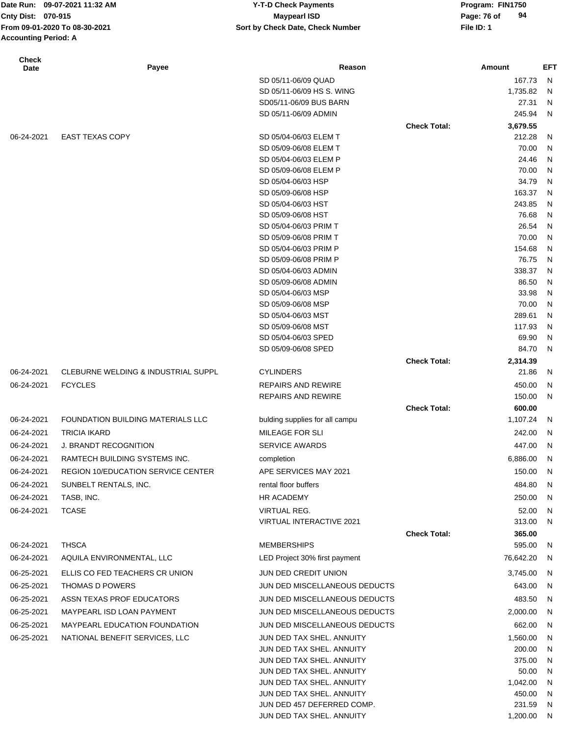|                             | Date Run: 09-07-2021 11:32 AM             | <b>Y-T-D Check Payments</b>      |                     | Program: FIN1750  |              |
|-----------------------------|-------------------------------------------|----------------------------------|---------------------|-------------------|--------------|
| Cnty Dist: 070-915          |                                           | <b>Maypearl ISD</b>              |                     | 94<br>Page: 76 of |              |
|                             | From 09-01-2020 To 08-30-2021             | Sort by Check Date, Check Number |                     | File ID: 1        |              |
| <b>Accounting Period: A</b> |                                           |                                  |                     |                   |              |
| <b>Check</b><br><b>Date</b> | Payee                                     | Reason                           |                     | Amount            | EFT          |
|                             |                                           | SD 05/11-06/09 QUAD              |                     | 167.73            | N            |
|                             |                                           | SD 05/11-06/09 HS S. WING        |                     | 1,735.82          | N,           |
|                             |                                           | SD05/11-06/09 BUS BARN           |                     | 27.31             | N            |
|                             |                                           | SD 05/11-06/09 ADMIN             |                     | 245.94            | N            |
|                             |                                           |                                  | <b>Check Total:</b> | 3,679.55          |              |
| 06-24-2021                  | <b>EAST TEXAS COPY</b>                    | SD 05/04-06/03 ELEM T            |                     | 212.28            | N            |
|                             |                                           | SD 05/09-06/08 ELEM T            |                     | 70.00             | N            |
|                             |                                           | SD 05/04-06/03 ELEM P            |                     | 24.46             | N            |
|                             |                                           | SD 05/09-06/08 ELEM P            |                     | 70.00             | N            |
|                             |                                           | SD 05/04-06/03 HSP               |                     | 34.79             | N            |
|                             |                                           | SD 05/09-06/08 HSP               |                     | 163.37            | N            |
|                             |                                           | SD 05/04-06/03 HST               |                     | 243.85            | N            |
|                             |                                           | SD 05/09-06/08 HST               |                     | 76.68             | N            |
|                             |                                           | SD 05/04-06/03 PRIM T            |                     | 26.54             | $\mathsf{N}$ |
|                             |                                           | SD 05/09-06/08 PRIM T            |                     | 70.00             | $\mathsf{N}$ |
|                             |                                           | SD 05/04-06/03 PRIM P            |                     | 154.68            | $\mathsf{N}$ |
|                             |                                           | SD 05/09-06/08 PRIM P            |                     | 76.75             | $\mathsf{N}$ |
|                             |                                           | SD 05/04-06/03 ADMIN             |                     | 338.37            | $\mathsf{N}$ |
|                             |                                           | SD 05/09-06/08 ADMIN             |                     | 86.50             | $\mathsf{N}$ |
|                             |                                           | SD 05/04-06/03 MSP               |                     | 33.98             | $\mathsf{N}$ |
|                             |                                           | SD 05/09-06/08 MSP               |                     | 70.00             | $\mathsf{N}$ |
|                             |                                           | SD 05/04-06/03 MST               |                     | 289.61            | $\mathsf{N}$ |
|                             |                                           | SD 05/09-06/08 MST               |                     | 117.93            | $\mathsf{N}$ |
|                             |                                           | SD 05/04-06/03 SPED              |                     | 69.90             | $\mathsf{N}$ |
|                             |                                           | SD 05/09-06/08 SPED              |                     | 84.70             | N            |
|                             |                                           |                                  | <b>Check Total:</b> | 2,314.39          |              |
| 06-24-2021                  | CLEBURNE WELDING & INDUSTRIAL SUPPL       | <b>CYLINDERS</b>                 |                     | 21.86             | - N          |
| 06-24-2021                  | <b>FCYCLES</b>                            | <b>REPAIRS AND REWIRE</b>        |                     | 450.00            | N            |
|                             |                                           | <b>REPAIRS AND REWIRE</b>        |                     | 150.00            | N            |
|                             |                                           |                                  | <b>Check Total:</b> | 600.00            |              |
| 06-24-2021                  | FOUNDATION BUILDING MATERIALS LLC         | bulding supplies for all campu   |                     | 1,107.24          | N            |
| 06-24-2021                  | TRICIA IKARD                              | MILEAGE FOR SLI                  |                     | 242.00            | N,           |
| 06-24-2021                  | J. BRANDT RECOGNITION                     | <b>SERVICE AWARDS</b>            |                     |                   | 447.00 N     |
| 06-24-2021                  | RAMTECH BUILDING SYSTEMS INC.             | completion                       |                     | 6,886.00          | N            |
|                             |                                           |                                  |                     |                   |              |
| 06-24-2021                  | <b>REGION 10/EDUCATION SERVICE CENTER</b> | APE SERVICES MAY 2021            |                     | 150.00            | N            |
| 06-24-2021                  | SUNBELT RENTALS, INC.                     | rental floor buffers             |                     | 484.80            | N            |
| 06-24-2021                  | TASB, INC.                                | HR ACADEMY                       |                     | 250.00            | N,           |
| 06-24-2021                  | <b>TCASE</b>                              | VIRTUAL REG.                     |                     | 52.00             | N            |
|                             |                                           | VIRTUAL INTERACTIVE 2021         |                     | 313.00            | N            |
|                             |                                           |                                  | <b>Check Total:</b> | 365.00            |              |
| 06-24-2021                  | <b>THSCA</b>                              | <b>MEMBERSHIPS</b>               |                     |                   | 595.00 N     |
| 06-24-2021                  | AQUILA ENVIRONMENTAL, LLC                 | LED Project 30% first payment    |                     | 76,642.20         | N            |
| 06-25-2021                  | ELLIS CO FED TEACHERS CR UNION            | JUN DED CREDIT UNION             |                     | 3,745.00          | - N          |
| 06-25-2021                  | THOMAS D POWERS                           | JUN DED MISCELLANEOUS DEDUCTS    |                     | 643.00            | N            |
| 06-25-2021                  | ASSN TEXAS PROF EDUCATORS                 | JUN DED MISCELLANEOUS DEDUCTS    |                     |                   | 483.50 N     |
|                             |                                           |                                  |                     |                   |              |

JUN DED TAX SHEL. ANNUITY 200.00 N JUN DED TAX SHEL. ANNUITY 375.00 N JUN DED TAX SHEL. ANNUITY 50.00 N JUN DED TAX SHEL. ANNUITY 1,042.00 N JUN DED TAX SHEL. ANNUITY 450.00 N JUN DED 457 DEFERRED COMP. 231.59 N JUN DED TAX SHEL. ANNUITY 1,200.00 N

06-25-2021 MAYPEARL ISD LOAN PAYMENT JUN DED MISCELLANEOUS DEDUCTS 2,000.00 N 06-25-2021 MAYPEARL EDUCATION FOUNDATION JUN DED MISCELLANEOUS DEDUCTS 662.00 N 06-25-2021 NATIONAL BENEFIT SERVICES, LLC UNIX DED TAX SHEL. ANNUITY 1,560.00 N 1,560.00 N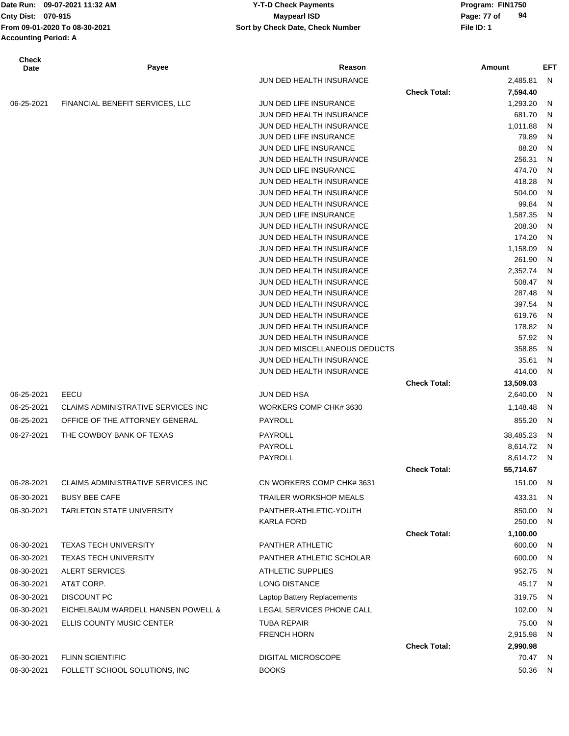| Date Run: 09-07-2021 11:32 AM | <b>Y-T-D Check Payments</b>      | Program    |
|-------------------------------|----------------------------------|------------|
| Cnty Dist: 070-915            | <b>Mavpearl ISD</b>              | Page: 77   |
| From 09-01-2020 To 08-30-2021 | Sort by Check Date, Check Number | File ID: 1 |
| <b>Accounting Period: A</b>   |                                  |            |

| <b>Check</b><br>Date | Payee                              | Reason                                               |                     | Amount           | EFT    |
|----------------------|------------------------------------|------------------------------------------------------|---------------------|------------------|--------|
|                      |                                    | JUN DED HEALTH INSURANCE                             |                     | 2,485.81         | N      |
|                      |                                    |                                                      | <b>Check Total:</b> | 7,594.40         |        |
| 06-25-2021           | FINANCIAL BENEFIT SERVICES, LLC    | JUN DED LIFE INSURANCE                               |                     | 1,293.20         | N      |
|                      |                                    | JUN DED HEALTH INSURANCE                             |                     | 681.70           | N      |
|                      |                                    | JUN DED HEALTH INSURANCE                             |                     | 1,011.88         | N      |
|                      |                                    | JUN DED LIFE INSURANCE                               |                     | 79.89            | N      |
|                      |                                    | JUN DED LIFE INSURANCE                               |                     | 88.20            | N      |
|                      |                                    | JUN DED HEALTH INSURANCE<br>JUN DED LIFE INSURANCE   |                     | 256.31<br>474.70 | N<br>N |
|                      |                                    | JUN DED HEALTH INSURANCE                             |                     | 418.28           | N      |
|                      |                                    | JUN DED HEALTH INSURANCE                             |                     | 504.00           | N      |
|                      |                                    | JUN DED HEALTH INSURANCE                             |                     | 99.84            | N      |
|                      |                                    | JUN DED LIFE INSURANCE                               |                     | 1,587.35         | N      |
|                      |                                    | JUN DED HEALTH INSURANCE                             |                     | 208.30           | N      |
|                      |                                    | JUN DED HEALTH INSURANCE                             |                     | 174.20           | N      |
|                      |                                    | JUN DED HEALTH INSURANCE                             |                     | 1,158.09         | N      |
|                      |                                    | JUN DED HEALTH INSURANCE                             |                     | 261.90           | N      |
|                      |                                    | JUN DED HEALTH INSURANCE                             |                     | 2,352.74         | N      |
|                      |                                    | JUN DED HEALTH INSURANCE                             |                     | 508.47           | N      |
|                      |                                    | JUN DED HEALTH INSURANCE                             |                     | 287.48<br>397.54 | N      |
|                      |                                    | JUN DED HEALTH INSURANCE<br>JUN DED HEALTH INSURANCE |                     | 619.76           | N<br>N |
|                      |                                    | JUN DED HEALTH INSURANCE                             |                     | 178.82           | N      |
|                      |                                    | JUN DED HEALTH INSURANCE                             |                     | 57.92            | N      |
|                      |                                    | JUN DED MISCELLANEOUS DEDUCTS                        |                     | 358.85           | N      |
|                      |                                    | JUN DED HEALTH INSURANCE                             |                     | 35.61            | N      |
|                      |                                    | JUN DED HEALTH INSURANCE                             |                     | 414.00           | N      |
|                      |                                    |                                                      | <b>Check Total:</b> | 13,509.03        |        |
| 06-25-2021           | EECU                               | JUN DED HSA                                          |                     | 2,640.00         | N      |
| 06-25-2021           | CLAIMS ADMINISTRATIVE SERVICES INC | WORKERS COMP CHK# 3630                               |                     | 1,148.48         | N      |
| 06-25-2021           | OFFICE OF THE ATTORNEY GENERAL     | PAYROLL                                              |                     | 855.20           | N      |
| 06-27-2021           | THE COWBOY BANK OF TEXAS           | PAYROLL                                              |                     | 38,485.23        | N      |
|                      |                                    | PAYROLL                                              |                     | 8,614.72         | N      |
|                      |                                    | PAYROLL                                              |                     | 8,614.72         | N      |
|                      |                                    |                                                      | <b>Check Total:</b> | 55,714.67        |        |
| 06-28-2021           | CLAIMS ADMINISTRATIVE SERVICES INC | CN WORKERS COMP CHK# 3631                            |                     | 151.00 N         |        |
| 06-30-2021           | <b>BUSY BEE CAFE</b>               | <b>TRAILER WORKSHOP MEALS</b>                        |                     | 433.31           | N      |
| 06-30-2021           | <b>TARLETON STATE UNIVERSITY</b>   | PANTHER-ATHLETIC-YOUTH                               |                     | 850.00           | N      |
|                      |                                    | <b>KARLA FORD</b>                                    |                     | 250.00           | N      |
|                      |                                    |                                                      | <b>Check Total:</b> | 1,100.00         |        |
| 06-30-2021           | <b>TEXAS TECH UNIVERSITY</b>       | PANTHER ATHLETIC                                     |                     | 600.00           | N.     |
| 06-30-2021           | <b>TEXAS TECH UNIVERSITY</b>       | PANTHER ATHLETIC SCHOLAR                             |                     | 600.00           | - N    |
| 06-30-2021           | ALERT SERVICES                     | <b>ATHLETIC SUPPLIES</b>                             |                     | 952.75           | - N    |
| 06-30-2021           | AT&T CORP.                         | <b>LONG DISTANCE</b>                                 |                     | 45.17            | N      |
| 06-30-2021           | <b>DISCOUNT PC</b>                 | Laptop Battery Replacements                          |                     | 319.75           | - N    |
| 06-30-2021           | EICHELBAUM WARDELL HANSEN POWELL & | LEGAL SERVICES PHONE CALL                            |                     | 102.00           | N,     |
| 06-30-2021           | ELLIS COUNTY MUSIC CENTER          | <b>TUBA REPAIR</b>                                   |                     | 75.00            | N      |
|                      |                                    | <b>FRENCH HORN</b>                                   |                     | 2,915.98         | N.     |
|                      |                                    |                                                      | <b>Check Total:</b> | 2,990.98         |        |
| 06-30-2021           | <b>FLINN SCIENTIFIC</b>            | DIGITAL MICROSCOPE                                   |                     | 70.47 N          |        |
| 06-30-2021           | FOLLETT SCHOOL SOLUTIONS, INC      | <b>BOOKS</b>                                         |                     | 50.36 N          |        |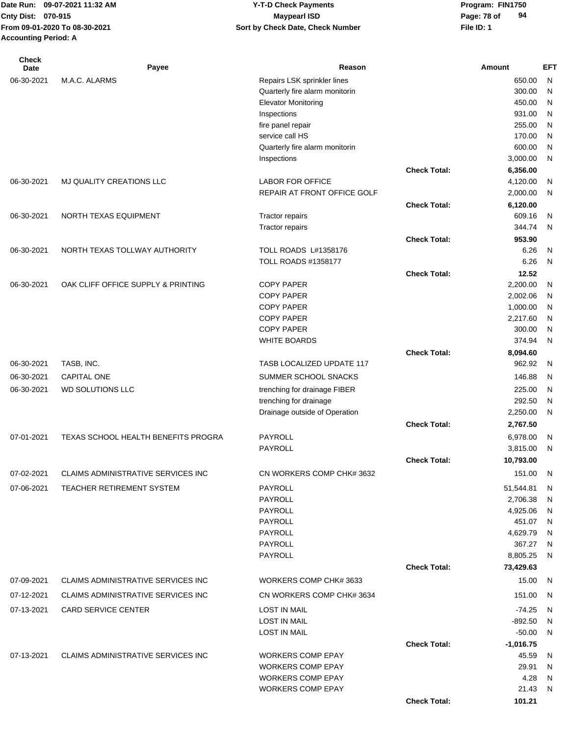| 09-07-2021 11:32 AM<br><b>I</b> Date Run: | <b>Y-T-D Check Payments</b>      | Program: FIN1750  |
|-------------------------------------------|----------------------------------|-------------------|
| <b>Cnty Dist: 070-915</b>                 | <b>Mavpearl ISD</b>              | 94<br>Page: 78 of |
| From 09-01-2020 To 08-30-2021             | Sort by Check Date, Check Number | File ID: 1        |
| <b>Accounting Period: A</b>               |                                  |                   |

| <b>Check</b><br>Date | Payee                                     | Reason                                               |                     | Amount             | <b>EFT</b>        |
|----------------------|-------------------------------------------|------------------------------------------------------|---------------------|--------------------|-------------------|
| 06-30-2021           | M.A.C. ALARMS                             | Repairs LSK sprinkler lines                          |                     | 650.00             | N                 |
|                      |                                           | Quarterly fire alarm monitorin                       |                     | 300.00             | N                 |
|                      |                                           | <b>Elevator Monitoring</b>                           |                     | 450.00             | N                 |
|                      |                                           | Inspections                                          |                     | 931.00             | N                 |
|                      |                                           | fire panel repair                                    |                     | 255.00             | N                 |
|                      |                                           | service call HS                                      |                     | 170.00             | N                 |
|                      |                                           | Quarterly fire alarm monitorin                       |                     | 600.00             | N                 |
|                      |                                           | Inspections                                          |                     | 3,000.00           | N                 |
|                      |                                           |                                                      | <b>Check Total:</b> | 6,356.00           |                   |
| 06-30-2021           | MJ QUALITY CREATIONS LLC                  | <b>LABOR FOR OFFICE</b>                              |                     | 4,120.00           | N                 |
|                      |                                           | REPAIR AT FRONT OFFICE GOLF                          |                     | 2,000.00           | N                 |
|                      |                                           |                                                      | <b>Check Total:</b> | 6,120.00           |                   |
| 06-30-2021           | NORTH TEXAS EQUIPMENT                     | Tractor repairs                                      |                     | 609.16             | N                 |
|                      |                                           | Tractor repairs                                      |                     | 344.74             | N                 |
|                      |                                           |                                                      | <b>Check Total:</b> | 953.90             |                   |
| 06-30-2021           | NORTH TEXAS TOLLWAY AUTHORITY             | TOLL ROADS L#1358176                                 |                     | 6.26               | N                 |
|                      |                                           | <b>TOLL ROADS #1358177</b>                           |                     | 6.26               | N                 |
|                      |                                           |                                                      | <b>Check Total:</b> | 12.52              |                   |
| 06-30-2021           | OAK CLIFF OFFICE SUPPLY & PRINTING        | <b>COPY PAPER</b>                                    |                     | 2,200.00           | N                 |
|                      |                                           | <b>COPY PAPER</b>                                    |                     | 2,002.06           | N                 |
|                      |                                           | <b>COPY PAPER</b>                                    |                     | 1,000.00           | N                 |
|                      |                                           | <b>COPY PAPER</b>                                    |                     | 2,217.60           | N                 |
|                      |                                           | <b>COPY PAPER</b><br><b>WHITE BOARDS</b>             |                     | 300.00<br>374.94   | N<br>$\mathsf{N}$ |
|                      |                                           |                                                      | <b>Check Total:</b> |                    |                   |
| 06-30-2021           | TASB, INC.                                | TASB LOCALIZED UPDATE 117                            |                     | 8,094.60<br>962.92 | N                 |
|                      |                                           |                                                      |                     |                    |                   |
| 06-30-2021           | <b>CAPITAL ONE</b>                        | SUMMER SCHOOL SNACKS                                 |                     | 146.88             | N                 |
| 06-30-2021           | WD SOLUTIONS LLC                          | trenching for drainage FIBER                         |                     | 225.00             | N                 |
|                      |                                           | trenching for drainage                               |                     | 292.50             | N                 |
|                      |                                           | Drainage outside of Operation                        |                     | 2,250.00           | N                 |
|                      |                                           |                                                      | <b>Check Total:</b> | 2,767.50           |                   |
| 07-01-2021           | TEXAS SCHOOL HEALTH BENEFITS PROGRA       | <b>PAYROLL</b>                                       |                     | 6,978.00           | N                 |
|                      |                                           | PAYROLL                                              |                     | 3,815.00           | N                 |
|                      |                                           |                                                      | <b>Check Total:</b> | 10,793.00          |                   |
| 07-02-2021           | CLAIMS ADMINISTRATIVE SERVICES INC        | CN WORKERS COMP CHK# 3632                            |                     | 151.00             | -N                |
| 07-06-2021           | TEACHER RETIREMENT SYSTEM                 | PAYROLL                                              |                     | 51,544.81          | <sub>N</sub>      |
|                      |                                           | PAYROLL                                              |                     | 2,706.38           | N                 |
|                      |                                           | <b>PAYROLL</b>                                       |                     | 4,925.06           | N                 |
|                      |                                           | PAYROLL                                              |                     | 451.07             | -N                |
|                      |                                           | PAYROLL                                              |                     | 4,629.79           | -N                |
|                      |                                           | PAYROLL                                              |                     | 367.27             | N                 |
|                      |                                           | PAYROLL                                              | <b>Check Total:</b> | 8,805.25           | N                 |
|                      |                                           |                                                      |                     | 73,429.63          |                   |
| 07-09-2021           | <b>CLAIMS ADMINISTRATIVE SERVICES INC</b> | WORKERS COMP CHK# 3633                               |                     | 15.00              | N                 |
| 07-12-2021           | <b>CLAIMS ADMINISTRATIVE SERVICES INC</b> | CN WORKERS COMP CHK# 3634                            |                     | 151.00             | N                 |
| 07-13-2021           | <b>CARD SERVICE CENTER</b>                | <b>LOST IN MAIL</b>                                  |                     | $-74.25$           | -N                |
|                      |                                           | <b>LOST IN MAIL</b>                                  |                     | $-892.50$          | N                 |
|                      |                                           | <b>LOST IN MAIL</b>                                  |                     | $-50.00$           | N                 |
|                      |                                           |                                                      | <b>Check Total:</b> | $-1,016.75$        |                   |
| 07-13-2021           | <b>CLAIMS ADMINISTRATIVE SERVICES INC</b> | <b>WORKERS COMP EPAY</b>                             |                     | 45.59              | N,                |
|                      |                                           | <b>WORKERS COMP EPAY</b><br><b>WORKERS COMP EPAY</b> |                     | 29.91<br>4.28      | N<br>N            |
|                      |                                           | <b>WORKERS COMP EPAY</b>                             |                     | 21.43              | N                 |
|                      |                                           |                                                      | <b>Check Total:</b> | 101.21             |                   |
|                      |                                           |                                                      |                     |                    |                   |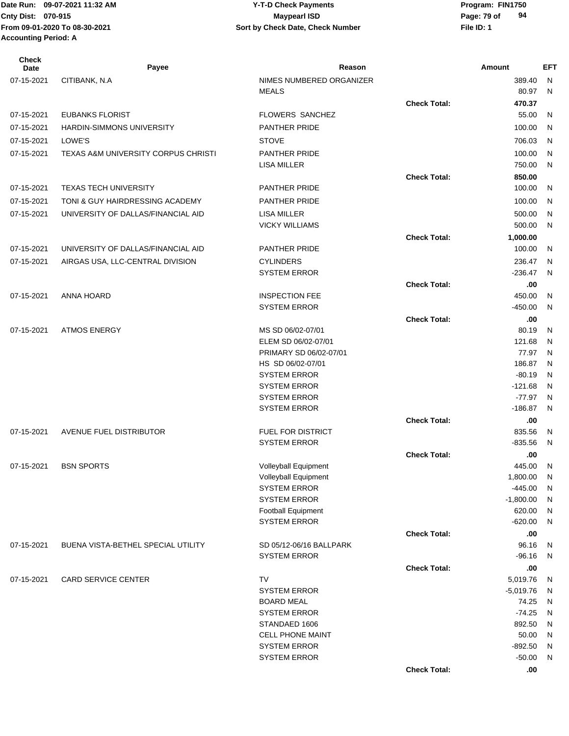| Check<br>Date | Payee                               | Reason                                     |                     | Amount                | <b>EFT</b> |
|---------------|-------------------------------------|--------------------------------------------|---------------------|-----------------------|------------|
| 07-15-2021    | CITIBANK, N.A                       | NIMES NUMBERED ORGANIZER                   |                     | 389.40                | N          |
|               |                                     | <b>MEALS</b>                               |                     | 80.97                 | N          |
|               |                                     |                                            | <b>Check Total:</b> | 470.37                |            |
| 07-15-2021    | <b>EUBANKS FLORIST</b>              | FLOWERS SANCHEZ                            |                     | 55.00                 | N          |
| 07-15-2021    | HARDIN-SIMMONS UNIVERSITY           | PANTHER PRIDE                              |                     | 100.00                | N          |
| 07-15-2021    | LOWE'S                              | <b>STOVE</b>                               |                     | 706.03                | N          |
| 07-15-2021    | TEXAS A&M UNIVERSITY CORPUS CHRISTI | <b>PANTHER PRIDE</b>                       |                     | 100.00                | N          |
|               |                                     | <b>LISA MILLER</b>                         |                     | 750.00                | N          |
|               |                                     |                                            | <b>Check Total:</b> | 850.00                |            |
| 07-15-2021    | <b>TEXAS TECH UNIVERSITY</b>        | PANTHER PRIDE                              |                     | 100.00                | N          |
| 07-15-2021    | TONI & GUY HAIRDRESSING ACADEMY     | <b>PANTHER PRIDE</b>                       |                     | 100.00                | N          |
| 07-15-2021    | UNIVERSITY OF DALLAS/FINANCIAL AID  | <b>LISA MILLER</b>                         |                     | 500.00                | N          |
|               |                                     | <b>VICKY WILLIAMS</b>                      |                     | 500.00                | N          |
|               |                                     |                                            | <b>Check Total:</b> | 1,000.00              |            |
| 07-15-2021    | UNIVERSITY OF DALLAS/FINANCIAL AID  | <b>PANTHER PRIDE</b>                       |                     | 100.00                | N          |
| 07-15-2021    | AIRGAS USA, LLC-CENTRAL DIVISION    | <b>CYLINDERS</b>                           |                     | 236.47                | N          |
|               |                                     | <b>SYSTEM ERROR</b>                        |                     | $-236.47$             | N          |
|               |                                     |                                            | <b>Check Total:</b> | .00                   |            |
| 07-15-2021    | ANNA HOARD                          | <b>INSPECTION FEE</b>                      |                     | 450.00                | N          |
|               |                                     | <b>SYSTEM ERROR</b>                        |                     | $-450.00$             | N          |
|               |                                     |                                            | <b>Check Total:</b> | .00                   |            |
| 07-15-2021    | <b>ATMOS ENERGY</b>                 | MS SD 06/02-07/01                          |                     | 80.19                 | N          |
|               |                                     | ELEM SD 06/02-07/01                        |                     | 121.68                | N          |
|               |                                     | PRIMARY SD 06/02-07/01                     |                     | 77.97                 | N          |
|               |                                     | HS SD 06/02-07/01                          |                     | 186.87                | N          |
|               |                                     | <b>SYSTEM ERROR</b>                        |                     | $-80.19$              | N          |
|               |                                     | <b>SYSTEM ERROR</b>                        |                     | $-121.68$<br>$-77.97$ | N          |
|               |                                     | <b>SYSTEM ERROR</b><br><b>SYSTEM ERROR</b> |                     | $-186.87$             | N<br>N     |
|               |                                     |                                            | <b>Check Total:</b> | .00                   |            |
| 07-15-2021    | AVENUE FUEL DISTRIBUTOR             | <b>FUEL FOR DISTRICT</b>                   |                     | 835.56                | N          |
|               |                                     | <b>SYSTEM ERROR</b>                        |                     | $-835.56$             | N          |
|               |                                     |                                            | <b>Check Total:</b> | .00                   |            |
| 07-15-2021    | <b>BSN SPORTS</b>                   | Volleyball Equipment                       |                     | 445.00                | N          |
|               |                                     | Volleyball Equipment                       |                     | 1,800.00              | N          |
|               |                                     | <b>SYSTEM ERROR</b>                        |                     | $-445.00$             | N          |
|               |                                     | <b>SYSTEM ERROR</b>                        |                     | $-1,800.00$           | N          |
|               |                                     | <b>Football Equipment</b>                  |                     | 620.00                | N          |
|               |                                     | <b>SYSTEM ERROR</b>                        |                     | $-620.00$             | N          |
|               |                                     |                                            | <b>Check Total:</b> | .00                   |            |
| 07-15-2021    | BUENA VISTA-BETHEL SPECIAL UTILITY  | SD 05/12-06/16 BALLPARK                    |                     | 96.16                 | N          |
|               |                                     | <b>SYSTEM ERROR</b>                        |                     | $-96.16$              | N          |
| 07-15-2021    | <b>CARD SERVICE CENTER</b>          | <b>TV</b>                                  | <b>Check Total:</b> | .00.<br>5,019.76      | N          |
|               |                                     | <b>SYSTEM ERROR</b>                        |                     | $-5,019.76$           | N          |
|               |                                     | <b>BOARD MEAL</b>                          |                     | 74.25                 | N          |
|               |                                     | <b>SYSTEM ERROR</b>                        |                     | $-74.25$              | N          |
|               |                                     | STANDAED 1606                              |                     | 892.50                | N          |
|               |                                     | <b>CELL PHONE MAINT</b>                    |                     | 50.00                 | N          |
|               |                                     | <b>SYSTEM ERROR</b>                        |                     | $-892.50$             | N          |
|               |                                     | <b>SYSTEM ERROR</b>                        |                     | $-50.00$              | N          |
|               |                                     |                                            | <b>Check Total:</b> | .00                   |            |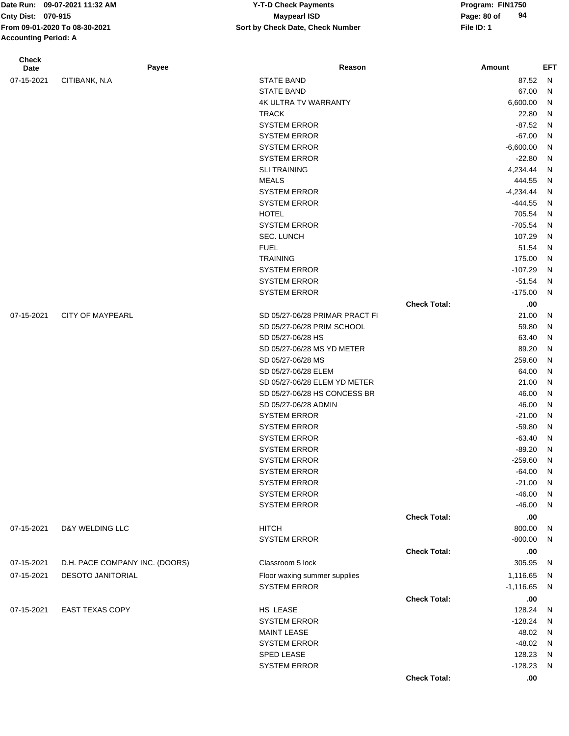**Accounting Period: A**

| <b>Check</b><br>Date | Payee                          | Reason                         |                     | Amount        | EFT          |
|----------------------|--------------------------------|--------------------------------|---------------------|---------------|--------------|
| 07-15-2021           | CITIBANK, N.A.                 | <b>STATE BAND</b>              |                     | 87.52         | N            |
|                      |                                | <b>STATE BAND</b>              |                     | 67.00         | N            |
|                      |                                | <b>4K ULTRA TV WARRANTY</b>    |                     | 6,600.00      | N            |
|                      |                                | <b>TRACK</b>                   |                     | 22.80         | $\mathsf{N}$ |
|                      |                                | <b>SYSTEM ERROR</b>            |                     | $-87.52$      | N            |
|                      |                                | <b>SYSTEM ERROR</b>            |                     | $-67.00$      | N            |
|                      |                                | <b>SYSTEM ERROR</b>            |                     | $-6,600.00$   | $\mathsf{N}$ |
|                      |                                | <b>SYSTEM ERROR</b>            |                     | $-22.80$      | $\mathsf{N}$ |
|                      |                                | <b>SLI TRAINING</b>            |                     | 4,234.44      | $\mathsf{N}$ |
|                      |                                | <b>MEALS</b>                   |                     | 444.55        | N            |
|                      |                                | <b>SYSTEM ERROR</b>            |                     | $-4,234.44$   | N            |
|                      |                                | <b>SYSTEM ERROR</b>            |                     | $-444.55$     | N            |
|                      |                                | <b>HOTEL</b>                   |                     | 705.54        | N            |
|                      |                                | <b>SYSTEM ERROR</b>            |                     | $-705.54$     | N            |
|                      |                                | <b>SEC. LUNCH</b>              |                     | 107.29        | N            |
|                      |                                | <b>FUEL</b>                    |                     | 51.54         | N            |
|                      |                                | <b>TRAINING</b>                |                     | 175.00        | N            |
|                      |                                | <b>SYSTEM ERROR</b>            |                     | $-107.29$     | N            |
|                      |                                | <b>SYSTEM ERROR</b>            |                     | $-51.54$      | N            |
|                      |                                | <b>SYSTEM ERROR</b>            |                     | $-175.00$     | N            |
|                      |                                |                                | <b>Check Total:</b> | .00           |              |
| 07-15-2021           | <b>CITY OF MAYPEARL</b>        | SD 05/27-06/28 PRIMAR PRACT FI |                     | 21.00         | N            |
|                      |                                | SD 05/27-06/28 PRIM SCHOOL     |                     | 59.80         | $\mathsf{N}$ |
|                      |                                | SD 05/27-06/28 HS              |                     | 63.40         | $\mathsf{N}$ |
|                      |                                | SD 05/27-06/28 MS YD METER     |                     | 89.20         | $\mathsf{N}$ |
|                      |                                | SD 05/27-06/28 MS              |                     | 259.60        | $\mathsf{N}$ |
|                      |                                | SD 05/27-06/28 ELEM            |                     | 64.00         | $\mathsf{N}$ |
|                      |                                | SD 05/27-06/28 ELEM YD METER   |                     | 21.00         | $\mathsf{N}$ |
|                      |                                | SD 05/27-06/28 HS CONCESS BR   |                     | 46.00         | $\mathsf{N}$ |
|                      |                                | SD 05/27-06/28 ADMIN           |                     | 46.00         | $\mathsf{N}$ |
|                      |                                | <b>SYSTEM ERROR</b>            |                     | $-21.00$      | $\mathsf{N}$ |
|                      |                                | <b>SYSTEM ERROR</b>            |                     | $-59.80$      | $\mathsf{N}$ |
|                      |                                | <b>SYSTEM ERROR</b>            |                     | $-63.40$      | $\mathsf{N}$ |
|                      |                                | <b>SYSTEM ERROR</b>            |                     | $-89.20$      | N            |
|                      |                                | <b>SYSTEM ERROR</b>            |                     | $-259.60$     | N            |
|                      |                                | <b>SYSTEM ERROR</b>            |                     | $-64.00$      | N,           |
|                      |                                | <b>SYSTEM ERROR</b>            |                     | $-21.00$      | N            |
|                      |                                | <b>SYSTEM ERROR</b>            |                     | $-46.00$      | $\mathsf{N}$ |
|                      |                                | <b>SYSTEM ERROR</b>            |                     | $-46.00$      | N            |
|                      |                                |                                | <b>Check Total:</b> | .00.          |              |
| 07-15-2021           | D&Y WELDING LLC                | <b>HITCH</b>                   |                     | 800.00        | $\mathsf{N}$ |
|                      |                                | <b>SYSTEM ERROR</b>            |                     | $-800.00$     | $\mathsf{N}$ |
|                      |                                |                                | <b>Check Total:</b> |               |              |
| 07-15-2021           | D.H. PACE COMPANY INC. (DOORS) | Classroom 5 lock               |                     | .00<br>305.95 | N            |
|                      |                                |                                |                     |               |              |
| 07-15-2021           | <b>DESOTO JANITORIAL</b>       | Floor waxing summer supplies   |                     | 1,116.65      | N            |
|                      |                                | <b>SYSTEM ERROR</b>            |                     | $-1,116.65$   | N            |
|                      |                                |                                | <b>Check Total:</b> | .00.          |              |
| 07-15-2021           | <b>EAST TEXAS COPY</b>         | HS LEASE                       |                     | 128.24        | $\mathsf{N}$ |
|                      |                                | <b>SYSTEM ERROR</b>            |                     | $-128.24$     | N            |
|                      |                                | <b>MAINT LEASE</b>             |                     | 48.02         | N            |
|                      |                                | <b>SYSTEM ERROR</b>            |                     | $-48.02$      | N            |
|                      |                                | SPED LEASE                     |                     | 128.23        | N            |
|                      |                                | <b>SYSTEM ERROR</b>            |                     | $-128.23$     | N            |
|                      |                                |                                | <b>Check Total:</b> | .00.          |              |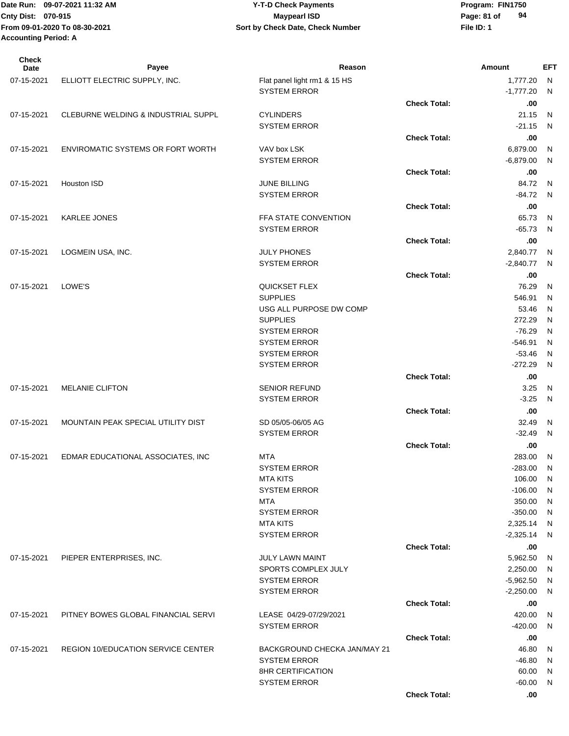|                             | Date Run: 09-07-2021 11:32 AM | <b>Y-T-D Check Payments</b>      | Program: FIN1750  |
|-----------------------------|-------------------------------|----------------------------------|-------------------|
| <b>Cnty Dist: 070-915</b>   |                               | <b>Mavpearl ISD</b>              | 94<br>Page: 81 of |
|                             | From 09-01-2020 To 08-30-2021 | Sort by Check Date, Check Number | File ID: 1        |
| <b>Accounting Period: A</b> |                               |                                  |                   |
|                             |                               |                                  |                   |

| <b>Check</b><br>Date | Payee                                          | Reason                       |                     | <b>Amount</b> | EFT            |
|----------------------|------------------------------------------------|------------------------------|---------------------|---------------|----------------|
| 07-15-2021           | ELLIOTT ELECTRIC SUPPLY, INC.                  | Flat panel light rm1 & 15 HS |                     | 1,777.20      | - N            |
|                      |                                                | <b>SYSTEM ERROR</b>          |                     | $-1,777.20$   | - N            |
|                      |                                                |                              | <b>Check Total:</b> | .00           |                |
| 07-15-2021           | <b>CLEBURNE WELDING &amp; INDUSTRIAL SUPPL</b> | <b>CYLINDERS</b>             |                     | 21.15         | - N            |
|                      |                                                | <b>SYSTEM ERROR</b>          |                     | $-21.15$      | - N            |
|                      |                                                |                              | <b>Check Total:</b> | .00           |                |
| 07-15-2021           | <b>ENVIROMATIC SYSTEMS OR FORT WORTH</b>       | VAV box LSK                  |                     | 6,879.00      | $\overline{N}$ |
|                      |                                                | <b>SYSTEM ERROR</b>          |                     | $-6,879.00$   | N              |
|                      |                                                |                              | <b>Check Total:</b> | .00           |                |
| 07-15-2021           | Houston ISD                                    | <b>JUNE BILLING</b>          |                     | 84.72         | $\overline{N}$ |
|                      |                                                | <b>SYSTEM ERROR</b>          |                     | $-84.72$      | $\overline{N}$ |
|                      |                                                |                              | <b>Check Total:</b> | .00           |                |
| 07-15-2021           | <b>KARLEE JONES</b>                            | FFA STATE CONVENTION         |                     | 65.73         | - N            |
|                      |                                                | <b>SYSTEM ERROR</b>          |                     | $-65.73$      | N,             |
|                      |                                                |                              | <b>Check Total:</b> | .00           |                |
| 07-15-2021           | LOGMEIN USA, INC.                              | <b>JULY PHONES</b>           |                     | 2,840.77      | N              |
|                      |                                                | <b>SYSTEM ERROR</b>          |                     | $-2,840.77$ N |                |
|                      |                                                |                              | <b>Check Total:</b> | .00           |                |
| 07-15-2021           | LOWE'S                                         | QUICKSET FLEX                |                     | 76.29         | N              |
|                      |                                                | <b>SUPPLIES</b>              |                     | 546.91        | N              |
|                      |                                                | USG ALL PURPOSE DW COMP      |                     | 53.46         | N              |
|                      |                                                | <b>SUPPLIES</b>              |                     | 272.29        | N              |
|                      |                                                | <b>SYSTEM ERROR</b>          |                     | $-76.29$      | N              |
|                      |                                                | <b>SYSTEM ERROR</b>          |                     | $-546.91$     | N              |
|                      |                                                | <b>SYSTEM ERROR</b>          |                     | $-53.46$      | N              |
|                      |                                                | <b>SYSTEM ERROR</b>          |                     | $-272.29$     | N              |
|                      |                                                |                              | <b>Check Total:</b> | .00           |                |
| 07-15-2021           | <b>MELANIE CLIFTON</b>                         | <b>SENIOR REFUND</b>         |                     | 3.25          | N,             |
|                      |                                                | <b>SYSTEM ERROR</b>          |                     | $-3.25$       | - N            |
|                      |                                                |                              | <b>Check Total:</b> | .00           |                |
| 07-15-2021           | MOUNTAIN PEAK SPECIAL UTILITY DIST             | SD 05/05-06/05 AG            |                     | 32.49         | - N            |
|                      |                                                | <b>SYSTEM ERROR</b>          |                     | $-32.49$      | N              |
|                      |                                                |                              | <b>Check Total:</b> | .00           |                |
| 07-15-2021           | EDMAR EDUCATIONAL ASSOCIATES, INC              | MTA                          |                     | 283.00 N      |                |
|                      |                                                | <b>SYSTEM ERROR</b>          |                     | -283.00 N     |                |
|                      |                                                | <b>MTA KITS</b>              |                     | 106.00 N      |                |
|                      |                                                | <b>SYSTEM ERROR</b>          |                     | $-106.00$ N   |                |
|                      |                                                | MTA                          |                     | 350.00 N      |                |
|                      |                                                | <b>SYSTEM ERROR</b>          |                     | $-350.00$ N   |                |
|                      |                                                | <b>MTA KITS</b>              |                     | 2,325.14 N    |                |
|                      |                                                | <b>SYSTEM ERROR</b>          |                     | $-2,325.14$ N |                |
|                      |                                                |                              | <b>Check Total:</b> | .00           |                |
| 07-15-2021           | PIEPER ENTERPRISES, INC.                       | JULY LAWN MAINT              |                     | 5,962.50      | N,             |
|                      |                                                | SPORTS COMPLEX JULY          |                     | 2,250.00 N    |                |
|                      |                                                | <b>SYSTEM ERROR</b>          |                     | $-5,962.50$ N |                |
|                      |                                                | <b>SYSTEM ERROR</b>          |                     | $-2,250.00$ N |                |
|                      |                                                |                              | <b>Check Total:</b> | .00           |                |
| 07-15-2021           | PITNEY BOWES GLOBAL FINANCIAL SERVI            | LEASE 04/29-07/29/2021       |                     | 420.00        | N,             |
|                      |                                                | <b>SYSTEM ERROR</b>          |                     | $-420.00$     | - N            |
|                      |                                                |                              | <b>Check Total:</b> | .00           |                |
| 07-15-2021           | <b>REGION 10/EDUCATION SERVICE CENTER</b>      | BACKGROUND CHECKA JAN/MAY 21 |                     | 46.80         | N,             |
|                      |                                                | <b>SYSTEM ERROR</b>          |                     | $-46.80$      | - N            |
|                      |                                                | <b>8HR CERTIFICATION</b>     |                     | 60.00 N       |                |
|                      |                                                | <b>SYSTEM ERROR</b>          |                     | $-60.00$ N    |                |
|                      |                                                |                              | <b>Check Total:</b> | .00           |                |
|                      |                                                |                              |                     |               |                |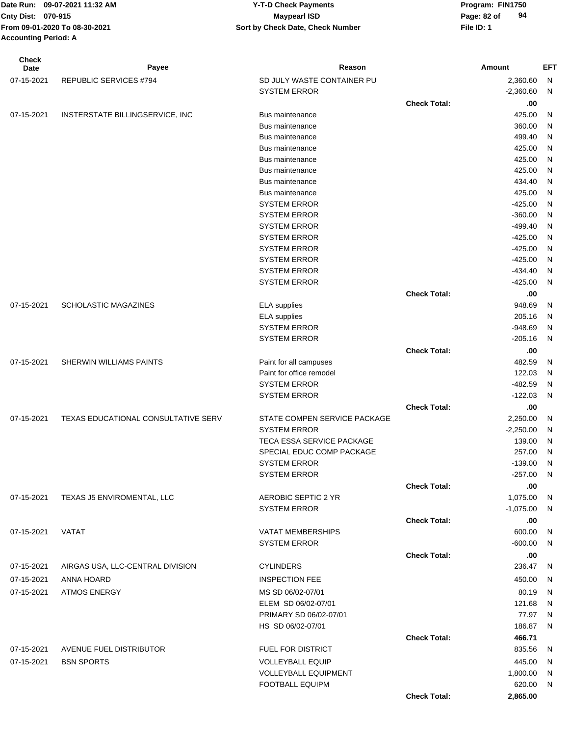| Check<br>Date | Payee                                      | Reason                       |                     | Amount           | EFT          |
|---------------|--------------------------------------------|------------------------------|---------------------|------------------|--------------|
| 07-15-2021    | <b>REPUBLIC SERVICES #794</b>              | SD JULY WASTE CONTAINER PU   |                     | 2,360.60         | N            |
|               |                                            | <b>SYSTEM ERROR</b>          |                     | $-2,360.60$      | $\mathsf{N}$ |
|               |                                            |                              | <b>Check Total:</b> | .00              |              |
| 07-15-2021    | INSTERSTATE BILLINGSERVICE, INC            | <b>Bus maintenance</b>       |                     | 425.00           | N            |
|               |                                            | Bus maintenance              |                     | 360.00           | N            |
|               |                                            | Bus maintenance              |                     | 499.40           | N            |
|               |                                            | Bus maintenance              |                     | 425.00           | N            |
|               |                                            | Bus maintenance              |                     | 425.00           | N            |
|               |                                            | Bus maintenance              |                     | 425.00           | N            |
|               |                                            | Bus maintenance              |                     | 434.40           | N            |
|               |                                            | Bus maintenance              |                     | 425.00           | N            |
|               |                                            | <b>SYSTEM ERROR</b>          |                     | $-425.00$        | N            |
|               |                                            | <b>SYSTEM ERROR</b>          |                     | $-360.00$        | N            |
|               |                                            | <b>SYSTEM ERROR</b>          |                     | $-499.40$        | N            |
|               |                                            | <b>SYSTEM ERROR</b>          |                     | $-425.00$        | N            |
|               |                                            | <b>SYSTEM ERROR</b>          |                     | $-425.00$        | N            |
|               |                                            | <b>SYSTEM ERROR</b>          |                     | $-425.00$        | N            |
|               |                                            | <b>SYSTEM ERROR</b>          |                     | $-434.40$        | N            |
|               |                                            | <b>SYSTEM ERROR</b>          |                     | $-425.00$        | N            |
|               |                                            |                              | <b>Check Total:</b> |                  |              |
|               | <b>SCHOLASTIC MAGAZINES</b>                |                              |                     | .00              |              |
| 07-15-2021    |                                            | <b>ELA</b> supplies          |                     | 948.69<br>205.16 | N            |
|               |                                            | <b>ELA</b> supplies          |                     |                  | N            |
|               |                                            | <b>SYSTEM ERROR</b>          |                     | $-948.69$        | $\mathsf{N}$ |
|               |                                            | <b>SYSTEM ERROR</b>          |                     | $-205.16$        | $\mathsf{N}$ |
|               |                                            |                              | <b>Check Total:</b> | .00              |              |
| 07-15-2021    | SHERWIN WILLIAMS PAINTS                    | Paint for all campuses       |                     | 482.59           | $\mathsf{N}$ |
|               |                                            | Paint for office remodel     |                     | 122.03           | $\mathsf{N}$ |
|               |                                            | <b>SYSTEM ERROR</b>          |                     | $-482.59$        | N            |
|               |                                            | <b>SYSTEM ERROR</b>          |                     | $-122.03$        | N            |
|               |                                            |                              | <b>Check Total:</b> | .00              |              |
| 07-15-2021    | <b>TEXAS EDUCATIONAL CONSULTATIVE SERV</b> | STATE COMPEN SERVICE PACKAGE |                     | 2,250.00         | N            |
|               |                                            | <b>SYSTEM ERROR</b>          |                     | $-2,250.00$      | N            |
|               |                                            | TECA ESSA SERVICE PACKAGE    |                     | 139.00           | N            |
|               |                                            | SPECIAL EDUC COMP PACKAGE    |                     | 257.00           | N            |
|               |                                            | <b>SYSTEM ERROR</b>          |                     | $-139.00$        | N            |
|               |                                            | <b>SYSTEM ERROR</b>          |                     | $-257.00$ N      |              |
|               |                                            |                              | <b>Check Total:</b> | .00              |              |
| 07-15-2021    | TEXAS J5 ENVIROMENTAL, LLC                 | AEROBIC SEPTIC 2 YR          |                     | 1,075.00         | N            |
|               |                                            | <b>SYSTEM ERROR</b>          |                     | $-1,075.00$      | N,           |
|               |                                            |                              | <b>Check Total:</b> | .00.             |              |
| 07-15-2021    | VATAT                                      | <b>VATAT MEMBERSHIPS</b>     |                     | 600.00           | N            |
|               |                                            | <b>SYSTEM ERROR</b>          |                     | $-600.00$        | N.           |
|               |                                            |                              | <b>Check Total:</b> | .00              |              |
| 07-15-2021    | AIRGAS USA, LLC-CENTRAL DIVISION           | <b>CYLINDERS</b>             |                     | 236.47           | - N          |
| 07-15-2021    | ANNA HOARD                                 | <b>INSPECTION FEE</b>        |                     | 450.00           | N            |
| 07-15-2021    | <b>ATMOS ENERGY</b>                        | MS SD 06/02-07/01            |                     | 80.19            | - N          |
|               |                                            | ELEM SD 06/02-07/01          |                     | 121.68           | N.           |
|               |                                            | PRIMARY SD 06/02-07/01       |                     | 77.97            | N,           |
|               |                                            | HS SD 06/02-07/01            |                     | 186.87           | N.           |
|               |                                            |                              | <b>Check Total:</b> | 466.71           |              |
| 07-15-2021    | AVENUE FUEL DISTRIBUTOR                    | FUEL FOR DISTRICT            |                     | 835.56           | N,           |
|               |                                            |                              |                     |                  |              |
| 07-15-2021    | <b>BSN SPORTS</b>                          | <b>VOLLEYBALL EQUIP</b>      |                     | 445.00           | N            |
|               |                                            | <b>VOLLEYBALL EQUIPMENT</b>  |                     | 1,800.00         | - N          |
|               |                                            | <b>FOOTBALL EQUIPM</b>       |                     | 620.00 N         |              |
|               |                                            |                              | <b>Check Total:</b> | 2,865.00         |              |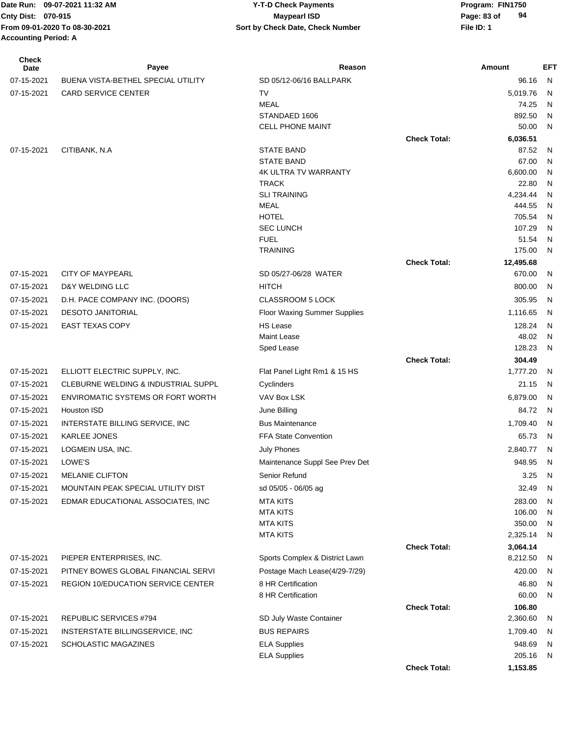| <b>Check</b><br><b>Date</b> | Payee                               | Reason                             |                     | <b>Amount</b>        | <b>EFT</b>   |
|-----------------------------|-------------------------------------|------------------------------------|---------------------|----------------------|--------------|
| 07-15-2021                  | BUENA VISTA-BETHEL SPECIAL UTILITY  | SD 05/12-06/16 BALLPARK            |                     | 96.16                | $\mathsf{N}$ |
| 07-15-2021                  | <b>CARD SERVICE CENTER</b>          | <b>TV</b>                          |                     | 5,019.76             | N            |
|                             |                                     | <b>MEAL</b>                        |                     | 74.25                | N            |
|                             |                                     | STANDAED 1606                      |                     | 892.50               | N            |
|                             |                                     | CELL PHONE MAINT                   |                     | 50.00                | N            |
|                             |                                     |                                    | <b>Check Total:</b> | 6,036.51             |              |
| 07-15-2021                  | CITIBANK, N.A.                      | <b>STATE BAND</b>                  |                     | 87.52                | N            |
|                             |                                     | <b>STATE BAND</b>                  |                     | 67.00                | N            |
|                             |                                     | <b>4K ULTRA TV WARRANTY</b>        |                     | 6,600.00             | N            |
|                             |                                     | <b>TRACK</b>                       |                     | 22.80                | N            |
|                             |                                     | <b>SLI TRAINING</b><br><b>MEAL</b> |                     | 4,234.44             | N            |
|                             |                                     | <b>HOTEL</b>                       |                     | 444.55<br>705.54     | N<br>N       |
|                             |                                     | <b>SEC LUNCH</b>                   |                     | 107.29               | N            |
|                             |                                     | <b>FUEL</b>                        |                     | 51.54                | N            |
|                             |                                     | <b>TRAINING</b>                    |                     | 175.00               | N            |
|                             |                                     |                                    | <b>Check Total:</b> | 12,495.68            |              |
| 07-15-2021                  | <b>CITY OF MAYPEARL</b>             | SD 05/27-06/28 WATER               |                     | 670.00               | N            |
| 07-15-2021                  | <b>D&amp;Y WELDING LLC</b>          | <b>HITCH</b>                       |                     | 800.00               | N            |
| 07-15-2021                  | D.H. PACE COMPANY INC. (DOORS)      | <b>CLASSROOM 5 LOCK</b>            |                     | 305.95               | N            |
| 07-15-2021                  | <b>DESOTO JANITORIAL</b>            | Floor Waxing Summer Supplies       |                     | 1,116.65             | N            |
| 07-15-2021                  | <b>EAST TEXAS COPY</b>              | <b>HS Lease</b>                    |                     | 128.24               | N            |
|                             |                                     | <b>Maint Lease</b>                 |                     | 48.02                | N            |
|                             |                                     | Sped Lease                         |                     | 128.23               | N            |
|                             |                                     |                                    | <b>Check Total:</b> | 304.49               |              |
| 07-15-2021                  | ELLIOTT ELECTRIC SUPPLY, INC.       | Flat Panel Light Rm1 & 15 HS       |                     | 1,777.20             | N            |
| 07-15-2021                  | CLEBURNE WELDING & INDUSTRIAL SUPPL | Cyclinders                         |                     | 21.15                | N            |
| 07-15-2021                  | ENVIROMATIC SYSTEMS OR FORT WORTH   | <b>VAV Box LSK</b>                 |                     | 6,879.00             | N            |
| 07-15-2021                  | <b>Houston ISD</b>                  | June Billing                       |                     | 84.72                | $\mathsf{N}$ |
| 07-15-2021                  | INTERSTATE BILLING SERVICE, INC     | <b>Bus Maintenance</b>             |                     | 1,709.40             | N            |
| 07-15-2021                  | <b>KARLEE JONES</b>                 | <b>FFA State Convention</b>        |                     | 65.73                | N            |
|                             |                                     |                                    |                     |                      |              |
| 07-15-2021                  | LOGMEIN USA, INC.                   | <b>July Phones</b>                 |                     | 2,840.77             | N            |
| 07-15-2021                  | LOWE'S                              | Maintenance Suppl See Prev Det     |                     | 948.95               | N            |
| 07-15-2021                  | <b>MELANIE CLIFTON</b>              | Senior Refund                      |                     | 3.25                 | N            |
| 07-15-2021                  | MOUNTAIN PEAK SPECIAL UTILITY DIST  | sd 05/05 - 06/05 ag                |                     | 32.49                | N            |
| 07-15-2021                  | EDMAR EDUCATIONAL ASSOCIATES, INC   | <b>MTA KITS</b>                    |                     | 283.00               | N            |
|                             |                                     | <b>MTA KITS</b>                    |                     | 106.00               | N            |
|                             |                                     | <b>MTA KITS</b>                    |                     | 350.00               | N            |
|                             |                                     | <b>MTA KITS</b>                    |                     | 2,325.14             | N            |
| 07-15-2021                  |                                     | Sports Complex & District Lawn     | <b>Check Total:</b> | 3,064.14<br>8,212.50 |              |
|                             | PIEPER ENTERPRISES, INC.            |                                    |                     |                      | N            |
| 07-15-2021                  | PITNEY BOWES GLOBAL FINANCIAL SERVI | Postage Mach Lease(4/29-7/29)      |                     | 420.00               | N            |
| 07-15-2021                  | REGION 10/EDUCATION SERVICE CENTER  | 8 HR Certification                 |                     | 46.80                | N            |
|                             |                                     | 8 HR Certification                 |                     | 60.00                | N            |
|                             | REPUBLIC SERVICES #794              |                                    | <b>Check Total:</b> | 106.80               |              |
| 07-15-2021                  |                                     | SD July Waste Container            |                     | 2,360.60             | N            |
| 07-15-2021                  | INSTERSTATE BILLINGSERVICE, INC     | <b>BUS REPAIRS</b>                 |                     | 1,709.40             | N            |
| 07-15-2021                  | SCHOLASTIC MAGAZINES                | <b>ELA Supplies</b>                |                     | 948.69               | N            |
|                             |                                     | <b>ELA Supplies</b>                |                     | 205.16               | N            |
|                             |                                     |                                    | <b>Check Total:</b> | 1,153.85             |              |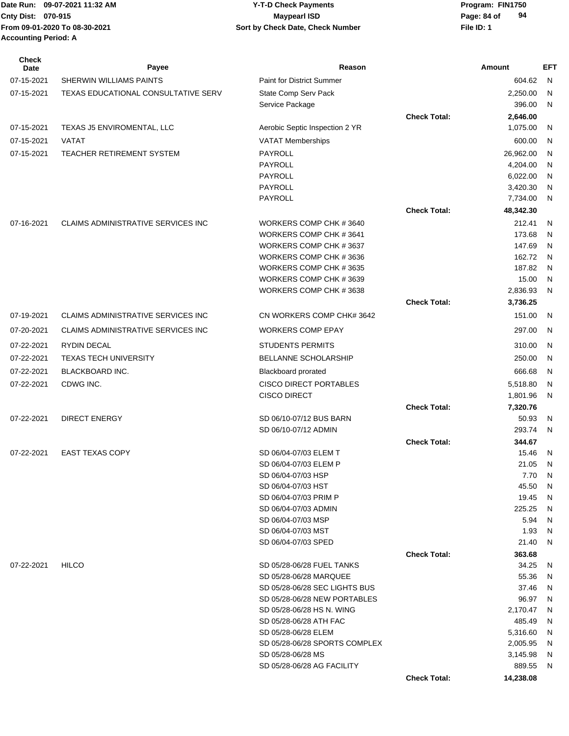Date Run: 09-07-2021 11:32 AM **Program: FIN1750** Y-T-D Check Payments Cnty Dist: 070-915 **Page: 84 of** Maypearl ISD Maypearl ISD **From 09-01-2020 To 08-30-2021 File ID: 1 Sort by Check Date, Check Number Accounting Period: A**

# **09-07-2021 11:32 AM Y-T-D Check Payments 070-915 Maypearl ISD**

| <b>Check</b><br>Date | Payee                               | Reason                                              |                     | <b>Amount</b>      | EFT      |
|----------------------|-------------------------------------|-----------------------------------------------------|---------------------|--------------------|----------|
| 07-15-2021           | <b>SHERWIN WILLIAMS PAINTS</b>      | <b>Paint for District Summer</b>                    |                     | 604.62             | N        |
| 07-15-2021           | TEXAS EDUCATIONAL CONSULTATIVE SERV | State Comp Serv Pack                                |                     | 2,250.00           | N        |
|                      |                                     | Service Package                                     |                     | 396.00             | N        |
|                      |                                     |                                                     | <b>Check Total:</b> | 2,646.00           |          |
| 07-15-2021           | TEXAS J5 ENVIROMENTAL, LLC          | Aerobic Septic Inspection 2 YR                      |                     | 1,075.00           | N        |
| 07-15-2021           | VATAT                               | VATAT Memberships                                   |                     | 600.00             | N        |
| 07-15-2021           | TEACHER RETIREMENT SYSTEM           | PAYROLL                                             |                     | 26,962.00          | N        |
|                      |                                     | PAYROLL                                             |                     | 4,204.00           | N        |
|                      |                                     | PAYROLL                                             |                     | 6,022.00           | N        |
|                      |                                     | <b>PAYROLL</b>                                      |                     | 3,420.30           | N        |
|                      |                                     | PAYROLL                                             |                     | 7,734.00           | N        |
|                      |                                     |                                                     | <b>Check Total:</b> | 48,342.30          |          |
| 07-16-2021           | CLAIMS ADMINISTRATIVE SERVICES INC  | WORKERS COMP CHK #3640                              |                     | 212.41             | N        |
|                      |                                     | WORKERS COMP CHK #3641                              |                     | 173.68             | N        |
|                      |                                     | WORKERS COMP CHK #3637                              |                     | 147.69             | N        |
|                      |                                     | WORKERS COMP CHK #3636                              |                     | 162.72             | <b>N</b> |
|                      |                                     | WORKERS COMP CHK #3635                              |                     | 187.82             | <b>N</b> |
|                      |                                     | WORKERS COMP CHK #3639                              |                     | 15.00              | N        |
|                      |                                     | WORKERS COMP CHK #3638                              |                     | 2,836.93           | N        |
|                      |                                     |                                                     | <b>Check Total:</b> | 3,736.25           |          |
| 07-19-2021           | CLAIMS ADMINISTRATIVE SERVICES INC  | CN WORKERS COMP CHK# 3642                           |                     | 151.00             | N        |
| 07-20-2021           | CLAIMS ADMINISTRATIVE SERVICES INC  | <b>WORKERS COMP EPAY</b>                            |                     | 297.00             | N        |
| 07-22-2021           | <b>RYDIN DECAL</b>                  | <b>STUDENTS PERMITS</b>                             |                     | 310.00             | N        |
| 07-22-2021           | <b>TEXAS TECH UNIVERSITY</b>        | BELLANNE SCHOLARSHIP                                |                     | 250.00             | N        |
| 07-22-2021           | BLACKBOARD INC.                     | <b>Blackboard prorated</b>                          |                     | 666.68             | N        |
| 07-22-2021           | CDWG INC.                           | <b>CISCO DIRECT PORTABLES</b>                       |                     | 5,518.80           | N        |
|                      |                                     | <b>CISCO DIRECT</b>                                 |                     | 1,801.96           | N        |
|                      |                                     |                                                     | <b>Check Total:</b> | 7,320.76           |          |
| 07-22-2021           | <b>DIRECT ENERGY</b>                | SD 06/10-07/12 BUS BARN                             |                     | 50.93              | N        |
|                      |                                     | SD 06/10-07/12 ADMIN                                |                     | 293.74             | N        |
|                      |                                     |                                                     | <b>Check Total:</b> | 344.67             |          |
| 07-22-2021           | <b>EAST TEXAS COPY</b>              | SD 06/04-07/03 ELEM T<br>SD 06/04-07/03 ELEM P      |                     | 15.46              | N        |
|                      |                                     | SD 06/04-07/03 HSP                                  |                     | 21.05<br>7.70      | N<br>N   |
|                      |                                     | SD 06/04-07/03 HST                                  |                     | 45.50              | N        |
|                      |                                     | SD 06/04-07/03 PRIM P                               |                     | 19.45              | N        |
|                      |                                     | SD 06/04-07/03 ADMIN                                |                     | 225.25             | N        |
|                      |                                     | SD 06/04-07/03 MSP                                  |                     | 5.94               | N        |
|                      |                                     | SD 06/04-07/03 MST                                  |                     | 1.93               | N        |
|                      |                                     | SD 06/04-07/03 SPED                                 |                     | 21.40              | N        |
|                      |                                     |                                                     | <b>Check Total:</b> | 363.68             |          |
| 07-22-2021           | <b>HILCO</b>                        | SD 05/28-06/28 FUEL TANKS                           |                     | 34.25              | N        |
|                      |                                     | SD 05/28-06/28 MARQUEE                              |                     | 55.36              | N        |
|                      |                                     | SD 05/28-06/28 SEC LIGHTS BUS                       |                     | 37.46              | N        |
|                      |                                     | SD 05/28-06/28 NEW PORTABLES                        |                     | 96.97              | N        |
|                      |                                     | SD 05/28-06/28 HS N. WING<br>SD 05/28-06/28 ATH FAC |                     | 2,170.47<br>485.49 | N<br>N   |
|                      |                                     | SD 05/28-06/28 ELEM                                 |                     | 5,316.60           | N        |
|                      |                                     | SD 05/28-06/28 SPORTS COMPLEX                       |                     | 2,005.95           | N        |
|                      |                                     | SD 05/28-06/28 MS                                   |                     | 3,145.98           | N        |
|                      |                                     | SD 05/28-06/28 AG FACILITY                          |                     | 889.55             | N        |
|                      |                                     |                                                     | <b>Check Total:</b> | 14,238.08          |          |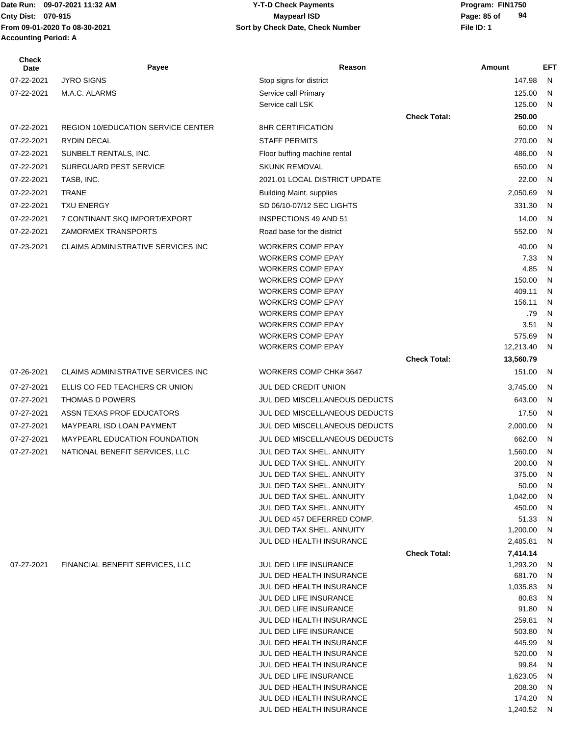## **Cnty Dist:** 070-915 **Page: 85 of Maypearl ISD Page: 85 of 09-07-2021 11:32 AM Y-T-D Check Payments 070-915 Maypearl ISD**

| Check<br>Date | Payee                                      | Reason                                                  |                     | Amount           | EFT                          |
|---------------|--------------------------------------------|---------------------------------------------------------|---------------------|------------------|------------------------------|
| 07-22-2021    | <b>JYRO SIGNS</b>                          | Stop signs for district                                 |                     | 147.98           | N                            |
| 07-22-2021    | M.A.C. ALARMS                              | Service call Primary                                    |                     | 125.00           | N                            |
|               |                                            | Service call LSK                                        |                     | 125.00           | N                            |
|               |                                            |                                                         | <b>Check Total:</b> | 250.00           |                              |
| 07-22-2021    | <b>REGION 10/EDUCATION SERVICE CENTER</b>  | <b>8HR CERTIFICATION</b>                                |                     | 60.00            | N                            |
| 07-22-2021    | <b>RYDIN DECAL</b>                         | <b>STAFF PERMITS</b>                                    |                     | 270.00           | N                            |
| 07-22-2021    | SUNBELT RENTALS, INC.                      | Floor buffing machine rental                            |                     | 486.00           | N                            |
| 07-22-2021    | SUREGUARD PEST SERVICE                     | <b>SKUNK REMOVAL</b>                                    |                     | 650.00           | N                            |
| 07-22-2021    | TASB, INC.                                 | 2021.01 LOCAL DISTRICT UPDATE                           |                     | 22.00            | N                            |
| 07-22-2021    | <b>TRANE</b>                               | <b>Building Maint. supplies</b>                         |                     | 2,050.69         | N                            |
| 07-22-2021    | <b>TXU ENERGY</b>                          | SD 06/10-07/12 SEC LIGHTS                               |                     | 331.30           | N                            |
| 07-22-2021    | 7 CONTINANT SKQ IMPORT/EXPORT              | INSPECTIONS 49 AND 51                                   |                     | 14.00            | N                            |
| 07-22-2021    | ZAMORMEX TRANSPORTS                        | Road base for the district                              |                     | 552.00           | N                            |
|               |                                            |                                                         |                     |                  |                              |
| 07-23-2021    | <b>CLAIMS ADMINISTRATIVE SERVICES INC.</b> | <b>WORKERS COMP EPAY</b><br><b>WORKERS COMP EPAY</b>    |                     | 40.00<br>7.33    | $\mathsf{N}$<br>$\mathsf{N}$ |
|               |                                            | <b>WORKERS COMP EPAY</b>                                |                     | 4.85             | $\mathsf{N}$                 |
|               |                                            | <b>WORKERS COMP EPAY</b>                                |                     | 150.00           | N                            |
|               |                                            | <b>WORKERS COMP EPAY</b>                                |                     | 409.11           | N                            |
|               |                                            | <b>WORKERS COMP EPAY</b>                                |                     | 156.11           | N                            |
|               |                                            | <b>WORKERS COMP EPAY</b>                                |                     | .79              | N                            |
|               |                                            | <b>WORKERS COMP EPAY</b>                                |                     | 3.51             | N                            |
|               |                                            | <b>WORKERS COMP EPAY</b>                                |                     | 575.69           | N                            |
|               |                                            | <b>WORKERS COMP EPAY</b>                                |                     | 12,213.40        | N                            |
|               |                                            |                                                         | <b>Check Total:</b> | 13,560.79        |                              |
| 07-26-2021    | CLAIMS ADMINISTRATIVE SERVICES INC         | WORKERS COMP CHK# 3647                                  |                     | 151.00           | N                            |
| 07-27-2021    | ELLIS CO FED TEACHERS CR UNION             | <b>JUL DED CREDIT UNION</b>                             |                     | 3,745.00         | N                            |
| 07-27-2021    | THOMAS D POWERS                            | JUL DED MISCELLANEOUS DEDUCTS                           |                     | 643.00           | N                            |
| 07-27-2021    | ASSN TEXAS PROF EDUCATORS                  | JUL DED MISCELLANEOUS DEDUCTS                           |                     | 17.50            | N                            |
| 07-27-2021    | MAYPEARL ISD LOAN PAYMENT                  | JUL DED MISCELLANEOUS DEDUCTS                           |                     | 2,000.00         | N                            |
| 07-27-2021    | <b>MAYPEARL EDUCATION FOUNDATION</b>       | JUL DED MISCELLANEOUS DEDUCTS                           |                     | 662.00           | N                            |
| 07-27-2021    | NATIONAL BENEFIT SERVICES, LLC             | JUL DED TAX SHEL, ANNUITY                               |                     | 1,560.00         | N                            |
|               |                                            | JUL DED TAX SHEL. ANNUITY                               |                     | 200.00           | N                            |
|               |                                            | JUL DED TAX SHEL. ANNUITY                               |                     | 375.00           | N                            |
|               |                                            | JUL DED TAX SHEL, ANNUITY                               |                     | 50.00            | N                            |
|               |                                            | JUL DED TAX SHEL. ANNUITY                               |                     | 1,042.00         | N                            |
|               |                                            | JUL DED TAX SHEL. ANNUITY<br>JUL DED 457 DEFERRED COMP. |                     | 450.00<br>51.33  | N<br>N                       |
|               |                                            | JUL DED TAX SHEL. ANNUITY                               |                     | 1,200.00         | N                            |
|               |                                            | JUL DED HEALTH INSURANCE                                |                     | 2,485.81         | N                            |
|               |                                            |                                                         | <b>Check Total:</b> | 7,414.14         |                              |
| 07-27-2021    | FINANCIAL BENEFIT SERVICES, LLC            | JUL DED LIFE INSURANCE                                  |                     | 1,293.20         | N                            |
|               |                                            | JUL DED HEALTH INSURANCE                                |                     | 681.70           | N                            |
|               |                                            | JUL DED HEALTH INSURANCE                                |                     | 1,035.83         | N                            |
|               |                                            | JUL DED LIFE INSURANCE                                  |                     | 80.83            | N                            |
|               |                                            | JUL DED LIFE INSURANCE                                  |                     | 91.80            | N                            |
|               |                                            | JUL DED HEALTH INSURANCE                                |                     | 259.81           | N                            |
|               |                                            | JUL DED LIFE INSURANCE                                  |                     | 503.80           | N                            |
|               |                                            | JUL DED HEALTH INSURANCE<br>JUL DED HEALTH INSURANCE    |                     | 445.99<br>520.00 | N<br>N                       |
|               |                                            | JUL DED HEALTH INSURANCE                                |                     | 99.84            | N                            |
|               |                                            | JUL DED LIFE INSURANCE                                  |                     | 1,623.05         | N                            |
|               |                                            | JUL DED HEALTH INSURANCE                                |                     | 208.30           | N                            |
|               |                                            | JUL DED HEALTH INSURANCE                                |                     | 174.20           | N                            |
|               |                                            | JUL DED HEALTH INSURANCE                                |                     | 1,240.52 N       |                              |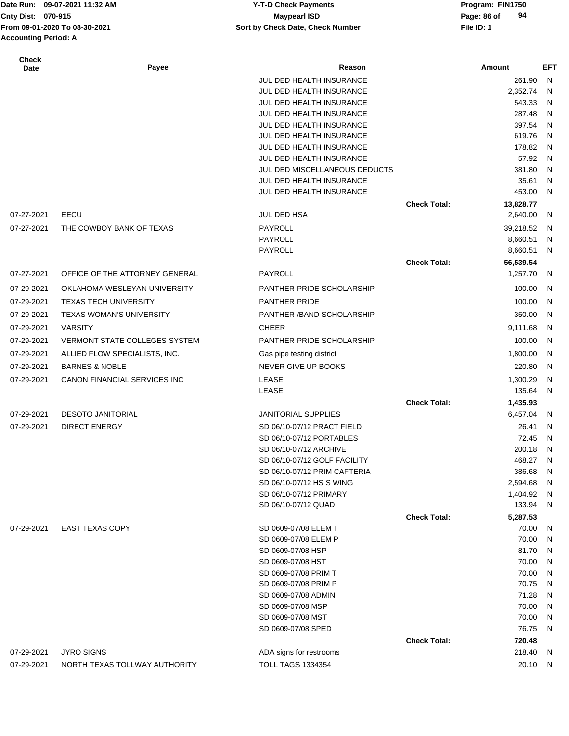## **Cnty Dist:** 070-915 **Page: 86 of Maypearl ISD Page: 86 of 09-07-2021 11:32 AM Y-T-D Check Payments 070-915 Maypearl ISD**

| <b>Check</b><br>Date | Payee                                | Reason                        |                     | Amount    | EFT          |
|----------------------|--------------------------------------|-------------------------------|---------------------|-----------|--------------|
|                      |                                      | JUL DED HEALTH INSURANCE      |                     | 261.90    | $\mathsf{N}$ |
|                      |                                      | JUL DED HEALTH INSURANCE      |                     | 2,352.74  | N            |
|                      |                                      | JUL DED HEALTH INSURANCE      |                     | 543.33    | N            |
|                      |                                      | JUL DED HEALTH INSURANCE      |                     | 287.48    | N            |
|                      |                                      | JUL DED HEALTH INSURANCE      |                     | 397.54    | N            |
|                      |                                      | JUL DED HEALTH INSURANCE      |                     | 619.76    | N            |
|                      |                                      | JUL DED HEALTH INSURANCE      |                     | 178.82    | N            |
|                      |                                      | JUL DED HEALTH INSURANCE      |                     | 57.92     | N            |
|                      |                                      | JUL DED MISCELLANEOUS DEDUCTS |                     | 381.80    | N            |
|                      |                                      | JUL DED HEALTH INSURANCE      |                     | 35.61     | N            |
|                      |                                      | JUL DED HEALTH INSURANCE      |                     | 453.00    | N            |
|                      |                                      |                               | <b>Check Total:</b> | 13,828.77 |              |
| 07-27-2021           | EECU                                 | JUL DED HSA                   |                     | 2,640.00  | N            |
| 07-27-2021           | THE COWBOY BANK OF TEXAS             | PAYROLL                       |                     | 39,218.52 | N            |
|                      |                                      | <b>PAYROLL</b>                |                     | 8,660.51  | N            |
|                      |                                      | PAYROLL                       |                     | 8,660.51  | N            |
|                      |                                      |                               | <b>Check Total:</b> | 56,539.54 |              |
| 07-27-2021           | OFFICE OF THE ATTORNEY GENERAL       | PAYROLL                       |                     | 1,257.70  | N            |
| 07-29-2021           | OKLAHOMA WESLEYAN UNIVERSITY         | PANTHER PRIDE SCHOLARSHIP     |                     | 100.00    | N            |
| 07-29-2021           | <b>TEXAS TECH UNIVERSITY</b>         | <b>PANTHER PRIDE</b>          |                     | 100.00    | N            |
| 07-29-2021           | <b>TEXAS WOMAN'S UNIVERSITY</b>      | PANTHER / BAND SCHOLARSHIP    |                     | 350.00    | N            |
|                      |                                      |                               |                     |           |              |
| 07-29-2021           | <b>VARSITY</b>                       | <b>CHEER</b>                  |                     | 9,111.68  | N            |
| 07-29-2021           | <b>VERMONT STATE COLLEGES SYSTEM</b> | PANTHER PRIDE SCHOLARSHIP     |                     | 100.00    | N            |
| 07-29-2021           | ALLIED FLOW SPECIALISTS, INC.        | Gas pipe testing district     |                     | 1,800.00  | N            |
| 07-29-2021           | <b>BARNES &amp; NOBLE</b>            | NEVER GIVE UP BOOKS           |                     | 220.80    | N            |
| 07-29-2021           | CANON FINANCIAL SERVICES INC         | <b>LEASE</b>                  |                     | 1,300.29  | N            |
|                      |                                      | <b>LEASE</b>                  |                     | 135.64    | N            |
|                      |                                      |                               | <b>Check Total:</b> | 1,435.93  |              |
| 07-29-2021           | <b>DESOTO JANITORIAL</b>             | <b>JANITORIAL SUPPLIES</b>    |                     | 6,457.04  | N            |
| 07-29-2021           | <b>DIRECT ENERGY</b>                 | SD 06/10-07/12 PRACT FIELD    |                     | 26.41     | N            |
|                      |                                      | SD 06/10-07/12 PORTABLES      |                     | 72.45     | N            |
|                      |                                      | SD 06/10-07/12 ARCHIVE        |                     | 200.18    | N            |
|                      |                                      | SD 06/10-07/12 GOLF FACILITY  |                     | 468.27    | N            |
|                      |                                      | SD 06/10-07/12 PRIM CAFTERIA  |                     | 386.68    | N            |
|                      |                                      | SD 06/10-07/12 HS S WING      |                     | 2,594.68  | N            |
|                      |                                      | SD 06/10-07/12 PRIMARY        |                     | 1,404.92  | N            |
|                      |                                      | SD 06/10-07/12 QUAD           |                     | 133.94    | N            |
|                      |                                      |                               | <b>Check Total:</b> | 5,287.53  |              |
| 07-29-2021           | <b>EAST TEXAS COPY</b>               | SD 0609-07/08 ELEM T          |                     | 70.00     | N            |
|                      |                                      | SD 0609-07/08 ELEM P          |                     | 70.00     | N            |
|                      |                                      | SD 0609-07/08 HSP             |                     | 81.70     | N            |
|                      |                                      | SD 0609-07/08 HST             |                     | 70.00     | N            |
|                      |                                      | SD 0609-07/08 PRIM T          |                     | 70.00     | N            |
|                      |                                      | SD 0609-07/08 PRIM P          |                     | 70.75     | N            |
|                      |                                      | SD 0609-07/08 ADMIN           |                     | 71.28     | N            |
|                      |                                      | SD 0609-07/08 MSP             |                     | 70.00     | N            |
|                      |                                      | SD 0609-07/08 MST             |                     | 70.00     | N            |
|                      |                                      | SD 0609-07/08 SPED            |                     | 76.75     | N            |
|                      |                                      |                               | <b>Check Total:</b> | 720.48    |              |
| 07-29-2021           | <b>JYRO SIGNS</b>                    | ADA signs for restrooms       |                     | 218.40    | N            |
| 07-29-2021           | NORTH TEXAS TOLLWAY AUTHORITY        | <b>TOLL TAGS 1334354</b>      |                     | 20.10     | N            |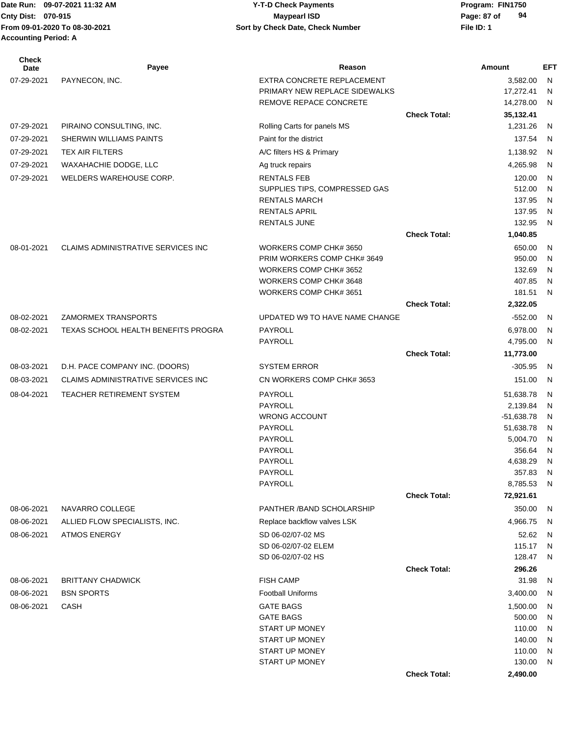| Check<br>Date | Payee                               | Reason                         |                     | Amount       | EFT |
|---------------|-------------------------------------|--------------------------------|---------------------|--------------|-----|
| 07-29-2021    | PAYNECON, INC.                      | EXTRA CONCRETE REPLACEMENT     |                     | 3,582.00     | N   |
|               |                                     | PRIMARY NEW REPLACE SIDEWALKS  |                     | 17,272.41    | N   |
|               |                                     | REMOVE REPACE CONCRETE         |                     | 14,278.00    | N   |
|               |                                     |                                | <b>Check Total:</b> | 35,132.41    |     |
| 07-29-2021    | PIRAINO CONSULTING, INC.            | Rolling Carts for panels MS    |                     | 1,231.26     | N,  |
| 07-29-2021    | SHERWIN WILLIAMS PAINTS             | Paint for the district         |                     | 137.54       | - N |
| 07-29-2021    | <b>TEX AIR FILTERS</b>              | A/C filters HS & Primary       |                     | 1,138.92     | - N |
| 07-29-2021    | WAXAHACHIE DODGE, LLC               | Ag truck repairs               |                     | 4,265.98     | N   |
| 07-29-2021    | WELDERS WAREHOUSE CORP.             | <b>RENTALS FEB</b>             |                     | 120.00       | N   |
|               |                                     | SUPPLIES TIPS, COMPRESSED GAS  |                     | 512.00       | N   |
|               |                                     | <b>RENTALS MARCH</b>           |                     | 137.95       | N   |
|               |                                     | RENTALS APRIL                  |                     | 137.95       | N   |
|               |                                     | <b>RENTALS JUNE</b>            |                     | 132.95       | N   |
|               |                                     |                                | <b>Check Total:</b> | 1,040.85     |     |
| 08-01-2021    | CLAIMS ADMINISTRATIVE SERVICES INC  | WORKERS COMP CHK# 3650         |                     | 650.00       | N   |
|               |                                     | PRIM WORKERS COMP CHK# 3649    |                     | 950.00       | N   |
|               |                                     | WORKERS COMP CHK# 3652         |                     | 132.69       | N   |
|               |                                     | WORKERS COMP CHK# 3648         |                     | 407.85       | N   |
|               |                                     | WORKERS COMP CHK# 3651         |                     | 181.51       | N   |
|               |                                     |                                | <b>Check Total:</b> | 2,322.05     |     |
| 08-02-2021    | ZAMORMEX TRANSPORTS                 | UPDATED W9 TO HAVE NAME CHANGE |                     | $-552.00$    | - N |
| 08-02-2021    | TEXAS SCHOOL HEALTH BENEFITS PROGRA | PAYROLL                        |                     | 6,978.00     | N.  |
|               |                                     | PAYROLL                        |                     | 4,795.00     | N   |
|               |                                     |                                | <b>Check Total:</b> | 11,773.00    |     |
| 08-03-2021    | D.H. PACE COMPANY INC. (DOORS)      | <b>SYSTEM ERROR</b>            |                     | $-305.95$    | -N  |
| 08-03-2021    | CLAIMS ADMINISTRATIVE SERVICES INC  | CN WORKERS COMP CHK# 3653      |                     | 151.00       | - N |
| 08-04-2021    | TEACHER RETIREMENT SYSTEM           | PAYROLL                        |                     | 51,638.78    | -N  |
|               |                                     | <b>PAYROLL</b>                 |                     | 2,139.84     | N   |
|               |                                     | <b>WRONG ACCOUNT</b>           |                     | $-51,638.78$ | N   |
|               |                                     | <b>PAYROLL</b>                 |                     | 51,638.78    | N   |
|               |                                     | PAYROLL                        |                     | 5,004.70     | N   |
|               |                                     | PAYROLL                        |                     | 356.64       | N   |
|               |                                     | PAYROLL                        |                     | 4,638.29     | N   |
|               |                                     | PAYROLL                        |                     | 357.83       | N   |
|               |                                     | PAYROLL                        |                     | 8,785.53 N   |     |
|               |                                     |                                | <b>Check Total:</b> | 72,921.61    |     |
| 08-06-2021    | NAVARRO COLLEGE                     | PANTHER / BAND SCHOLARSHIP     |                     | 350.00       | N,  |
| 08-06-2021    | ALLIED FLOW SPECIALISTS, INC.       | Replace backflow valves LSK    |                     | 4,966.75     | - N |
| 08-06-2021    | <b>ATMOS ENERGY</b>                 | SD 06-02/07-02 MS              |                     | 52.62        | N   |
|               |                                     | SD 06-02/07-02 ELEM            |                     | 115.17       | - N |
|               |                                     | SD 06-02/07-02 HS              |                     | 128.47       | - N |
|               |                                     |                                | <b>Check Total:</b> | 296.26       |     |
| 08-06-2021    | <b>BRITTANY CHADWICK</b>            | <b>FISH CAMP</b>               |                     | 31.98        | - N |
| 08-06-2021    | <b>BSN SPORTS</b>                   | <b>Football Uniforms</b>       |                     | 3,400.00     | N,  |
| 08-06-2021    | CASH                                | <b>GATE BAGS</b>               |                     | 1,500.00     | N   |
|               |                                     | <b>GATE BAGS</b>               |                     | 500.00       | N   |
|               |                                     | <b>START UP MONEY</b>          |                     | 110.00       | N   |
|               |                                     | <b>START UP MONEY</b>          |                     | 140.00       | N   |
|               |                                     | START UP MONEY                 |                     | 110.00       | N   |
|               |                                     | START UP MONEY                 |                     | 130.00       | - N |
|               |                                     |                                | <b>Check Total:</b> | 2,490.00     |     |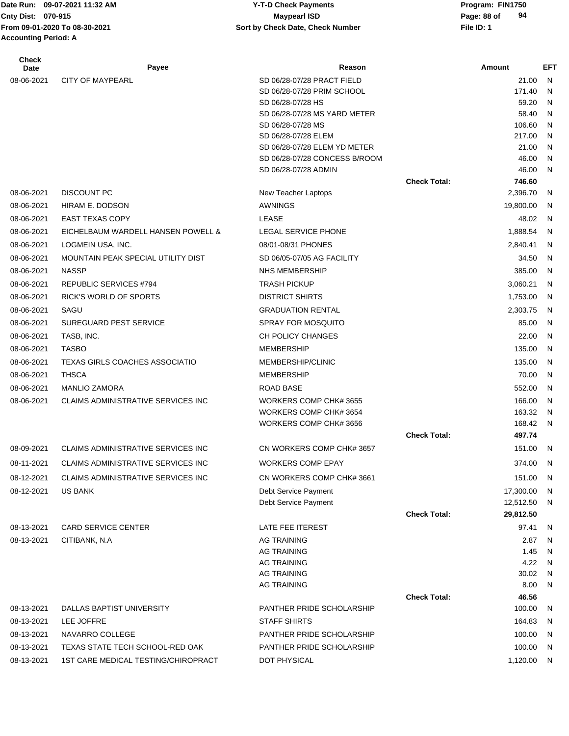**From 09-01-2020 To 08-30-2021 File ID: 1 Sort by Check Date, Check Number Accounting Period: A**

### Date Run: 09-07-2021 11:32 AM **Program: FIN1750** Y-T-D Check Payments **Cnty Dist:** 070-915 **Page: 88 of 09-07-2021 11:32 AM Y-T-D Check Payments 070-915 Maypearl ISD**

| <b>Check</b><br><b>Date</b> | Payee                                 | Reason                                              |                     | <b>Amount</b>   | <b>EFT</b>   |
|-----------------------------|---------------------------------------|-----------------------------------------------------|---------------------|-----------------|--------------|
| 08-06-2021                  | <b>CITY OF MAYPEARL</b>               | SD 06/28-07/28 PRACT FIELD                          |                     | 21.00           | $\mathsf{N}$ |
|                             |                                       | SD 06/28-07/28 PRIM SCHOOL                          |                     | 171.40          | N            |
|                             |                                       | SD 06/28-07/28 HS                                   |                     | 59.20           | N            |
|                             |                                       | SD 06/28-07/28 MS YARD METER                        |                     | 58.40           | N            |
|                             |                                       | SD 06/28-07/28 MS                                   |                     | 106.60          | N            |
|                             |                                       | SD 06/28-07/28 ELEM<br>SD 06/28-07/28 ELEM YD METER |                     | 217.00<br>21.00 | N<br>N       |
|                             |                                       | SD 06/28-07/28 CONCESS B/ROOM                       |                     | 46.00           | N            |
|                             |                                       | SD 06/28-07/28 ADMIN                                |                     | 46.00           | N            |
|                             |                                       |                                                     | <b>Check Total:</b> | 746.60          |              |
| 08-06-2021                  | <b>DISCOUNT PC</b>                    | New Teacher Laptops                                 |                     | 2,396.70        | N            |
| 08-06-2021                  | HIRAM E. DODSON                       | AWNINGS                                             |                     | 19,800.00       | N            |
| 08-06-2021                  | <b>EAST TEXAS COPY</b>                | <b>LEASE</b>                                        |                     | 48.02           | -N           |
| 08-06-2021                  | EICHELBAUM WARDELL HANSEN POWELL &    | LEGAL SERVICE PHONE                                 |                     | 1,888.54        | N            |
| 08-06-2021                  | LOGMEIN USA, INC.                     | 08/01-08/31 PHONES                                  |                     | 2,840.41        | N            |
| 08-06-2021                  | MOUNTAIN PEAK SPECIAL UTILITY DIST    | SD 06/05-07/05 AG FACILITY                          |                     | 34.50           | N            |
| 08-06-2021                  | <b>NASSP</b>                          | <b>NHS MEMBERSHIP</b>                               |                     | 385.00          | N            |
| 08-06-2021                  | <b>REPUBLIC SERVICES #794</b>         | <b>TRASH PICKUP</b>                                 |                     | 3,060.21        |              |
|                             |                                       |                                                     |                     |                 | N            |
| 08-06-2021                  | <b>RICK'S WORLD OF SPORTS</b>         | <b>DISTRICT SHIRTS</b>                              |                     | 1,753.00        | N            |
| 08-06-2021                  | SAGU                                  | <b>GRADUATION RENTAL</b>                            |                     | 2,303.75        | N            |
| 08-06-2021                  | <b>SUREGUARD PEST SERVICE</b>         | <b>SPRAY FOR MOSQUITO</b>                           |                     | 85.00           | N            |
| 08-06-2021                  | TASB, INC.                            | <b>CH POLICY CHANGES</b>                            |                     | 22.00           | N            |
| 08-06-2021                  | <b>TASBO</b>                          | <b>MEMBERSHIP</b>                                   |                     | 135.00          | N            |
| 08-06-2021                  | <b>TEXAS GIRLS COACHES ASSOCIATIO</b> | MEMBERSHIP/CLINIC                                   |                     | 135.00          | N            |
| 08-06-2021                  | <b>THSCA</b>                          | <b>MEMBERSHIP</b>                                   |                     | 70.00           | N            |
| 08-06-2021                  | <b>MANLIO ZAMORA</b>                  | ROAD BASE                                           |                     | 552.00          | N            |
| 08-06-2021                  | CLAIMS ADMINISTRATIVE SERVICES INC    | WORKERS COMP CHK# 3655                              |                     | 166.00          | N            |
|                             |                                       | WORKERS COMP CHK# 3654                              |                     | 163.32          | N            |
|                             |                                       | WORKERS COMP CHK# 3656                              |                     | 168.42          | -N           |
|                             |                                       |                                                     | <b>Check Total:</b> | 497.74          |              |
| 08-09-2021                  | CLAIMS ADMINISTRATIVE SERVICES INC    | CN WORKERS COMP CHK# 3657                           |                     | 151.00          | N            |
| 08-11-2021                  | CLAIMS ADMINISTRATIVE SERVICES INC    | <b>WORKERS COMP EPAY</b>                            |                     | 374.00          | N            |
| 08-12-2021                  | CLAIMS ADMINISTRATIVE SERVICES INC    | CN WORKERS COMP CHK# 3661                           |                     | 151.00          | N            |
| 08-12-2021                  | <b>US BANK</b>                        | Debt Service Payment                                |                     | 17,300.00       | N            |
|                             |                                       | Debt Service Payment                                |                     | 12,512.50       | -N           |
|                             |                                       |                                                     | <b>Check Total:</b> | 29,812.50       |              |
| 08-13-2021                  | <b>CARD SERVICE CENTER</b>            | LATE FEE ITEREST                                    |                     | 97.41           | $\mathsf{N}$ |
| 08-13-2021                  | CITIBANK, N.A                         | <b>AG TRAINING</b>                                  |                     | 2.87            | N            |
|                             |                                       | <b>AG TRAINING</b>                                  |                     | 1.45            | N            |
|                             |                                       | <b>AG TRAINING</b><br><b>AG TRAINING</b>            |                     | 4.22<br>30.02   | N<br>N       |
|                             |                                       | <b>AG TRAINING</b>                                  |                     | 8.00            | $\mathsf{N}$ |
|                             |                                       |                                                     | <b>Check Total:</b> | 46.56           |              |
| 08-13-2021                  | DALLAS BAPTIST UNIVERSITY             | PANTHER PRIDE SCHOLARSHIP                           |                     | 100.00          | N            |
| 08-13-2021                  | LEE JOFFRE                            | <b>STAFF SHIRTS</b>                                 |                     | 164.83          | -N           |
| 08-13-2021                  | NAVARRO COLLEGE                       | PANTHER PRIDE SCHOLARSHIP                           |                     | 100.00          | -N           |
| 08-13-2021                  | TEXAS STATE TECH SCHOOL-RED OAK       | PANTHER PRIDE SCHOLARSHIP                           |                     | 100.00          | N            |
| 08-13-2021                  | 1ST CARE MEDICAL TESTING/CHIROPRACT   | DOT PHYSICAL                                        |                     | 1,120.00        | N            |
|                             |                                       |                                                     |                     |                 |              |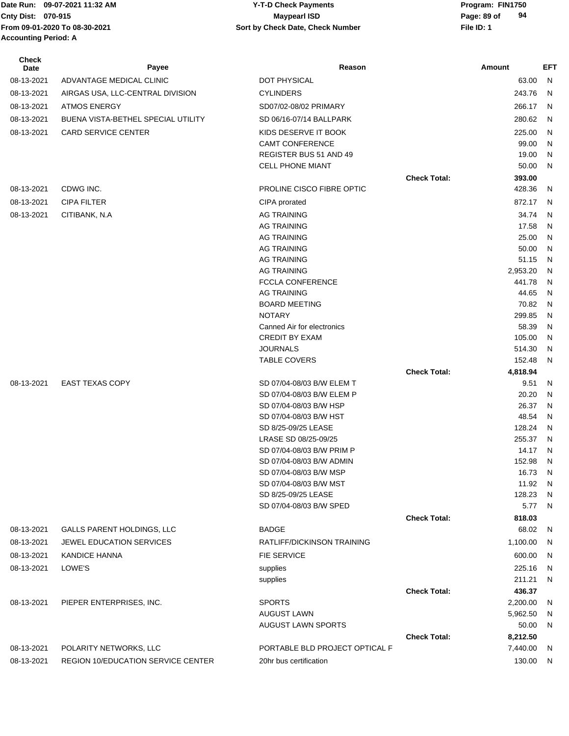Date Run: 09-07-2021 11:32 AM **Program: FIN1750** Y-T-D Check Payments **Cnty Dist:** 070-915 **Page: 89 of Maypearl ISD Page: 89 of From 09-01-2020 To 08-30-2021 File ID: 1 Sort by Check Date, Check Number Accounting Period: A**

## **09-07-2021 11:32 AM Y-T-D Check Payments 070-915 Maypearl ISD**

| Check<br>Date | Payee                              | Reason                                              |                     | Amount            | EFT          |
|---------------|------------------------------------|-----------------------------------------------------|---------------------|-------------------|--------------|
| 08-13-2021    | ADVANTAGE MEDICAL CLINIC           | DOT PHYSICAL                                        |                     | 63.00             | $\mathsf{N}$ |
| 08-13-2021    | AIRGAS USA, LLC-CENTRAL DIVISION   | <b>CYLINDERS</b>                                    |                     | 243.76            | N            |
| 08-13-2021    | <b>ATMOS ENERGY</b>                | SD07/02-08/02 PRIMARY                               |                     | 266.17            | N            |
| 08-13-2021    | BUENA VISTA-BETHEL SPECIAL UTILITY | SD 06/16-07/14 BALLPARK                             |                     | 280.62            | N            |
| 08-13-2021    | CARD SERVICE CENTER                | KIDS DESERVE IT BOOK                                |                     | 225.00            | N            |
|               |                                    | <b>CAMT CONFERENCE</b>                              |                     | 99.00             | N            |
|               |                                    | REGISTER BUS 51 AND 49                              |                     | 19.00             | N            |
|               |                                    | CELL PHONE MIANT                                    |                     | 50.00             | N            |
|               |                                    |                                                     | <b>Check Total:</b> | 393.00            |              |
| 08-13-2021    | CDWG INC.                          | PROLINE CISCO FIBRE OPTIC                           |                     | 428.36            | N            |
| 08-13-2021    | <b>CIPA FILTER</b>                 | CIPA prorated                                       |                     | 872.17            | N            |
| 08-13-2021    | CITIBANK, N.A                      | <b>AG TRAINING</b>                                  |                     | 34.74             | N            |
|               |                                    | <b>AG TRAINING</b>                                  |                     | 17.58             | N            |
|               |                                    | <b>AG TRAINING</b>                                  |                     | 25.00             | N            |
|               |                                    | <b>AG TRAINING</b>                                  |                     | 50.00             | N            |
|               |                                    | <b>AG TRAINING</b>                                  |                     | 51.15             | N            |
|               |                                    | <b>AG TRAINING</b>                                  |                     | 2,953.20          | N            |
|               |                                    | <b>FCCLA CONFERENCE</b>                             |                     | 441.78            | N            |
|               |                                    | <b>AG TRAINING</b>                                  |                     | 44.65             | N            |
|               |                                    | <b>BOARD MEETING</b>                                |                     | 70.82             | N            |
|               |                                    | <b>NOTARY</b>                                       |                     | 299.85            | N            |
|               |                                    | Canned Air for electronics<br><b>CREDIT BY EXAM</b> |                     | 58.39<br>105.00   | N<br>N       |
|               |                                    | <b>JOURNALS</b>                                     |                     | 514.30            | N            |
|               |                                    | <b>TABLE COVERS</b>                                 |                     | 152.48            | N            |
|               |                                    |                                                     | <b>Check Total:</b> | 4,818.94          |              |
| 08-13-2021    | <b>EAST TEXAS COPY</b>             | SD 07/04-08/03 B/W ELEM T                           |                     | 9.51              | N            |
|               |                                    | SD 07/04-08/03 B/W ELEM P                           |                     | 20.20             | N            |
|               |                                    | SD 07/04-08/03 B/W HSP                              |                     | 26.37             | N            |
|               |                                    | SD 07/04-08/03 B/W HST                              |                     | 48.54             | N            |
|               |                                    | SD 8/25-09/25 LEASE                                 |                     | 128.24            | N            |
|               |                                    | LRASE SD 08/25-09/25                                |                     | 255.37            | N            |
|               |                                    | SD 07/04-08/03 B/W PRIM P                           |                     | 14.17             | N            |
|               |                                    | SD 07/04-08/03 B/W ADMIN                            |                     | 152.98            | N            |
|               |                                    | SD 07/04-08/03 B/W MSP                              |                     | 16.73             | N            |
|               |                                    | SD 07/04-08/03 B/W MST                              |                     | 11.92             | N            |
|               |                                    | SD 8/25-09/25 LEASE<br>SD 07/04-08/03 B/W SPED      |                     | 128.23<br>5.77    | N.<br>N,     |
|               |                                    |                                                     | <b>Check Total:</b> | 818.03            |              |
| 08-13-2021    | <b>GALLS PARENT HOLDINGS, LLC</b>  | <b>BADGE</b>                                        |                     | 68.02             | N            |
|               | <b>JEWEL EDUCATION SERVICES</b>    | RATLIFF/DICKINSON TRAINING                          |                     |                   |              |
| 08-13-2021    |                                    |                                                     |                     | 1,100.00          | - N          |
| 08-13-2021    | <b>KANDICE HANNA</b>               | <b>FIE SERVICE</b>                                  |                     | 600.00            | N            |
| 08-13-2021    | LOWE'S                             | supplies                                            |                     | 225.16            | N            |
|               |                                    | supplies                                            |                     | 211.21            | N            |
|               |                                    |                                                     | <b>Check Total:</b> | 436.37            |              |
| 08-13-2021    | PIEPER ENTERPRISES, INC.           | <b>SPORTS</b><br><b>AUGUST LAWN</b>                 |                     | 2,200.00          | N            |
|               |                                    | <b>AUGUST LAWN SPORTS</b>                           |                     | 5,962.50<br>50.00 | N<br>N       |
|               |                                    |                                                     | <b>Check Total:</b> | 8,212.50          |              |
| 08-13-2021    | POLARITY NETWORKS, LLC             | PORTABLE BLD PROJECT OPTICAL F                      |                     | 7,440.00          | N,           |
| 08-13-2021    | REGION 10/EDUCATION SERVICE CENTER | 20hr bus certification                              |                     | 130.00 N          |              |
|               |                                    |                                                     |                     |                   |              |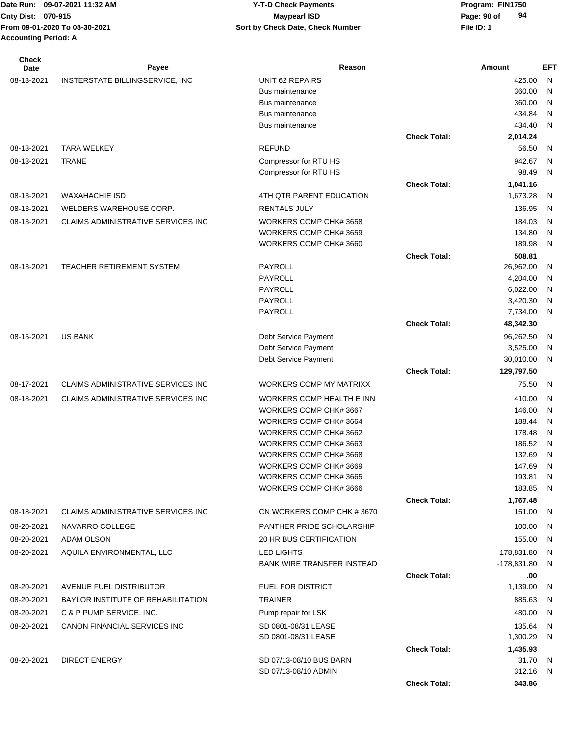| Check<br>Date | Payee                                     | Reason                                           |                     | Amount           | EFT          |
|---------------|-------------------------------------------|--------------------------------------------------|---------------------|------------------|--------------|
| 08-13-2021    | INSTERSTATE BILLINGSERVICE, INC           | UNIT 62 REPAIRS                                  |                     | 425.00           | $\mathsf{N}$ |
|               |                                           | <b>Bus maintenance</b>                           |                     | 360.00           | N            |
|               |                                           | <b>Bus maintenance</b>                           |                     | 360.00           | N            |
|               |                                           | <b>Bus maintenance</b>                           |                     | 434.84           | N            |
|               |                                           | <b>Bus maintenance</b>                           |                     | 434.40           | $\mathsf{N}$ |
|               |                                           |                                                  | <b>Check Total:</b> | 2,014.24         |              |
| 08-13-2021    | <b>TARA WELKEY</b>                        | <b>REFUND</b>                                    |                     | 56.50            | N            |
| 08-13-2021    | <b>TRANE</b>                              | Compressor for RTU HS                            |                     | 942.67           | N            |
|               |                                           | Compressor for RTU HS                            |                     | 98.49            | N            |
|               |                                           |                                                  | <b>Check Total:</b> | 1,041.16         |              |
| 08-13-2021    | <b>WAXAHACHIE ISD</b>                     | 4TH QTR PARENT EDUCATION                         |                     | 1,673.28         | N            |
| 08-13-2021    | WELDERS WAREHOUSE CORP.                   | <b>RENTALS JULY</b>                              |                     | 136.95           | $\mathsf{N}$ |
| 08-13-2021    | CLAIMS ADMINISTRATIVE SERVICES INC        | WORKERS COMP CHK# 3658                           |                     | 184.03           | N            |
|               |                                           | WORKERS COMP CHK# 3659<br>WORKERS COMP CHK# 3660 |                     | 134.80<br>189.98 | N            |
|               |                                           |                                                  | <b>Check Total:</b> | 508.81           | N            |
| 08-13-2021    | TEACHER RETIREMENT SYSTEM                 | <b>PAYROLL</b>                                   |                     | 26,962.00        | N            |
|               |                                           | <b>PAYROLL</b>                                   |                     | 4,204.00         | N            |
|               |                                           | PAYROLL                                          |                     | 6,022.00         | N            |
|               |                                           | PAYROLL                                          |                     | 3,420.30         | N            |
|               |                                           | <b>PAYROLL</b>                                   |                     | 7,734.00         | N            |
|               |                                           |                                                  | <b>Check Total:</b> | 48,342.30        |              |
| 08-15-2021    | <b>US BANK</b>                            | Debt Service Payment                             |                     | 96,262.50        | N            |
|               |                                           | Debt Service Payment                             |                     | 3,525.00         | N            |
|               |                                           | Debt Service Payment                             |                     | 30,010.00        | N            |
|               |                                           |                                                  | <b>Check Total:</b> | 129,797.50       |              |
| 08-17-2021    | <b>CLAIMS ADMINISTRATIVE SERVICES INC</b> | WORKERS COMP MY MATRIXX                          |                     | 75.50            | N            |
| 08-18-2021    | <b>CLAIMS ADMINISTRATIVE SERVICES INC</b> | WORKERS COMP HEALTH E INN                        |                     | 410.00           | N            |
|               |                                           | WORKERS COMP CHK# 3667                           |                     | 146.00           | N            |
|               |                                           | WORKERS COMP CHK# 3664                           |                     | 188.44           | N            |
|               |                                           | WORKERS COMP CHK# 3662                           |                     | 178.48           | N            |
|               |                                           | WORKERS COMP CHK# 3663                           |                     | 186.52           | N            |
|               |                                           | WORKERS COMP CHK# 3668                           |                     | 132.69           | N            |
|               |                                           | WORKERS COMP CHK# 3669<br>WORKERS COMP CHK# 3665 |                     | 147.69<br>193.81 | N<br>N       |
|               |                                           | WORKERS COMP CHK# 3666                           |                     | 183.85           | N.           |
|               |                                           |                                                  | <b>Check Total:</b> | 1,767.48         |              |
| 08-18-2021    | <b>CLAIMS ADMINISTRATIVE SERVICES INC</b> | CN WORKERS COMP CHK #3670                        |                     | 151.00           | - N          |
| 08-20-2021    | NAVARRO COLLEGE                           | PANTHER PRIDE SCHOLARSHIP                        |                     | 100.00           | - N          |
| 08-20-2021    | ADAM OLSON                                | 20 HR BUS CERTIFICATION                          |                     | 155.00           | N,           |
| 08-20-2021    | AQUILA ENVIRONMENTAL, LLC                 | <b>LED LIGHTS</b>                                |                     | 178,831.80       | N.           |
|               |                                           | <b>BANK WIRE TRANSFER INSTEAD</b>                |                     | $-178,831.80$    | N,           |
|               |                                           |                                                  | <b>Check Total:</b> | .00              |              |
| 08-20-2021    | <b>AVENUE FUEL DISTRIBUTOR</b>            | <b>FUEL FOR DISTRICT</b>                         |                     | 1,139.00         | -N           |
| 08-20-2021    | BAYLOR INSTITUTE OF REHABILITATION        | <b>TRAINER</b>                                   |                     | 885.63           | N,           |
| 08-20-2021    | C & P PUMP SERVICE, INC.                  | Pump repair for LSK                              |                     | 480.00           | N,           |
| 08-20-2021    | CANON FINANCIAL SERVICES INC              | SD 0801-08/31 LEASE                              |                     | 135.64           | N            |
|               |                                           | SD 0801-08/31 LEASE                              |                     | 1,300.29         | N            |
|               |                                           |                                                  | <b>Check Total:</b> | 1,435.93         |              |
| 08-20-2021    | <b>DIRECT ENERGY</b>                      | SD 07/13-08/10 BUS BARN                          |                     | 31.70            | N,           |
|               |                                           | SD 07/13-08/10 ADMIN                             |                     | 312.16 N         |              |
|               |                                           |                                                  | <b>Check Total:</b> | 343.86           |              |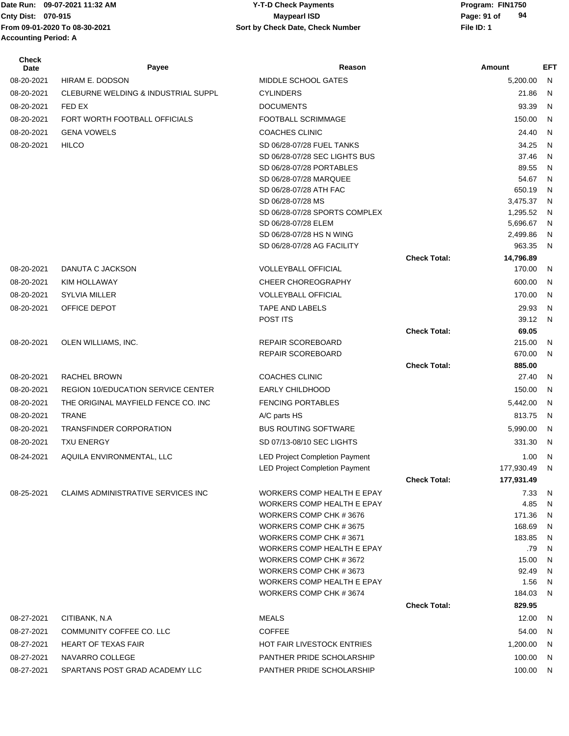## **Cnty Dist:** 070-915 **Page: 91 of** Maypearl ISD **Page: 91 of 09-07-2021 11:32 AM Y-T-D Check Payments 070-915 Maypearl ISD**

| <b>Check</b><br><b>Date</b> | Payee                                     | Reason                                                      |                     | Amount               | <b>EFT</b>   |
|-----------------------------|-------------------------------------------|-------------------------------------------------------------|---------------------|----------------------|--------------|
| 08-20-2021                  | HIRAM E. DODSON                           | MIDDLE SCHOOL GATES                                         |                     | 5,200.00             | N            |
| 08-20-2021                  | CLEBURNE WELDING & INDUSTRIAL SUPPL       | <b>CYLINDERS</b>                                            |                     | 21.86                | N            |
| 08-20-2021                  | FED EX                                    | <b>DOCUMENTS</b>                                            |                     | 93.39                | N            |
| 08-20-2021                  | FORT WORTH FOOTBALL OFFICIALS             | <b>FOOTBALL SCRIMMAGE</b>                                   |                     | 150.00               | N            |
| 08-20-2021                  | <b>GENA VOWELS</b>                        | <b>COACHES CLINIC</b>                                       |                     | 24.40                | N            |
| 08-20-2021                  | <b>HILCO</b>                              | SD 06/28-07/28 FUEL TANKS                                   |                     | 34.25                | N            |
|                             |                                           | SD 06/28-07/28 SEC LIGHTS BUS                               |                     | 37.46                | $\mathsf{N}$ |
|                             |                                           | SD 06/28-07/28 PORTABLES                                    |                     | 89.55                | N            |
|                             |                                           | SD 06/28-07/28 MARQUEE                                      |                     | 54.67                | N            |
|                             |                                           | SD 06/28-07/28 ATH FAC                                      |                     | 650.19               | N            |
|                             |                                           | SD 06/28-07/28 MS                                           |                     | 3,475.37             | N            |
|                             |                                           | SD 06/28-07/28 SPORTS COMPLEX                               |                     | 1,295.52             | N            |
|                             |                                           | SD 06/28-07/28 ELEM<br>SD 06/28-07/28 HS N WING             |                     | 5,696.67<br>2,499.86 | N<br>N       |
|                             |                                           | SD 06/28-07/28 AG FACILITY                                  |                     | 963.35               | N            |
|                             |                                           |                                                             | <b>Check Total:</b> | 14,796.89            |              |
| 08-20-2021                  | DANUTA C JACKSON                          | <b>VOLLEYBALL OFFICIAL</b>                                  |                     | 170.00               | N            |
| 08-20-2021                  | KIM HOLLAWAY                              | <b>CHEER CHOREOGRAPHY</b>                                   |                     | 600.00               | N            |
| 08-20-2021                  | <b>SYLVIA MILLER</b>                      | <b>VOLLEYBALL OFFICIAL</b>                                  |                     | 170.00               | N            |
| 08-20-2021                  | OFFICE DEPOT                              | <b>TAPE AND LABELS</b>                                      |                     | 29.93                | N            |
|                             |                                           | POST ITS                                                    |                     | 39.12                | N            |
|                             |                                           |                                                             | <b>Check Total:</b> | 69.05                |              |
| 08-20-2021                  | OLEN WILLIAMS, INC.                       | REPAIR SCOREBOARD                                           |                     | 215.00               | N            |
|                             |                                           | REPAIR SCOREBOARD                                           |                     | 670.00               | N            |
|                             |                                           |                                                             | <b>Check Total:</b> | 885.00               |              |
| 08-20-2021                  | RACHEL BROWN                              | <b>COACHES CLINIC</b>                                       |                     | 27.40                | N            |
| 08-20-2021                  | <b>REGION 10/EDUCATION SERVICE CENTER</b> | <b>EARLY CHILDHOOD</b>                                      |                     | 150.00               | N            |
| 08-20-2021                  | THE ORIGINAL MAYFIELD FENCE CO. INC       | <b>FENCING PORTABLES</b>                                    |                     | 5,442.00             | N            |
| 08-20-2021                  | <b>TRANE</b>                              | A/C parts HS                                                |                     | 813.75               | N            |
| 08-20-2021                  | <b>TRANSFINDER CORPORATION</b>            | <b>BUS ROUTING SOFTWARE</b>                                 |                     | 5,990.00             | N            |
| 08-20-2021                  | <b>TXU ENERGY</b>                         | SD 07/13-08/10 SEC LIGHTS                                   |                     | 331.30               | N            |
| 08-24-2021                  | AQUILA ENVIRONMENTAL, LLC                 | <b>LED Project Completion Payment</b>                       |                     | 1.00                 | N            |
|                             |                                           | <b>LED Project Completion Payment</b>                       |                     | 177,930.49           | N            |
|                             |                                           |                                                             | <b>Check Total:</b> | 177,931.49           |              |
| 08-25-2021                  | CLAIMS ADMINISTRATIVE SERVICES INC        | WORKERS COMP HEALTH E EPAY                                  |                     | 7.33                 | N            |
|                             |                                           | <b>WORKERS COMP HEALTH E EPAY</b>                           |                     | 4.85                 | N            |
|                             |                                           | WORKERS COMP CHK #3676                                      |                     | 171.36               | N            |
|                             |                                           | WORKERS COMP CHK #3675                                      |                     | 168.69               | N            |
|                             |                                           | WORKERS COMP CHK #3671                                      |                     | 183.85               | N            |
|                             |                                           | <b>WORKERS COMP HEALTH E EPAY</b>                           |                     | .79                  | N            |
|                             |                                           | WORKERS COMP CHK #3672                                      |                     | 15.00                | N            |
|                             |                                           | WORKERS COMP CHK #3673<br><b>WORKERS COMP HEALTH E EPAY</b> |                     | 92.49<br>1.56        | N<br>N       |
|                             |                                           | WORKERS COMP CHK #3674                                      |                     | 184.03               | N            |
|                             |                                           |                                                             | <b>Check Total:</b> | 829.95               |              |
| 08-27-2021                  | CITIBANK, N.A.                            | <b>MEALS</b>                                                |                     | 12.00                | N            |
| 08-27-2021                  | COMMUNITY COFFEE CO. LLC                  | <b>COFFEE</b>                                               |                     | 54.00                | N            |
| 08-27-2021                  | <b>HEART OF TEXAS FAIR</b>                | <b>HOT FAIR LIVESTOCK ENTRIES</b>                           |                     | 1,200.00             | N            |
| 08-27-2021                  | NAVARRO COLLEGE                           | PANTHER PRIDE SCHOLARSHIP                                   |                     | 100.00               | N            |
| 08-27-2021                  | SPARTANS POST GRAD ACADEMY LLC            | PANTHER PRIDE SCHOLARSHIP                                   |                     | 100.00               |              |
|                             |                                           |                                                             |                     |                      | N            |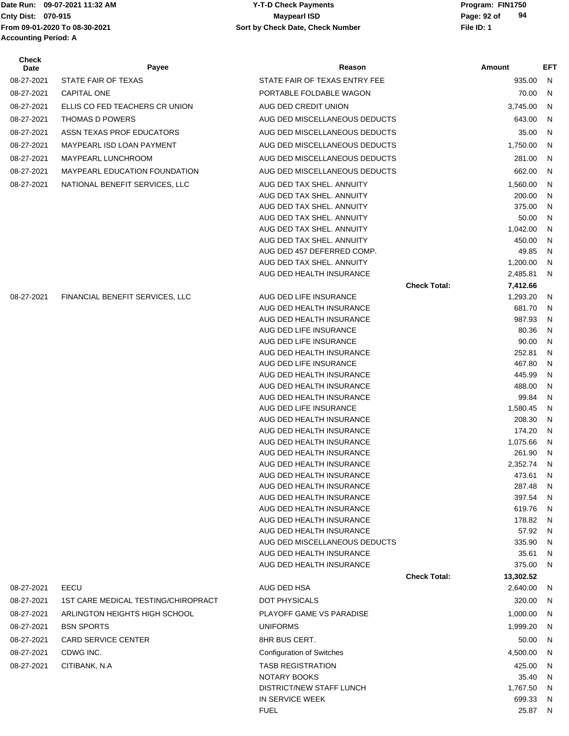**Accounting Period: A**

#### Date Run: 09-07-2021 11:32 AM **Program: FIN1750** Y-T-D Check Payments **Cnty Dist:** 070-915 **Page: 92 of** Maypearl ISD **Page: 92 of From 09-01-2020 To 08-30-2021 File ID: 1 Sort by Check Date, Check Number 09-07-2021 11:32 AM Y-T-D Check Payments 070-915 Maypearl ISD**

| Check<br>Date | Payee                                | Reason                                                 | Amount                           | EFT    |
|---------------|--------------------------------------|--------------------------------------------------------|----------------------------------|--------|
| 08-27-2021    | STATE FAIR OF TEXAS                  | STATE FAIR OF TEXAS ENTRY FEE                          | 935.00                           | N.     |
| 08-27-2021    | <b>CAPITAL ONE</b>                   | PORTABLE FOLDABLE WAGON                                | 70.00                            | N      |
| 08-27-2021    | ELLIS CO FED TEACHERS CR UNION       | AUG DED CREDIT UNION                                   | 3,745.00                         | N      |
| 08-27-2021    | <b>THOMAS D POWERS</b>               | AUG DED MISCELLANEOUS DEDUCTS                          | 643.00                           | N      |
| 08-27-2021    | ASSN TEXAS PROF EDUCATORS            | AUG DED MISCELLANEOUS DEDUCTS                          | 35.00                            | N      |
| 08-27-2021    | MAYPEARL ISD LOAN PAYMENT            | AUG DED MISCELLANEOUS DEDUCTS                          | 1,750.00                         | N      |
| 08-27-2021    | MAYPEARL LUNCHROOM                   | AUG DED MISCELLANEOUS DEDUCTS                          | 281.00                           | N      |
| 08-27-2021    | <b>MAYPEARL EDUCATION FOUNDATION</b> | AUG DED MISCELLANEOUS DEDUCTS                          | 662.00                           | N      |
| 08-27-2021    | NATIONAL BENEFIT SERVICES, LLC       | AUG DED TAX SHEL, ANNUITY                              | 1,560.00                         | N      |
|               |                                      | AUG DED TAX SHEL. ANNUITY                              | 200.00                           | N      |
|               |                                      | AUG DED TAX SHEL. ANNUITY                              | 375.00                           | N      |
|               |                                      | AUG DED TAX SHEL. ANNUITY                              | 50.00                            | N      |
|               |                                      | AUG DED TAX SHEL. ANNUITY<br>AUG DED TAX SHEL. ANNUITY | 1,042.00<br>450.00               | N      |
|               |                                      | AUG DED 457 DEFERRED COMP.                             | 49.85                            | N<br>N |
|               |                                      | AUG DED TAX SHEL, ANNUITY                              | 1,200.00                         | N      |
|               |                                      | AUG DED HEALTH INSURANCE                               | 2,485.81                         | N      |
|               |                                      |                                                        | <b>Check Total:</b><br>7,412.66  |        |
| 08-27-2021    | FINANCIAL BENEFIT SERVICES, LLC      | AUG DED LIFE INSURANCE                                 | 1,293.20                         | N      |
|               |                                      | AUG DED HEALTH INSURANCE                               | 681.70                           | N      |
|               |                                      | AUG DED HEALTH INSURANCE                               | 987.93                           | N      |
|               |                                      | AUG DED LIFE INSURANCE<br>AUG DED LIFE INSURANCE       | 80.36<br>90.00                   | N<br>N |
|               |                                      | AUG DED HEALTH INSURANCE                               | 252.81                           | N      |
|               |                                      | AUG DED LIFE INSURANCE                                 | 467.80                           | N      |
|               |                                      | AUG DED HEALTH INSURANCE                               | 445.99                           | N      |
|               |                                      | AUG DED HEALTH INSURANCE                               | 488.00                           | N      |
|               |                                      | AUG DED HEALTH INSURANCE                               | 99.84                            | N      |
|               |                                      | AUG DED LIFE INSURANCE                                 | 1,580.45                         | N      |
|               |                                      | AUG DED HEALTH INSURANCE                               | 208.30                           | N      |
|               |                                      | AUG DED HEALTH INSURANCE<br>AUG DED HEALTH INSURANCE   | 174.20<br>1,075.66               | N<br>N |
|               |                                      | AUG DED HEALTH INSURANCE                               | 261.90                           | N      |
|               |                                      | AUG DED HEALTH INSURANCE                               | 2,352.74                         | N      |
|               |                                      | AUG DED HEALTH INSURANCE                               | 473.61                           | N      |
|               |                                      | AUG DED HEALTH INSURANCE                               | 287.48                           | N      |
|               |                                      | AUG DED HEALTH INSURANCE                               | 397.54                           | N      |
|               |                                      | AUG DED HEALTH INSURANCE                               | 619.76                           | N      |
|               |                                      | AUG DED HEALTH INSURANCE<br>AUG DED HEALTH INSURANCE   | 178.82<br>57.92                  | N<br>N |
|               |                                      | AUG DED MISCELLANEOUS DEDUCTS                          | 335.90                           | N      |
|               |                                      | AUG DED HEALTH INSURANCE                               | 35.61                            | N      |
|               |                                      | AUG DED HEALTH INSURANCE                               | 375.00                           | N      |
|               |                                      |                                                        | <b>Check Total:</b><br>13,302.52 |        |
| 08-27-2021    | EECU                                 | AUG DED HSA                                            | 2,640.00                         | N.     |
| 08-27-2021    | 1ST CARE MEDICAL TESTING/CHIROPRACT  | DOT PHYSICALS                                          | 320.00                           | N      |
| 08-27-2021    | ARLINGTON HEIGHTS HIGH SCHOOL        | PLAYOFF GAME VS PARADISE                               | 1,000.00                         | N      |
| 08-27-2021    | <b>BSN SPORTS</b>                    | <b>UNIFORMS</b>                                        | 1,999.20                         | N.     |
| 08-27-2021    | <b>CARD SERVICE CENTER</b>           | 8HR BUS CERT.                                          | 50.00                            | N      |
| 08-27-2021    | CDWG INC.                            | <b>Configuration of Switches</b>                       | 4,500.00                         | N      |
| 08-27-2021    | CITIBANK, N.A.                       | <b>TASB REGISTRATION</b>                               | 425.00                           | N      |
|               |                                      | NOTARY BOOKS                                           | 35.40                            | N      |
|               |                                      | DISTRICT/NEW STAFF LUNCH                               | 1,767.50                         | N      |
|               |                                      | IN SERVICE WEEK<br><b>FUEL</b>                         | 699.33<br>25.87 N                | N      |
|               |                                      |                                                        |                                  |        |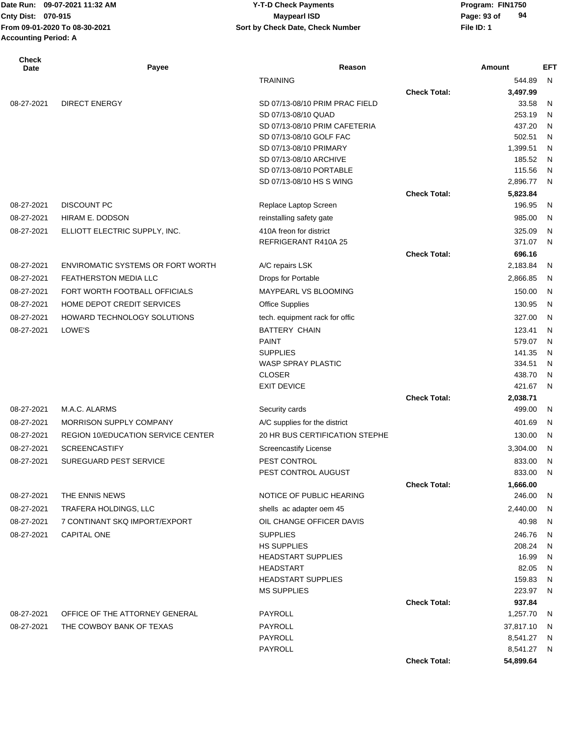## **Cnty Dist:** 070-915 **Page: 93 of** Maypearl ISD **Page: 93 of 09-07-2021 11:32 AM Y-T-D Check Payments 070-915 Maypearl ISD**

| Check<br>Date | Payee                                     | Reason                                            |                     | <b>Amount</b>        | <b>EFT</b>   |
|---------------|-------------------------------------------|---------------------------------------------------|---------------------|----------------------|--------------|
|               |                                           | <b>TRAINING</b>                                   |                     | 544.89               | $\mathsf{N}$ |
|               |                                           |                                                   | <b>Check Total:</b> | 3,497.99             |              |
| 08-27-2021    | <b>DIRECT ENERGY</b>                      | SD 07/13-08/10 PRIM PRAC FIELD                    |                     | 33.58                | N            |
|               |                                           | SD 07/13-08/10 QUAD                               |                     | 253.19               | N            |
|               |                                           | SD 07/13-08/10 PRIM CAFETERIA                     |                     | 437.20               | N            |
|               |                                           | SD 07/13-08/10 GOLF FAC<br>SD 07/13-08/10 PRIMARY |                     | 502.51<br>1,399.51   | N<br>N       |
|               |                                           | SD 07/13-08/10 ARCHIVE                            |                     | 185.52               | N            |
|               |                                           | SD 07/13-08/10 PORTABLE                           |                     | 115.56               | N            |
|               |                                           | SD 07/13-08/10 HS S WING                          |                     | 2,896.77             | N            |
|               |                                           |                                                   | <b>Check Total:</b> | 5,823.84             |              |
| 08-27-2021    | <b>DISCOUNT PC</b>                        | Replace Laptop Screen                             |                     | 196.95               | N            |
| 08-27-2021    | HIRAM E. DODSON                           | reinstalling safety gate                          |                     | 985.00               | $\mathsf{N}$ |
| 08-27-2021    | ELLIOTT ELECTRIC SUPPLY, INC.             | 410A freon for district                           |                     | 325.09               | N            |
|               |                                           | REFRIGERANT R410A 25                              |                     | 371.07               | N            |
|               |                                           |                                                   | <b>Check Total:</b> | 696.16               |              |
| 08-27-2021    | <b>ENVIROMATIC SYSTEMS OR FORT WORTH</b>  | A/C repairs LSK                                   |                     | 2,183.84             | N            |
| 08-27-2021    | <b>FEATHERSTON MEDIA LLC</b>              | Drops for Portable                                |                     | 2,866.85             | N            |
| 08-27-2021    | FORT WORTH FOOTBALL OFFICIALS             | MAYPEARL VS BLOOMING                              |                     | 150.00               | N            |
| 08-27-2021    | HOME DEPOT CREDIT SERVICES                | <b>Office Supplies</b>                            |                     | 130.95               | N            |
| 08-27-2021    | HOWARD TECHNOLOGY SOLUTIONS               | tech. equipment rack for offic                    |                     | 327.00               | N            |
| 08-27-2021    | LOWE'S                                    | <b>BATTERY CHAIN</b>                              |                     | 123.41               | N            |
|               |                                           | <b>PAINT</b>                                      |                     | 579.07               | N            |
|               |                                           | <b>SUPPLIES</b>                                   |                     | 141.35               | N            |
|               |                                           | WASP SPRAY PLASTIC                                |                     | 334.51               | N            |
|               |                                           | <b>CLOSER</b>                                     |                     | 438.70               | N            |
|               |                                           | <b>EXIT DEVICE</b>                                |                     | 421.67               | N            |
|               |                                           |                                                   | <b>Check Total:</b> | 2,038.71             |              |
| 08-27-2021    | M.A.C. ALARMS                             | Security cards                                    |                     | 499.00               | N            |
| 08-27-2021    | <b>MORRISON SUPPLY COMPANY</b>            | A/C supplies for the district                     |                     | 401.69               | N            |
| 08-27-2021    | <b>REGION 10/EDUCATION SERVICE CENTER</b> | 20 HR BUS CERTIFICATION STEPHE                    |                     | 130.00               | N            |
| 08-27-2021    | <b>SCREENCASTIFY</b>                      | <b>Screencastify License</b>                      |                     | 3,304.00             | N            |
| 08-27-2021    | <b>SUREGUARD PEST SERVICE</b>             | PEST CONTROL                                      |                     | 833.00               | N            |
|               |                                           | PEST CONTROL AUGUST                               |                     | 833.00               | N            |
|               |                                           |                                                   | <b>Check Total:</b> | 1,666.00             |              |
| 08-27-2021    | THE ENNIS NEWS                            | NOTICE OF PUBLIC HEARING                          |                     | 246.00               | N            |
| 08-27-2021    | TRAFERA HOLDINGS, LLC                     | shells ac adapter oem 45                          |                     | 2,440.00             | N            |
| 08-27-2021    | 7 CONTINANT SKQ IMPORT/EXPORT             | OIL CHANGE OFFICER DAVIS                          |                     | 40.98                | N            |
| 08-27-2021    | <b>CAPITAL ONE</b>                        | <b>SUPPLIES</b>                                   |                     | 246.76               | N            |
|               |                                           | <b>HS SUPPLIES</b>                                |                     | 208.24               | N            |
|               |                                           | <b>HEADSTART SUPPLIES</b>                         |                     | 16.99                | N            |
|               |                                           | <b>HEADSTART</b>                                  |                     | 82.05                | N            |
|               |                                           | <b>HEADSTART SUPPLIES</b>                         |                     | 159.83               | N            |
|               |                                           | <b>MS SUPPLIES</b>                                |                     | 223.97               | N            |
|               |                                           |                                                   | <b>Check Total:</b> | 937.84               |              |
| 08-27-2021    | OFFICE OF THE ATTORNEY GENERAL            | PAYROLL                                           |                     | 1,257.70             | N            |
| 08-27-2021    | THE COWBOY BANK OF TEXAS                  | PAYROLL<br>PAYROLL                                |                     | 37,817.10            | N            |
|               |                                           | PAYROLL                                           |                     | 8,541.27<br>8,541.27 | N<br>N       |
|               |                                           |                                                   | <b>Check Total:</b> | 54,899.64            |              |
|               |                                           |                                                   |                     |                      |              |